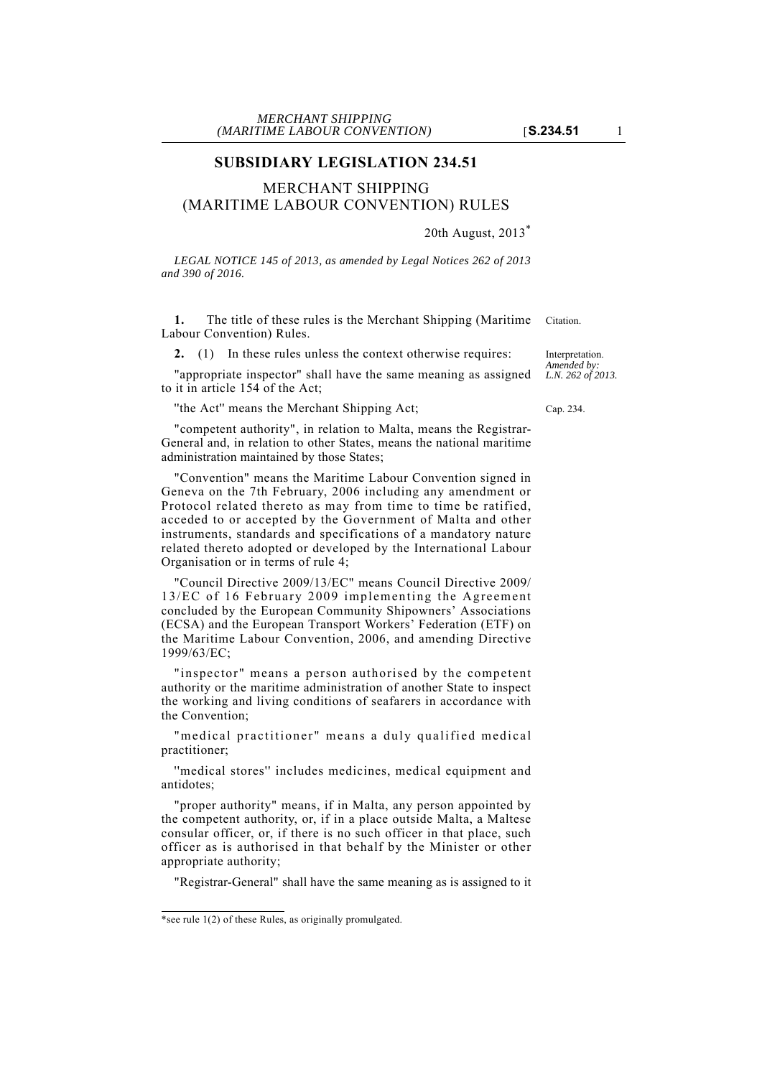# **SUBSIDIARY LEGISLATION 234.51**

# MERCHANT SHIPPING (MARITIME LABOUR CONVENTION) RULES

## 20th August, 2013\*

*LEGAL NOTICE 145 of 2013, as amended by Legal Notices 262 of 2013 and 390 of 2016.*

**1.** The title of these rules is the Merchant Shipping (Maritime Citation. Labour Convention) Rules.

**2.** (1) In these rules unless the context otherwise requires:

"appropriate inspector" shall have the same meaning as assigned to it in article 154 of the Act;

''the Act'' means the Merchant Shipping Act; Cap. 234.

"competent authority", in relation to Malta, means the Registrar-General and, in relation to other States, means the national maritime administration maintained by those States;

"Convention" means the Maritime Labour Convention signed in Geneva on the 7th February, 2006 including any amendment or Protocol related thereto as may from time to time be ratified, acceded to or accepted by the Government of Malta and other instruments, standards and specifications of a mandatory nature related thereto adopted or developed by the International Labour Organisation or in terms of rule 4;

"Council Directive 2009/13/EC" means Council Directive 2009/ 13/EC of 16 February 2009 implementing the Agreement concluded by the European Community Shipowners' Associations (ECSA) and the European Transport Workers' Federation (ETF) on the Maritime Labour Convention, 2006, and amending Directive 1999/63/EC;

"inspector" means a person authorised by the competent authority or the maritime administration of another State to inspect the working and living conditions of seafarers in accordance with the Convention;

"medical practitioner" means a duly qualified medical practitioner;

''medical stores'' includes medicines, medical equipment and antidotes;

"proper authority" means, if in Malta, any person appointed by the competent authority, or, if in a place outside Malta, a Maltese consular officer, or, if there is no such officer in that place, such officer as is authorised in that behalf by the Minister or other appropriate authority;

"Registrar-General" shall have the same meaning as is assigned to it

Interpretation. *Amended by: L.N. 262 of 2013.*

<sup>\*</sup>see rule 1(2) of these Rules, as originally promulgated.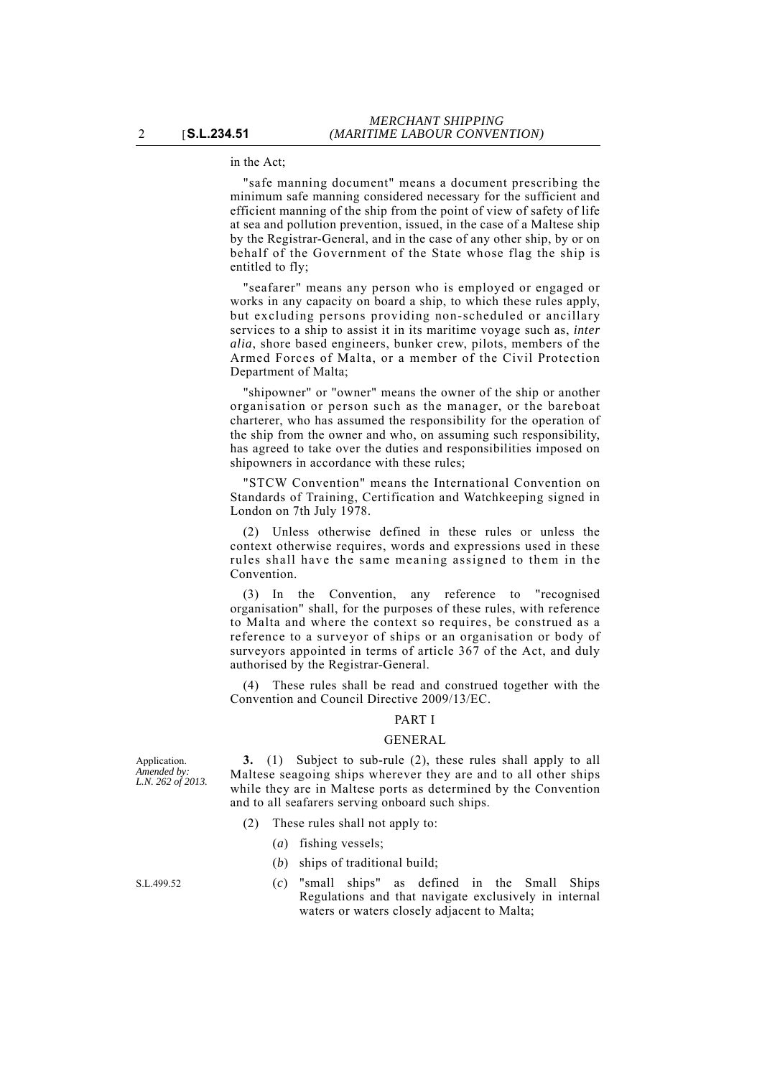in the Act;

"safe manning document" means a document prescribing the minimum safe manning considered necessary for the sufficient and efficient manning of the ship from the point of view of safety of life at sea and pollution prevention, issued, in the case of a Maltese ship by the Registrar-General, and in the case of any other ship, by or on behalf of the Government of the State whose flag the ship is entitled to fly;

"seafarer" means any person who is employed or engaged or works in any capacity on board a ship, to which these rules apply, but excluding persons providing non-scheduled or ancillary services to a ship to assist it in its maritime voyage such as, *inter alia*, shore based engineers, bunker crew, pilots, members of the Armed Forces of Malta, or a member of the Civil Protection Department of Malta;

"shipowner" or "owner" means the owner of the ship or another organisation or person such as the manager, or the bareboat charterer, who has assumed the responsibility for the operation of the ship from the owner and who, on assuming such responsibility, has agreed to take over the duties and responsibilities imposed on shipowners in accordance with these rules;

"STCW Convention" means the International Convention on Standards of Training, Certification and Watchkeeping signed in London on 7th July 1978.

(2) Unless otherwise defined in these rules or unless the context otherwise requires, words and expressions used in these rules shall have the same meaning assigned to them in the Convention.

(3) In the Convention, any reference to "recognised organisation" shall, for the purposes of these rules, with reference to Malta and where the context so requires, be construed as a reference to a surveyor of ships or an organisation or body of surveyors appointed in terms of article 367 of the Act, and duly authorised by the Registrar-General.

These rules shall be read and construed together with the Convention and Council Directive 2009/13/EC.

# PART I

## GENERAL

**3.** (1) Subject to sub-rule (2), these rules shall apply to all Maltese seagoing ships wherever they are and to all other ships while they are in Maltese ports as determined by the Convention and to all seafarers serving onboard such ships.

(2) These rules shall not apply to:

- (*a*) fishing vessels;
- (*b*) ships of traditional build;
- S.L.499.52 (*c*) "small ships" as defined in the Small Ships Regulations and that navigate exclusively in internal waters or waters closely adjacent to Malta;

Application. *Amended by: L.N. 262 of 2013.*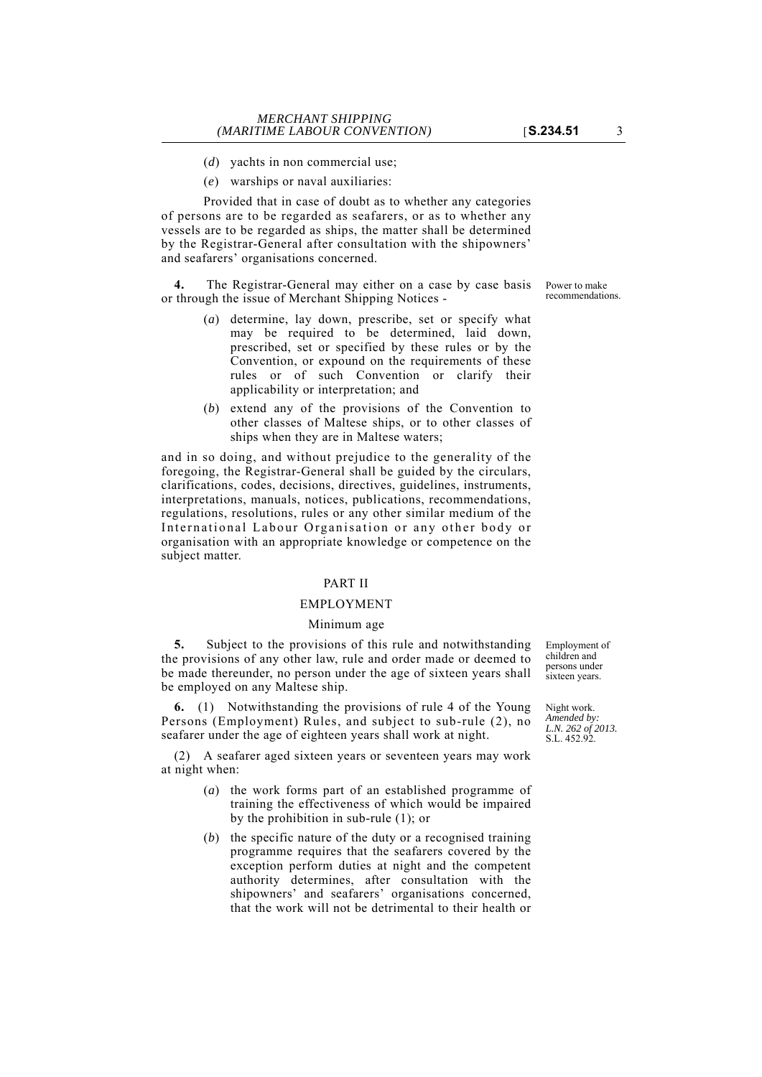- (*d*) yachts in non commercial use;
- (*e*) warships or naval auxiliaries:

Provided that in case of doubt as to whether any categories of persons are to be regarded as seafarers, or as to whether any vessels are to be regarded as ships, the matter shall be determined by the Registrar-General after consultation with the shipowners' and seafarers' organisations concerned.

**4.** The Registrar-General may either on a case by case basis or through the issue of Merchant Shipping Notices -

- (*a*) determine, lay down, prescribe, set or specify what may be required to be determined, laid down, prescribed, set or specified by these rules or by the Convention, or expound on the requirements of these rules or of such Convention or clarify their applicability or interpretation; and
- (*b*) extend any of the provisions of the Convention to other classes of Maltese ships, or to other classes of ships when they are in Maltese waters;

and in so doing, and without prejudice to the generality of the foregoing, the Registrar-General shall be guided by the circulars, clarifications, codes, decisions, directives, guidelines, instruments, interpretations, manuals, notices, publications, recommendations, regulations, resolutions, rules or any other similar medium of the International Labour Organisation or any other body or organisation with an appropriate knowledge or competence on the subject matter.

## PART II

#### EMPLOYMENT

## Minimum age

**5.** Subject to the provisions of this rule and notwithstanding the provisions of any other law, rule and order made or deemed to be made thereunder, no person under the age of sixteen years shall be employed on any Maltese ship.

**6.** (1) Notwithstanding the provisions of rule 4 of the Young Persons (Employment) Rules, and subject to sub-rule (2), no seafarer under the age of eighteen years shall work at night.

(2) A seafarer aged sixteen years or seventeen years may work at night when:

- (*a*) the work forms part of an established programme of training the effectiveness of which would be impaired by the prohibition in sub-rule (1); or
- (*b*) the specific nature of the duty or a recognised training programme requires that the seafarers covered by the exception perform duties at night and the competent authority determines, after consultation with the shipowners' and seafarers' organisations concerned, that the work will not be detrimental to their health or

Employment of children and persons under sixteen years.

Night work. *Amended by: L.N. 262 of 2013.* S.L. 452.92.

Power to make recommendations.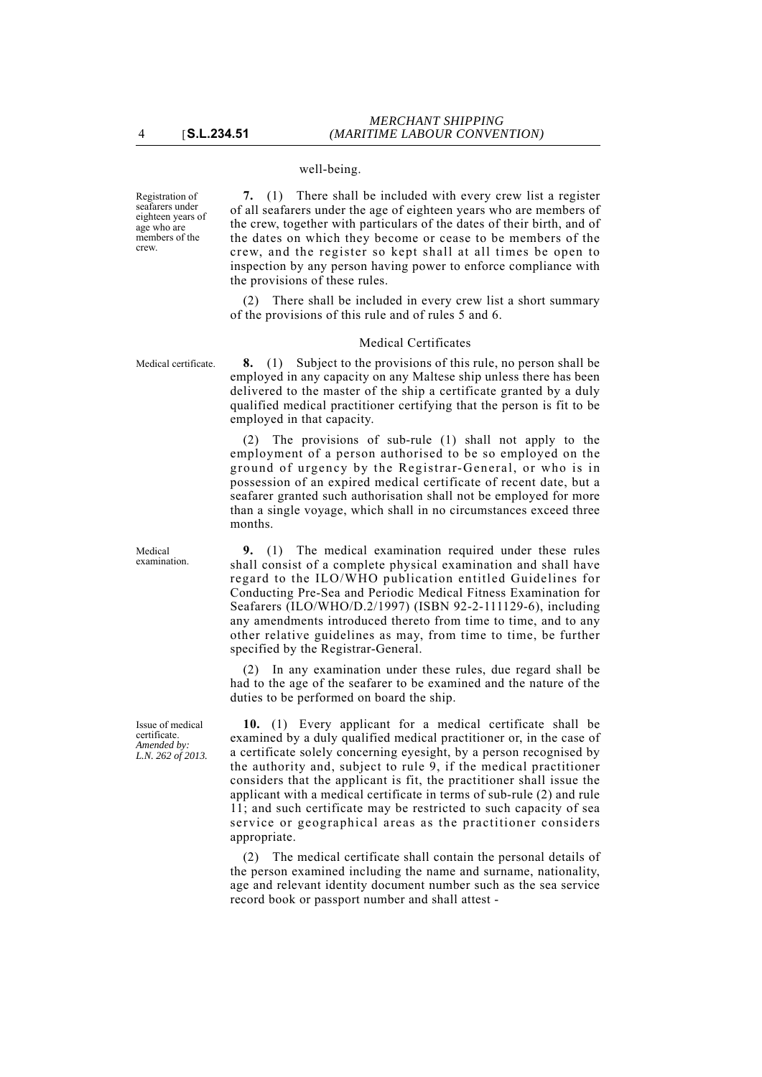## well-being.

Registration of seafarers under eighteen years of age who are members of the crew.

**7.** (1) There shall be included with every crew list a register of all seafarers under the age of eighteen years who are members of the crew, together with particulars of the dates of their birth, and of the dates on which they become or cease to be members of the crew, and the register so kept shall at all times be open to inspection by any person having power to enforce compliance with the provisions of these rules.

(2) There shall be included in every crew list a short summary of the provisions of this rule and of rules 5 and 6.

### Medical Certificates

Medical certificate. **8.** (1) Subject to the provisions of this rule, no person shall be employed in any capacity on any Maltese ship unless there has been delivered to the master of the ship a certificate granted by a duly qualified medical practitioner certifying that the person is fit to be employed in that capacity.

> (2) The provisions of sub-rule (1) shall not apply to the employment of a person authorised to be so employed on the ground of urgency by the Registrar-General, or who is in possession of an expired medical certificate of recent date, but a seafarer granted such authorisation shall not be employed for more than a single voyage, which shall in no circumstances exceed three months.

> **9.** (1) The medical examination required under these rules shall consist of a complete physical examination and shall have regard to the ILO/WHO publication entitled Guidelines for Conducting Pre-Sea and Periodic Medical Fitness Examination for Seafarers (ILO/WHO/D.2/1997) (ISBN 92-2-111129-6), including any amendments introduced thereto from time to time, and to any other relative guidelines as may, from time to time, be further specified by the Registrar-General.

> (2) In any examination under these rules, due regard shall be had to the age of the seafarer to be examined and the nature of the duties to be performed on board the ship.

> **10.** (1) Every applicant for a medical certificate shall be examined by a duly qualified medical practitioner or, in the case of a certificate solely concerning eyesight, by a person recognised by the authority and, subject to rule 9, if the medical practitioner considers that the applicant is fit, the practitioner shall issue the applicant with a medical certificate in terms of sub-rule (2) and rule 11; and such certificate may be restricted to such capacity of sea service or geographical areas as the practitioner considers appropriate.

> (2) The medical certificate shall contain the personal details of the person examined including the name and surname, nationality, age and relevant identity document number such as the sea service record book or passport number and shall attest -

Medical examination.

Issue of medical certificate. *Amended by: L.N. 262 of 2013.*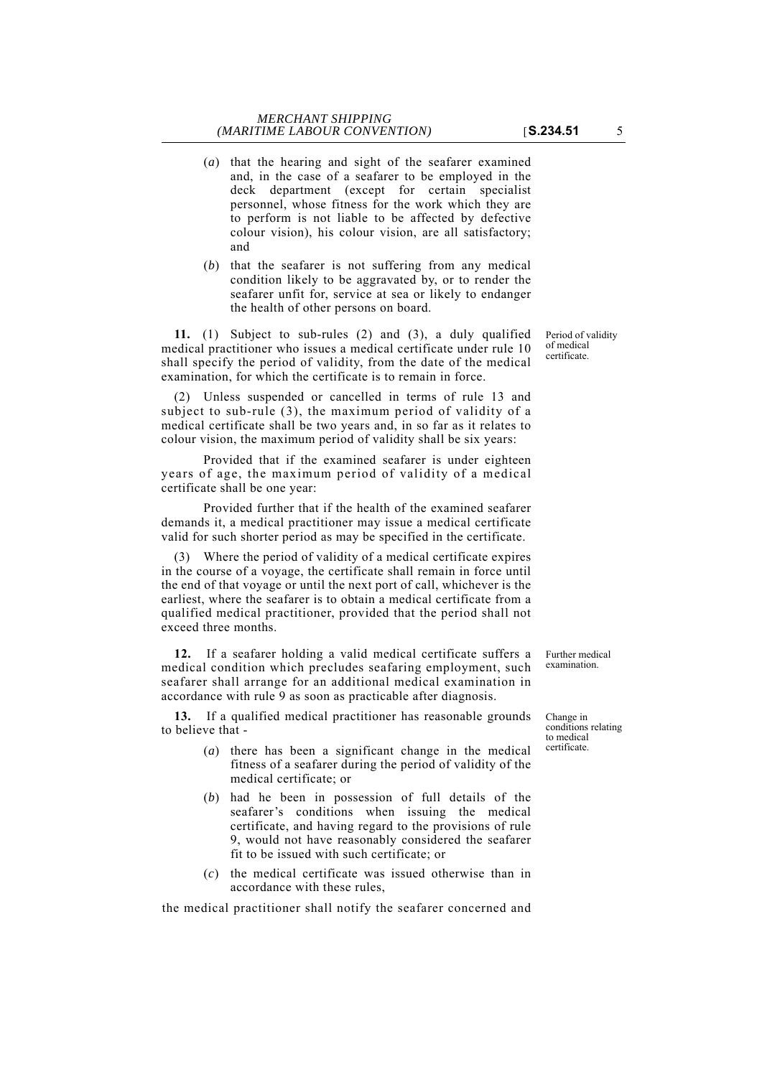- (*a*) that the hearing and sight of the seafarer examined and, in the case of a seafarer to be employed in the deck department (except for certain specialist personnel, whose fitness for the work which they are to perform is not liable to be affected by defective colour vision), his colour vision, are all satisfactory; and
- (*b*) that the seafarer is not suffering from any medical condition likely to be aggravated by, or to render the seafarer unfit for, service at sea or likely to endanger the health of other persons on board.

**11.** (1) Subject to sub-rules (2) and (3), a duly qualified medical practitioner who issues a medical certificate under rule 10 shall specify the period of validity, from the date of the medical examination, for which the certificate is to remain in force.

(2) Unless suspended or cancelled in terms of rule 13 and subject to sub-rule (3), the maximum period of validity of a medical certificate shall be two years and, in so far as it relates to colour vision, the maximum period of validity shall be six years:

Provided that if the examined seafarer is under eighteen years of age, the maximum period of validity of a medical certificate shall be one year:

Provided further that if the health of the examined seafarer demands it, a medical practitioner may issue a medical certificate valid for such shorter period as may be specified in the certificate.

(3) Where the period of validity of a medical certificate expires in the course of a voyage, the certificate shall remain in force until the end of that voyage or until the next port of call, whichever is the earliest, where the seafarer is to obtain a medical certificate from a qualified medical practitioner, provided that the period shall not exceed three months.

**12.** If a seafarer holding a valid medical certificate suffers a medical condition which precludes seafaring employment, such seafarer shall arrange for an additional medical examination in accordance with rule 9 as soon as practicable after diagnosis.

**13.** If a qualified medical practitioner has reasonable grounds to believe that -

- (*a*) there has been a significant change in the medical fitness of a seafarer during the period of validity of the medical certificate; or
- (*b*) had he been in possession of full details of the seafarer's conditions when issuing the medical certificate, and having regard to the provisions of rule 9, would not have reasonably considered the seafarer fit to be issued with such certificate; or
- (*c*) the medical certificate was issued otherwise than in accordance with these rules,

the medical practitioner shall notify the seafarer concerned and

Further medical examination.

Change in conditions relating to medical certificate.

Period of validity of medical certificate.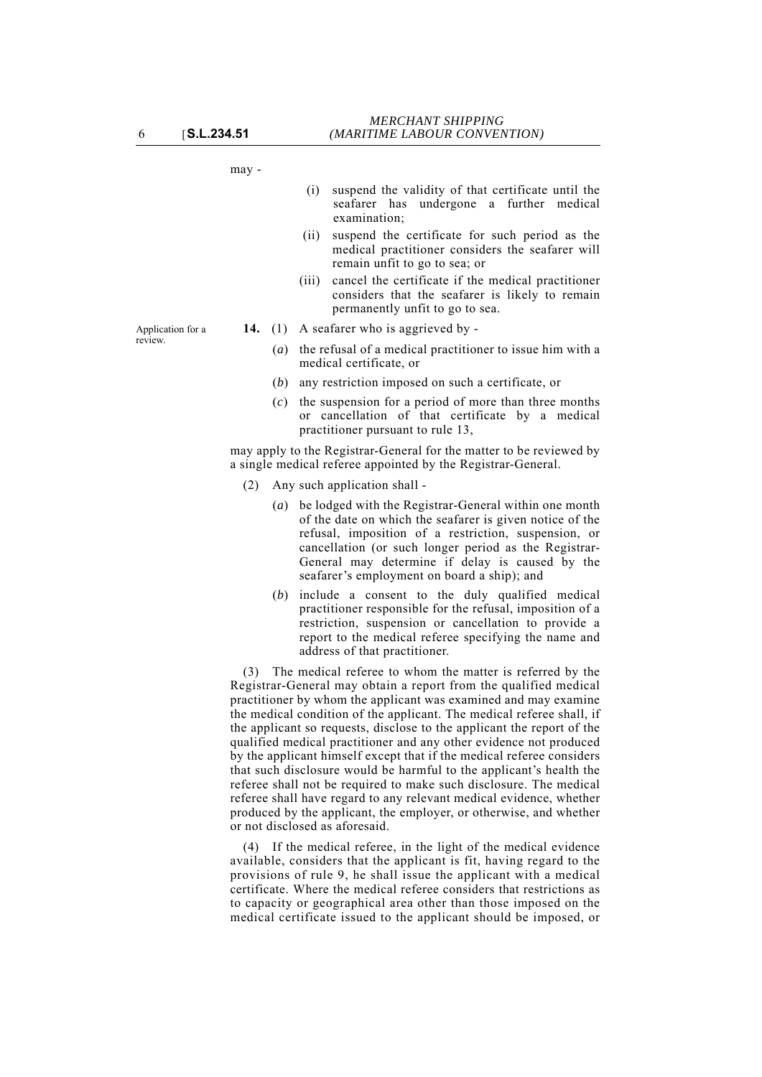may -

- (i) suspend the validity of that certificate until the seafarer has undergone a further medical examination;
- (ii) suspend the certificate for such period as the medical practitioner considers the seafarer will remain unfit to go to sea; or
- (iii) cancel the certificate if the medical practitioner considers that the seafarer is likely to remain permanently unfit to go to sea.
- **14.** (1) A seafarer who is aggrieved by
	- (*a*) the refusal of a medical practitioner to issue him with a medical certificate, or
	- (*b*) any restriction imposed on such a certificate, or
	- (*c*) the suspension for a period of more than three months or cancellation of that certificate by a medical practitioner pursuant to rule 13,

may apply to the Registrar-General for the matter to be reviewed by a single medical referee appointed by the Registrar-General.

- (2) Any such application shall
	- (*a*) be lodged with the Registrar-General within one month of the date on which the seafarer is given notice of the refusal, imposition of a restriction, suspension, or cancellation (or such longer period as the Registrar-General may determine if delay is caused by the seafarer's employment on board a ship); and
	- (*b*) include a consent to the duly qualified medical practitioner responsible for the refusal, imposition of a restriction, suspension or cancellation to provide a report to the medical referee specifying the name and address of that practitioner.

(3) The medical referee to whom the matter is referred by the Registrar-General may obtain a report from the qualified medical practitioner by whom the applicant was examined and may examine the medical condition of the applicant. The medical referee shall, if the applicant so requests, disclose to the applicant the report of the qualified medical practitioner and any other evidence not produced by the applicant himself except that if the medical referee considers that such disclosure would be harmful to the applicant's health the referee shall not be required to make such disclosure. The medical referee shall have regard to any relevant medical evidence, whether produced by the applicant, the employer, or otherwise, and whether or not disclosed as aforesaid.

(4) If the medical referee, in the light of the medical evidence available, considers that the applicant is fit, having regard to the provisions of rule 9, he shall issue the applicant with a medical certificate. Where the medical referee considers that restrictions as to capacity or geographical area other than those imposed on the medical certificate issued to the applicant should be imposed, or

Application for a review.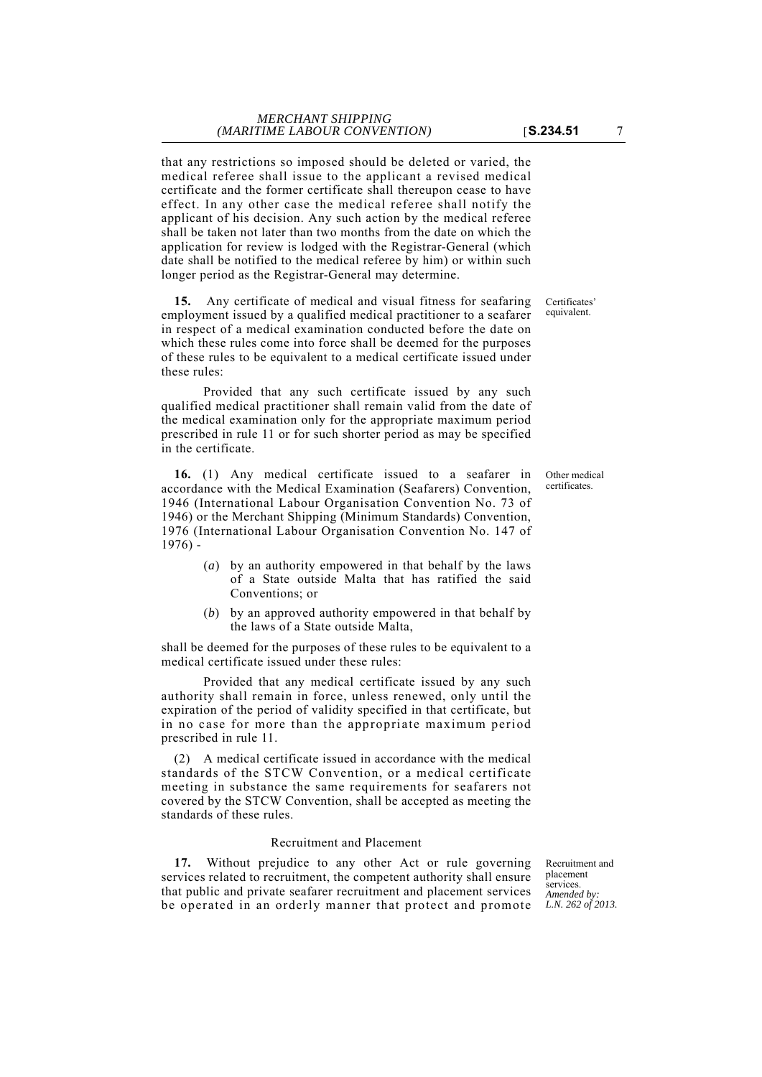that any restrictions so imposed should be deleted or varied, the medical referee shall issue to the applicant a revised medical certificate and the former certificate shall thereupon cease to have effect. In any other case the medical referee shall notify the applicant of his decision. Any such action by the medical referee shall be taken not later than two months from the date on which the application for review is lodged with the Registrar-General (which date shall be notified to the medical referee by him) or within such longer period as the Registrar-General may determine.

**15.** Any certificate of medical and visual fitness for seafaring employment issued by a qualified medical practitioner to a seafarer in respect of a medical examination conducted before the date on which these rules come into force shall be deemed for the purposes of these rules to be equivalent to a medical certificate issued under these rules:

Provided that any such certificate issued by any such qualified medical practitioner shall remain valid from the date of the medical examination only for the appropriate maximum period prescribed in rule 11 or for such shorter period as may be specified in the certificate.

**16.** (1) Any medical certificate issued to a seafarer in accordance with the Medical Examination (Seafarers) Convention, 1946 (International Labour Organisation Convention No. 73 of 1946) or the Merchant Shipping (Minimum Standards) Convention, 1976 (International Labour Organisation Convention No. 147 of 1976) -

- (*a*) by an authority empowered in that behalf by the laws of a State outside Malta that has ratified the said Conventions; or
- (*b*) by an approved authority empowered in that behalf by the laws of a State outside Malta,

shall be deemed for the purposes of these rules to be equivalent to a medical certificate issued under these rules:

Provided that any medical certificate issued by any such authority shall remain in force, unless renewed, only until the expiration of the period of validity specified in that certificate, but in no case for more than the appropriate maximum period prescribed in rule 11.

(2) A medical certificate issued in accordance with the medical standards of the STCW Convention, or a medical certificate meeting in substance the same requirements for seafarers not covered by the STCW Convention, shall be accepted as meeting the standards of these rules.

## Recruitment and Placement

be operated in an orderly manner that protect and promote L.N. 262 of 2013. **17.** Without prejudice to any other Act or rule governing services related to recruitment, the competent authority shall ensure that public and private seafarer recruitment and placement services

Recruitment and placement services. *Amended by:*

Other medical certificates.

Certificates' equivalent.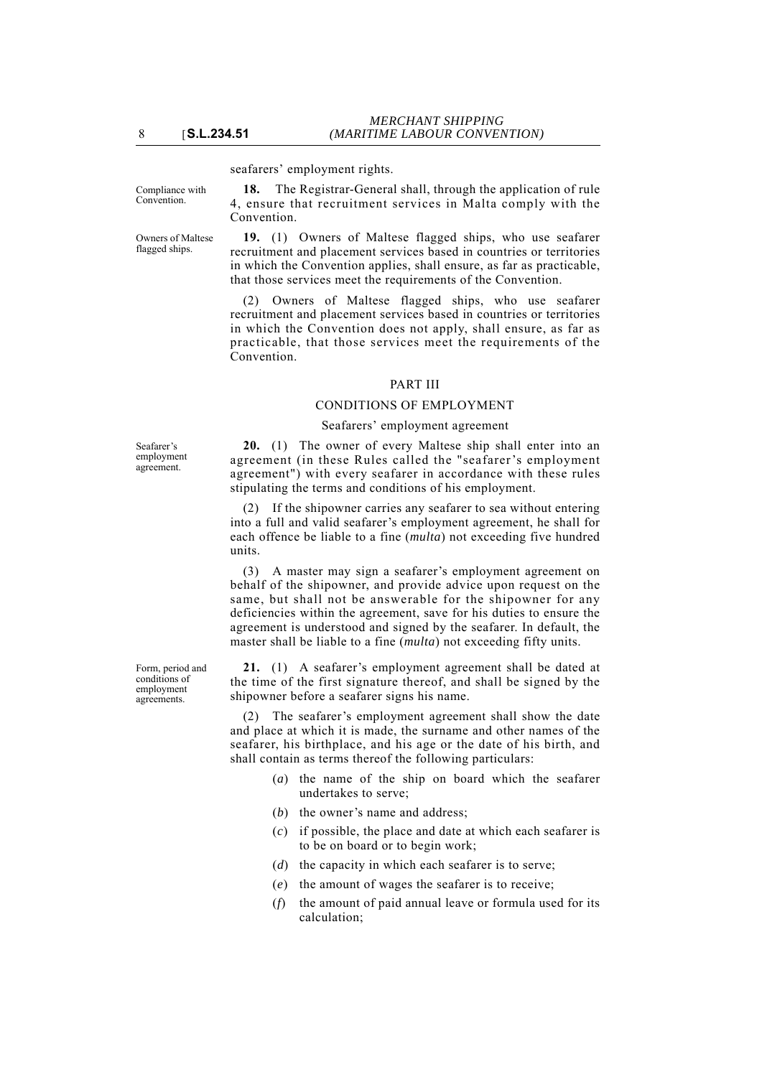seafarers' employment rights.

Compliance with Convention.

Owners of Maltese flagged ships.

**18.** The Registrar-General shall, through the application of rule 4, ensure that recruitment services in Malta comply with the Convention.

**19.** (1) Owners of Maltese flagged ships, who use seafarer recruitment and placement services based in countries or territories in which the Convention applies, shall ensure, as far as practicable, that those services meet the requirements of the Convention.

(2) Owners of Maltese flagged ships, who use seafarer recruitment and placement services based in countries or territories in which the Convention does not apply, shall ensure, as far as practicable, that those services meet the requirements of the Convention.

# PART III

# CONDITIONS OF EMPLOYMENT

## Seafarers' employment agreement

Seafarer's employment agreement.

Form, period and conditions of employment agreements.

**20.** (1) The owner of every Maltese ship shall enter into an agreement (in these Rules called the "seafarer's employment agreement") with every seafarer in accordance with these rules stipulating the terms and conditions of his employment.

(2) If the shipowner carries any seafarer to sea without entering into a full and valid seafarer's employment agreement, he shall for each offence be liable to a fine (*multa*) not exceeding five hundred units.

(3) A master may sign a seafarer's employment agreement on behalf of the shipowner, and provide advice upon request on the same, but shall not be answerable for the shipowner for any deficiencies within the agreement, save for his duties to ensure the agreement is understood and signed by the seafarer. In default, the master shall be liable to a fine (*multa*) not exceeding fifty units.

**21.** (1) A seafarer's employment agreement shall be dated at the time of the first signature thereof, and shall be signed by the shipowner before a seafarer signs his name.

(2) The seafarer's employment agreement shall show the date and place at which it is made, the surname and other names of the seafarer, his birthplace, and his age or the date of his birth, and shall contain as terms thereof the following particulars:

- (*a*) the name of the ship on board which the seafarer undertakes to serve;
- (*b*) the owner's name and address:
- (*c*) if possible, the place and date at which each seafarer is to be on board or to begin work;
- (*d*) the capacity in which each seafarer is to serve;
- (*e*) the amount of wages the seafarer is to receive;
- (*f*) the amount of paid annual leave or formula used for its calculation;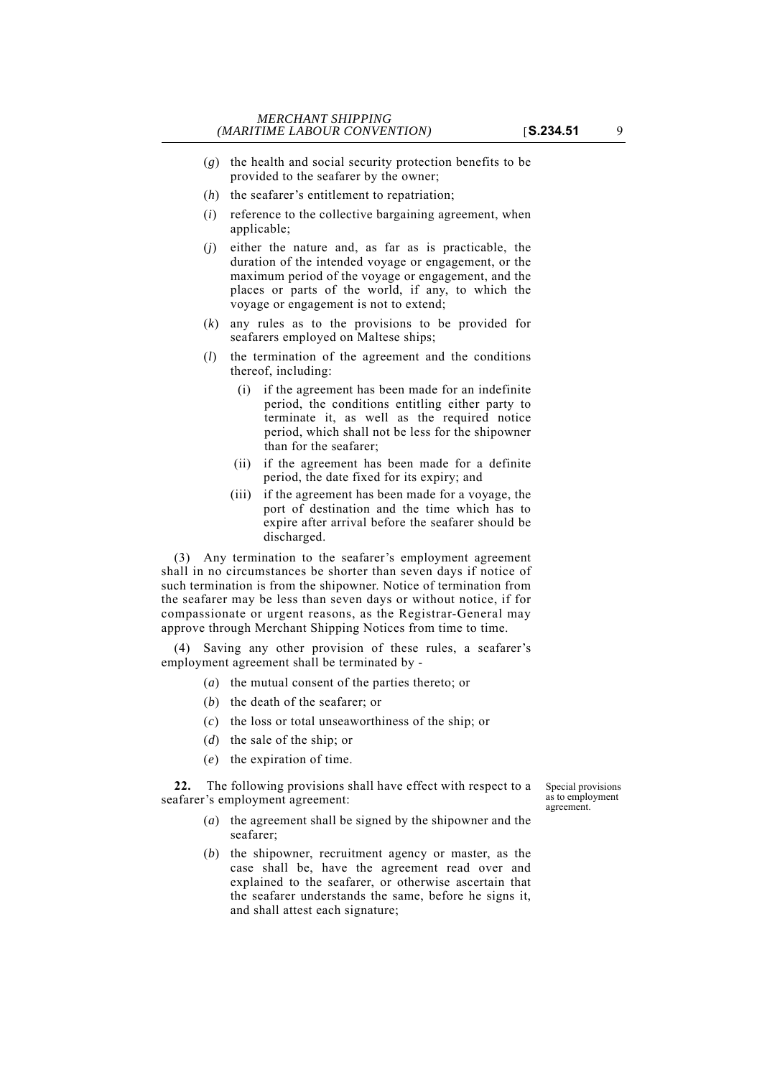- (*g*) the health and social security protection benefits to be provided to the seafarer by the owner;
- (*h*) the seafarer's entitlement to repatriation;
- (*i*) reference to the collective bargaining agreement, when applicable;
- (*j*) either the nature and, as far as is practicable, the duration of the intended voyage or engagement, or the maximum period of the voyage or engagement, and the places or parts of the world, if any, to which the voyage or engagement is not to extend;
- (*k*) any rules as to the provisions to be provided for seafarers employed on Maltese ships;
- (*l*) the termination of the agreement and the conditions thereof, including:
	- (i) if the agreement has been made for an indefinite period, the conditions entitling either party to terminate it, as well as the required notice period, which shall not be less for the shipowner than for the seafarer;
	- (ii) if the agreement has been made for a definite period, the date fixed for its expiry; and
	- (iii) if the agreement has been made for a voyage, the port of destination and the time which has to expire after arrival before the seafarer should be discharged.

(3) Any termination to the seafarer's employment agreement shall in no circumstances be shorter than seven days if notice of such termination is from the shipowner. Notice of termination from the seafarer may be less than seven days or without notice, if for compassionate or urgent reasons, as the Registrar-General may approve through Merchant Shipping Notices from time to time.

(4) Saving any other provision of these rules, a seafarer's employment agreement shall be terminated by -

- (*a*) the mutual consent of the parties thereto; or
- (*b*) the death of the seafarer; or
- (*c*) the loss or total unseaworthiness of the ship; or
- (*d*) the sale of the ship; or
- (*e*) the expiration of time.

**22.** The following provisions shall have effect with respect to a seafarer's employment agreement:

Special provisions as to employment agreement.

- (*a*) the agreement shall be signed by the shipowner and the seafarer;
- (*b*) the shipowner, recruitment agency or master, as the case shall be, have the agreement read over and explained to the seafarer, or otherwise ascertain that the seafarer understands the same, before he signs it, and shall attest each signature;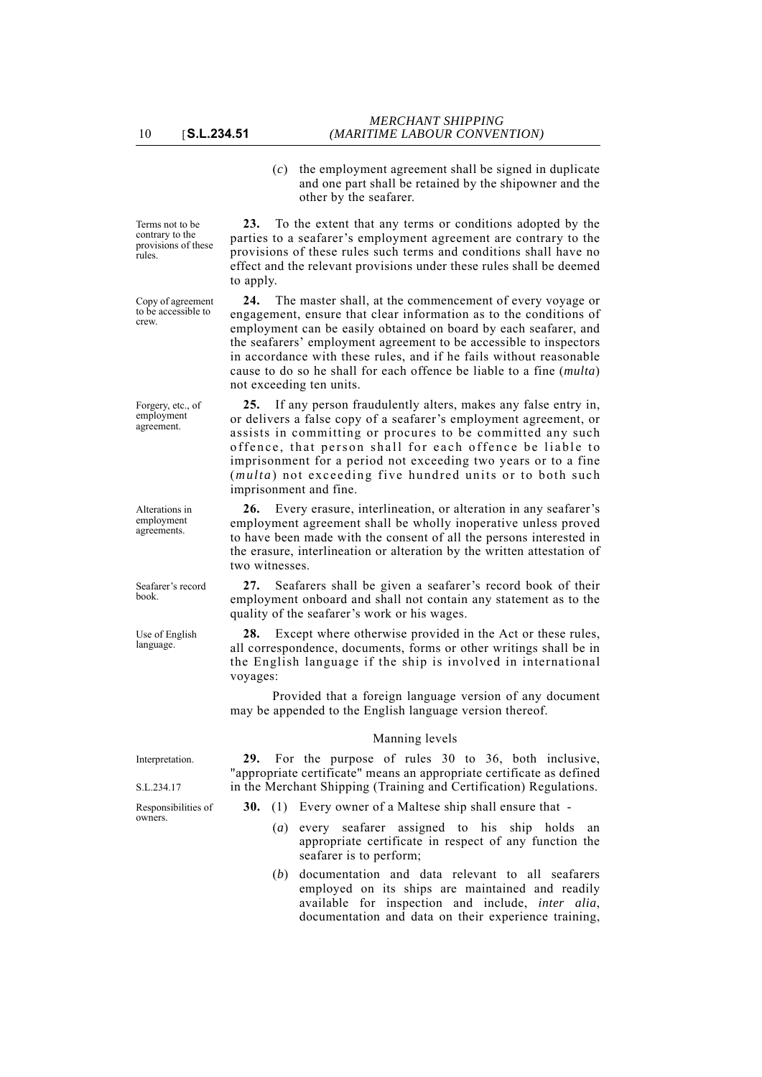(*c*) the employment agreement shall be signed in duplicate and one part shall be retained by the shipowner and the other by the seafarer.

Terms not to be contrary to the provisions of these rules.

Copy of agreement to be accessible to crew.

Forgery, etc., of employment agreement.

Alterations in employment agreements.

Seafarer's record book.

Use of English language.

**23.** To the extent that any terms or conditions adopted by the parties to a seafarer's employment agreement are contrary to the provisions of these rules such terms and conditions shall have no effect and the relevant provisions under these rules shall be deemed to apply.

**24.** The master shall, at the commencement of every voyage or engagement, ensure that clear information as to the conditions of employment can be easily obtained on board by each seafarer, and the seafarers' employment agreement to be accessible to inspectors in accordance with these rules, and if he fails without reasonable cause to do so he shall for each offence be liable to a fine (*multa*) not exceeding ten units.

**25.** If any person fraudulently alters, makes any false entry in, or delivers a false copy of a seafarer's employment agreement, or assists in committing or procures to be committed any such offence, that person shall for each offence be liable to imprisonment for a period not exceeding two years or to a fine (*multa*) not exceeding five hundred units or to both such imprisonment and fine.

**26.** Every erasure, interlineation, or alteration in any seafarer's employment agreement shall be wholly inoperative unless proved to have been made with the consent of all the persons interested in the erasure, interlineation or alteration by the written attestation of two witnesses.

**27.** Seafarers shall be given a seafarer's record book of their employment onboard and shall not contain any statement as to the quality of the seafarer's work or his wages.

**28.** Except where otherwise provided in the Act or these rules, all correspondence, documents, forms or other writings shall be in the English language if the ship is involved in international voyages:

Provided that a foreign language version of any document may be appended to the English language version thereof.

# Manning levels **29.** For the purpose of rules 30 to 36, both inclusive,

Interpretation.

S.L.234.17

Responsibilities of owners.

"appropriate certificate" means an appropriate certificate as defined in the Merchant Shipping (Training and Certification) Regulations.

- **30.** (1) Every owner of a Maltese ship shall ensure that
	- (*a*) every seafarer assigned to his ship holds an appropriate certificate in respect of any function the seafarer is to perform;
	- (*b*) documentation and data relevant to all seafarers employed on its ships are maintained and readily available for inspection and include, *inter alia*, documentation and data on their experience training,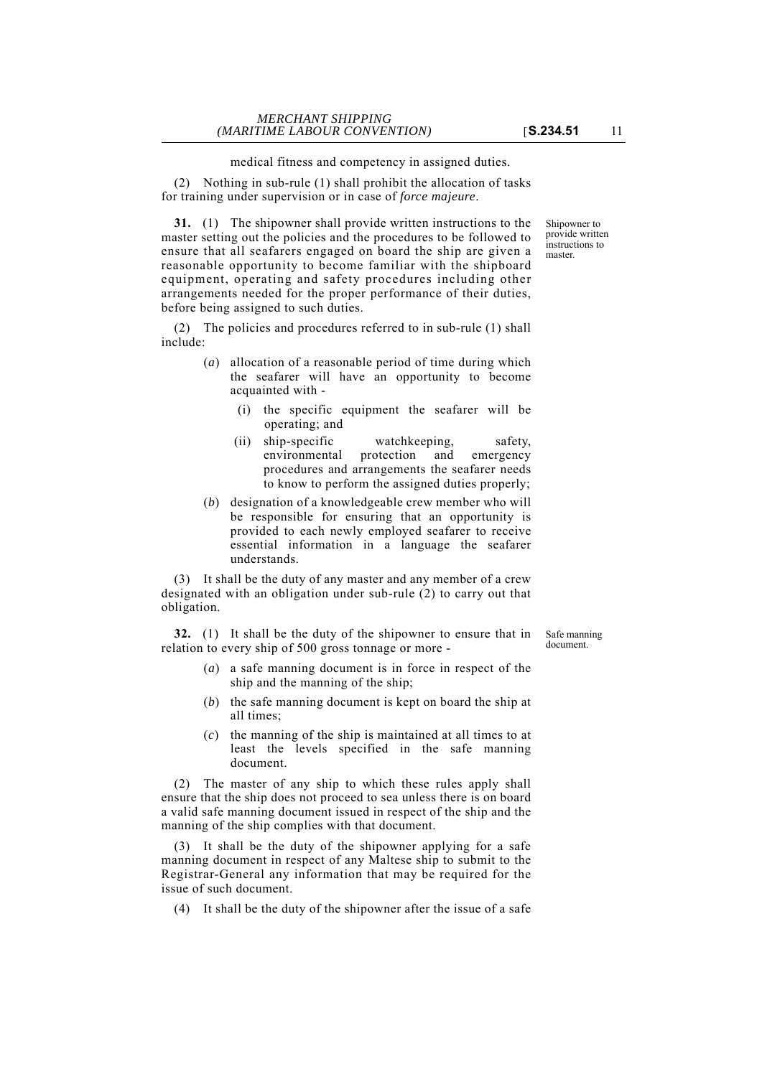medical fitness and competency in assigned duties.

(2) Nothing in sub-rule (1) shall prohibit the allocation of tasks for training under supervision or in case of *force majeure*.

**31.** (1) The shipowner shall provide written instructions to the master setting out the policies and the procedures to be followed to ensure that all seafarers engaged on board the ship are given a reasonable opportunity to become familiar with the shipboard equipment, operating and safety procedures including other arrangements needed for the proper performance of their duties, before being assigned to such duties.

(2) The policies and procedures referred to in sub-rule (1) shall include:

- (*a*) allocation of a reasonable period of time during which the seafarer will have an opportunity to become acquainted with -
	- (i) the specific equipment the seafarer will be operating; and
	- (ii) ship-specific watchkeeping, safety, environmental protection and emergency procedures and arrangements the seafarer needs to know to perform the assigned duties properly;
- (*b*) designation of a knowledgeable crew member who will be responsible for ensuring that an opportunity is provided to each newly employed seafarer to receive essential information in a language the seafarer understands.

(3) It shall be the duty of any master and any member of a crew designated with an obligation under sub-rule (2) to carry out that obligation.

**32.** (1) It shall be the duty of the shipowner to ensure that in relation to every ship of 500 gross tonnage or more -

Safe manning document.

- (*a*) a safe manning document is in force in respect of the ship and the manning of the ship;
- (*b*) the safe manning document is kept on board the ship at all times;
- (*c*) the manning of the ship is maintained at all times to at least the levels specified in the safe manning document.

(2) The master of any ship to which these rules apply shall ensure that the ship does not proceed to sea unless there is on board a valid safe manning document issued in respect of the ship and the manning of the ship complies with that document.

(3) It shall be the duty of the shipowner applying for a safe manning document in respect of any Maltese ship to submit to the Registrar-General any information that may be required for the issue of such document.

(4) It shall be the duty of the shipowner after the issue of a safe

Shipowner to provide written **instructions** to master.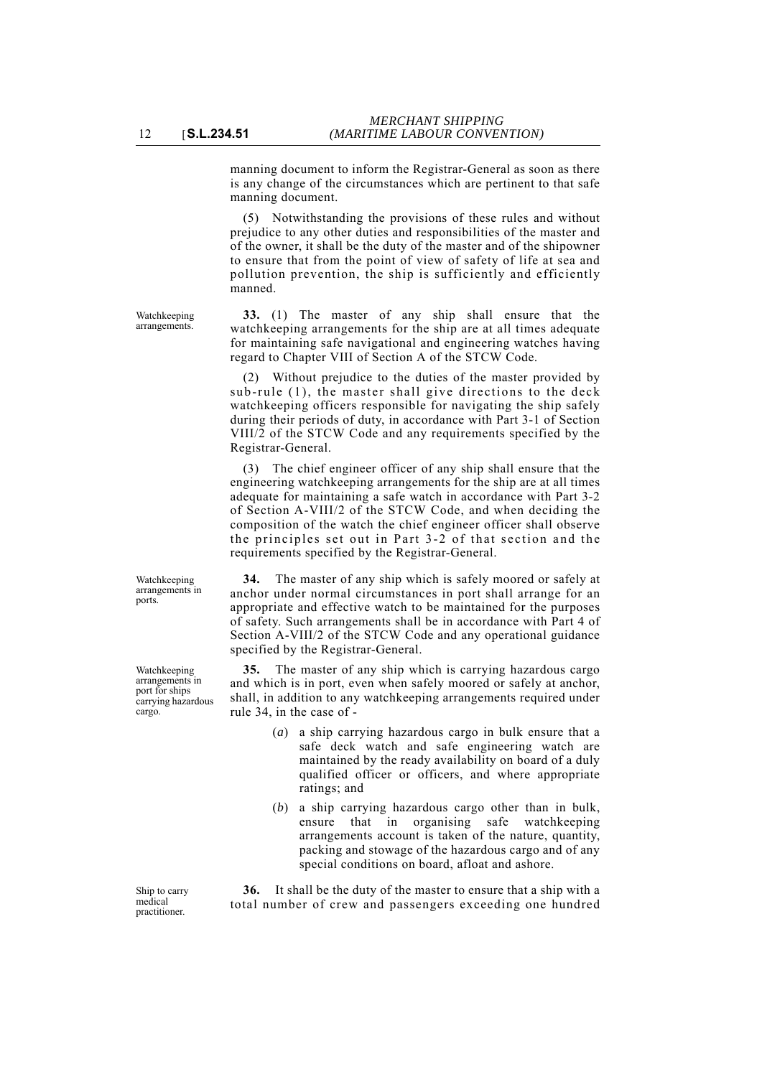manning document to inform the Registrar-General as soon as there is any change of the circumstances which are pertinent to that safe manning document.

(5) Notwithstanding the provisions of these rules and without prejudice to any other duties and responsibilities of the master and of the owner, it shall be the duty of the master and of the shipowner to ensure that from the point of view of safety of life at sea and pollution prevention, the ship is sufficiently and efficiently manned.

**33.** (1) The master of any ship shall ensure that the watchkeeping arrangements for the ship are at all times adequate for maintaining safe navigational and engineering watches having regard to Chapter VIII of Section A of the STCW Code.

(2) Without prejudice to the duties of the master provided by sub-rule (1), the master shall give directions to the deck watchkeeping officers responsible for navigating the ship safely during their periods of duty, in accordance with Part 3-1 of Section VIII/2 of the STCW Code and any requirements specified by the Registrar-General.

(3) The chief engineer officer of any ship shall ensure that the engineering watchkeeping arrangements for the ship are at all times adequate for maintaining a safe watch in accordance with Part 3-2 of Section A-VIII/2 of the STCW Code, and when deciding the composition of the watch the chief engineer officer shall observe the principles set out in Part 3-2 of that section and the requirements specified by the Registrar-General.

**34.** The master of any ship which is safely moored or safely at anchor under normal circumstances in port shall arrange for an appropriate and effective watch to be maintained for the purposes of safety. Such arrangements shall be in accordance with Part 4 of Section A-VIII/2 of the STCW Code and any operational guidance specified by the Registrar-General.

**35.** The master of any ship which is carrying hazardous cargo and which is in port, even when safely moored or safely at anchor, shall, in addition to any watchkeeping arrangements required under rule 34, in the case of -

- (*a*) a ship carrying hazardous cargo in bulk ensure that a safe deck watch and safe engineering watch are maintained by the ready availability on board of a duly qualified officer or officers, and where appropriate ratings; and
- (*b*) a ship carrying hazardous cargo other than in bulk, ensure that in organising safe watchkeeping arrangements account is taken of the nature, quantity, packing and stowage of the hazardous cargo and of any special conditions on board, afloat and ashore.

**36.** It shall be the duty of the master to ensure that a ship with a total number of crew and passengers exceeding one hundred

Watchkeeping arrangements in ports.

Watchkeeping arrangements.

Watchkeeping arrangements in port for ships carrying hazardous cargo.

Ship to carry medical practitioner.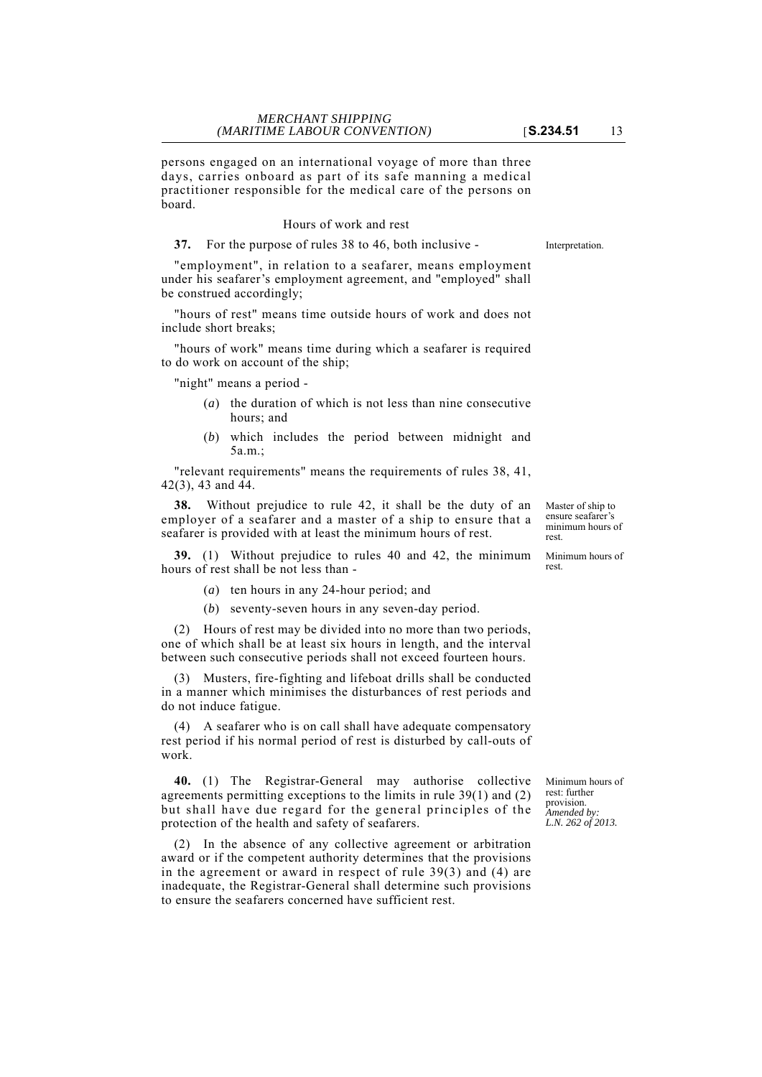persons engaged on an international voyage of more than three days, carries onboard as part of its safe manning a medical practitioner responsible for the medical care of the persons on board.

#### Hours of work and rest

**37.** For the purpose of rules 38 to 46, both inclusive - Interpretation.

"employment", in relation to a seafarer, means employment under his seafarer's employment agreement, and "employed" shall be construed accordingly;

"hours of rest" means time outside hours of work and does not include short breaks;

"hours of work" means time during which a seafarer is required to do work on account of the ship;

"night" means a period -

- (*a*) the duration of which is not less than nine consecutive hours; and
- (*b*) which includes the period between midnight and 5a.m.;

"relevant requirements" means the requirements of rules 38, 41, 42(3), 43 and 44.

**38.** Without prejudice to rule 42, it shall be the duty of an employer of a seafarer and a master of a ship to ensure that a seafarer is provided with at least the minimum hours of rest.

**39.** (1) Without prejudice to rules 40 and 42, the minimum hours of rest shall be not less than -

- (*a*) ten hours in any 24-hour period; and
- (*b*) seventy-seven hours in any seven-day period.

(2) Hours of rest may be divided into no more than two periods, one of which shall be at least six hours in length, and the interval between such consecutive periods shall not exceed fourteen hours.

(3) Musters, fire-fighting and lifeboat drills shall be conducted in a manner which minimises the disturbances of rest periods and do not induce fatigue.

(4) A seafarer who is on call shall have adequate compensatory rest period if his normal period of rest is disturbed by call-outs of work.

**40.** (1) The Registrar-General may authorise collective agreements permitting exceptions to the limits in rule 39(1) and (2) but shall have due regard for the general principles of the protection of the health and safety of seafarers.

(2) In the absence of any collective agreement or arbitration award or if the competent authority determines that the provisions in the agreement or award in respect of rule 39(3) and (4) are inadequate, the Registrar-General shall determine such provisions to ensure the seafarers concerned have sufficient rest.

Minimum hours of rest: further provision. *Amended by: L.N. 262 of 2013.*

Master of ship to ensure seafarer's minimum hours of rest.

Minimum hours of

rest.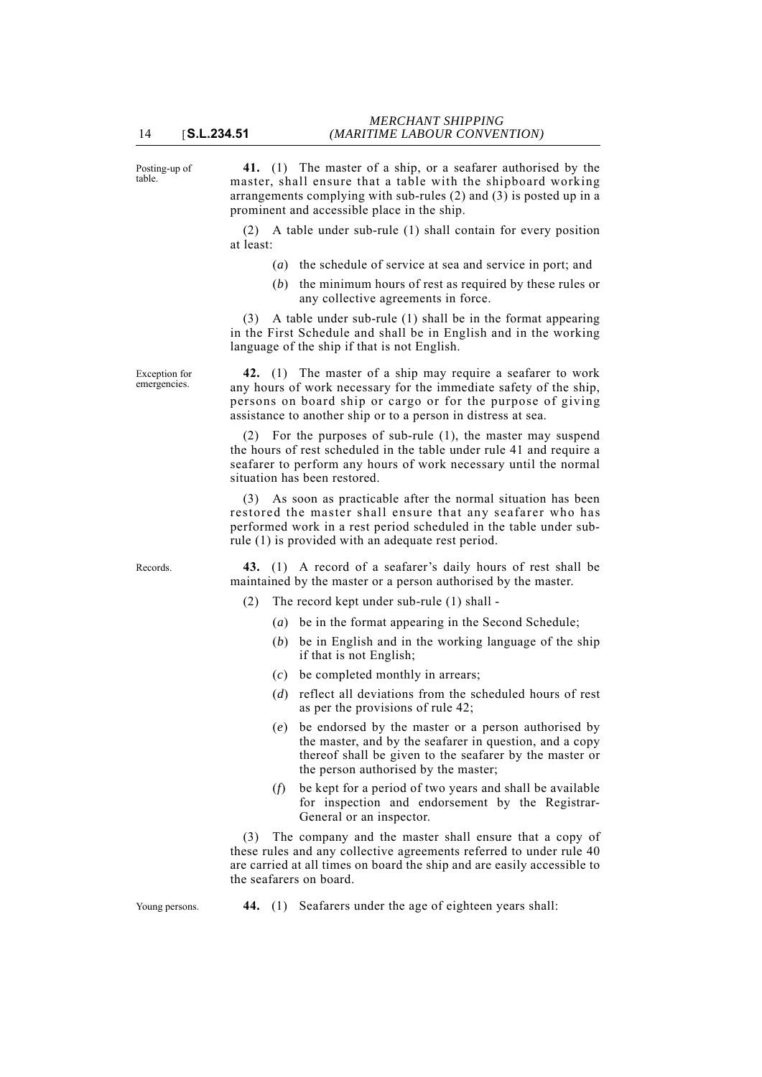Posting-up of table.

**41.** (1) The master of a ship, or a seafarer authorised by the master, shall ensure that a table with the shipboard working arrangements complying with sub-rules (2) and (3) is posted up in a prominent and accessible place in the ship.

(2) A table under sub-rule (1) shall contain for every position at least:

- (*a*) the schedule of service at sea and service in port; and
- (*b*) the minimum hours of rest as required by these rules or any collective agreements in force.

(3) A table under sub-rule (1) shall be in the format appearing in the First Schedule and shall be in English and in the working language of the ship if that is not English.

**42.** (1) The master of a ship may require a seafarer to work any hours of work necessary for the immediate safety of the ship, persons on board ship or cargo or for the purpose of giving assistance to another ship or to a person in distress at sea.

(2) For the purposes of sub-rule (1), the master may suspend the hours of rest scheduled in the table under rule 41 and require a seafarer to perform any hours of work necessary until the normal situation has been restored.

(3) As soon as practicable after the normal situation has been restored the master shall ensure that any seafarer who has performed work in a rest period scheduled in the table under subrule (1) is provided with an adequate rest period.

Records. **43.** (1) A record of a seafarer's daily hours of rest shall be maintained by the master or a person authorised by the master.

- (2) The record kept under sub-rule (1) shall
	- (*a*) be in the format appearing in the Second Schedule;
	- (*b*) be in English and in the working language of the ship if that is not English;
	- (*c*) be completed monthly in arrears;
	- (*d*) reflect all deviations from the scheduled hours of rest as per the provisions of rule 42;
	- (*e*) be endorsed by the master or a person authorised by the master, and by the seafarer in question, and a copy thereof shall be given to the seafarer by the master or the person authorised by the master;
	- (*f*) be kept for a period of two years and shall be available for inspection and endorsement by the Registrar-General or an inspector.

(3) The company and the master shall ensure that a copy of these rules and any collective agreements referred to under rule 40 are carried at all times on board the ship and are easily accessible to the seafarers on board.

Young persons. **44.** (1) Seafarers under the age of eighteen years shall:

Exception for emergencies.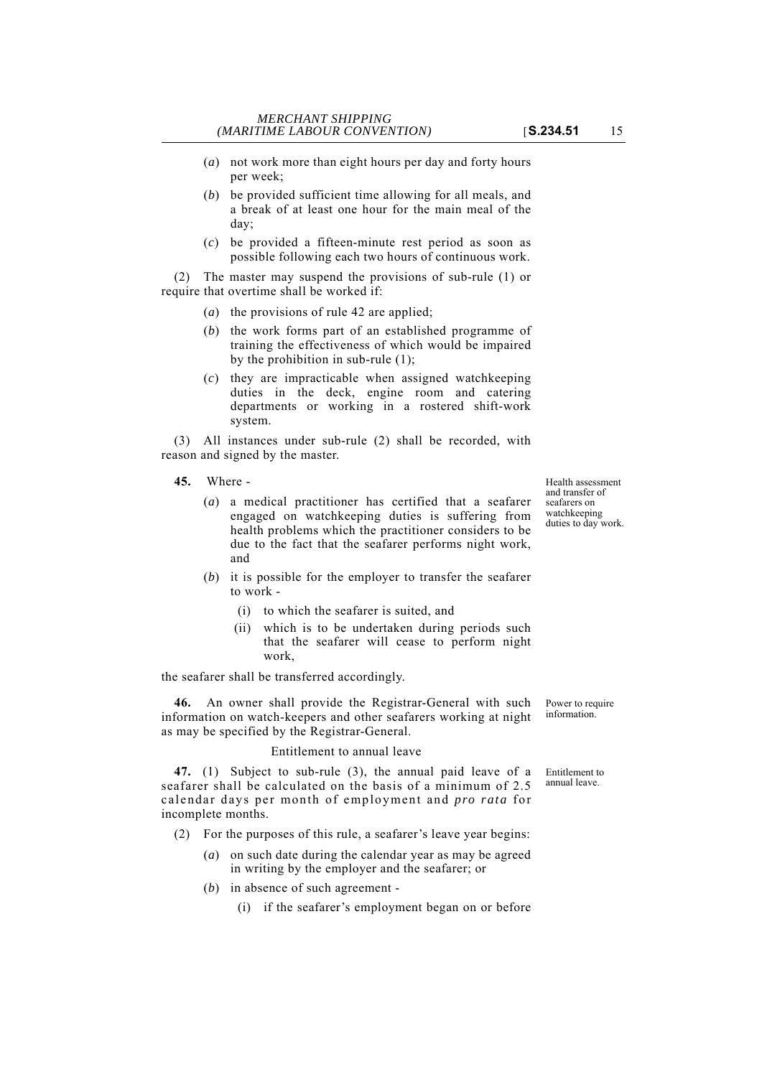- (*a*) not work more than eight hours per day and forty hours per week;
- (*b*) be provided sufficient time allowing for all meals, and a break of at least one hour for the main meal of the day;
- (*c*) be provided a fifteen-minute rest period as soon as possible following each two hours of continuous work.

(2) The master may suspend the provisions of sub-rule (1) or require that overtime shall be worked if:

- (*a*) the provisions of rule 42 are applied;
- (*b*) the work forms part of an established programme of training the effectiveness of which would be impaired by the prohibition in sub-rule (1);
- (*c*) they are impracticable when assigned watchkeeping duties in the deck, engine room and catering departments or working in a rostered shift-work system.

(3) All instances under sub-rule (2) shall be recorded, with reason and signed by the master.

- **45.** Where
	- (*a*) a medical practitioner has certified that a seafarer engaged on watchkeeping duties is suffering from health problems which the practitioner considers to be due to the fact that the seafarer performs night work, and
	- (*b*) it is possible for the employer to transfer the seafarer to work -
		- (i) to which the seafarer is suited, and
		- (ii) which is to be undertaken during periods such that the seafarer will cease to perform night work,

the seafarer shall be transferred accordingly.

**46.** An owner shall provide the Registrar-General with such information on watch-keepers and other seafarers working at night as may be specified by the Registrar-General.

## Entitlement to annual leave

**47.** (1) Subject to sub-rule (3), the annual paid leave of a seafarer shall be calculated on the basis of a minimum of 2.5 calendar days per month of employment and *pro rata* for incomplete months.

- (2) For the purposes of this rule, a seafarer's leave year begins:
	- (*a*) on such date during the calendar year as may be agreed in writing by the employer and the seafarer; or
	- (*b*) in absence of such agreement
		- (i) if the seafarer's employment began on or before

Health assessment and transfer of seafarers on watchkeeping duties to day work.

Power to require information.

Entitlement to annual leave.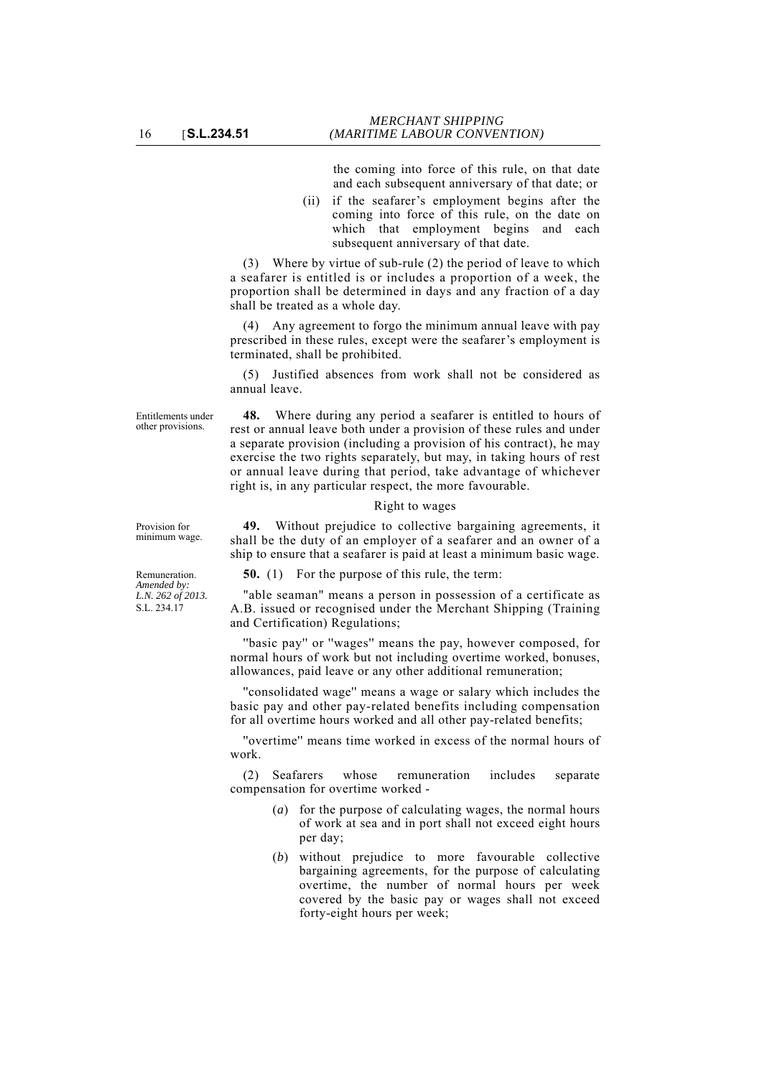the coming into force of this rule, on that date and each subsequent anniversary of that date; or

(ii) if the seafarer's employment begins after the coming into force of this rule, on the date on which that employment begins and each subsequent anniversary of that date.

(3) Where by virtue of sub-rule (2) the period of leave to which a seafarer is entitled is or includes a proportion of a week, the proportion shall be determined in days and any fraction of a day shall be treated as a whole day.

Any agreement to forgo the minimum annual leave with pay prescribed in these rules, except were the seafarer's employment is terminated, shall be prohibited.

(5) Justified absences from work shall not be considered as annual leave.

**48.** Where during any period a seafarer is entitled to hours of rest or annual leave both under a provision of these rules and under a separate provision (including a provision of his contract), he may exercise the two rights separately, but may, in taking hours of rest or annual leave during that period, take advantage of whichever right is, in any particular respect, the more favourable.

#### Right to wages

**49.** Without prejudice to collective bargaining agreements, it shall be the duty of an employer of a seafarer and an owner of a ship to ensure that a seafarer is paid at least a minimum basic wage.

**50.** (1) For the purpose of this rule, the term:

"able seaman" means a person in possession of a certificate as A.B. issued or recognised under the Merchant Shipping (Training and Certification) Regulations;

"basic pay" or "wages" means the pay, however composed, for normal hours of work but not including overtime worked, bonuses, allowances, paid leave or any other additional remuneration;

''consolidated wage'' means a wage or salary which includes the basic pay and other pay-related benefits including compensation for all overtime hours worked and all other pay-related benefits;

''overtime'' means time worked in excess of the normal hours of work.

(2) Seafarers whose remuneration includes separate compensation for overtime worked -

- (*a*) for the purpose of calculating wages, the normal hours of work at sea and in port shall not exceed eight hours per day;
- (*b*) without prejudice to more favourable collective bargaining agreements, for the purpose of calculating overtime, the number of normal hours per week covered by the basic pay or wages shall not exceed forty-eight hours per week;

Provision for minimum wage.

Entitlements under other provisions.

Remuneration. *Amended by: L.N. 262 of 2013.* S.L. 234.17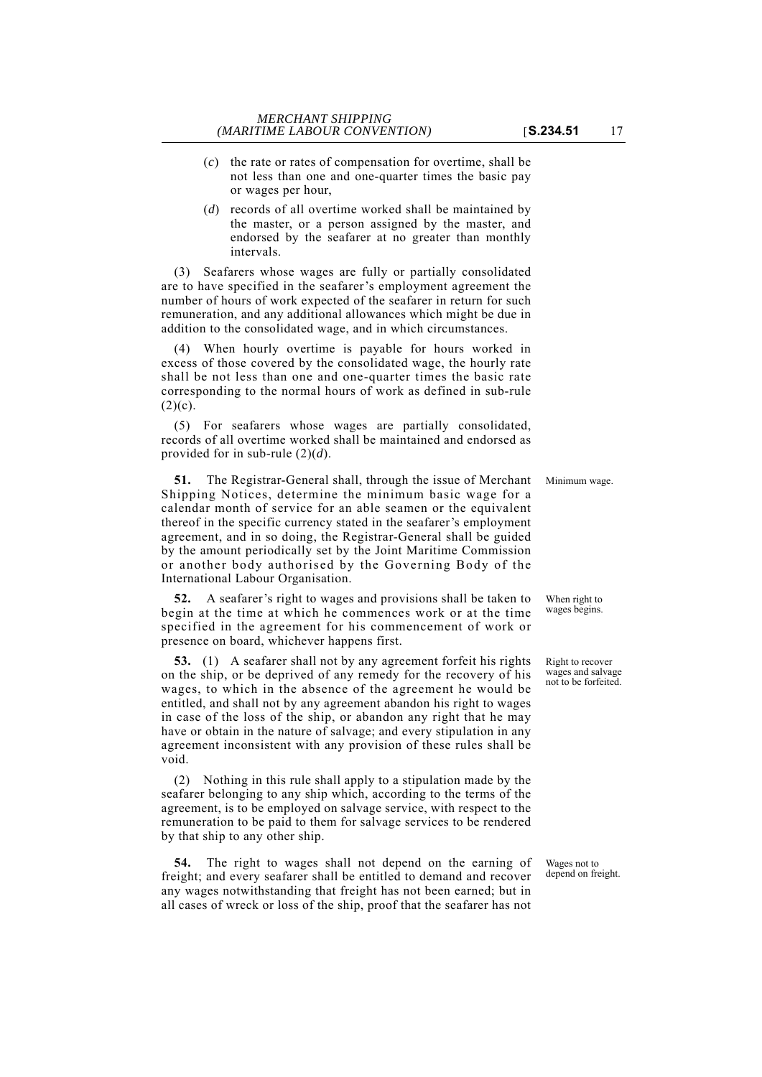- (*c*) the rate or rates of compensation for overtime, shall be not less than one and one-quarter times the basic pay or wages per hour,
- (*d*) records of all overtime worked shall be maintained by the master, or a person assigned by the master, and endorsed by the seafarer at no greater than monthly intervals.

(3) Seafarers whose wages are fully or partially consolidated are to have specified in the seafarer's employment agreement the number of hours of work expected of the seafarer in return for such remuneration, and any additional allowances which might be due in addition to the consolidated wage, and in which circumstances.

(4) When hourly overtime is payable for hours worked in excess of those covered by the consolidated wage, the hourly rate shall be not less than one and one-quarter times the basic rate corresponding to the normal hours of work as defined in sub-rule  $(2)(c)$ .

(5) For seafarers whose wages are partially consolidated, records of all overtime worked shall be maintained and endorsed as provided for in sub-rule (2)(*d*).

**51.** The Registrar-General shall, through the issue of Merchant Minimum wage. Shipping Notices, determine the minimum basic wage for a calendar month of service for an able seamen or the equivalent thereof in the specific currency stated in the seafarer's employment agreement, and in so doing, the Registrar-General shall be guided by the amount periodically set by the Joint Maritime Commission or another body authorised by the Governing Body of the International Labour Organisation.

**52.** A seafarer's right to wages and provisions shall be taken to begin at the time at which he commences work or at the time specified in the agreement for his commencement of work or presence on board, whichever happens first.

**53.** (1) A seafarer shall not by any agreement forfeit his rights on the ship, or be deprived of any remedy for the recovery of his wages, to which in the absence of the agreement he would be entitled, and shall not by any agreement abandon his right to wages in case of the loss of the ship, or abandon any right that he may have or obtain in the nature of salvage; and every stipulation in any agreement inconsistent with any provision of these rules shall be void.

(2) Nothing in this rule shall apply to a stipulation made by the seafarer belonging to any ship which, according to the terms of the agreement, is to be employed on salvage service, with respect to the remuneration to be paid to them for salvage services to be rendered by that ship to any other ship.

**54.** The right to wages shall not depend on the earning of freight; and every seafarer shall be entitled to demand and recover any wages notwithstanding that freight has not been earned; but in all cases of wreck or loss of the ship, proof that the seafarer has not

Wages not to depend on freight.

When right to wages begins.

Right to recover wages and salvage not to be forfeited.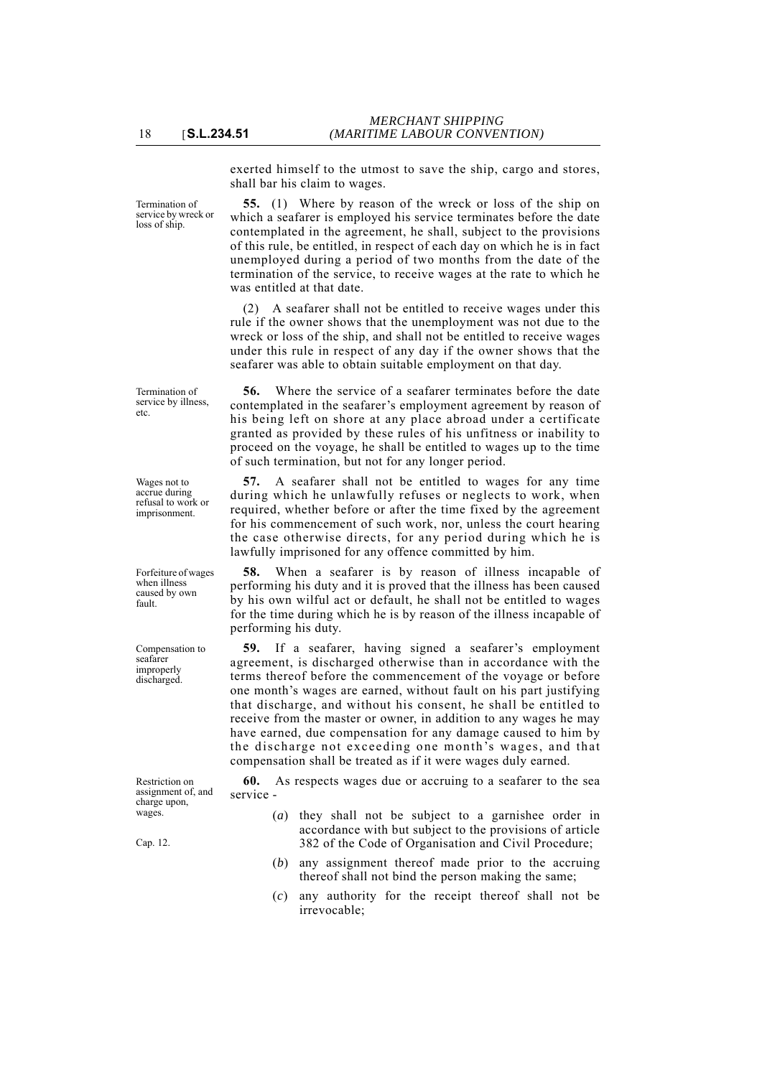exerted himself to the utmost to save the ship, cargo and stores,

shall bar his claim to wages.

was entitled at that date.

Termination of service by wreck or loss of ship.

**55.** (1) Where by reason of the wreck or loss of the ship on which a seafarer is employed his service terminates before the date contemplated in the agreement, he shall, subject to the provisions of this rule, be entitled, in respect of each day on which he is in fact unemployed during a period of two months from the date of the termination of the service, to receive wages at the rate to which he

(2) A seafarer shall not be entitled to receive wages under this rule if the owner shows that the unemployment was not due to the wreck or loss of the ship, and shall not be entitled to receive wages under this rule in respect of any day if the owner shows that the seafarer was able to obtain suitable employment on that day.

Termination of service by illness, etc.

Wages not to accrue during refusal to work or imprisonment.

Forfeiture of wages when illness caused by own fault.

Compensation to seafarer improperly discharged.

Restriction on assignment of, and charge upon, wages.

Cap. 12.

**56.** Where the service of a seafarer terminates before the date contemplated in the seafarer's employment agreement by reason of his being left on shore at any place abroad under a certificate granted as provided by these rules of his unfitness or inability to proceed on the voyage, he shall be entitled to wages up to the time of such termination, but not for any longer period.

**57.** A seafarer shall not be entitled to wages for any time during which he unlawfully refuses or neglects to work, when required, whether before or after the time fixed by the agreement for his commencement of such work, nor, unless the court hearing the case otherwise directs, for any period during which he is lawfully imprisoned for any offence committed by him.

**58.** When a seafarer is by reason of illness incapable of performing his duty and it is proved that the illness has been caused by his own wilful act or default, he shall not be entitled to wages for the time during which he is by reason of the illness incapable of performing his duty.

**59.** If a seafarer, having signed a seafarer's employment agreement, is discharged otherwise than in accordance with the terms thereof before the commencement of the voyage or before one month's wages are earned, without fault on his part justifying that discharge, and without his consent, he shall be entitled to receive from the master or owner, in addition to any wages he may have earned, due compensation for any damage caused to him by the discharge not exceeding one month's wages, and that compensation shall be treated as if it were wages duly earned.

**60.** As respects wages due or accruing to a seafarer to the sea service -

- (*a*) they shall not be subject to a garnishee order in accordance with but subject to the provisions of article 382 of the Code of Organisation and Civil Procedure;
- (*b*) any assignment thereof made prior to the accruing thereof shall not bind the person making the same;
- (*c*) any authority for the receipt thereof shall not be irrevocable;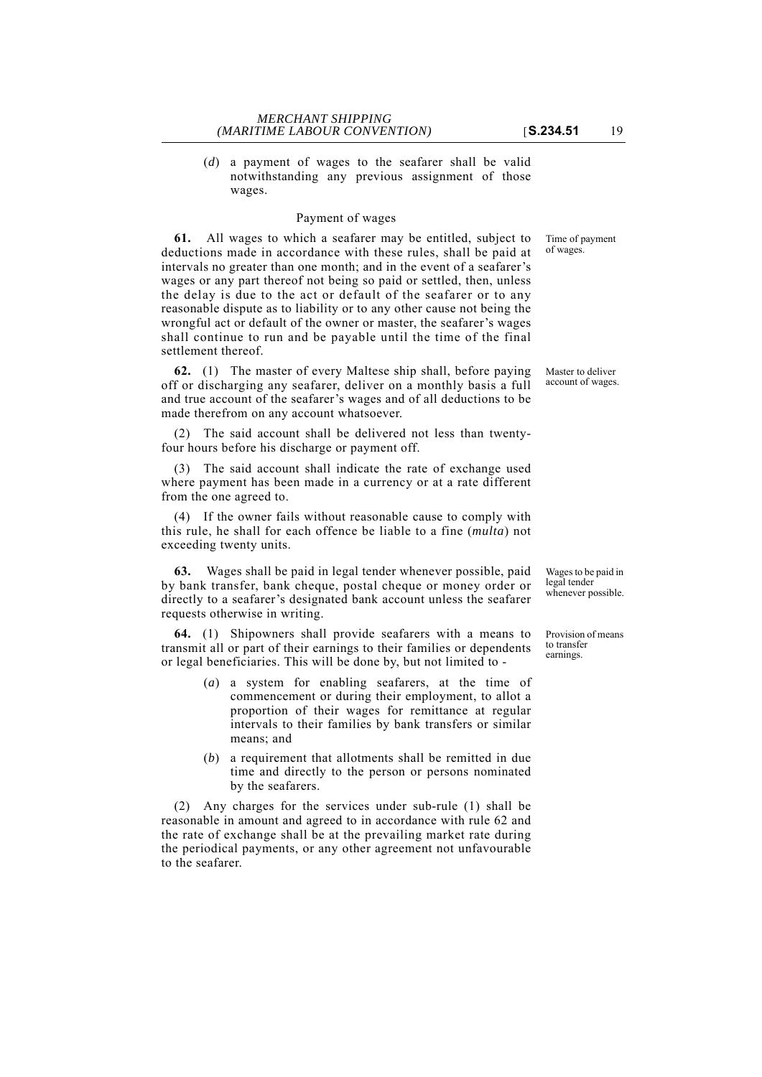(*d*) a payment of wages to the seafarer shall be valid notwithstanding any previous assignment of those wages.

## Payment of wages

**61.** All wages to which a seafarer may be entitled, subject to deductions made in accordance with these rules, shall be paid at intervals no greater than one month; and in the event of a seafarer's wages or any part thereof not being so paid or settled, then, unless the delay is due to the act or default of the seafarer or to any reasonable dispute as to liability or to any other cause not being the wrongful act or default of the owner or master, the seafarer's wages shall continue to run and be payable until the time of the final settlement thereof.

**62.** (1) The master of every Maltese ship shall, before paying off or discharging any seafarer, deliver on a monthly basis a full and true account of the seafarer's wages and of all deductions to be made therefrom on any account whatsoever.

(2) The said account shall be delivered not less than twentyfour hours before his discharge or payment off.

(3) The said account shall indicate the rate of exchange used where payment has been made in a currency or at a rate different from the one agreed to.

(4) If the owner fails without reasonable cause to comply with this rule, he shall for each offence be liable to a fine (*multa*) not exceeding twenty units.

**63.** Wages shall be paid in legal tender whenever possible, paid by bank transfer, bank cheque, postal cheque or money order or directly to a seafarer's designated bank account unless the seafarer requests otherwise in writing.

**64.** (1) Shipowners shall provide seafarers with a means to transmit all or part of their earnings to their families or dependents or legal beneficiaries. This will be done by, but not limited to -

- (*a*) a system for enabling seafarers, at the time of commencement or during their employment, to allot a proportion of their wages for remittance at regular intervals to their families by bank transfers or similar means; and
- (*b*) a requirement that allotments shall be remitted in due time and directly to the person or persons nominated by the seafarers.

(2) Any charges for the services under sub-rule (1) shall be reasonable in amount and agreed to in accordance with rule 62 and the rate of exchange shall be at the prevailing market rate during the periodical payments, or any other agreement not unfavourable to the seafarer.

Time of payment of wages.

Master to deliver account of wages.

Wages to be paid in legal tender whenever possible.

Provision of means to transfer earnings.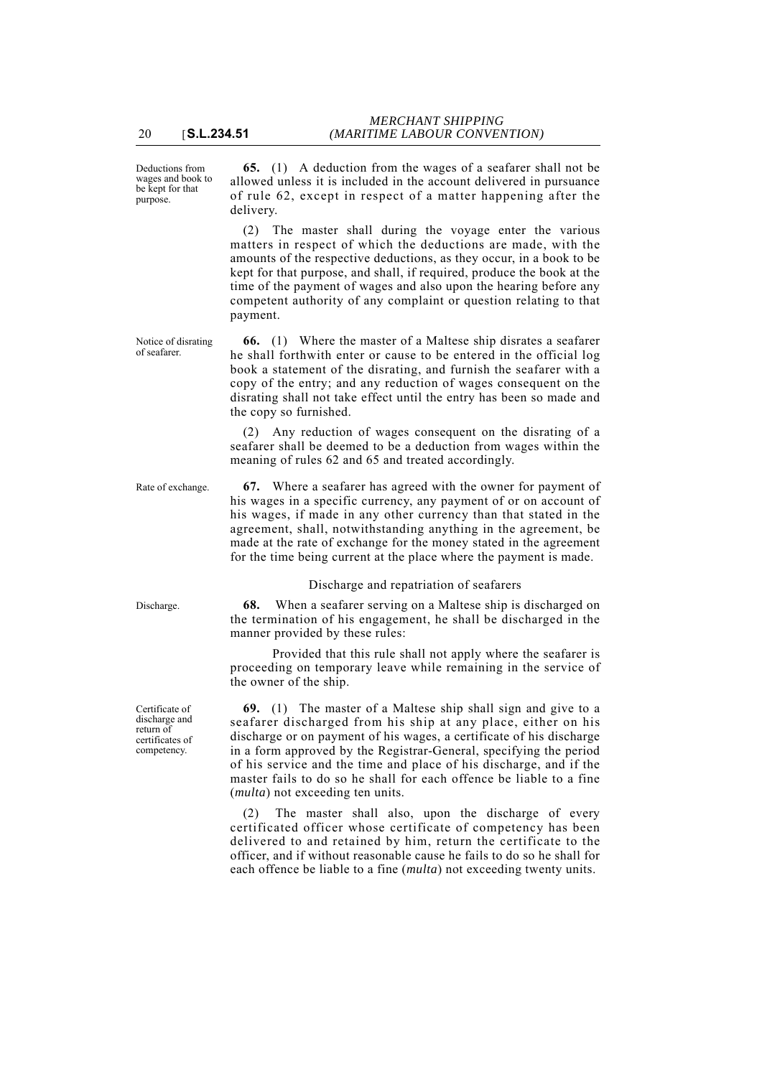Deductions from wages and book to be kept for that purpose.

**65.** (1) A deduction from the wages of a seafarer shall not be allowed unless it is included in the account delivered in pursuance of rule 62, except in respect of a matter happening after the delivery.

(2) The master shall during the voyage enter the various matters in respect of which the deductions are made, with the amounts of the respective deductions, as they occur, in a book to be kept for that purpose, and shall, if required, produce the book at the time of the payment of wages and also upon the hearing before any competent authority of any complaint or question relating to that payment.

**66.** (1) Where the master of a Maltese ship disrates a seafarer he shall forthwith enter or cause to be entered in the official log book a statement of the disrating, and furnish the seafarer with a copy of the entry; and any reduction of wages consequent on the disrating shall not take effect until the entry has been so made and the copy so furnished.

(2) Any reduction of wages consequent on the disrating of a seafarer shall be deemed to be a deduction from wages within the meaning of rules 62 and 65 and treated accordingly.

Rate of exchange. **67.** Where a seafarer has agreed with the owner for payment of his wages in a specific currency, any payment of or on account of his wages, if made in any other currency than that stated in the agreement, shall, notwithstanding anything in the agreement, be made at the rate of exchange for the money stated in the agreement for the time being current at the place where the payment is made.

### Discharge and repatriation of seafarers

Discharge. **68.** When a seafarer serving on a Maltese ship is discharged on the termination of his engagement, he shall be discharged in the manner provided by these rules:

> Provided that this rule shall not apply where the seafarer is proceeding on temporary leave while remaining in the service of the owner of the ship.

> **69.** (1) The master of a Maltese ship shall sign and give to a seafarer discharged from his ship at any place, either on his discharge or on payment of his wages, a certificate of his discharge in a form approved by the Registrar-General, specifying the period of his service and the time and place of his discharge, and if the master fails to do so he shall for each offence be liable to a fine (*multa*) not exceeding ten units.

> (2) The master shall also, upon the discharge of every certificated officer whose certificate of competency has been delivered to and retained by him, return the certificate to the officer, and if without reasonable cause he fails to do so he shall for each offence be liable to a fine (*multa*) not exceeding twenty units.

Notice of disrating of seafarer.

Certificate of discharge and return of certificates of competency.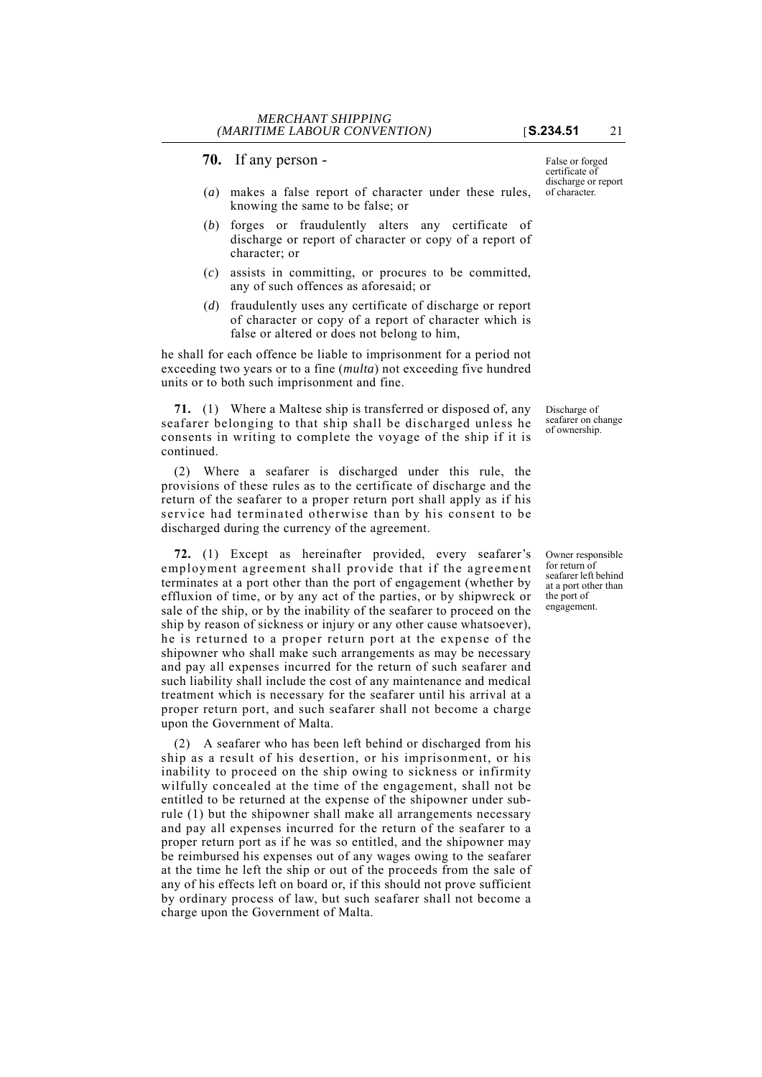- (*a*) makes a false report of character under these rules, knowing the same to be false; or
- (*b*) forges or fraudulently alters any certificate of discharge or report of character or copy of a report of character; or
- (*c*) assists in committing, or procures to be committed, any of such offences as aforesaid; or
- (*d*) fraudulently uses any certificate of discharge or report of character or copy of a report of character which is false or altered or does not belong to him,

he shall for each offence be liable to imprisonment for a period not exceeding two years or to a fine (*multa*) not exceeding five hundred units or to both such imprisonment and fine.

**71.** (1) Where a Maltese ship is transferred or disposed of, any seafarer belonging to that ship shall be discharged unless he consents in writing to complete the voyage of the ship if it is continued.

(2) Where a seafarer is discharged under this rule, the provisions of these rules as to the certificate of discharge and the return of the seafarer to a proper return port shall apply as if his service had terminated otherwise than by his consent to be discharged during the currency of the agreement.

**72.** (1) Except as hereinafter provided, every seafarer's employment agreement shall provide that if the agreement terminates at a port other than the port of engagement (whether by effluxion of time, or by any act of the parties, or by shipwreck or sale of the ship, or by the inability of the seafarer to proceed on the ship by reason of sickness or injury or any other cause whatsoever), he is returned to a proper return port at the expense of the shipowner who shall make such arrangements as may be necessary and pay all expenses incurred for the return of such seafarer and such liability shall include the cost of any maintenance and medical treatment which is necessary for the seafarer until his arrival at a proper return port, and such seafarer shall not become a charge upon the Government of Malta.

(2) A seafarer who has been left behind or discharged from his ship as a result of his desertion, or his imprisonment, or his inability to proceed on the ship owing to sickness or infirmity wilfully concealed at the time of the engagement, shall not be entitled to be returned at the expense of the shipowner under subrule (1) but the shipowner shall make all arrangements necessary and pay all expenses incurred for the return of the seafarer to a proper return port as if he was so entitled, and the shipowner may be reimbursed his expenses out of any wages owing to the seafarer at the time he left the ship or out of the proceeds from the sale of any of his effects left on board or, if this should not prove sufficient by ordinary process of law, but such seafarer shall not become a charge upon the Government of Malta.

False or forged certificate of discharge or report of character.

Discharge of seafarer on change of ownership.

Owner responsible for return of seafarer left behind at a port other than the port of engagement.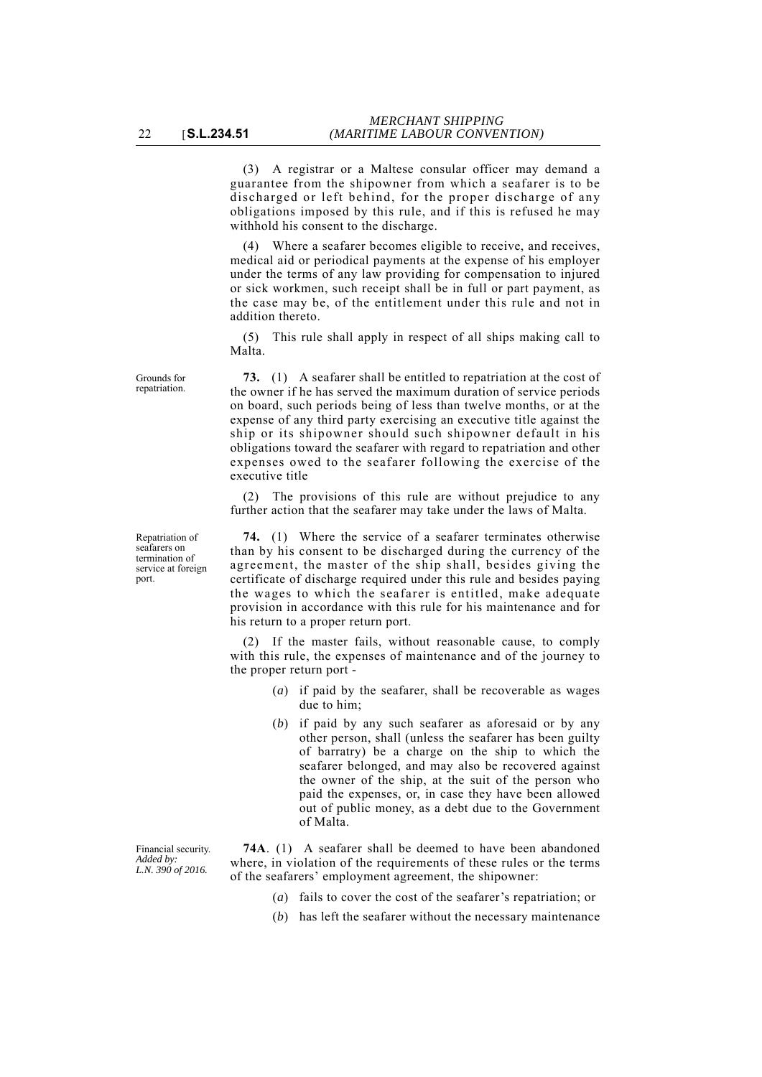(3) A registrar or a Maltese consular officer may demand a guarantee from the shipowner from which a seafarer is to be discharged or left behind, for the proper discharge of any obligations imposed by this rule, and if this is refused he may withhold his consent to the discharge.

(4) Where a seafarer becomes eligible to receive, and receives, medical aid or periodical payments at the expense of his employer under the terms of any law providing for compensation to injured or sick workmen, such receipt shall be in full or part payment, as the case may be, of the entitlement under this rule and not in addition thereto.

(5) This rule shall apply in respect of all ships making call to Malta.

**73.** (1) A seafarer shall be entitled to repatriation at the cost of the owner if he has served the maximum duration of service periods on board, such periods being of less than twelve months, or at the expense of any third party exercising an executive title against the ship or its shipowner should such shipowner default in his obligations toward the seafarer with regard to repatriation and other expenses owed to the seafarer following the exercise of the executive title

(2) The provisions of this rule are without prejudice to any further action that the seafarer may take under the laws of Malta.

**74.** (1) Where the service of a seafarer terminates otherwise than by his consent to be discharged during the currency of the agreement, the master of the ship shall, besides giving the certificate of discharge required under this rule and besides paying the wages to which the seafarer is entitled, make adequate provision in accordance with this rule for his maintenance and for his return to a proper return port.

(2) If the master fails, without reasonable cause, to comply with this rule, the expenses of maintenance and of the journey to the proper return port -

- (*a*) if paid by the seafarer, shall be recoverable as wages due to him;
- (*b*) if paid by any such seafarer as aforesaid or by any other person, shall (unless the seafarer has been guilty of barratry) be a charge on the ship to which the seafarer belonged, and may also be recovered against the owner of the ship, at the suit of the person who paid the expenses, or, in case they have been allowed out of public money, as a debt due to the Government of Malta.

**74A**. (1) A seafarer shall be deemed to have been abandoned where, in violation of the requirements of these rules or the terms of the seafarers' employment agreement, the shipowner:

- (*a*) fails to cover the cost of the seafarer's repatriation; or
- (*b*) has left the seafarer without the necessary maintenance

Repatriation of

Grounds for repatriation.

seafarers on termination of service at foreign port.

Financial security. *Added by: L.N. 390 of 2016.*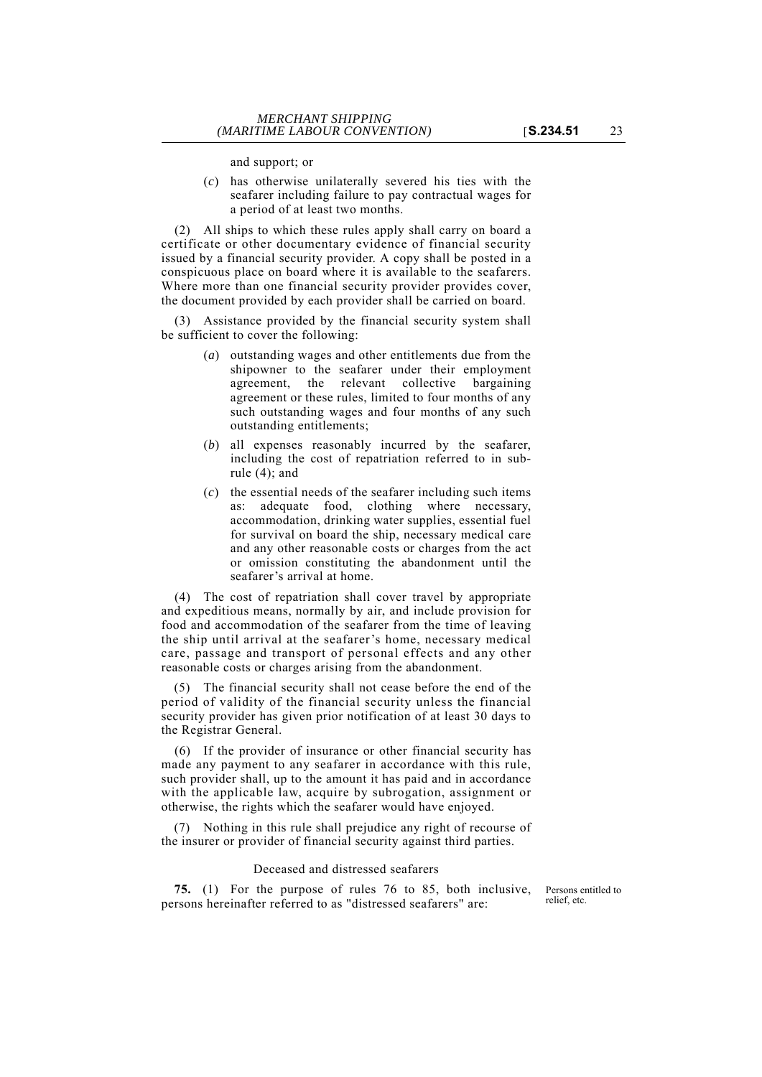and support; or

(*c*) has otherwise unilaterally severed his ties with the seafarer including failure to pay contractual wages for a period of at least two months.

(2) All ships to which these rules apply shall carry on board a certificate or other documentary evidence of financial security issued by a financial security provider. A copy shall be posted in a conspicuous place on board where it is available to the seafarers. Where more than one financial security provider provides cover, the document provided by each provider shall be carried on board.

(3) Assistance provided by the financial security system shall be sufficient to cover the following:

- (*a*) outstanding wages and other entitlements due from the shipowner to the seafarer under their employment agreement, the relevant collective bargaining agreement or these rules, limited to four months of any such outstanding wages and four months of any such outstanding entitlements;
- (*b*) all expenses reasonably incurred by the seafarer, including the cost of repatriation referred to in subrule (4); and
- (*c*) the essential needs of the seafarer including such items as: adequate food, clothing where necessary, accommodation, drinking water supplies, essential fuel for survival on board the ship, necessary medical care and any other reasonable costs or charges from the act or omission constituting the abandonment until the seafarer's arrival at home.

(4) The cost of repatriation shall cover travel by appropriate and expeditious means, normally by air, and include provision for food and accommodation of the seafarer from the time of leaving the ship until arrival at the seafarer's home, necessary medical care, passage and transport of personal effects and any other reasonable costs or charges arising from the abandonment.

(5) The financial security shall not cease before the end of the period of validity of the financial security unless the financial security provider has given prior notification of at least 30 days to the Registrar General.

(6) If the provider of insurance or other financial security has made any payment to any seafarer in accordance with this rule, such provider shall, up to the amount it has paid and in accordance with the applicable law, acquire by subrogation, assignment or otherwise, the rights which the seafarer would have enjoyed.

(7) Nothing in this rule shall prejudice any right of recourse of the insurer or provider of financial security against third parties.

## Deceased and distressed seafarers

**75.** (1) For the purpose of rules 76 to 85, both inclusive, persons hereinafter referred to as "distressed seafarers" are:

Persons entitled to relief, etc.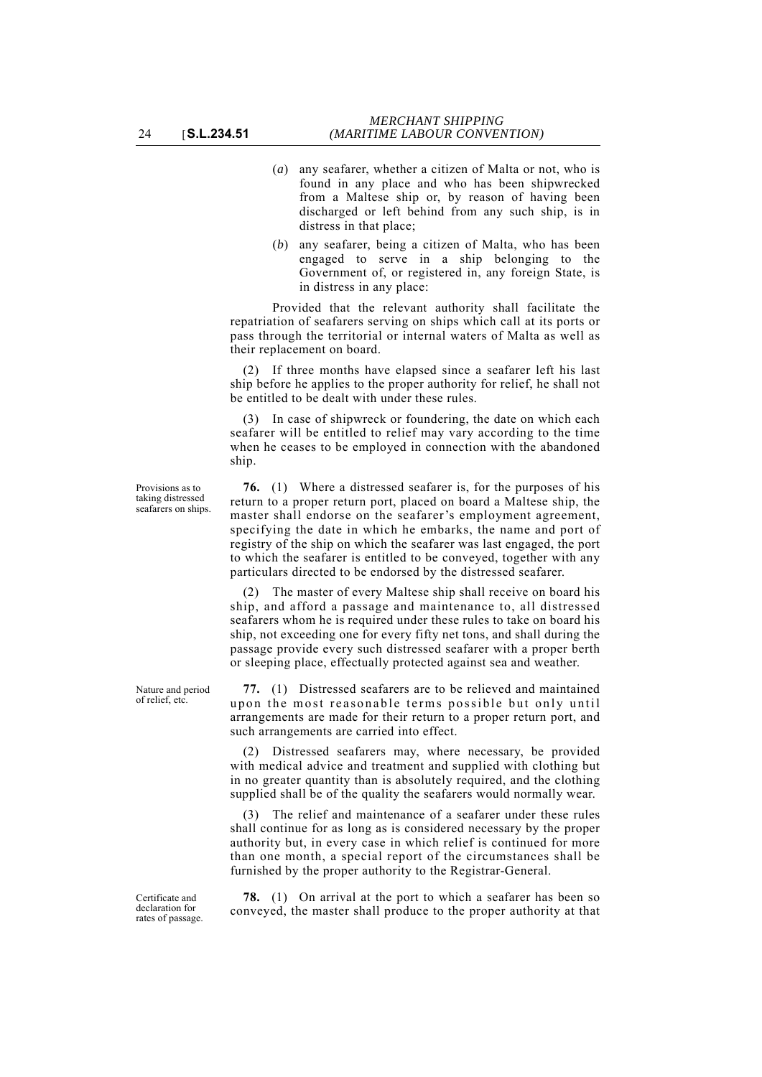- (*a*) any seafarer, whether a citizen of Malta or not, who is found in any place and who has been shipwrecked from a Maltese ship or, by reason of having been discharged or left behind from any such ship, is in distress in that place;
- (*b*) any seafarer, being a citizen of Malta, who has been engaged to serve in a ship belonging to the Government of, or registered in, any foreign State, is in distress in any place:

Provided that the relevant authority shall facilitate the repatriation of seafarers serving on ships which call at its ports or pass through the territorial or internal waters of Malta as well as their replacement on board.

(2) If three months have elapsed since a seafarer left his last ship before he applies to the proper authority for relief, he shall not be entitled to be dealt with under these rules.

(3) In case of shipwreck or foundering, the date on which each seafarer will be entitled to relief may vary according to the time when he ceases to be employed in connection with the abandoned ship.

**76.** (1) Where a distressed seafarer is, for the purposes of his return to a proper return port, placed on board a Maltese ship, the master shall endorse on the seafarer's employment agreement, specifying the date in which he embarks, the name and port of registry of the ship on which the seafarer was last engaged, the port to which the seafarer is entitled to be conveyed, together with any particulars directed to be endorsed by the distressed seafarer.

(2) The master of every Maltese ship shall receive on board his ship, and afford a passage and maintenance to, all distressed seafarers whom he is required under these rules to take on board his ship, not exceeding one for every fifty net tons, and shall during the passage provide every such distressed seafarer with a proper berth or sleeping place, effectually protected against sea and weather.

**77.** (1) Distressed seafarers are to be relieved and maintained upon the most reasonable terms possible but only until arrangements are made for their return to a proper return port, and such arrangements are carried into effect.

(2) Distressed seafarers may, where necessary, be provided with medical advice and treatment and supplied with clothing but in no greater quantity than is absolutely required, and the clothing supplied shall be of the quality the seafarers would normally wear.

(3) The relief and maintenance of a seafarer under these rules shall continue for as long as is considered necessary by the proper authority but, in every case in which relief is continued for more than one month, a special report of the circumstances shall be furnished by the proper authority to the Registrar-General.

**78.** (1) On arrival at the port to which a seafarer has been so conveyed, the master shall produce to the proper authority at that

Provisions as to taking distressed seafarers on ships.

Nature and period of relief, etc.

Certificate and declaration for rates of passage.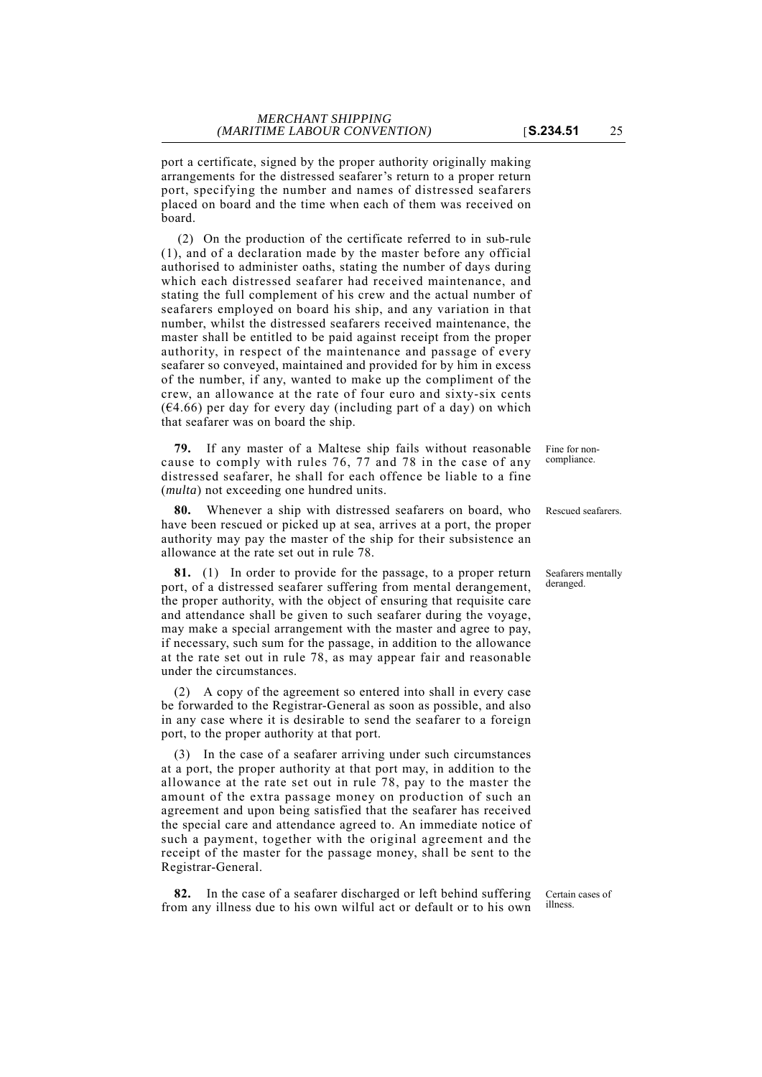port a certificate, signed by the proper authority originally making arrangements for the distressed seafarer's return to a proper return port, specifying the number and names of distressed seafarers placed on board and the time when each of them was received on board.

 (2) On the production of the certificate referred to in sub-rule (1), and of a declaration made by the master before any official authorised to administer oaths, stating the number of days during which each distressed seafarer had received maintenance, and stating the full complement of his crew and the actual number of seafarers employed on board his ship, and any variation in that number, whilst the distressed seafarers received maintenance, the master shall be entitled to be paid against receipt from the proper authority, in respect of the maintenance and passage of every seafarer so conveyed, maintained and provided for by him in excess of the number, if any, wanted to make up the compliment of the crew, an allowance at the rate of four euro and sixty-six cents  $(64.66)$  per day for every day (including part of a day) on which that seafarer was on board the ship.

**79.** If any master of a Maltese ship fails without reasonable cause to comply with rules 76, 77 and 78 in the case of any distressed seafarer, he shall for each offence be liable to a fine (*multa*) not exceeding one hundred units.

Whenever a ship with distressed seafarers on board, who Rescued seafarers. have been rescued or picked up at sea, arrives at a port, the proper authority may pay the master of the ship for their subsistence an allowance at the rate set out in rule 78.

**81.** (1) In order to provide for the passage, to a proper return port, of a distressed seafarer suffering from mental derangement, the proper authority, with the object of ensuring that requisite care and attendance shall be given to such seafarer during the voyage, may make a special arrangement with the master and agree to pay, if necessary, such sum for the passage, in addition to the allowance at the rate set out in rule 78, as may appear fair and reasonable under the circumstances.

(2) A copy of the agreement so entered into shall in every case be forwarded to the Registrar-General as soon as possible, and also in any case where it is desirable to send the seafarer to a foreign port, to the proper authority at that port.

(3) In the case of a seafarer arriving under such circumstances at a port, the proper authority at that port may, in addition to the allowance at the rate set out in rule 78, pay to the master the amount of the extra passage money on production of such an agreement and upon being satisfied that the seafarer has received the special care and attendance agreed to. An immediate notice of such a payment, together with the original agreement and the receipt of the master for the passage money, shall be sent to the Registrar-General.

**82.** In the case of a seafarer discharged or left behind suffering from any illness due to his own wilful act or default or to his own

Fine for noncompliance.

Seafarers mentally deranged.

Certain cases of illness.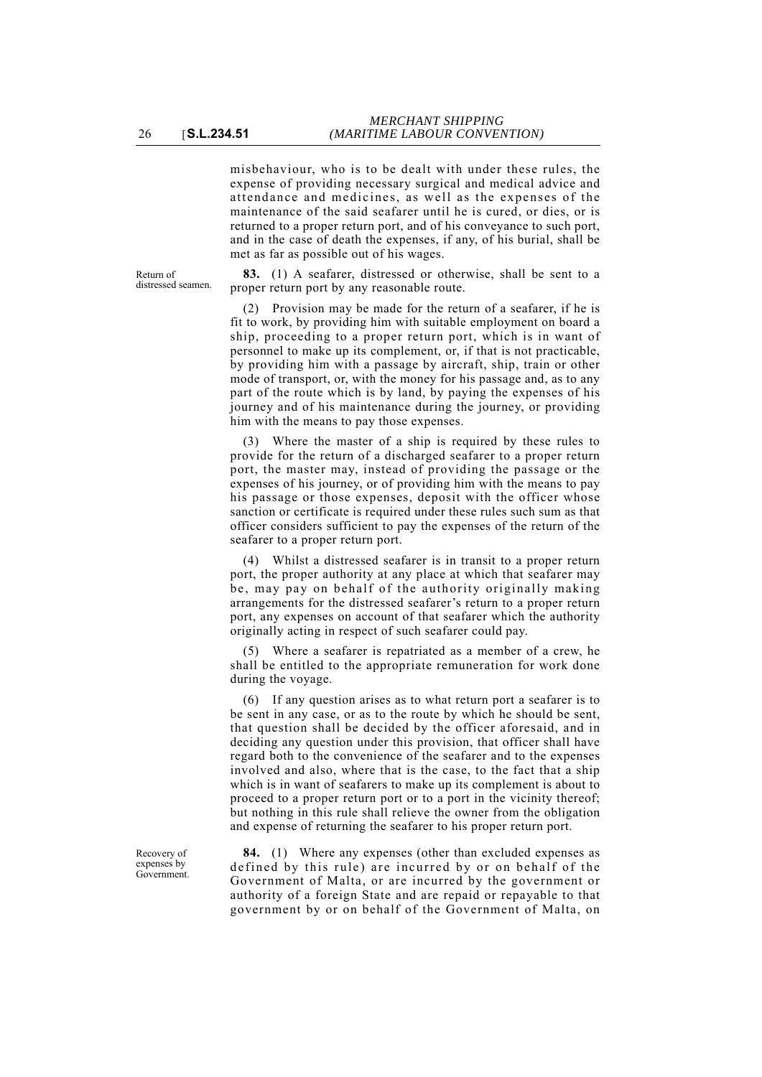misbehaviour, who is to be dealt with under these rules, the expense of providing necessary surgical and medical advice and attendance and medicines, as well as the expenses of the maintenance of the said seafarer until he is cured, or dies, or is returned to a proper return port, and of his conveyance to such port, and in the case of death the expenses, if any, of his burial, shall be met as far as possible out of his wages.

Return of distressed seamen.

**83.** (1) A seafarer, distressed or otherwise, shall be sent to a proper return port by any reasonable route.

(2) Provision may be made for the return of a seafarer, if he is fit to work, by providing him with suitable employment on board a ship, proceeding to a proper return port, which is in want of personnel to make up its complement, or, if that is not practicable, by providing him with a passage by aircraft, ship, train or other mode of transport, or, with the money for his passage and, as to any part of the route which is by land, by paying the expenses of his journey and of his maintenance during the journey, or providing him with the means to pay those expenses.

(3) Where the master of a ship is required by these rules to provide for the return of a discharged seafarer to a proper return port, the master may, instead of providing the passage or the expenses of his journey, or of providing him with the means to pay his passage or those expenses, deposit with the officer whose sanction or certificate is required under these rules such sum as that officer considers sufficient to pay the expenses of the return of the seafarer to a proper return port.

(4) Whilst a distressed seafarer is in transit to a proper return port, the proper authority at any place at which that seafarer may be, may pay on behalf of the authority originally making arrangements for the distressed seafarer's return to a proper return port, any expenses on account of that seafarer which the authority originally acting in respect of such seafarer could pay.

(5) Where a seafarer is repatriated as a member of a crew, he shall be entitled to the appropriate remuneration for work done during the voyage.

(6) If any question arises as to what return port a seafarer is to be sent in any case, or as to the route by which he should be sent, that question shall be decided by the officer aforesaid, and in deciding any question under this provision, that officer shall have regard both to the convenience of the seafarer and to the expenses involved and also, where that is the case, to the fact that a ship which is in want of seafarers to make up its complement is about to proceed to a proper return port or to a port in the vicinity thereof; but nothing in this rule shall relieve the owner from the obligation and expense of returning the seafarer to his proper return port.

**84.** (1) Where any expenses (other than excluded expenses as defined by this rule) are incurred by or on behalf of the Government of Malta, or are incurred by the government or authority of a foreign State and are repaid or repayable to that government by or on behalf of the Government of Malta, on

Recovery of expenses by Government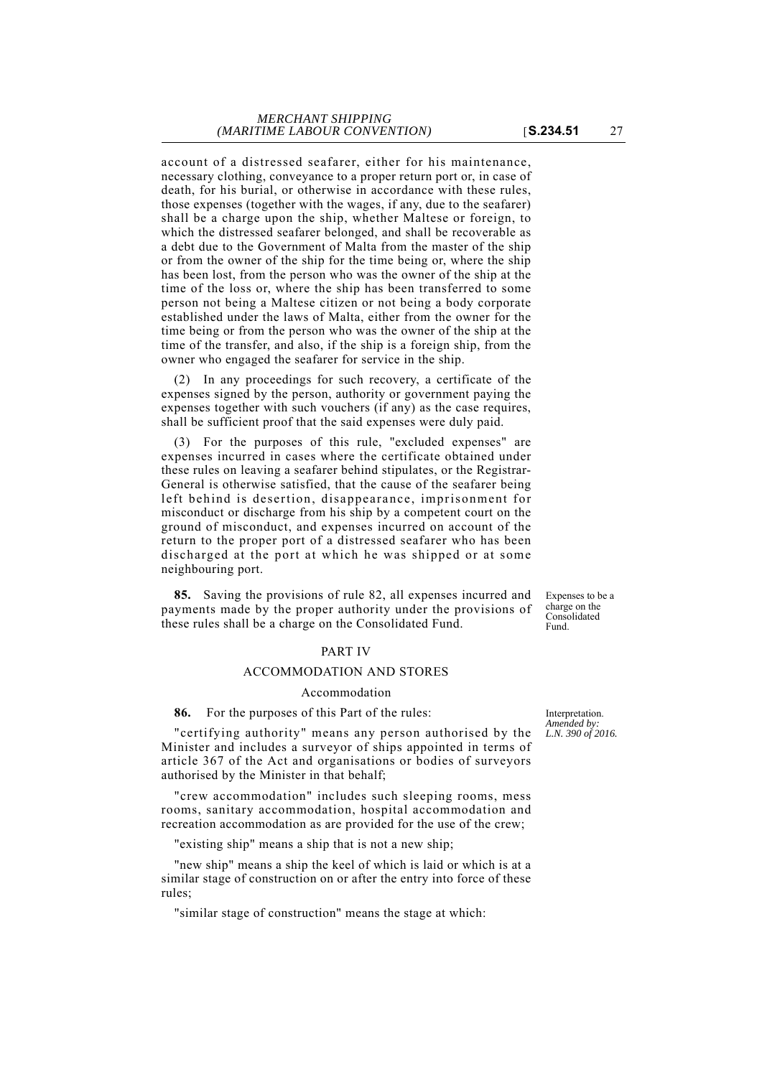account of a distressed seafarer, either for his maintenance, necessary clothing, conveyance to a proper return port or, in case of death, for his burial, or otherwise in accordance with these rules, those expenses (together with the wages, if any, due to the seafarer) shall be a charge upon the ship, whether Maltese or foreign, to which the distressed seafarer belonged, and shall be recoverable as a debt due to the Government of Malta from the master of the ship or from the owner of the ship for the time being or, where the ship has been lost, from the person who was the owner of the ship at the time of the loss or, where the ship has been transferred to some person not being a Maltese citizen or not being a body corporate established under the laws of Malta, either from the owner for the time being or from the person who was the owner of the ship at the time of the transfer, and also, if the ship is a foreign ship, from the owner who engaged the seafarer for service in the ship.

(2) In any proceedings for such recovery, a certificate of the expenses signed by the person, authority or government paying the expenses together with such vouchers (if any) as the case requires, shall be sufficient proof that the said expenses were duly paid.

(3) For the purposes of this rule, "excluded expenses" are expenses incurred in cases where the certificate obtained under these rules on leaving a seafarer behind stipulates, or the Registrar-General is otherwise satisfied, that the cause of the seafarer being left behind is desertion, disappearance, imprisonment for misconduct or discharge from his ship by a competent court on the ground of misconduct, and expenses incurred on account of the return to the proper port of a distressed seafarer who has been discharged at the port at which he was shipped or at some neighbouring port.

**85.** Saving the provisions of rule 82, all expenses incurred and payments made by the proper authority under the provisions of these rules shall be a charge on the Consolidated Fund.

## PART IV

### ACCOMMODATION AND STORES

Accommodation

**86.** For the purposes of this Part of the rules:

"certifying authority" means any person authorised by the Minister and includes a surveyor of ships appointed in terms of article 367 of the Act and organisations or bodies of surveyors authorised by the Minister in that behalf;

"crew accommodation" includes such sleeping rooms, mess rooms, sanitary accommodation, hospital accommodation and recreation accommodation as are provided for the use of the crew;

"existing ship" means a ship that is not a new ship;

"new ship" means a ship the keel of which is laid or which is at a similar stage of construction on or after the entry into force of these rules;

"similar stage of construction" means the stage at which:

Expenses to be a charge on the Consolidated Fund.

Interpretation. *Amended by: L.N. 390 of 2016.*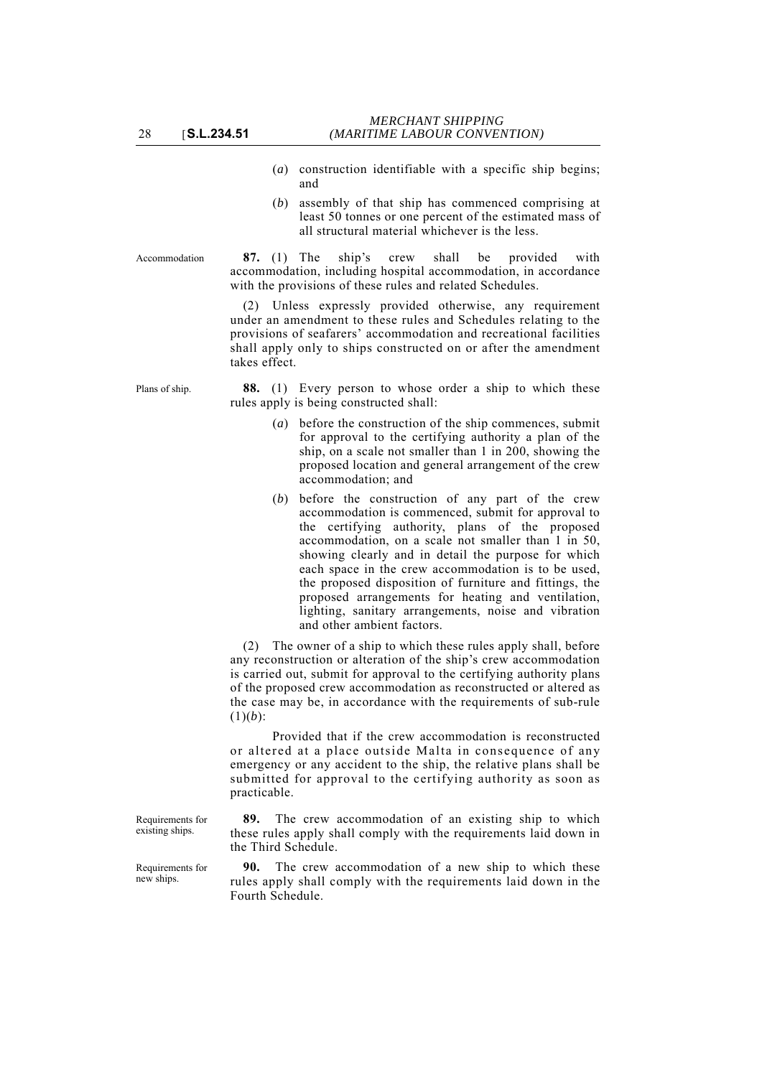- (*a*) construction identifiable with a specific ship begins; and
- (*b*) assembly of that ship has commenced comprising at least 50 tonnes or one percent of the estimated mass of all structural material whichever is the less.

Accommodation **87.** (1) The ship's crew shall be provided with accommodation, including hospital accommodation, in accordance with the provisions of these rules and related Schedules.

> (2) Unless expressly provided otherwise, any requirement under an amendment to these rules and Schedules relating to the provisions of seafarers' accommodation and recreational facilities shall apply only to ships constructed on or after the amendment takes effect.

Plans of ship. **88.** (1) Every person to whose order a ship to which these rules apply is being constructed shall:

- (*a*) before the construction of the ship commences, submit for approval to the certifying authority a plan of the ship, on a scale not smaller than 1 in 200, showing the proposed location and general arrangement of the crew accommodation; and
- (*b*) before the construction of any part of the crew accommodation is commenced, submit for approval to the certifying authority, plans of the proposed accommodation, on a scale not smaller than 1 in 50, showing clearly and in detail the purpose for which each space in the crew accommodation is to be used, the proposed disposition of furniture and fittings, the proposed arrangements for heating and ventilation, lighting, sanitary arrangements, noise and vibration and other ambient factors.

(2) The owner of a ship to which these rules apply shall, before any reconstruction or alteration of the ship's crew accommodation is carried out, submit for approval to the certifying authority plans of the proposed crew accommodation as reconstructed or altered as the case may be, in accordance with the requirements of sub-rule  $(1)(b)$ :

Provided that if the crew accommodation is reconstructed or altered at a place outside Malta in consequence of any emergency or any accident to the ship, the relative plans shall be submitted for approval to the certifying authority as soon as practicable.

**89.** The crew accommodation of an existing ship to which these rules apply shall comply with the requirements laid down in the Third Schedule.

The crew accommodation of a new ship to which these rules apply shall comply with the requirements laid down in the Fourth Schedule.

Requirements for existing ships.

Requirements for new ships.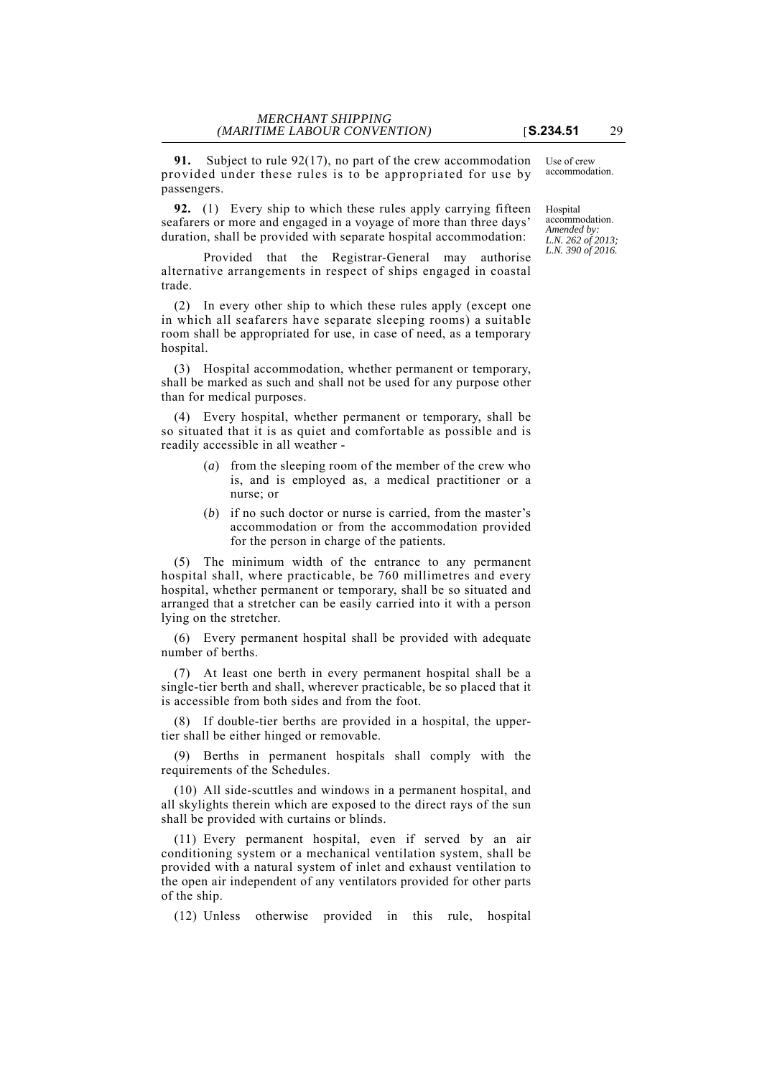**91.** Subject to rule 92(17), no part of the crew accommodation provided under these rules is to be appropriated for use by passengers.

**92.** (1) Every ship to which these rules apply carrying fifteen seafarers or more and engaged in a voyage of more than three days' duration, shall be provided with separate hospital accommodation:

Provided that the Registrar-General may authorise alternative arrangements in respect of ships engaged in coastal trade.

(2) In every other ship to which these rules apply (except one in which all seafarers have separate sleeping rooms) a suitable room shall be appropriated for use, in case of need, as a temporary hospital.

(3) Hospital accommodation, whether permanent or temporary, shall be marked as such and shall not be used for any purpose other than for medical purposes.

(4) Every hospital, whether permanent or temporary, shall be so situated that it is as quiet and comfortable as possible and is readily accessible in all weather -

- (*a*) from the sleeping room of the member of the crew who is, and is employed as, a medical practitioner or a nurse; or
- (*b*) if no such doctor or nurse is carried, from the master's accommodation or from the accommodation provided for the person in charge of the patients.

(5) The minimum width of the entrance to any permanent hospital shall, where practicable, be 760 millimetres and every hospital, whether permanent or temporary, shall be so situated and arranged that a stretcher can be easily carried into it with a person lying on the stretcher.

(6) Every permanent hospital shall be provided with adequate number of berths.

(7) At least one berth in every permanent hospital shall be a single-tier berth and shall, wherever practicable, be so placed that it is accessible from both sides and from the foot.

(8) If double-tier berths are provided in a hospital, the uppertier shall be either hinged or removable.

(9) Berths in permanent hospitals shall comply with the requirements of the Schedules.

(10) All side-scuttles and windows in a permanent hospital, and all skylights therein which are exposed to the direct rays of the sun shall be provided with curtains or blinds.

(11) Every permanent hospital, even if served by an air conditioning system or a mechanical ventilation system, shall be provided with a natural system of inlet and exhaust ventilation to the open air independent of any ventilators provided for other parts of the ship.

(12) Unless otherwise provided in this rule, hospital

Use of crew accommodation.

**Hospital** accommodation. *Amended by: L.N. 262 of 2013; L.N. 390 of 2016.*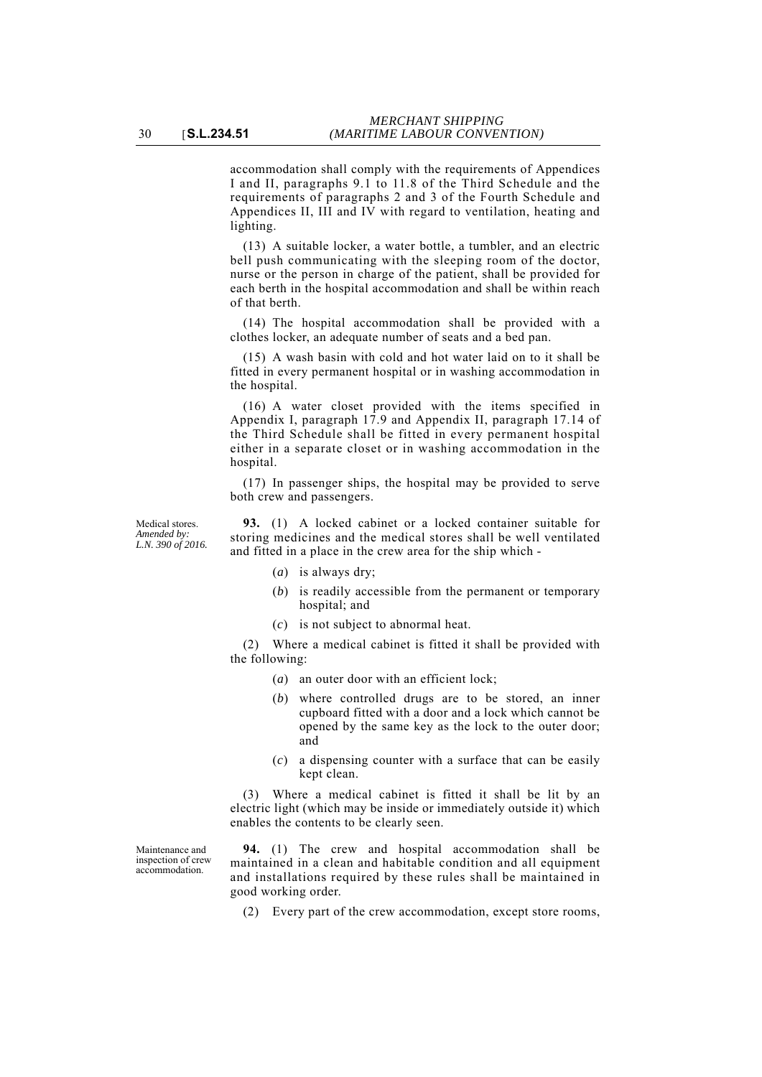accommodation shall comply with the requirements of Appendices I and II, paragraphs 9.1 to 11.8 of the Third Schedule and the requirements of paragraphs 2 and 3 of the Fourth Schedule and Appendices II, III and IV with regard to ventilation, heating and lighting.

(13) A suitable locker, a water bottle, a tumbler, and an electric bell push communicating with the sleeping room of the doctor, nurse or the person in charge of the patient, shall be provided for each berth in the hospital accommodation and shall be within reach of that berth.

(14) The hospital accommodation shall be provided with a clothes locker, an adequate number of seats and a bed pan.

(15) A wash basin with cold and hot water laid on to it shall be fitted in every permanent hospital or in washing accommodation in the hospital.

(16) A water closet provided with the items specified in Appendix I, paragraph 17.9 and Appendix II, paragraph 17.14 of the Third Schedule shall be fitted in every permanent hospital either in a separate closet or in washing accommodation in the hospital.

(17) In passenger ships, the hospital may be provided to serve both crew and passengers.

Medical stores. *Amended by: L.N. 390 of 2016.*

**93.** (1) A locked cabinet or a locked container suitable for storing medicines and the medical stores shall be well ventilated and fitted in a place in the crew area for the ship which -

- (*a*) is always dry;
- (*b*) is readily accessible from the permanent or temporary hospital; and
- (*c*) is not subject to abnormal heat.

(2) Where a medical cabinet is fitted it shall be provided with the following:

- (*a*) an outer door with an efficient lock;
- (*b*) where controlled drugs are to be stored, an inner cupboard fitted with a door and a lock which cannot be opened by the same key as the lock to the outer door; and
- (*c*) a dispensing counter with a surface that can be easily kept clean.

(3) Where a medical cabinet is fitted it shall be lit by an electric light (which may be inside or immediately outside it) which enables the contents to be clearly seen.

**94.** (1) The crew and hospital accommodation shall be maintained in a clean and habitable condition and all equipment and installations required by these rules shall be maintained in good working order.

(2) Every part of the crew accommodation, except store rooms,

Maintenance and inspection of crew accommodation.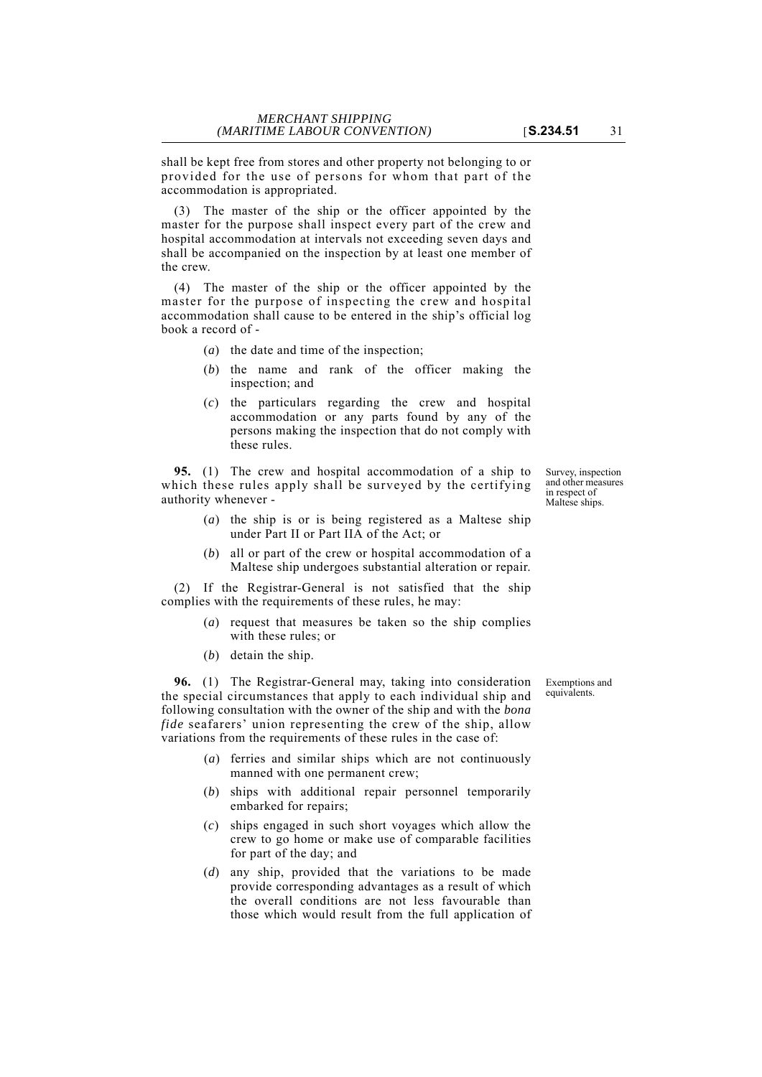shall be kept free from stores and other property not belonging to or provided for the use of persons for whom that part of the accommodation is appropriated.

(3) The master of the ship or the officer appointed by the master for the purpose shall inspect every part of the crew and hospital accommodation at intervals not exceeding seven days and shall be accompanied on the inspection by at least one member of the crew.

(4) The master of the ship or the officer appointed by the master for the purpose of inspecting the crew and hospital accommodation shall cause to be entered in the ship's official log book a record of -

- (*a*) the date and time of the inspection;
- (*b*) the name and rank of the officer making the inspection; and
- (*c*) the particulars regarding the crew and hospital accommodation or any parts found by any of the persons making the inspection that do not comply with these rules.

**95.** (1) The crew and hospital accommodation of a ship to which these rules apply shall be surveyed by the certifying authority whenever -

- (*a*) the ship is or is being registered as a Maltese ship under Part II or Part IIA of the Act; or
- (*b*) all or part of the crew or hospital accommodation of a Maltese ship undergoes substantial alteration or repair.

(2) If the Registrar-General is not satisfied that the ship complies with the requirements of these rules, he may:

- (*a*) request that measures be taken so the ship complies with these rules; or
- (*b*) detain the ship.

**96.** (1) The Registrar-General may, taking into consideration the special circumstances that apply to each individual ship and following consultation with the owner of the ship and with the *bona fide* seafarers' union representing the crew of the ship, allow variations from the requirements of these rules in the case of:

- (*a*) ferries and similar ships which are not continuously manned with one permanent crew;
- (*b*) ships with additional repair personnel temporarily embarked for repairs;
- (*c*) ships engaged in such short voyages which allow the crew to go home or make use of comparable facilities for part of the day; and
- (*d*) any ship, provided that the variations to be made provide corresponding advantages as a result of which the overall conditions are not less favourable than those which would result from the full application of

in respect of Maltese ships.

Survey, inspection and other measures

Exemptions and equivalents.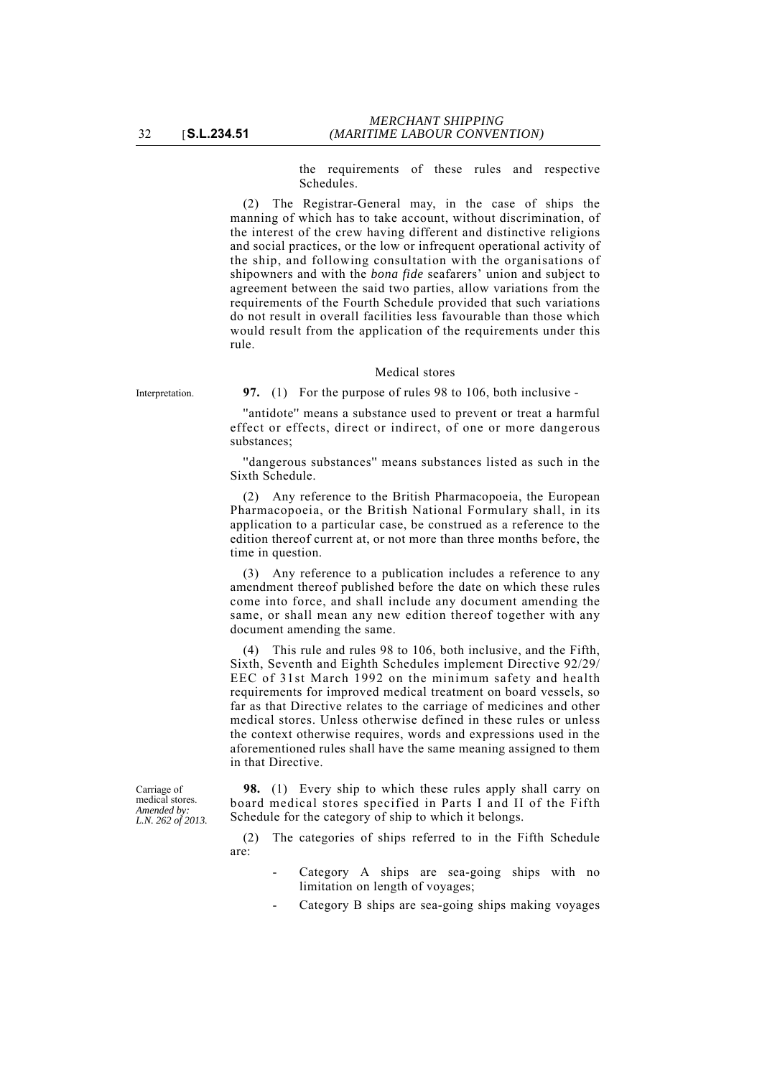the requirements of these rules and respective Schedules.

(2) The Registrar-General may, in the case of ships the manning of which has to take account, without discrimination, of the interest of the crew having different and distinctive religions and social practices, or the low or infrequent operational activity of the ship, and following consultation with the organisations of shipowners and with the *bona fide* seafarers' union and subject to agreement between the said two parties, allow variations from the requirements of the Fourth Schedule provided that such variations do not result in overall facilities less favourable than those which would result from the application of the requirements under this rule.

#### Medical stores

Interpretation. **97.** (1) For the purpose of rules 98 to 106, both inclusive -

''antidote'' means a substance used to prevent or treat a harmful effect or effects, direct or indirect, of one or more dangerous substances;

''dangerous substances'' means substances listed as such in the Sixth Schedule.

(2) Any reference to the British Pharmacopoeia, the European Pharmacopoeia, or the British National Formulary shall, in its application to a particular case, be construed as a reference to the edition thereof current at, or not more than three months before, the time in question.

(3) Any reference to a publication includes a reference to any amendment thereof published before the date on which these rules come into force, and shall include any document amending the same, or shall mean any new edition thereof together with any document amending the same.

(4) This rule and rules 98 to 106, both inclusive, and the Fifth, Sixth, Seventh and Eighth Schedules implement Directive 92/29/ EEC of 31st March 1992 on the minimum safety and health requirements for improved medical treatment on board vessels, so far as that Directive relates to the carriage of medicines and other medical stores. Unless otherwise defined in these rules or unless the context otherwise requires, words and expressions used in the aforementioned rules shall have the same meaning assigned to them in that Directive.

Carriage of medical stores. *Amended by: L.N. 262 of 2013.*

**98.** (1) Every ship to which these rules apply shall carry on board medical stores specified in Parts I and II of the Fifth Schedule for the category of ship to which it belongs.

(2) The categories of ships referred to in the Fifth Schedule are:

- Category A ships are sea-going ships with no limitation on length of voyages;
- Category B ships are sea-going ships making voyages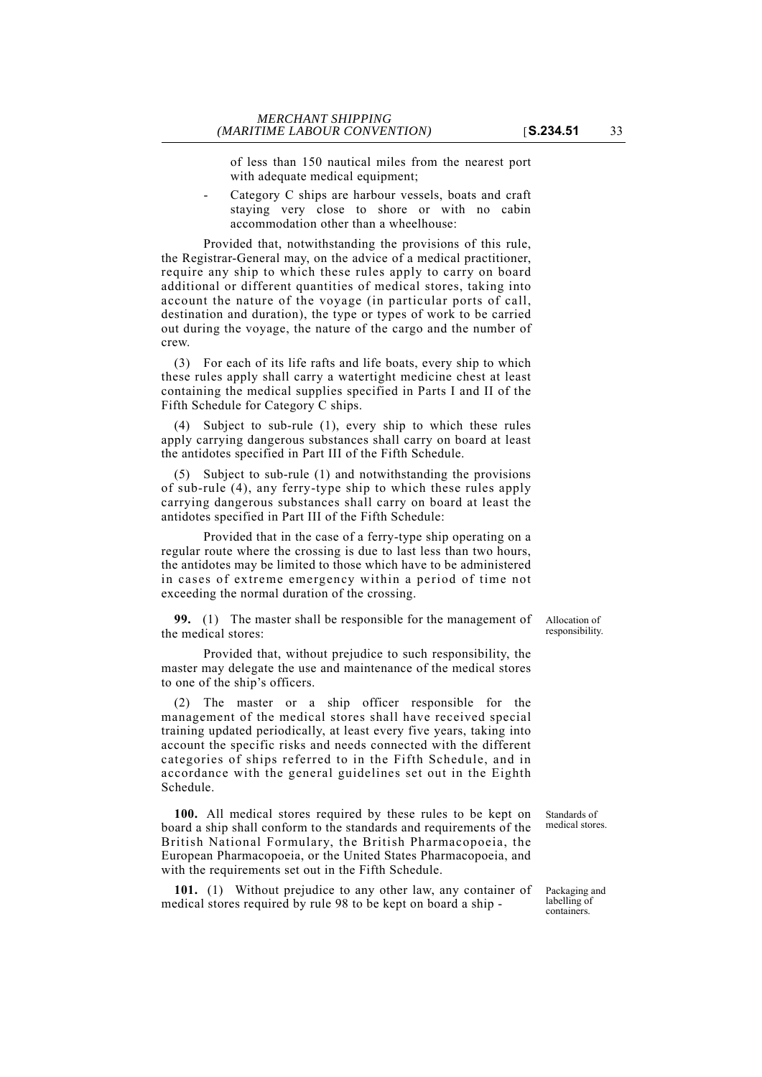of less than 150 nautical miles from the nearest port with adequate medical equipment;

Category C ships are harbour vessels, boats and craft staying very close to shore or with no cabin accommodation other than a wheelhouse:

Provided that, notwithstanding the provisions of this rule, the Registrar-General may, on the advice of a medical practitioner, require any ship to which these rules apply to carry on board additional or different quantities of medical stores, taking into account the nature of the voyage (in particular ports of call, destination and duration), the type or types of work to be carried out during the voyage, the nature of the cargo and the number of crew.

(3) For each of its life rafts and life boats, every ship to which these rules apply shall carry a watertight medicine chest at least containing the medical supplies specified in Parts I and II of the Fifth Schedule for Category C ships.

(4) Subject to sub-rule (1), every ship to which these rules apply carrying dangerous substances shall carry on board at least the antidotes specified in Part III of the Fifth Schedule.

(5) Subject to sub-rule (1) and notwithstanding the provisions of sub-rule (4), any ferry-type ship to which these rules apply carrying dangerous substances shall carry on board at least the antidotes specified in Part III of the Fifth Schedule:

Provided that in the case of a ferry-type ship operating on a regular route where the crossing is due to last less than two hours, the antidotes may be limited to those which have to be administered in cases of extreme emergency within a period of time not exceeding the normal duration of the crossing.

**99.** (1) The master shall be responsible for the management of the medical stores:

Provided that, without prejudice to such responsibility, the master may delegate the use and maintenance of the medical stores to one of the ship's officers.

(2) The master or a ship officer responsible for the management of the medical stores shall have received special training updated periodically, at least every five years, taking into account the specific risks and needs connected with the different categories of ships referred to in the Fifth Schedule, and in accordance with the general guidelines set out in the Eighth Schedule.

**100.** All medical stores required by these rules to be kept on board a ship shall conform to the standards and requirements of the British National Formulary, the British Pharmacopoeia, the European Pharmacopoeia, or the United States Pharmacopoeia, and with the requirements set out in the Fifth Schedule.

**101.** (1) Without prejudice to any other law, any container of medical stores required by rule 98 to be kept on board a ship -

Standards of medical stores.

Packaging and labelling of containers.

Allocation of responsibility.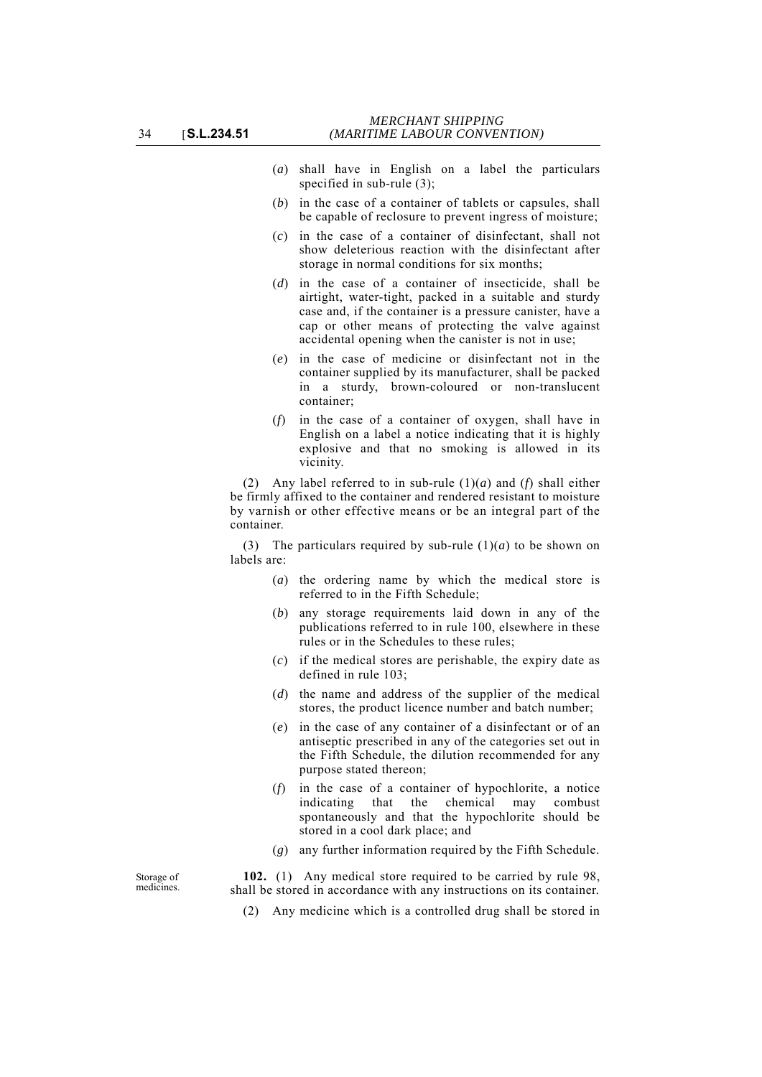- (*a*) shall have in English on a label the particulars specified in sub-rule (3);
- (*b*) in the case of a container of tablets or capsules, shall be capable of reclosure to prevent ingress of moisture;
- (*c*) in the case of a container of disinfectant, shall not show deleterious reaction with the disinfectant after storage in normal conditions for six months;
- (*d*) in the case of a container of insecticide, shall be airtight, water-tight, packed in a suitable and sturdy case and, if the container is a pressure canister, have a cap or other means of protecting the valve against accidental opening when the canister is not in use;
- (*e*) in the case of medicine or disinfectant not in the container supplied by its manufacturer, shall be packed in a sturdy, brown-coloured or non-translucent container;
- (*f*) in the case of a container of oxygen, shall have in English on a label a notice indicating that it is highly explosive and that no smoking is allowed in its vicinity.

(2) Any label referred to in sub-rule (1)(*a*) and (*f*) shall either be firmly affixed to the container and rendered resistant to moisture by varnish or other effective means or be an integral part of the container.

(3) The particulars required by sub-rule  $(1)(a)$  to be shown on labels are:

- (*a*) the ordering name by which the medical store is referred to in the Fifth Schedule;
- (*b*) any storage requirements laid down in any of the publications referred to in rule 100, elsewhere in these rules or in the Schedules to these rules;
- (*c*) if the medical stores are perishable, the expiry date as defined in rule 103;
- (*d*) the name and address of the supplier of the medical stores, the product licence number and batch number;
- (*e*) in the case of any container of a disinfectant or of an antiseptic prescribed in any of the categories set out in the Fifth Schedule, the dilution recommended for any purpose stated thereon;
- (*f*) in the case of a container of hypochlorite, a notice indicating that the chemical may combust spontaneously and that the hypochlorite should be stored in a cool dark place; and
- (*g*) any further information required by the Fifth Schedule.

**102.** (1) Any medical store required to be carried by rule 98, shall be stored in accordance with any instructions on its container.

(2) Any medicine which is a controlled drug shall be stored in

Storage of medicines.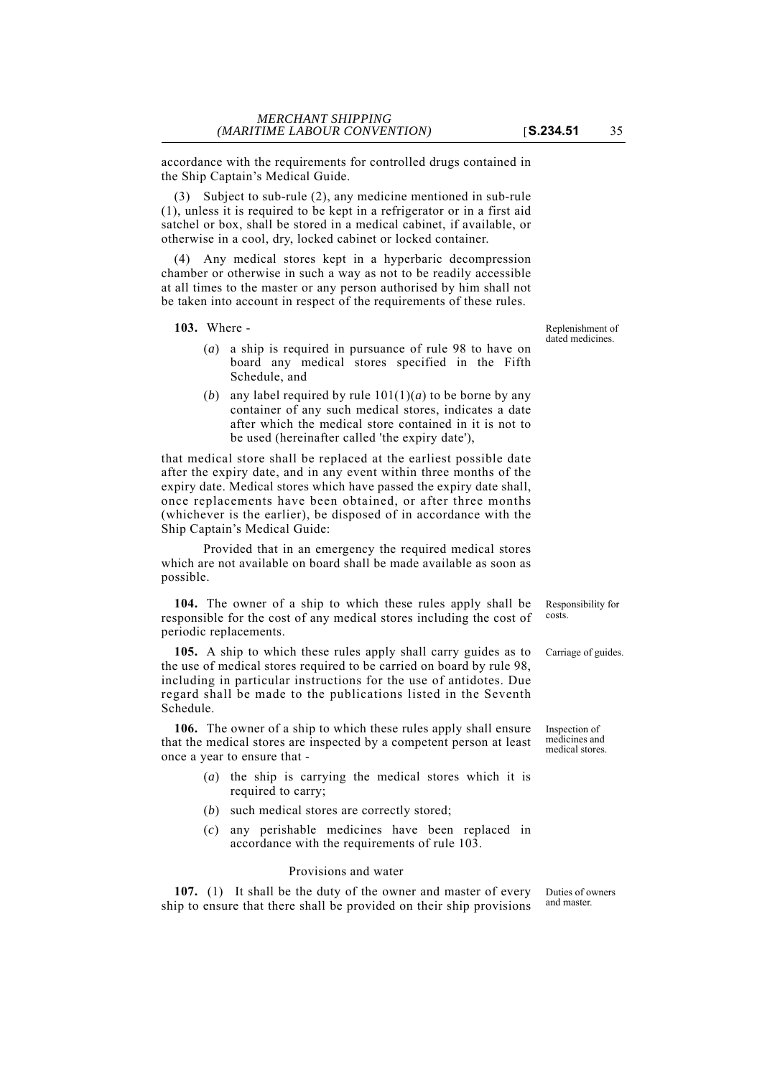accordance with the requirements for controlled drugs contained in the Ship Captain's Medical Guide.

Subject to sub-rule (2), any medicine mentioned in sub-rule (1), unless it is required to be kept in a refrigerator or in a first aid satchel or box, shall be stored in a medical cabinet, if available, or otherwise in a cool, dry, locked cabinet or locked container.

(4) Any medical stores kept in a hyperbaric decompression chamber or otherwise in such a way as not to be readily accessible at all times to the master or any person authorised by him shall not be taken into account in respect of the requirements of these rules.

**103.** Where -

- (*a*) a ship is required in pursuance of rule 98 to have on board any medical stores specified in the Fifth Schedule, and
- (*b*) any label required by rule  $101(1)(a)$  to be borne by any container of any such medical stores, indicates a date after which the medical store contained in it is not to be used (hereinafter called 'the expiry date'),

that medical store shall be replaced at the earliest possible date after the expiry date, and in any event within three months of the expiry date. Medical stores which have passed the expiry date shall, once replacements have been obtained, or after three months (whichever is the earlier), be disposed of in accordance with the Ship Captain's Medical Guide:

Provided that in an emergency the required medical stores which are not available on board shall be made available as soon as possible.

**104.** The owner of a ship to which these rules apply shall be responsible for the cost of any medical stores including the cost of periodic replacements.

**105.** A ship to which these rules apply shall carry guides as to Carriage of guides. the use of medical stores required to be carried on board by rule 98, including in particular instructions for the use of antidotes. Due regard shall be made to the publications listed in the Seventh Schedule.

**106.** The owner of a ship to which these rules apply shall ensure that the medical stores are inspected by a competent person at least once a year to ensure that -

- (*a*) the ship is carrying the medical stores which it is required to carry;
- (*b*) such medical stores are correctly stored;
- (*c*) any perishable medicines have been replaced in accordance with the requirements of rule 103.

#### Provisions and water

**107.** (1) It shall be the duty of the owner and master of every ship to ensure that there shall be provided on their ship provisions

Replenishment of dated medicines.

Responsibility for costs.

Inspection of medicines and medical stores.

Duties of owners and master.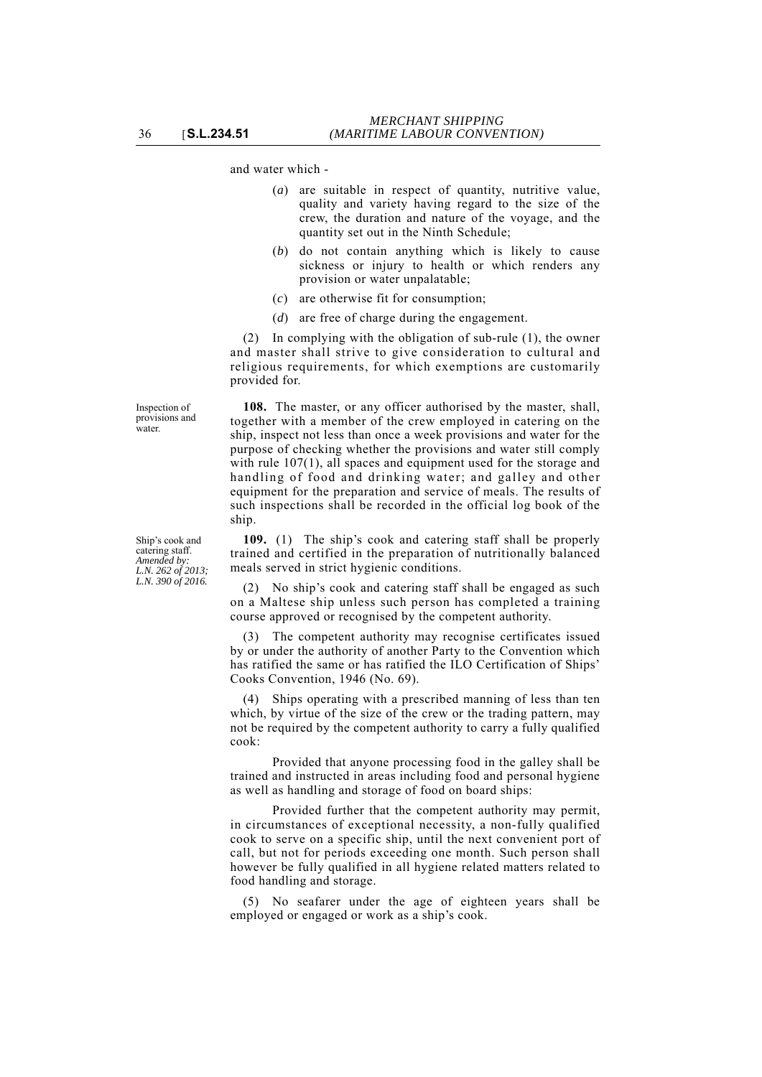and water which -

- (*a*) are suitable in respect of quantity, nutritive value, quality and variety having regard to the size of the crew, the duration and nature of the voyage, and the quantity set out in the Ninth Schedule;
- (*b*) do not contain anything which is likely to cause sickness or injury to health or which renders any provision or water unpalatable;
- (*c*) are otherwise fit for consumption;
- (*d*) are free of charge during the engagement.

(2) In complying with the obligation of sub-rule (1), the owner and master shall strive to give consideration to cultural and religious requirements, for which exemptions are customarily provided for.

**108.** The master, or any officer authorised by the master, shall, together with a member of the crew employed in catering on the ship, inspect not less than once a week provisions and water for the purpose of checking whether the provisions and water still comply with rule 107(1), all spaces and equipment used for the storage and handling of food and drinking water; and galley and other equipment for the preparation and service of meals. The results of such inspections shall be recorded in the official log book of the ship.

**109.** (1) The ship's cook and catering staff shall be properly trained and certified in the preparation of nutritionally balanced meals served in strict hygienic conditions.

(2) No ship's cook and catering staff shall be engaged as such on a Maltese ship unless such person has completed a training course approved or recognised by the competent authority.

(3) The competent authority may recognise certificates issued by or under the authority of another Party to the Convention which has ratified the same or has ratified the ILO Certification of Ships' Cooks Convention, 1946 (No. 69).

(4) Ships operating with a prescribed manning of less than ten which, by virtue of the size of the crew or the trading pattern, may not be required by the competent authority to carry a fully qualified cook:

Provided that anyone processing food in the galley shall be trained and instructed in areas including food and personal hygiene as well as handling and storage of food on board ships:

Provided further that the competent authority may permit, in circumstances of exceptional necessity, a non-fully qualified cook to serve on a specific ship, until the next convenient port of call, but not for periods exceeding one month. Such person shall however be fully qualified in all hygiene related matters related to food handling and storage.

(5) No seafarer under the age of eighteen years shall be employed or engaged or work as a ship's cook.

Ship's cook and catering staff. *Amended by: L.N. 262 of 2013; L.N. 390 of 2016.*

Inspection of provisions and water.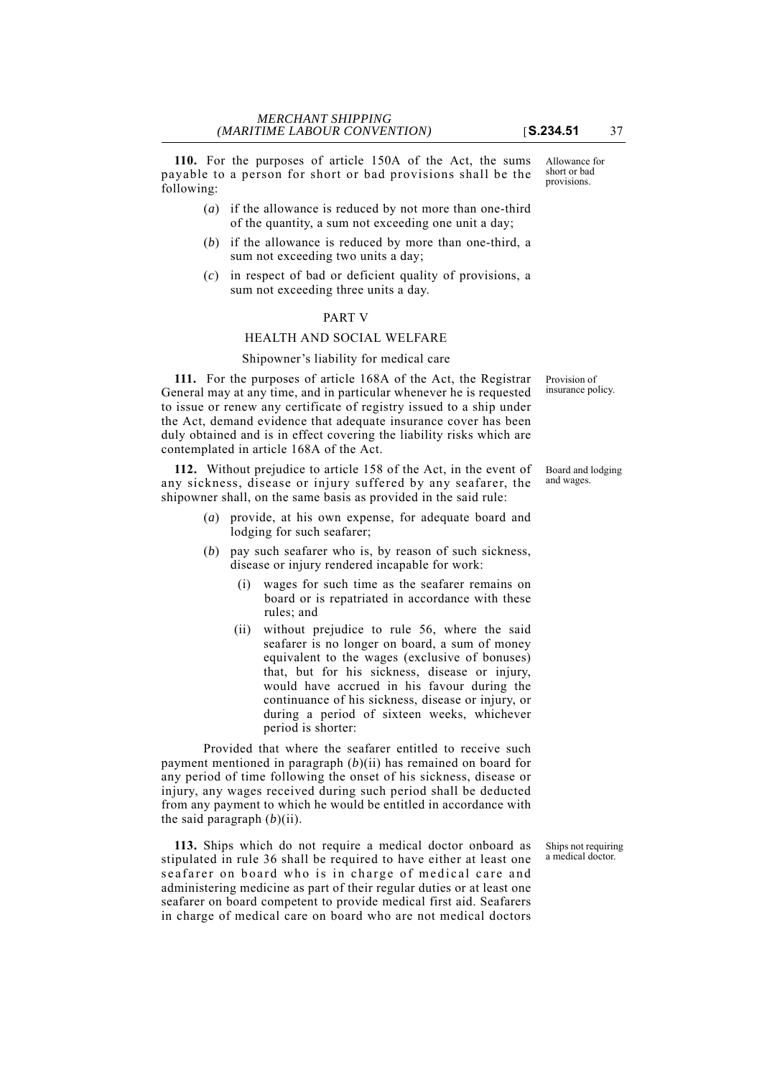**110.** For the purposes of article 150A of the Act, the sums payable to a person for short or bad provisions shall be the following:

- (*a*) if the allowance is reduced by not more than one-third of the quantity, a sum not exceeding one unit a day;
- (*b*) if the allowance is reduced by more than one-third, a sum not exceeding two units a day;
- (*c*) in respect of bad or deficient quality of provisions, a sum not exceeding three units a day.

# PART V

# HEALTH AND SOCIAL WELFARE

## Shipowner's liability for medical care

**111.** For the purposes of article 168A of the Act, the Registrar General may at any time, and in particular whenever he is requested to issue or renew any certificate of registry issued to a ship under the Act, demand evidence that adequate insurance cover has been duly obtained and is in effect covering the liability risks which are contemplated in article 168A of the Act.

**112.** Without prejudice to article 158 of the Act, in the event of any sickness, disease or injury suffered by any seafarer, the shipowner shall, on the same basis as provided in the said rule:

- (*a*) provide, at his own expense, for adequate board and lodging for such seafarer;
- (*b*) pay such seafarer who is, by reason of such sickness, disease or injury rendered incapable for work:
	- wages for such time as the seafarer remains on board or is repatriated in accordance with these rules; and
	- (ii) without prejudice to rule 56, where the said seafarer is no longer on board, a sum of money equivalent to the wages (exclusive of bonuses) that, but for his sickness, disease or injury, would have accrued in his favour during the continuance of his sickness, disease or injury, or during a period of sixteen weeks, whichever period is shorter:

Provided that where the seafarer entitled to receive such payment mentioned in paragraph (*b*)(ii) has remained on board for any period of time following the onset of his sickness, disease or injury, any wages received during such period shall be deducted from any payment to which he would be entitled in accordance with the said paragraph  $(b)$ (ii).

**113.** Ships which do not require a medical doctor onboard as stipulated in rule 36 shall be required to have either at least one seafarer on board who is in charge of medical care and administering medicine as part of their regular duties or at least one seafarer on board competent to provide medical first aid. Seafarers in charge of medical care on board who are not medical doctors

Ships not requiring a medical doctor.

Provision of insurance policy.

Board and lodging and wages.

Allowance for short or bad provisions.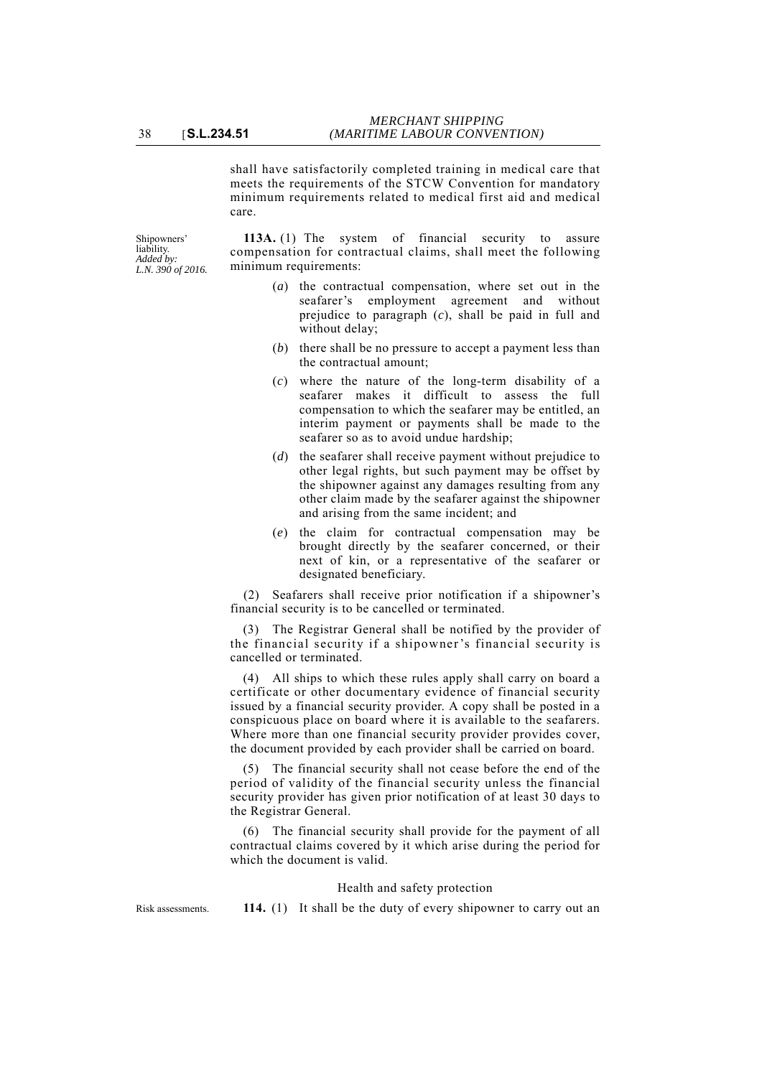shall have satisfactorily completed training in medical care that meets the requirements of the STCW Convention for mandatory minimum requirements related to medical first aid and medical care.

Shipowners' liability. *Added by: L.N. 390 of 2016.*

**113A.** (1) The system of financial security to assure compensation for contractual claims, shall meet the following minimum requirements:

- (*a*) the contractual compensation, where set out in the seafarer's employment agreement and without prejudice to paragraph (*c*), shall be paid in full and without delay;
- (*b*) there shall be no pressure to accept a payment less than the contractual amount;
- (*c*) where the nature of the long-term disability of a seafarer makes it difficult to assess the full compensation to which the seafarer may be entitled, an interim payment or payments shall be made to the seafarer so as to avoid undue hardship;
- (*d*) the seafarer shall receive payment without prejudice to other legal rights, but such payment may be offset by the shipowner against any damages resulting from any other claim made by the seafarer against the shipowner and arising from the same incident; and
- (*e*) the claim for contractual compensation may be brought directly by the seafarer concerned, or their next of kin, or a representative of the seafarer or designated beneficiary.

(2) Seafarers shall receive prior notification if a shipowner's financial security is to be cancelled or terminated.

(3) The Registrar General shall be notified by the provider of the financial security if a shipowner's financial security is cancelled or terminated.

(4) All ships to which these rules apply shall carry on board a certificate or other documentary evidence of financial security issued by a financial security provider. A copy shall be posted in a conspicuous place on board where it is available to the seafarers. Where more than one financial security provider provides cover, the document provided by each provider shall be carried on board.

(5) The financial security shall not cease before the end of the period of validity of the financial security unless the financial security provider has given prior notification of at least 30 days to the Registrar General.

(6) The financial security shall provide for the payment of all contractual claims covered by it which arise during the period for which the document is valid.

# Health and safety protection

Risk assessments. **114.** (1) It shall be the duty of every shipowner to carry out an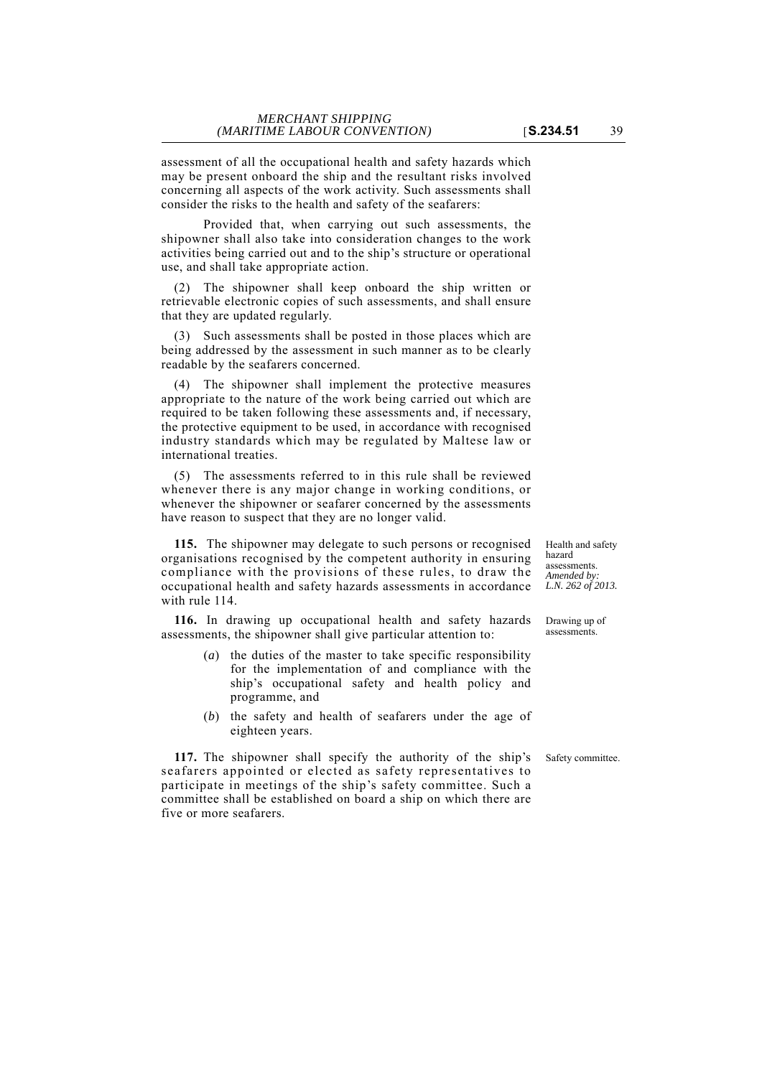assessment of all the occupational health and safety hazards which may be present onboard the ship and the resultant risks involved concerning all aspects of the work activity. Such assessments shall consider the risks to the health and safety of the seafarers:

Provided that, when carrying out such assessments, the shipowner shall also take into consideration changes to the work activities being carried out and to the ship's structure or operational use, and shall take appropriate action.

(2) The shipowner shall keep onboard the ship written or retrievable electronic copies of such assessments, and shall ensure that they are updated regularly.

(3) Such assessments shall be posted in those places which are being addressed by the assessment in such manner as to be clearly readable by the seafarers concerned.

(4) The shipowner shall implement the protective measures appropriate to the nature of the work being carried out which are required to be taken following these assessments and, if necessary, the protective equipment to be used, in accordance with recognised industry standards which may be regulated by Maltese law or international treaties.

(5) The assessments referred to in this rule shall be reviewed whenever there is any major change in working conditions, or whenever the shipowner or seafarer concerned by the assessments have reason to suspect that they are no longer valid.

**115.** The shipowner may delegate to such persons or recognised organisations recognised by the competent authority in ensuring compliance with the provisions of these rules, to draw the occupational health and safety hazards assessments in accordance with rule 114

**116.** In drawing up occupational health and safety hazards assessments, the shipowner shall give particular attention to:

- (*a*) the duties of the master to take specific responsibility for the implementation of and compliance with the ship's occupational safety and health policy and programme, and
- (*b*) the safety and health of seafarers under the age of eighteen years.

**117.** The shipowner shall specify the authority of the ship's Safety committee. seafarers appointed or elected as safety representatives to participate in meetings of the ship's safety committee. Such a committee shall be established on board a ship on which there are five or more seafarers.

Health and safety hazard assessments. *Amended by: L.N. 262 of 2013.*

Drawing up of assessments.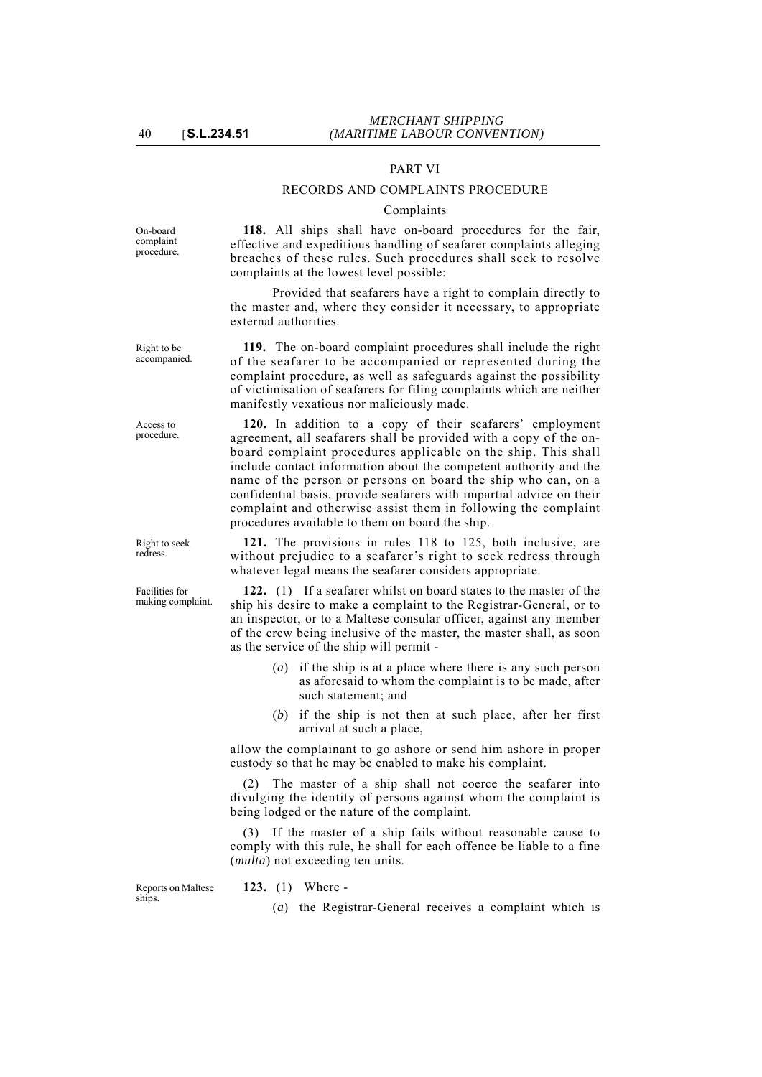## PART VI

#### RECORDS AND COMPLAINTS PROCEDURE

#### Complaints

On-board complaint procedure.

**118.** All ships shall have on-board procedures for the fair, effective and expeditious handling of seafarer complaints alleging breaches of these rules. Such procedures shall seek to resolve complaints at the lowest level possible:

Provided that seafarers have a right to complain directly to the master and, where they consider it necessary, to appropriate external authorities.

**119.** The on-board complaint procedures shall include the right of the seafarer to be accompanied or represented during the complaint procedure, as well as safeguards against the possibility of victimisation of seafarers for filing complaints which are neither manifestly vexatious nor maliciously made.

**120.** In addition to a copy of their seafarers' employment agreement, all seafarers shall be provided with a copy of the onboard complaint procedures applicable on the ship. This shall include contact information about the competent authority and the name of the person or persons on board the ship who can, on a confidential basis, provide seafarers with impartial advice on their complaint and otherwise assist them in following the complaint procedures available to them on board the ship.

**121.** The provisions in rules 118 to 125, both inclusive, are without prejudice to a seafarer's right to seek redress through whatever legal means the seafarer considers appropriate.

**122.** (1) If a seafarer whilst on board states to the master of the ship his desire to make a complaint to the Registrar-General, or to an inspector, or to a Maltese consular officer, against any member of the crew being inclusive of the master, the master shall, as soon as the service of the ship will permit -

- (*a*) if the ship is at a place where there is any such person as aforesaid to whom the complaint is to be made, after such statement; and
- (*b*) if the ship is not then at such place, after her first arrival at such a place,

allow the complainant to go ashore or send him ashore in proper custody so that he may be enabled to make his complaint.

(2) The master of a ship shall not coerce the seafarer into divulging the identity of persons against whom the complaint is being lodged or the nature of the complaint.

(3) If the master of a ship fails without reasonable cause to comply with this rule, he shall for each offence be liable to a fine (*multa*) not exceeding ten units.

Reports on Maltese ships.

- **123.** (1) Where
	- (*a*) the Registrar-General receives a complaint which is

Right to seek redress.

Facilities for making complaint.

Right to be accompanied.

Access to procedure.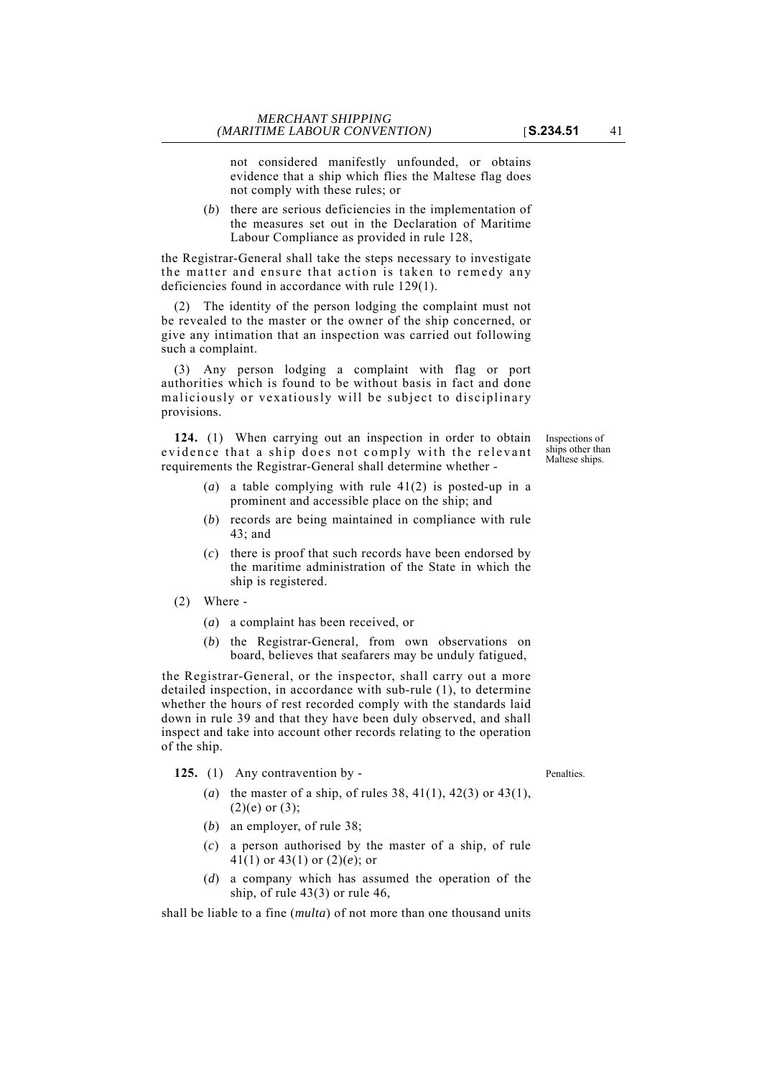not considered manifestly unfounded, or obtains evidence that a ship which flies the Maltese flag does not comply with these rules; or

(*b*) there are serious deficiencies in the implementation of the measures set out in the Declaration of Maritime Labour Compliance as provided in rule 128,

the Registrar-General shall take the steps necessary to investigate the matter and ensure that action is taken to remedy any deficiencies found in accordance with rule 129(1).

(2) The identity of the person lodging the complaint must not be revealed to the master or the owner of the ship concerned, or give any intimation that an inspection was carried out following such a complaint.

(3) Any person lodging a complaint with flag or port authorities which is found to be without basis in fact and done maliciously or vexatiously will be subject to disciplinary provisions.

**124.** (1) When carrying out an inspection in order to obtain evidence that a ship does not comply with the relevant requirements the Registrar-General shall determine whether -

- (*a*) a table complying with rule 41(2) is posted-up in a prominent and accessible place on the ship; and
- (*b*) records are being maintained in compliance with rule 43; and
- (*c*) there is proof that such records have been endorsed by the maritime administration of the State in which the ship is registered.
- (2) Where
	- (*a*) a complaint has been received, or
	- (*b*) the Registrar-General, from own observations on board, believes that seafarers may be unduly fatigued,

the Registrar-General, or the inspector, shall carry out a more detailed inspection, in accordance with sub-rule (1), to determine whether the hours of rest recorded comply with the standards laid down in rule 39 and that they have been duly observed, and shall inspect and take into account other records relating to the operation of the ship.

- 125. (1) Any contravention by Penalties.
	- (*a*) the master of a ship, of rules 38, 41(1), 42(3) or 43(1),  $(2)(e)$  or  $(3)$ ;
	- (*b*) an employer, of rule 38;
	- (*c*) a person authorised by the master of a ship, of rule 41(1) or 43(1) or (2)(*e*); or
	- (*d*) a company which has assumed the operation of the ship, of rule 43(3) or rule 46,

shall be liable to a fine (*multa*) of not more than one thousand units

Inspections of ships other than Maltese ships.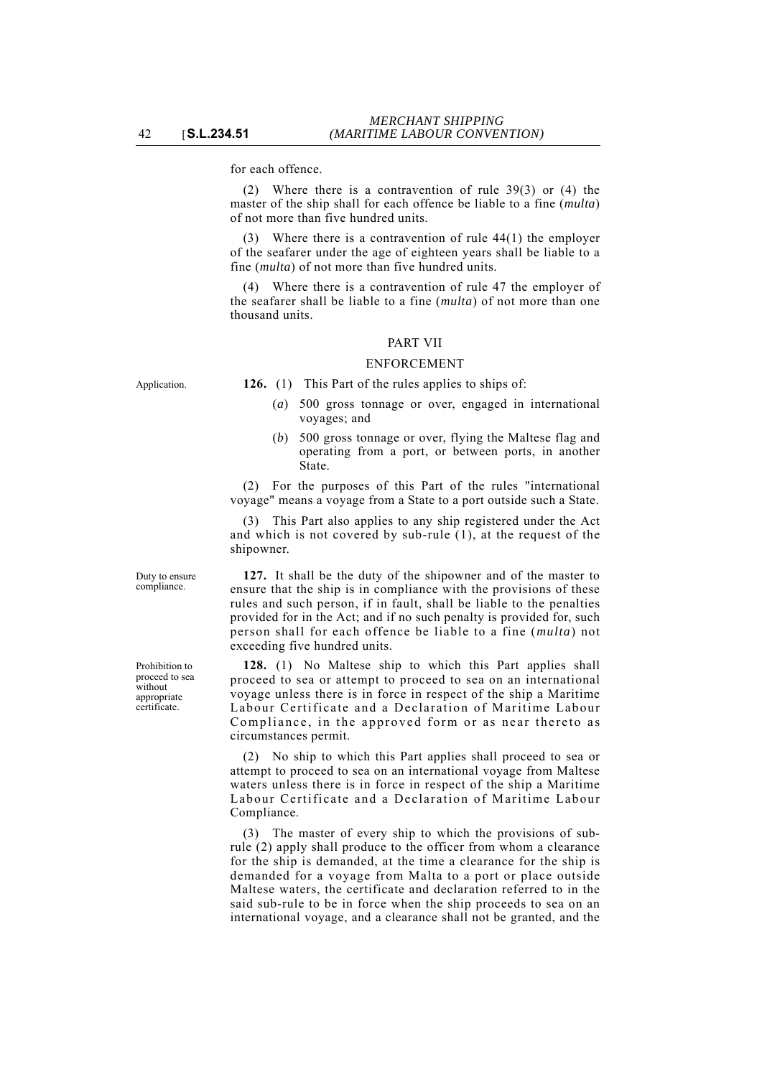for each offence.

(2) Where there is a contravention of rule 39(3) or (4) the master of the ship shall for each offence be liable to a fine (*multa*) of not more than five hundred units.

Where there is a contravention of rule  $44(1)$  the employer of the seafarer under the age of eighteen years shall be liable to a fine (*multa*) of not more than five hundred units.

(4) Where there is a contravention of rule 47 the employer of the seafarer shall be liable to a fine (*multa*) of not more than one thousand units.

# PART VII

# ENFORCEMENT

Application. **126.** (1) This Part of the rules applies to ships of:

- (*a*) 500 gross tonnage or over, engaged in international voyages; and
- (*b*) 500 gross tonnage or over, flying the Maltese flag and operating from a port, or between ports, in another State.

(2) For the purposes of this Part of the rules "international voyage" means a voyage from a State to a port outside such a State.

(3) This Part also applies to any ship registered under the Act and which is not covered by sub-rule (1), at the request of the shipowner.

**127.** It shall be the duty of the shipowner and of the master to ensure that the ship is in compliance with the provisions of these rules and such person, if in fault, shall be liable to the penalties provided for in the Act; and if no such penalty is provided for, such person shall for each offence be liable to a fine (*multa*) not exceeding five hundred units.

**128.** (1) No Maltese ship to which this Part applies shall proceed to sea or attempt to proceed to sea on an international voyage unless there is in force in respect of the ship a Maritime Labour Certificate and a Declaration of Maritime Labour Compliance, in the approved form or as near thereto as circumstances permit.

(2) No ship to which this Part applies shall proceed to sea or attempt to proceed to sea on an international voyage from Maltese waters unless there is in force in respect of the ship a Maritime Labour Certificate and a Declaration of Maritime Labour Compliance.

(3) The master of every ship to which the provisions of subrule (2) apply shall produce to the officer from whom a clearance for the ship is demanded, at the time a clearance for the ship is demanded for a voyage from Malta to a port or place outside Maltese waters, the certificate and declaration referred to in the said sub-rule to be in force when the ship proceeds to sea on an international voyage, and a clearance shall not be granted, and the

Prohibition to proceed to sea without appropriate certificate.

Duty to ensure compliance.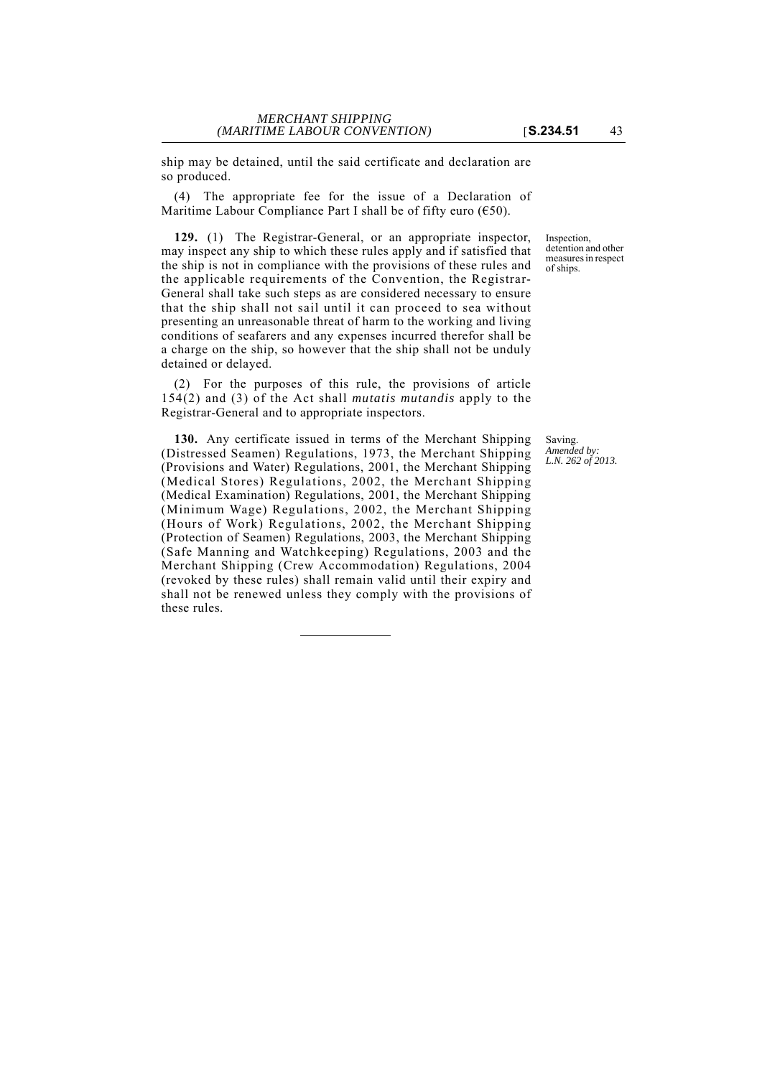ship may be detained, until the said certificate and declaration are so produced.

(4) The appropriate fee for the issue of a Declaration of Maritime Labour Compliance Part I shall be of fifty euro  $(650)$ .

**129.** (1) The Registrar-General, or an appropriate inspector, may inspect any ship to which these rules apply and if satisfied that the ship is not in compliance with the provisions of these rules and the applicable requirements of the Convention, the Registrar-General shall take such steps as are considered necessary to ensure that the ship shall not sail until it can proceed to sea without presenting an unreasonable threat of harm to the working and living conditions of seafarers and any expenses incurred therefor shall be a charge on the ship, so however that the ship shall not be unduly detained or delayed.

(2) For the purposes of this rule, the provisions of article 154(2) and (3) of the Act shall *mutatis mutandis* apply to the Registrar-General and to appropriate inspectors.

**130.** Any certificate issued in terms of the Merchant Shipping (Distressed Seamen) Regulations, 1973, the Merchant Shipping (Provisions and Water) Regulations, 2001, the Merchant Shipping (Medical Stores) Regulations, 2002, the Merchant Shipping (Medical Examination) Regulations, 2001, the Merchant Shipping (Minimum Wage) Regulations, 2002, the Merchant Shipping (Hours of Work) Regulations, 2002, the Merchant Shipping (Protection of Seamen) Regulations, 2003, the Merchant Shipping (Safe Manning and Watchkeeping) Regulations, 2003 and the Merchant Shipping (Crew Accommodation) Regulations, 2004 (revoked by these rules) shall remain valid until their expiry and shall not be renewed unless they comply with the provisions of these rules.

Inspection, detention and other measures in respect of ships.

Saving. *Amended by: L.N. 262 of 2013.*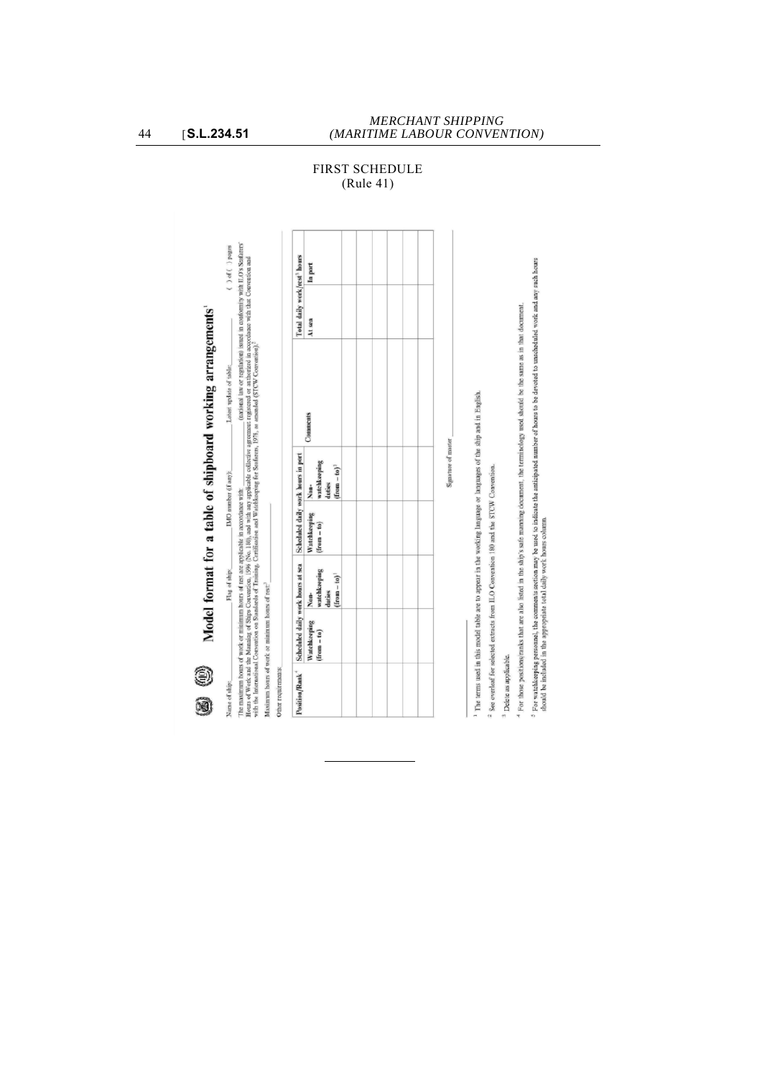| (national law or regulation) issued in conformity with ILO's Stafarers'<br>() of () pages<br>Total daily work/rest <sup>3</sup> hours<br>Hours of Work and the Manning of Ships Convention, 1996 (No. 180), and with any applicable collective agreement registered or authorized in accordance with that Convention and<br>In part<br>Model format for a table of shipboard working arrangements'<br>At sea<br>with the International Convertion on Stanfards of Training, Certification and Watchkeeping for Seafarers, 1978, as annuaded (STCW Convention). <sup>2</sup><br>Latest update of table:<br>Comments<br>Signature of master<br>Scheduled daily work hours in port<br>watchkeeping<br>$(\text{from} - \text{to})^3$<br>IMO number (if any):<br>duties<br>Non-<br>The maximum hours of work or minimum hours of rest are applicable in accordance with:<br>Watchkeeping<br>$(from - to)$<br>Scheduled daily work hours at sea<br>watchkeeping<br>Flag of ship:<br>$($ from $-$ to) <sup><math>2</math></sup><br>Maximum hours of work or minimum hours of rest:<br>duties<br>Non-<br>Watchkeeping<br>$(from - to)$<br>O<br>Position/Rank <sup>+</sup><br>Name of ship:<br>0 |  |  |  |  |
|-----------------------------------------------------------------------------------------------------------------------------------------------------------------------------------------------------------------------------------------------------------------------------------------------------------------------------------------------------------------------------------------------------------------------------------------------------------------------------------------------------------------------------------------------------------------------------------------------------------------------------------------------------------------------------------------------------------------------------------------------------------------------------------------------------------------------------------------------------------------------------------------------------------------------------------------------------------------------------------------------------------------------------------------------------------------------------------------------------------------------------------------------------------------------------------------|--|--|--|--|
|                                                                                                                                                                                                                                                                                                                                                                                                                                                                                                                                                                                                                                                                                                                                                                                                                                                                                                                                                                                                                                                                                                                                                                                         |  |  |  |  |
| Other requirements:                                                                                                                                                                                                                                                                                                                                                                                                                                                                                                                                                                                                                                                                                                                                                                                                                                                                                                                                                                                                                                                                                                                                                                     |  |  |  |  |
|                                                                                                                                                                                                                                                                                                                                                                                                                                                                                                                                                                                                                                                                                                                                                                                                                                                                                                                                                                                                                                                                                                                                                                                         |  |  |  |  |
|                                                                                                                                                                                                                                                                                                                                                                                                                                                                                                                                                                                                                                                                                                                                                                                                                                                                                                                                                                                                                                                                                                                                                                                         |  |  |  |  |
|                                                                                                                                                                                                                                                                                                                                                                                                                                                                                                                                                                                                                                                                                                                                                                                                                                                                                                                                                                                                                                                                                                                                                                                         |  |  |  |  |
|                                                                                                                                                                                                                                                                                                                                                                                                                                                                                                                                                                                                                                                                                                                                                                                                                                                                                                                                                                                                                                                                                                                                                                                         |  |  |  |  |
|                                                                                                                                                                                                                                                                                                                                                                                                                                                                                                                                                                                                                                                                                                                                                                                                                                                                                                                                                                                                                                                                                                                                                                                         |  |  |  |  |
|                                                                                                                                                                                                                                                                                                                                                                                                                                                                                                                                                                                                                                                                                                                                                                                                                                                                                                                                                                                                                                                                                                                                                                                         |  |  |  |  |
|                                                                                                                                                                                                                                                                                                                                                                                                                                                                                                                                                                                                                                                                                                                                                                                                                                                                                                                                                                                                                                                                                                                                                                                         |  |  |  |  |
|                                                                                                                                                                                                                                                                                                                                                                                                                                                                                                                                                                                                                                                                                                                                                                                                                                                                                                                                                                                                                                                                                                                                                                                         |  |  |  |  |
|                                                                                                                                                                                                                                                                                                                                                                                                                                                                                                                                                                                                                                                                                                                                                                                                                                                                                                                                                                                                                                                                                                                                                                                         |  |  |  |  |
|                                                                                                                                                                                                                                                                                                                                                                                                                                                                                                                                                                                                                                                                                                                                                                                                                                                                                                                                                                                                                                                                                                                                                                                         |  |  |  |  |
| The terms used in this model table are to appear in the working language or languages of the ship and in English.                                                                                                                                                                                                                                                                                                                                                                                                                                                                                                                                                                                                                                                                                                                                                                                                                                                                                                                                                                                                                                                                       |  |  |  |  |
| <sup>2</sup> See overleaf for selected extracts from ILO Convention 180 and the STCW Convention.                                                                                                                                                                                                                                                                                                                                                                                                                                                                                                                                                                                                                                                                                                                                                                                                                                                                                                                                                                                                                                                                                        |  |  |  |  |

# FIRST SCHEDULE (Rule 41)

<sup>3</sup> Delete as applicable.

4 For those positions/ranks that are also listed in the ship's safe manning document, the terminology used should be the same as in that document.

<sup>5</sup> For watching personnel, the comments section may be used to indicate the anticipated number of hours to be devoted to unscheduled work and any such hours<br>should be included in the appropriate total daily work hours col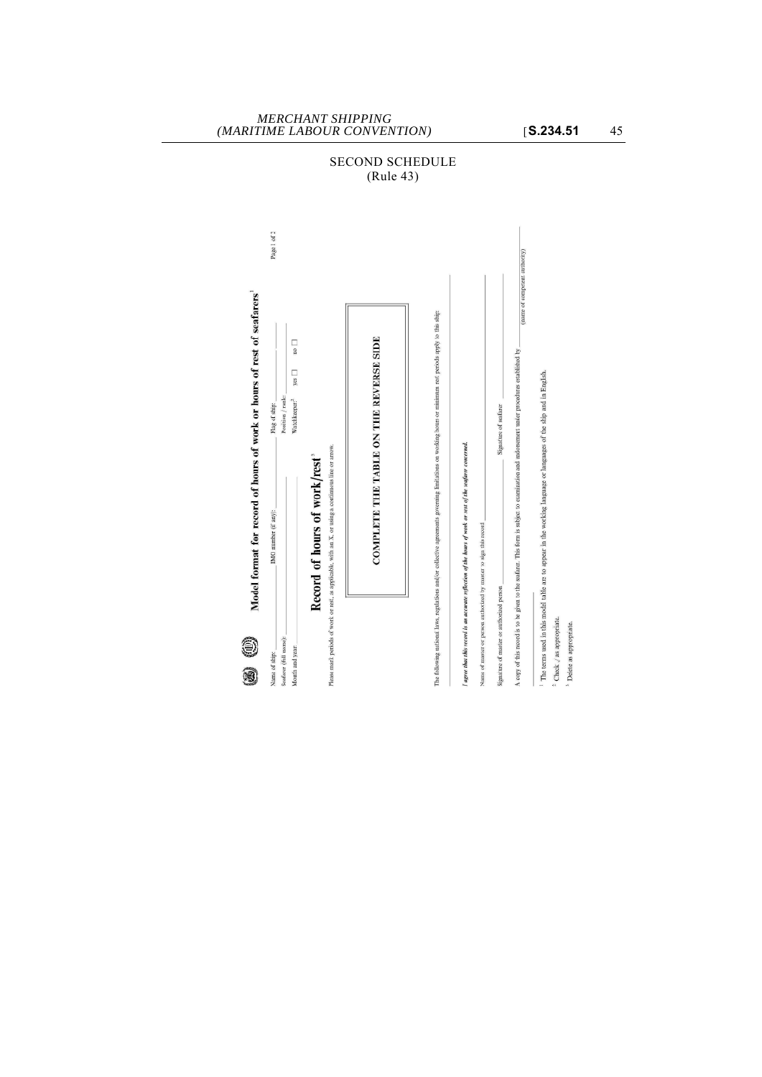

# SECOND SCHEDULE (Rule 43)

*MERCHANT SHIPPING*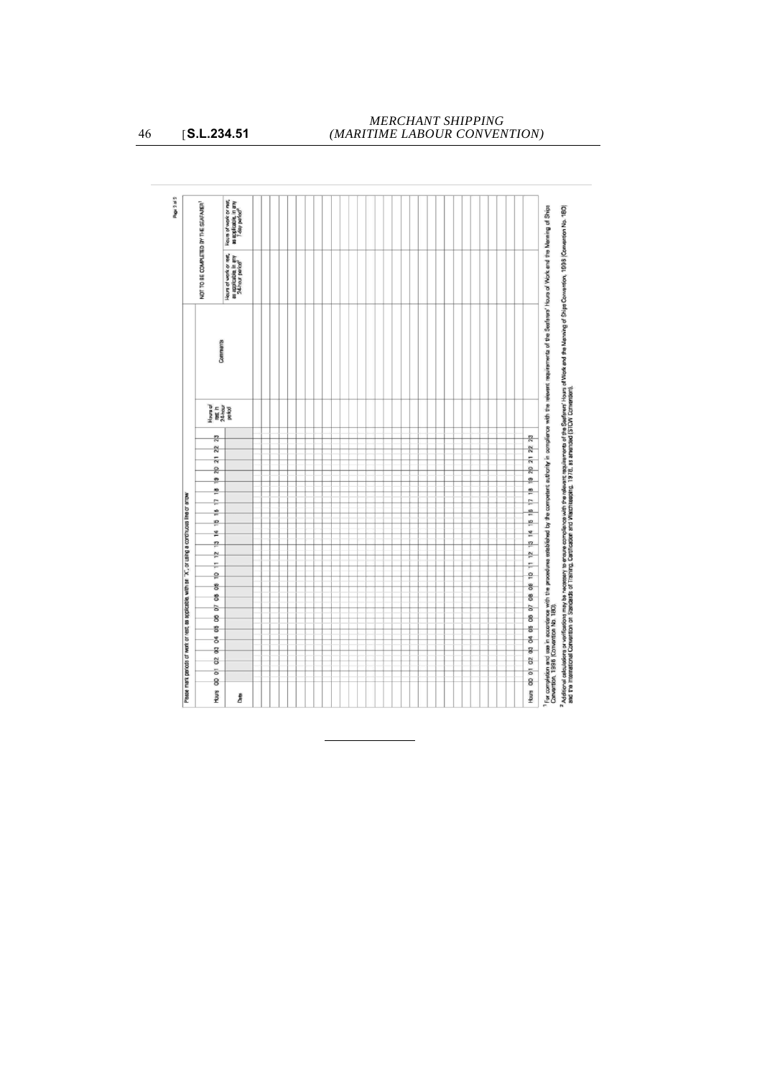| Hours of work or mart,<br>as applicable, in any<br>7-day period <sup>3</sup><br>NOT TO BE COMPLETED BY THE SEAFARER<br>Hours of work or rest,<br>as applicable, in any<br>24-hour parize <sup>3</sup><br>Comments<br>Hous of<br>net h<br>24 hour<br>period<br>$\frac{3}{2}$<br>$\frac{2}{3}$<br>ត<br>2<br>$\frac{\sigma}{\Gamma}$<br>₽<br>Please mant periods of work or rest, as applicable, with an "X", or using a continuous line or arrow<br>÷<br>쓷<br>쁜<br>본<br><u>n</u><br>$\tilde{r}$<br>÷<br>읖 | For completion and tea in accordence with the procedures established by the competent in completion with the relevant response of the Seditors' House of the Morie and the Seditors' House of the Marming of Ships<br>Convertion,<br>$\overline{23}$<br>$\overline{\mathbb{R}}$<br>19 20 21<br>쁟<br>÷,<br>15 18 |
|---------------------------------------------------------------------------------------------------------------------------------------------------------------------------------------------------------------------------------------------------------------------------------------------------------------------------------------------------------------------------------------------------------------------------------------------------------------------------------------------------------|-----------------------------------------------------------------------------------------------------------------------------------------------------------------------------------------------------------------------------------------------------------------------------------------------------------------|
|                                                                                                                                                                                                                                                                                                                                                                                                                                                                                                         |                                                                                                                                                                                                                                                                                                                 |
|                                                                                                                                                                                                                                                                                                                                                                                                                                                                                                         |                                                                                                                                                                                                                                                                                                                 |
|                                                                                                                                                                                                                                                                                                                                                                                                                                                                                                         |                                                                                                                                                                                                                                                                                                                 |
|                                                                                                                                                                                                                                                                                                                                                                                                                                                                                                         |                                                                                                                                                                                                                                                                                                                 |
|                                                                                                                                                                                                                                                                                                                                                                                                                                                                                                         |                                                                                                                                                                                                                                                                                                                 |
|                                                                                                                                                                                                                                                                                                                                                                                                                                                                                                         |                                                                                                                                                                                                                                                                                                                 |
|                                                                                                                                                                                                                                                                                                                                                                                                                                                                                                         |                                                                                                                                                                                                                                                                                                                 |
|                                                                                                                                                                                                                                                                                                                                                                                                                                                                                                         |                                                                                                                                                                                                                                                                                                                 |
|                                                                                                                                                                                                                                                                                                                                                                                                                                                                                                         |                                                                                                                                                                                                                                                                                                                 |
|                                                                                                                                                                                                                                                                                                                                                                                                                                                                                                         |                                                                                                                                                                                                                                                                                                                 |
|                                                                                                                                                                                                                                                                                                                                                                                                                                                                                                         |                                                                                                                                                                                                                                                                                                                 |
|                                                                                                                                                                                                                                                                                                                                                                                                                                                                                                         |                                                                                                                                                                                                                                                                                                                 |
|                                                                                                                                                                                                                                                                                                                                                                                                                                                                                                         |                                                                                                                                                                                                                                                                                                                 |
|                                                                                                                                                                                                                                                                                                                                                                                                                                                                                                         |                                                                                                                                                                                                                                                                                                                 |
|                                                                                                                                                                                                                                                                                                                                                                                                                                                                                                         | ¥                                                                                                                                                                                                                                                                                                               |
|                                                                                                                                                                                                                                                                                                                                                                                                                                                                                                         | 은                                                                                                                                                                                                                                                                                                               |
|                                                                                                                                                                                                                                                                                                                                                                                                                                                                                                         | $\frac{1}{2}$                                                                                                                                                                                                                                                                                                   |
|                                                                                                                                                                                                                                                                                                                                                                                                                                                                                                         |                                                                                                                                                                                                                                                                                                                 |
|                                                                                                                                                                                                                                                                                                                                                                                                                                                                                                         | 10 11                                                                                                                                                                                                                                                                                                           |
|                                                                                                                                                                                                                                                                                                                                                                                                                                                                                                         |                                                                                                                                                                                                                                                                                                                 |
| 8                                                                                                                                                                                                                                                                                                                                                                                                                                                                                                       | 80                                                                                                                                                                                                                                                                                                              |
| 8                                                                                                                                                                                                                                                                                                                                                                                                                                                                                                       | 80                                                                                                                                                                                                                                                                                                              |
| à                                                                                                                                                                                                                                                                                                                                                                                                                                                                                                       | à                                                                                                                                                                                                                                                                                                               |
| 몽                                                                                                                                                                                                                                                                                                                                                                                                                                                                                                       | 8                                                                                                                                                                                                                                                                                                               |
| 쁭                                                                                                                                                                                                                                                                                                                                                                                                                                                                                                       | 5                                                                                                                                                                                                                                                                                                               |
| š                                                                                                                                                                                                                                                                                                                                                                                                                                                                                                       | s                                                                                                                                                                                                                                                                                                               |
| o3                                                                                                                                                                                                                                                                                                                                                                                                                                                                                                      | g                                                                                                                                                                                                                                                                                                               |
| o <sub>2</sub>                                                                                                                                                                                                                                                                                                                                                                                                                                                                                          | 02                                                                                                                                                                                                                                                                                                              |
| 둥                                                                                                                                                                                                                                                                                                                                                                                                                                                                                                       | $\overline{\circ}$                                                                                                                                                                                                                                                                                              |
|                                                                                                                                                                                                                                                                                                                                                                                                                                                                                                         |                                                                                                                                                                                                                                                                                                                 |
| 8<br>Hours                                                                                                                                                                                                                                                                                                                                                                                                                                                                                              | 8<br>Hours                                                                                                                                                                                                                                                                                                      |

46 [**S.L.234.51**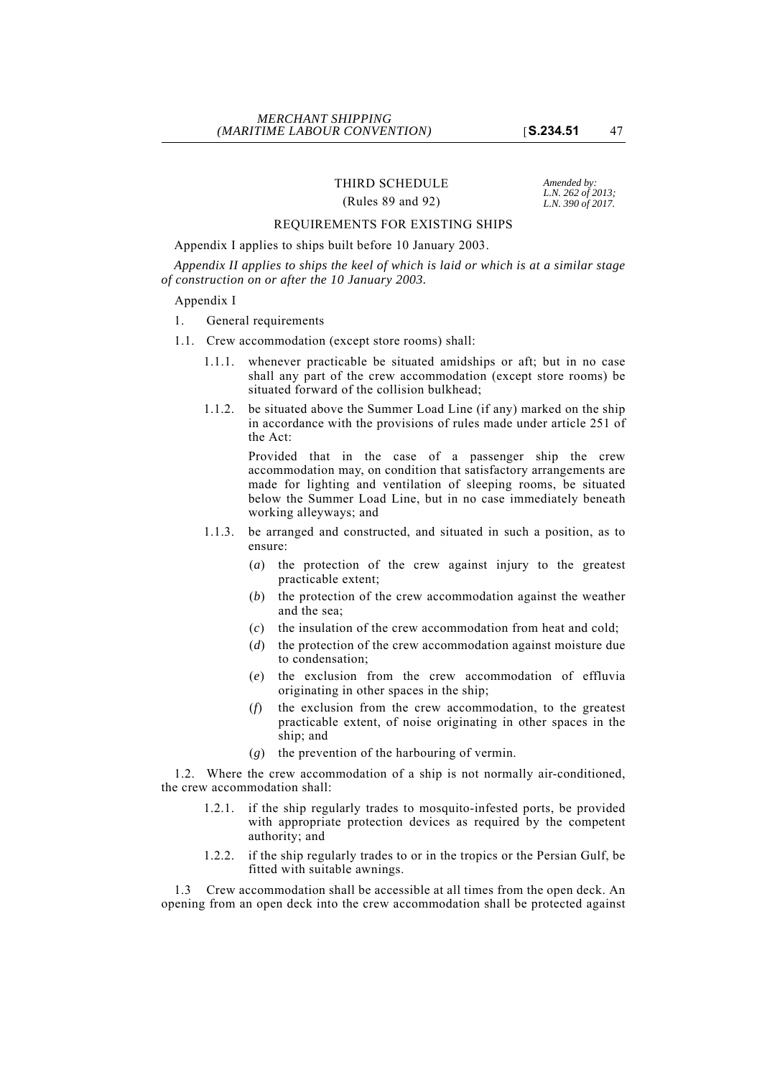# THIRD SCHEDULE *Amended by:*<br>*L.N. 262 of 2013*;

# *L.N. 262 of 2013;* (Rules 89 and 92) *L.N. 390 of 2017.*

# REQUIREMENTS FOR EXISTING SHIPS

# Appendix I applies to ships built before 10 January 2003.

*Appendix II applies to ships the keel of which is laid or which is at a similar stage of construction on or after the 10 January 2003.*

# Appendix I

# 1. General requirements

- 1.1. Crew accommodation (except store rooms) shall:
	- 1.1.1. whenever practicable be situated amidships or aft; but in no case shall any part of the crew accommodation (except store rooms) be situated forward of the collision bulkhead;
	- 1.1.2. be situated above the Summer Load Line (if any) marked on the ship in accordance with the provisions of rules made under article 251 of the Act:

Provided that in the case of a passenger ship the crew accommodation may, on condition that satisfactory arrangements are made for lighting and ventilation of sleeping rooms, be situated below the Summer Load Line, but in no case immediately beneath working alleyways; and

- 1.1.3. be arranged and constructed, and situated in such a position, as to ensure:
	- (*a*) the protection of the crew against injury to the greatest practicable extent;
	- (*b*) the protection of the crew accommodation against the weather and the sea;
	- (*c*) the insulation of the crew accommodation from heat and cold;
	- (*d*) the protection of the crew accommodation against moisture due to condensation;
	- (*e*) the exclusion from the crew accommodation of effluvia originating in other spaces in the ship;
	- (*f*) the exclusion from the crew accommodation, to the greatest practicable extent, of noise originating in other spaces in the ship; and
	- (*g*) the prevention of the harbouring of vermin.

1.2. Where the crew accommodation of a ship is not normally air-conditioned, the crew accommodation shall:

- 1.2.1. if the ship regularly trades to mosquito-infested ports, be provided with appropriate protection devices as required by the competent authority; and
- 1.2.2. if the ship regularly trades to or in the tropics or the Persian Gulf, be fitted with suitable awnings.

1.3 Crew accommodation shall be accessible at all times from the open deck. An opening from an open deck into the crew accommodation shall be protected against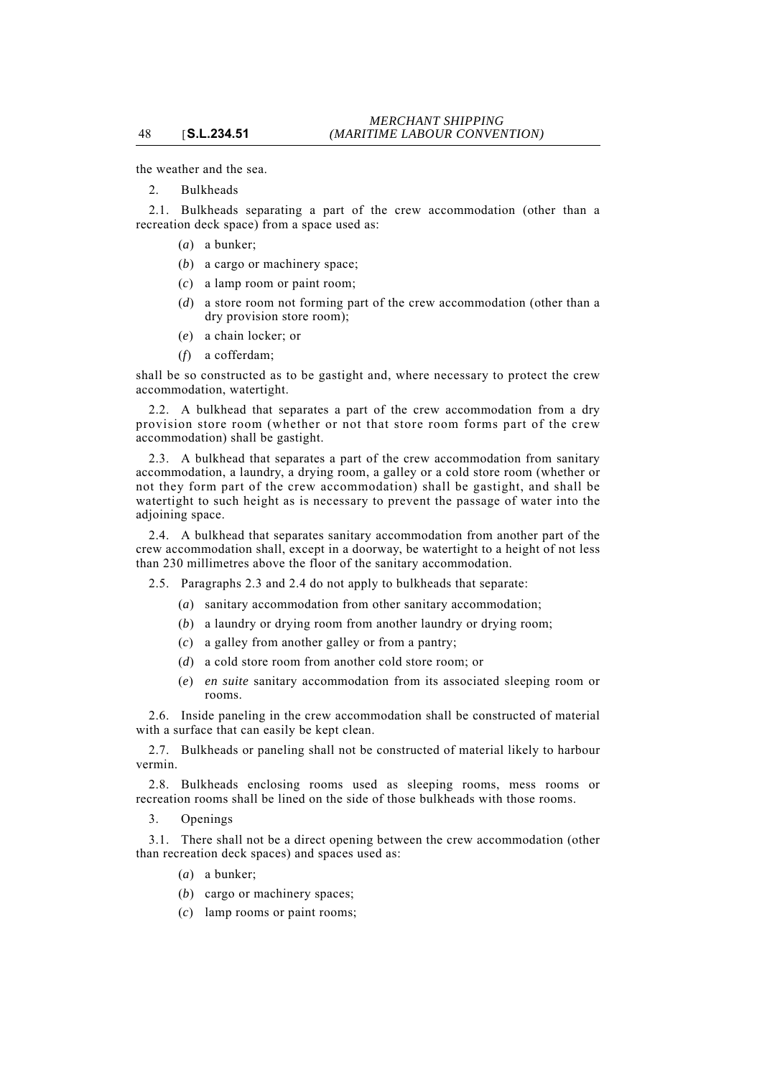the weather and the sea.

2. Bulkheads

48 [**S.L.234.51**

2.1. Bulkheads separating a part of the crew accommodation (other than a recreation deck space) from a space used as:

- (*a*) a bunker;
- (*b*) a cargo or machinery space;
- (*c*) a lamp room or paint room;
- (*d*) a store room not forming part of the crew accommodation (other than a dry provision store room);
- (*e*) a chain locker; or
- (*f*) a cofferdam;

shall be so constructed as to be gastight and, where necessary to protect the crew accommodation, watertight.

2.2. A bulkhead that separates a part of the crew accommodation from a dry provision store room (whether or not that store room forms part of the crew accommodation) shall be gastight.

2.3. A bulkhead that separates a part of the crew accommodation from sanitary accommodation, a laundry, a drying room, a galley or a cold store room (whether or not they form part of the crew accommodation) shall be gastight, and shall be watertight to such height as is necessary to prevent the passage of water into the adjoining space.

2.4. A bulkhead that separates sanitary accommodation from another part of the crew accommodation shall, except in a doorway, be watertight to a height of not less than 230 millimetres above the floor of the sanitary accommodation.

2.5. Paragraphs 2.3 and 2.4 do not apply to bulkheads that separate:

- (*a*) sanitary accommodation from other sanitary accommodation;
- (*b*) a laundry or drying room from another laundry or drying room;
- (*c*) a galley from another galley or from a pantry;
- (*d*) a cold store room from another cold store room; or
- (*e*) *en suite* sanitary accommodation from its associated sleeping room or rooms.

2.6. Inside paneling in the crew accommodation shall be constructed of material with a surface that can easily be kept clean.

2.7. Bulkheads or paneling shall not be constructed of material likely to harbour vermin.

2.8. Bulkheads enclosing rooms used as sleeping rooms, mess rooms or recreation rooms shall be lined on the side of those bulkheads with those rooms.

3. Openings

3.1. There shall not be a direct opening between the crew accommodation (other than recreation deck spaces) and spaces used as:

- (*a*) a bunker;
- (*b*) cargo or machinery spaces;
- (*c*) lamp rooms or paint rooms;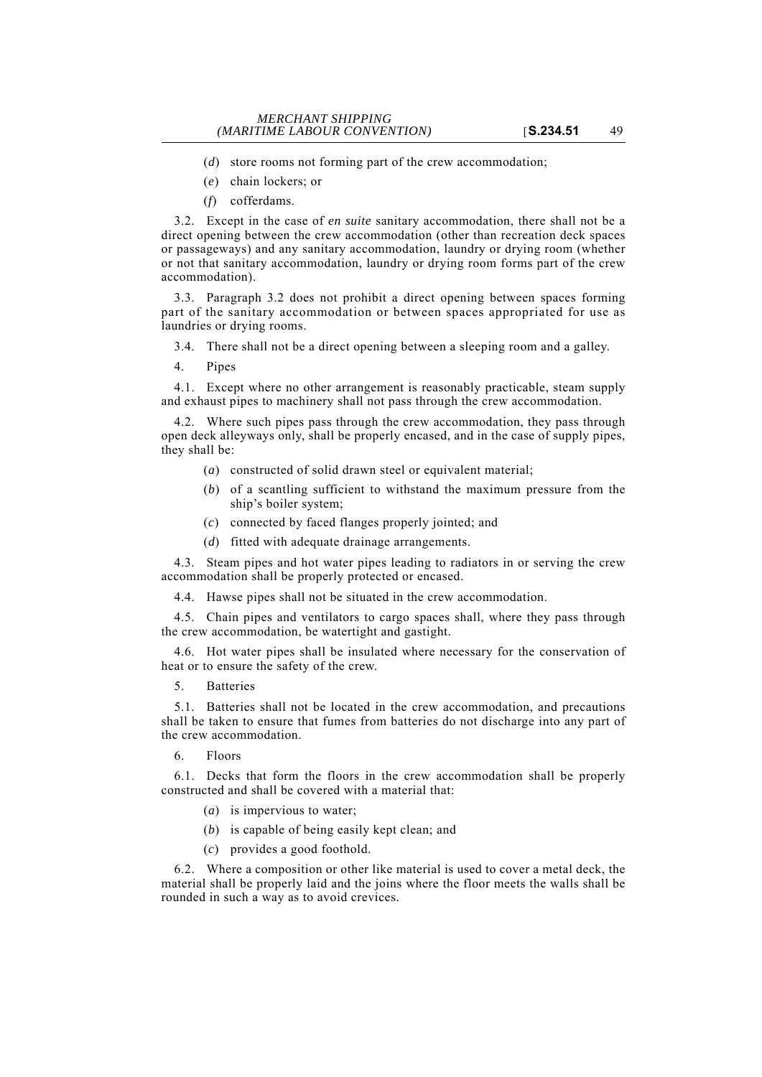- (*d*) store rooms not forming part of the crew accommodation;
- (*e*) chain lockers; or
- (*f*) cofferdams.

3.2. Except in the case of *en suite* sanitary accommodation, there shall not be a direct opening between the crew accommodation (other than recreation deck spaces or passageways) and any sanitary accommodation, laundry or drying room (whether or not that sanitary accommodation, laundry or drying room forms part of the crew accommodation).

3.3. Paragraph 3.2 does not prohibit a direct opening between spaces forming part of the sanitary accommodation or between spaces appropriated for use as laundries or drying rooms.

3.4. There shall not be a direct opening between a sleeping room and a galley.

4. Pipes

4.1. Except where no other arrangement is reasonably practicable, steam supply and exhaust pipes to machinery shall not pass through the crew accommodation.

4.2. Where such pipes pass through the crew accommodation, they pass through open deck alleyways only, shall be properly encased, and in the case of supply pipes, they shall be:

- (*a*) constructed of solid drawn steel or equivalent material;
- (*b*) of a scantling sufficient to withstand the maximum pressure from the ship's boiler system;
- (*c*) connected by faced flanges properly jointed; and
- (*d*) fitted with adequate drainage arrangements.

4.3. Steam pipes and hot water pipes leading to radiators in or serving the crew accommodation shall be properly protected or encased.

4.4. Hawse pipes shall not be situated in the crew accommodation.

4.5. Chain pipes and ventilators to cargo spaces shall, where they pass through the crew accommodation, be watertight and gastight.

4.6. Hot water pipes shall be insulated where necessary for the conservation of heat or to ensure the safety of the crew.

5. Batteries

5.1. Batteries shall not be located in the crew accommodation, and precautions shall be taken to ensure that fumes from batteries do not discharge into any part of the crew accommodation.

6. Floors

6.1. Decks that form the floors in the crew accommodation shall be properly constructed and shall be covered with a material that:

- (*a*) is impervious to water;
- (*b*) is capable of being easily kept clean; and
- (*c*) provides a good foothold.

6.2. Where a composition or other like material is used to cover a metal deck, the material shall be properly laid and the joins where the floor meets the walls shall be rounded in such a way as to avoid crevices.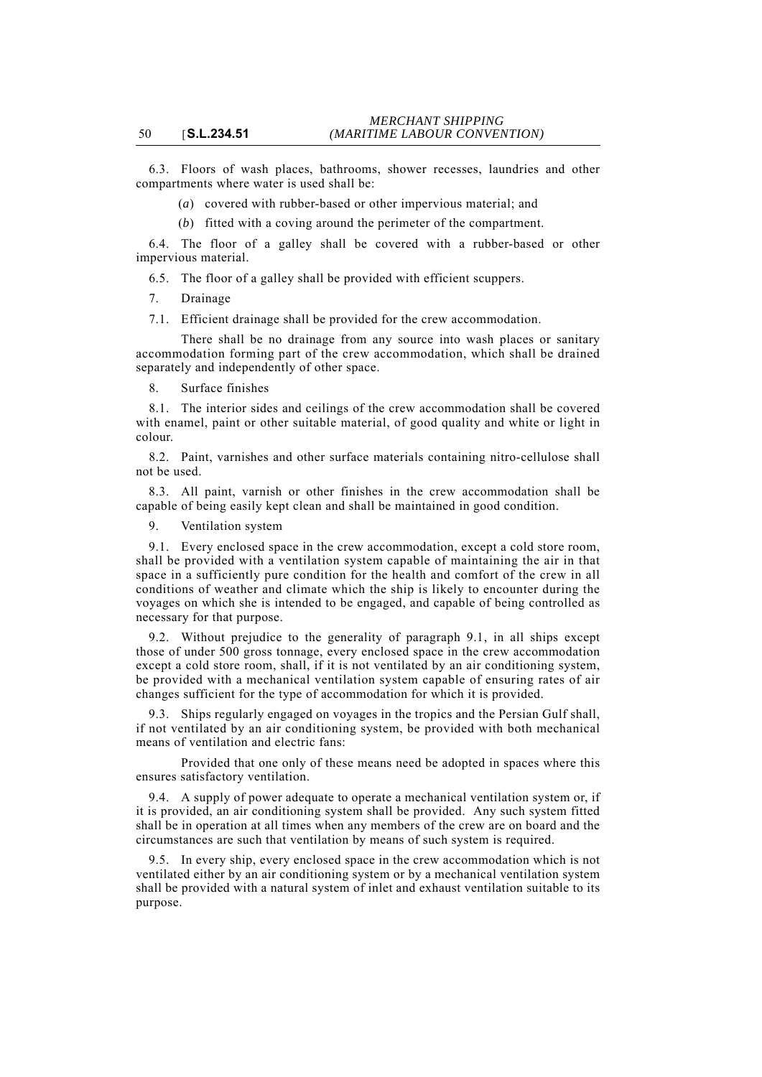6.3. Floors of wash places, bathrooms, shower recesses, laundries and other compartments where water is used shall be:

- (*a*) covered with rubber-based or other impervious material; and
- (*b*) fitted with a coving around the perimeter of the compartment.

6.4. The floor of a galley shall be covered with a rubber-based or other impervious material.

6.5. The floor of a galley shall be provided with efficient scuppers.

7. Drainage

7.1. Efficient drainage shall be provided for the crew accommodation.

There shall be no drainage from any source into wash places or sanitary accommodation forming part of the crew accommodation, which shall be drained separately and independently of other space.

8. Surface finishes

8.1. The interior sides and ceilings of the crew accommodation shall be covered with enamel, paint or other suitable material, of good quality and white or light in colour.

8.2. Paint, varnishes and other surface materials containing nitro-cellulose shall not be used.

8.3. All paint, varnish or other finishes in the crew accommodation shall be capable of being easily kept clean and shall be maintained in good condition.

9. Ventilation system

9.1. Every enclosed space in the crew accommodation, except a cold store room, shall be provided with a ventilation system capable of maintaining the air in that space in a sufficiently pure condition for the health and comfort of the crew in all conditions of weather and climate which the ship is likely to encounter during the voyages on which she is intended to be engaged, and capable of being controlled as necessary for that purpose.

9.2. Without prejudice to the generality of paragraph 9.1, in all ships except those of under 500 gross tonnage, every enclosed space in the crew accommodation except a cold store room, shall, if it is not ventilated by an air conditioning system, be provided with a mechanical ventilation system capable of ensuring rates of air changes sufficient for the type of accommodation for which it is provided.

9.3. Ships regularly engaged on voyages in the tropics and the Persian Gulf shall, if not ventilated by an air conditioning system, be provided with both mechanical means of ventilation and electric fans:

Provided that one only of these means need be adopted in spaces where this ensures satisfactory ventilation.

9.4. A supply of power adequate to operate a mechanical ventilation system or, if it is provided, an air conditioning system shall be provided. Any such system fitted shall be in operation at all times when any members of the crew are on board and the circumstances are such that ventilation by means of such system is required.

9.5. In every ship, every enclosed space in the crew accommodation which is not ventilated either by an air conditioning system or by a mechanical ventilation system shall be provided with a natural system of inlet and exhaust ventilation suitable to its purpose.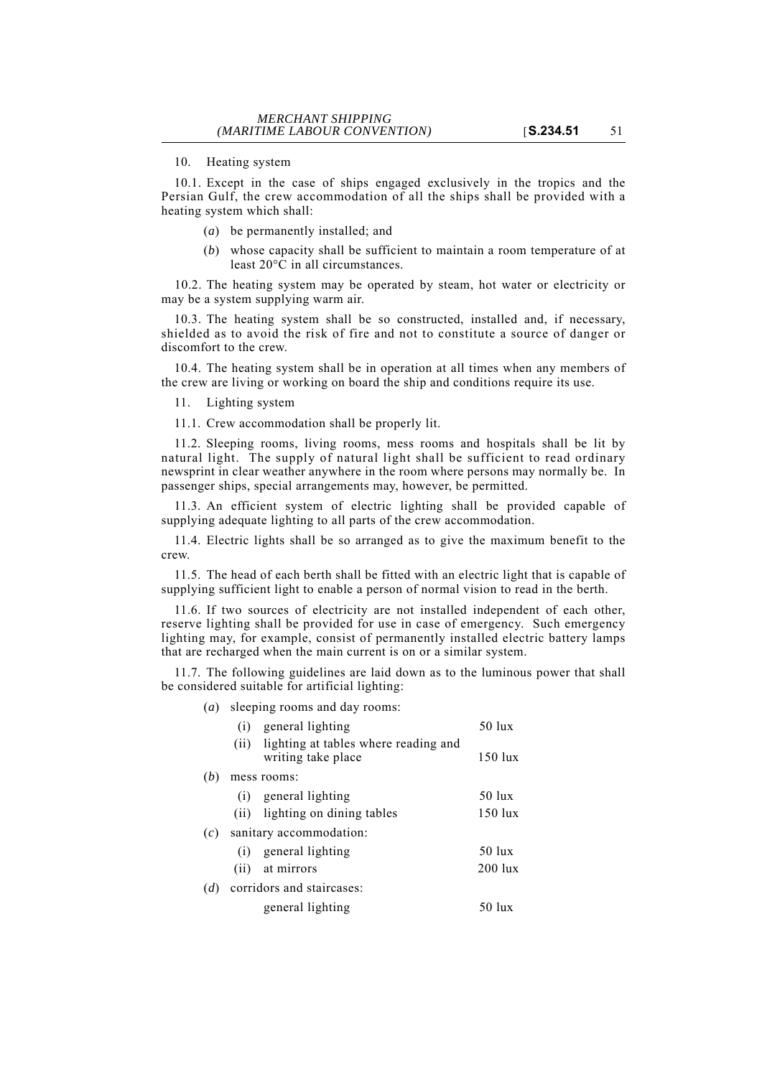## 10. Heating system

10.1. Except in the case of ships engaged exclusively in the tropics and the Persian Gulf, the crew accommodation of all the ships shall be provided with a heating system which shall:

- (*a*) be permanently installed; and
- (*b*) whose capacity shall be sufficient to maintain a room temperature of at least  $20^{\circ}$ C in all circumstances.

10.2. The heating system may be operated by steam, hot water or electricity or may be a system supplying warm air.

10.3. The heating system shall be so constructed, installed and, if necessary, shielded as to avoid the risk of fire and not to constitute a source of danger or discomfort to the crew.

10.4. The heating system shall be in operation at all times when any members of the crew are living or working on board the ship and conditions require its use.

11. Lighting system

11.1. Crew accommodation shall be properly lit.

11.2. Sleeping rooms, living rooms, mess rooms and hospitals shall be lit by natural light. The supply of natural light shall be sufficient to read ordinary newsprint in clear weather anywhere in the room where persons may normally be. In passenger ships, special arrangements may, however, be permitted.

11.3. An efficient system of electric lighting shall be provided capable of supplying adequate lighting to all parts of the crew accommodation.

11.4. Electric lights shall be so arranged as to give the maximum benefit to the crew.

11.5. The head of each berth shall be fitted with an electric light that is capable of supplying sufficient light to enable a person of normal vision to read in the berth.

11.6. If two sources of electricity are not installed independent of each other, reserve lighting shall be provided for use in case of emergency. Such emergency lighting may, for example, consist of permanently installed electric battery lamps that are recharged when the main current is on or a similar system.

11.7. The following guidelines are laid down as to the luminous power that shall be considered suitable for artificial lighting:

(*a*) sleeping rooms and day rooms:

|     | (i)  | general lighting                                                | $50$ lux           |
|-----|------|-----------------------------------------------------------------|--------------------|
|     |      | (ii) lighting at tables where reading and<br>writing take place | $150$ lux          |
| (b) |      | mess rooms:                                                     |                    |
|     | (i)  | general lighting                                                | 50 lux             |
|     |      | (ii) lighting on dining tables                                  | $150$ lux          |
| (c) |      | sanitary accommodation:                                         |                    |
|     | (i)  | general lighting                                                | $50 \; \text{lux}$ |
|     | (ii) | at mirrors                                                      | $200$ lux          |
| (d) |      | corridors and staircases:                                       |                    |
|     |      | general lighting                                                | 50 lux             |
|     |      |                                                                 |                    |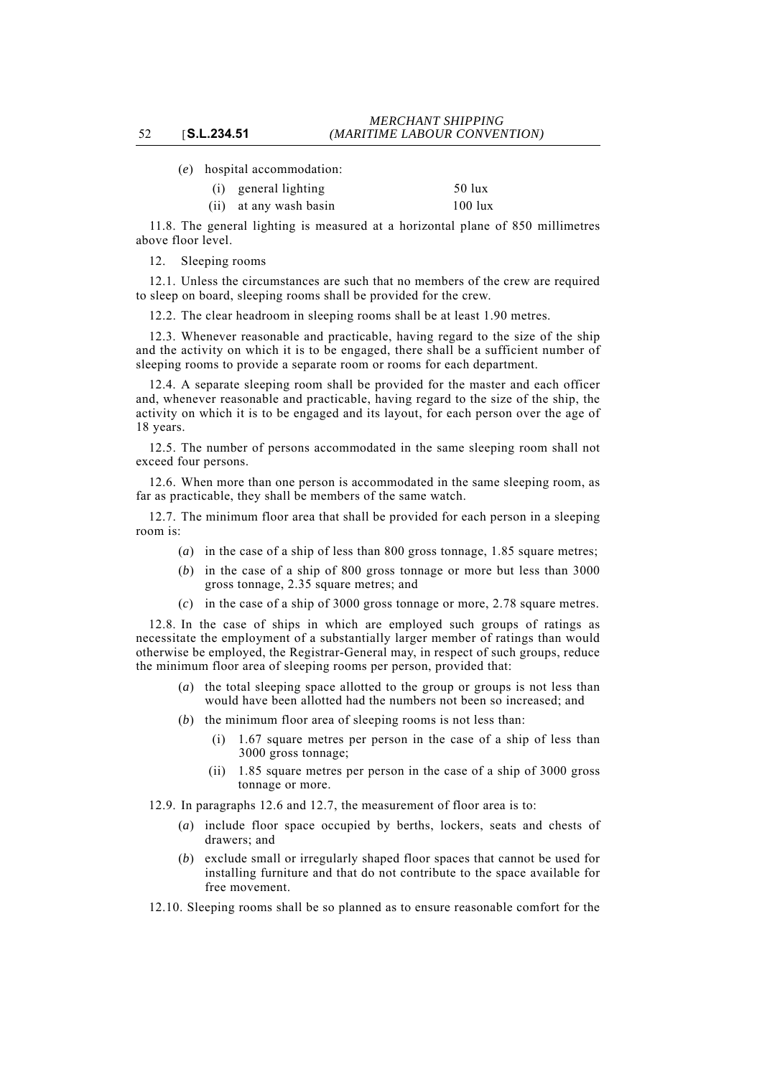(*e*) hospital accommodation:

| (i) general lighting   | 50 lux    |
|------------------------|-----------|
| (ii) at any wash basin | $100$ lux |

11.8. The general lighting is measured at a horizontal plane of 850 millimetres above floor level.

12. Sleeping rooms

12.1. Unless the circumstances are such that no members of the crew are required to sleep on board, sleeping rooms shall be provided for the crew.

12.2. The clear headroom in sleeping rooms shall be at least 1.90 metres.

12.3. Whenever reasonable and practicable, having regard to the size of the ship and the activity on which it is to be engaged, there shall be a sufficient number of sleeping rooms to provide a separate room or rooms for each department.

12.4. A separate sleeping room shall be provided for the master and each officer and, whenever reasonable and practicable, having regard to the size of the ship, the activity on which it is to be engaged and its layout, for each person over the age of 18 years.

12.5. The number of persons accommodated in the same sleeping room shall not exceed four persons.

12.6. When more than one person is accommodated in the same sleeping room, as far as practicable, they shall be members of the same watch.

12.7. The minimum floor area that shall be provided for each person in a sleeping room is:

- (*a*) in the case of a ship of less than 800 gross tonnage, 1.85 square metres;
- (*b*) in the case of a ship of 800 gross tonnage or more but less than 3000 gross tonnage, 2.35 square metres; and
- (*c*) in the case of a ship of 3000 gross tonnage or more, 2.78 square metres.

12.8. In the case of ships in which are employed such groups of ratings as necessitate the employment of a substantially larger member of ratings than would otherwise be employed, the Registrar-General may, in respect of such groups, reduce the minimum floor area of sleeping rooms per person, provided that:

- (*a*) the total sleeping space allotted to the group or groups is not less than would have been allotted had the numbers not been so increased; and
- (*b*) the minimum floor area of sleeping rooms is not less than:
	- (i) 1.67 square metres per person in the case of a ship of less than 3000 gross tonnage;
	- (ii) 1.85 square metres per person in the case of a ship of 3000 gross tonnage or more.

12.9. In paragraphs 12.6 and 12.7, the measurement of floor area is to:

- (*a*) include floor space occupied by berths, lockers, seats and chests of drawers; and
- (*b*) exclude small or irregularly shaped floor spaces that cannot be used for installing furniture and that do not contribute to the space available for free movement.
- 12.10. Sleeping rooms shall be so planned as to ensure reasonable comfort for the

#### 52 [**S.L.234.51**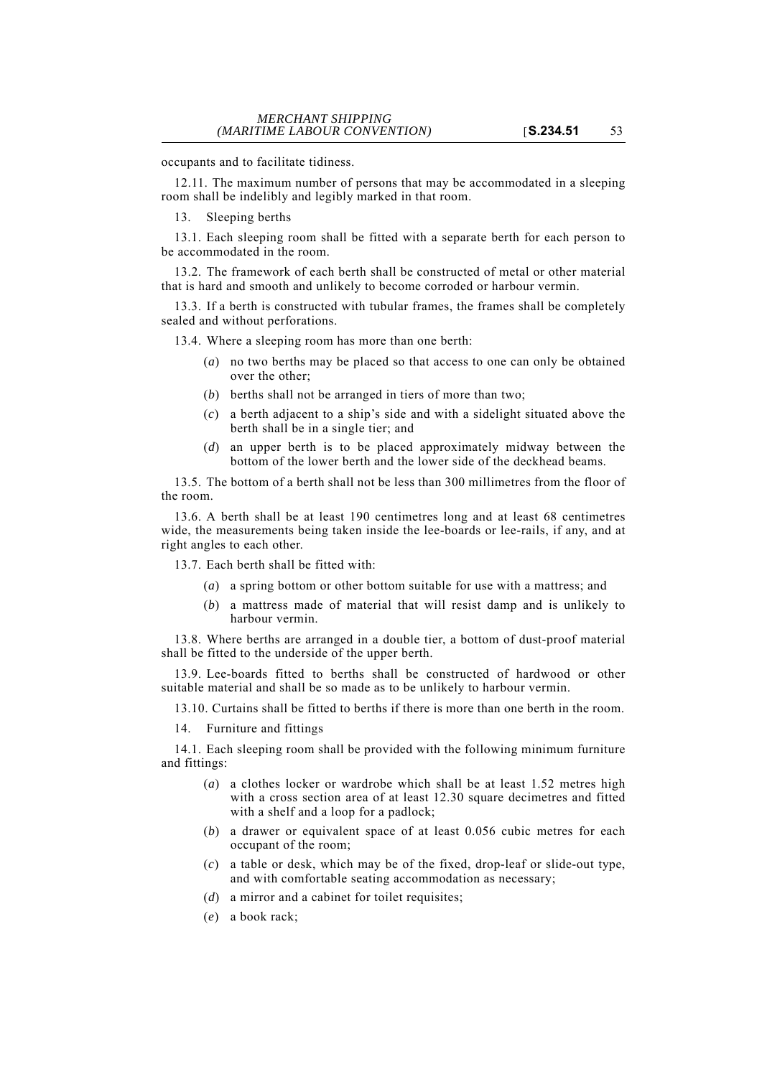occupants and to facilitate tidiness.

12.11. The maximum number of persons that may be accommodated in a sleeping room shall be indelibly and legibly marked in that room.

13. Sleeping berths

13.1. Each sleeping room shall be fitted with a separate berth for each person to be accommodated in the room.

13.2. The framework of each berth shall be constructed of metal or other material that is hard and smooth and unlikely to become corroded or harbour vermin.

13.3. If a berth is constructed with tubular frames, the frames shall be completely sealed and without perforations.

13.4. Where a sleeping room has more than one berth:

- (*a*) no two berths may be placed so that access to one can only be obtained over the other;
- (*b*) berths shall not be arranged in tiers of more than two;
- (*c*) a berth adjacent to a ship's side and with a sidelight situated above the berth shall be in a single tier; and
- (*d*) an upper berth is to be placed approximately midway between the bottom of the lower berth and the lower side of the deckhead beams.

13.5. The bottom of a berth shall not be less than 300 millimetres from the floor of the room.

13.6. A berth shall be at least 190 centimetres long and at least 68 centimetres wide, the measurements being taken inside the lee-boards or lee-rails, if any, and at right angles to each other.

13.7. Each berth shall be fitted with:

- (*a*) a spring bottom or other bottom suitable for use with a mattress; and
- (*b*) a mattress made of material that will resist damp and is unlikely to harbour vermin.

13.8. Where berths are arranged in a double tier, a bottom of dust-proof material shall be fitted to the underside of the upper berth.

13.9. Lee-boards fitted to berths shall be constructed of hardwood or other suitable material and shall be so made as to be unlikely to harbour vermin.

13.10. Curtains shall be fitted to berths if there is more than one berth in the room.

14. Furniture and fittings

14.1. Each sleeping room shall be provided with the following minimum furniture and fittings:

- (*a*) a clothes locker or wardrobe which shall be at least 1.52 metres high with a cross section area of at least 12.30 square decimetres and fitted with a shelf and a loop for a padlock;
- (*b*) a drawer or equivalent space of at least 0.056 cubic metres for each occupant of the room;
- (*c*) a table or desk, which may be of the fixed, drop-leaf or slide-out type, and with comfortable seating accommodation as necessary;
- (*d*) a mirror and a cabinet for toilet requisites;
- (*e*) a book rack;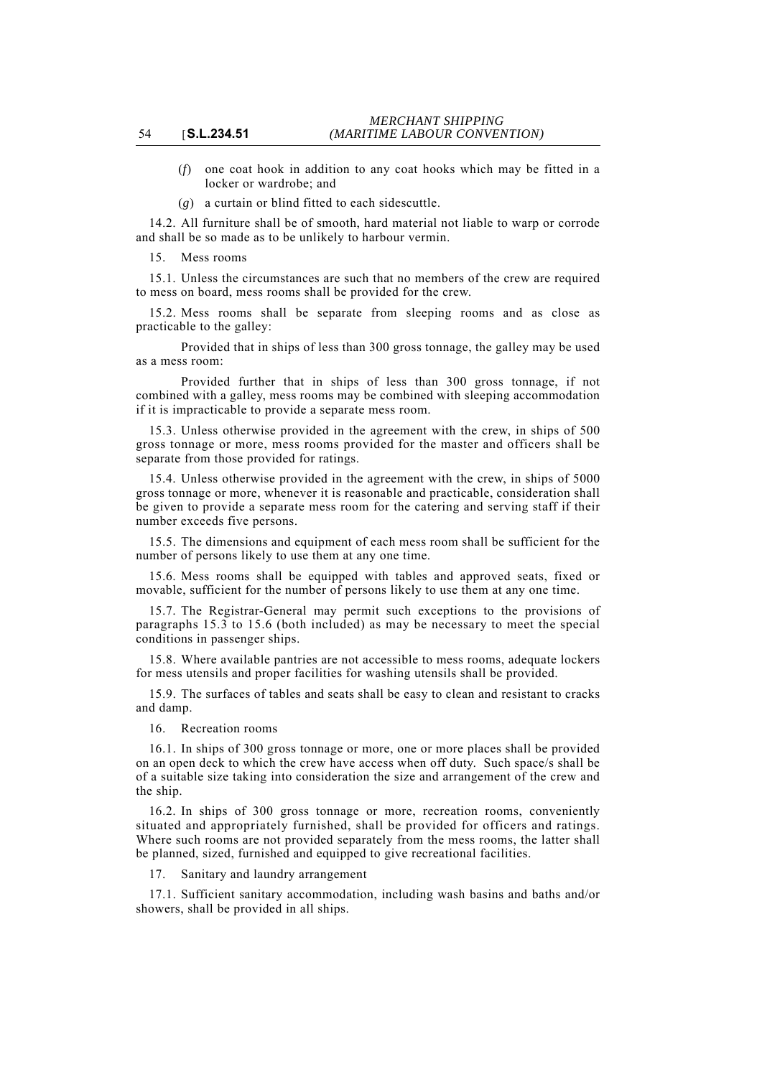- (*f*) one coat hook in addition to any coat hooks which may be fitted in a locker or wardrobe; and
- (*g*) a curtain or blind fitted to each sidescuttle.

14.2. All furniture shall be of smooth, hard material not liable to warp or corrode and shall be so made as to be unlikely to harbour vermin.

15. Mess rooms

15.1. Unless the circumstances are such that no members of the crew are required to mess on board, mess rooms shall be provided for the crew.

15.2. Mess rooms shall be separate from sleeping rooms and as close as practicable to the galley:

Provided that in ships of less than 300 gross tonnage, the galley may be used as a mess room:

Provided further that in ships of less than 300 gross tonnage, if not combined with a galley, mess rooms may be combined with sleeping accommodation if it is impracticable to provide a separate mess room.

15.3. Unless otherwise provided in the agreement with the crew, in ships of 500 gross tonnage or more, mess rooms provided for the master and officers shall be separate from those provided for ratings.

15.4. Unless otherwise provided in the agreement with the crew, in ships of 5000 gross tonnage or more, whenever it is reasonable and practicable, consideration shall be given to provide a separate mess room for the catering and serving staff if their number exceeds five persons.

15.5. The dimensions and equipment of each mess room shall be sufficient for the number of persons likely to use them at any one time.

15.6. Mess rooms shall be equipped with tables and approved seats, fixed or movable, sufficient for the number of persons likely to use them at any one time.

15.7. The Registrar-General may permit such exceptions to the provisions of paragraphs 15.3 to 15.6 (both included) as may be necessary to meet the special conditions in passenger ships.

15.8. Where available pantries are not accessible to mess rooms, adequate lockers for mess utensils and proper facilities for washing utensils shall be provided.

15.9. The surfaces of tables and seats shall be easy to clean and resistant to cracks and damp.

16. Recreation rooms

16.1. In ships of 300 gross tonnage or more, one or more places shall be provided on an open deck to which the crew have access when off duty. Such space/s shall be of a suitable size taking into consideration the size and arrangement of the crew and the ship.

16.2. In ships of 300 gross tonnage or more, recreation rooms, conveniently situated and appropriately furnished, shall be provided for officers and ratings. Where such rooms are not provided separately from the mess rooms, the latter shall be planned, sized, furnished and equipped to give recreational facilities.

17. Sanitary and laundry arrangement

17.1. Sufficient sanitary accommodation, including wash basins and baths and/or showers, shall be provided in all ships.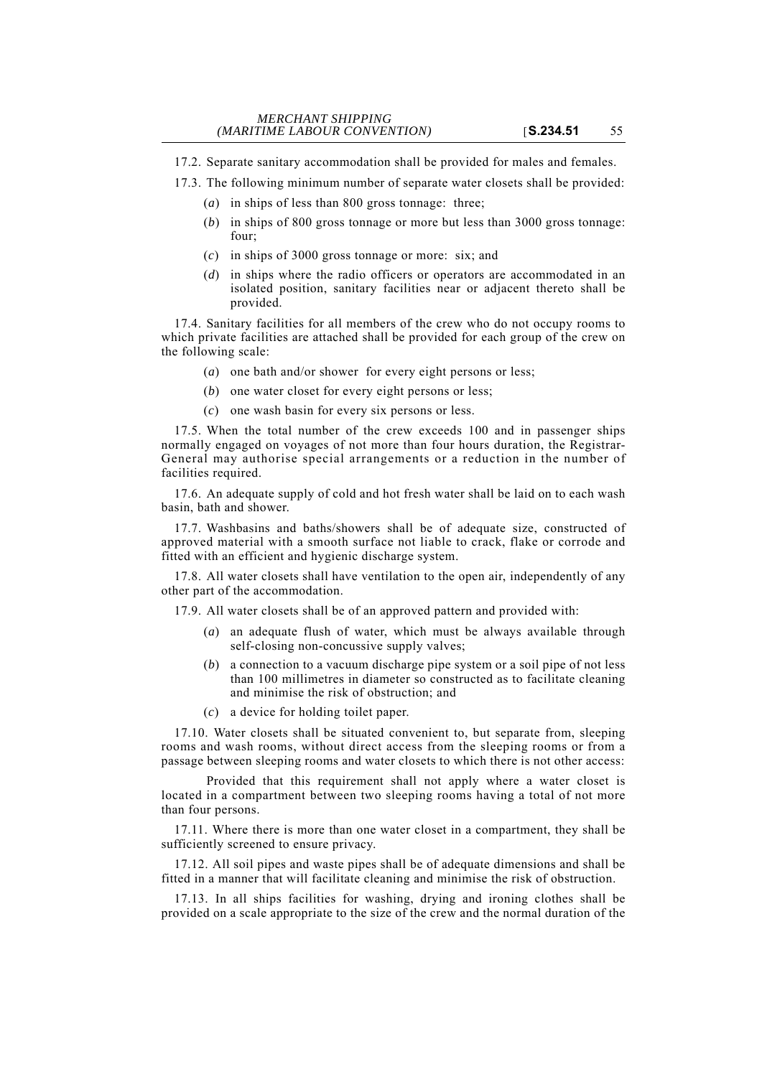17.2. Separate sanitary accommodation shall be provided for males and females.

17.3. The following minimum number of separate water closets shall be provided:

- (*a*) in ships of less than 800 gross tonnage: three;
- (*b*) in ships of 800 gross tonnage or more but less than 3000 gross tonnage: four;
- (*c*) in ships of 3000 gross tonnage or more: six; and
- (*d*) in ships where the radio officers or operators are accommodated in an isolated position, sanitary facilities near or adjacent thereto shall be provided.

17.4. Sanitary facilities for all members of the crew who do not occupy rooms to which private facilities are attached shall be provided for each group of the crew on the following scale:

- (*a*) one bath and/or shower for every eight persons or less;
- (*b*) one water closet for every eight persons or less;
- (*c*) one wash basin for every six persons or less.

17.5. When the total number of the crew exceeds 100 and in passenger ships normally engaged on voyages of not more than four hours duration, the Registrar-General may authorise special arrangements or a reduction in the number of facilities required.

17.6. An adequate supply of cold and hot fresh water shall be laid on to each wash basin, bath and shower.

17.7. Washbasins and baths/showers shall be of adequate size, constructed of approved material with a smooth surface not liable to crack, flake or corrode and fitted with an efficient and hygienic discharge system.

17.8. All water closets shall have ventilation to the open air, independently of any other part of the accommodation.

17.9. All water closets shall be of an approved pattern and provided with:

- (*a*) an adequate flush of water, which must be always available through self-closing non-concussive supply valves;
- (*b*) a connection to a vacuum discharge pipe system or a soil pipe of not less than 100 millimetres in diameter so constructed as to facilitate cleaning and minimise the risk of obstruction; and
- (*c*) a device for holding toilet paper.

17.10. Water closets shall be situated convenient to, but separate from, sleeping rooms and wash rooms, without direct access from the sleeping rooms or from a passage between sleeping rooms and water closets to which there is not other access:

Provided that this requirement shall not apply where a water closet is located in a compartment between two sleeping rooms having a total of not more than four persons.

17.11. Where there is more than one water closet in a compartment, they shall be sufficiently screened to ensure privacy.

17.12. All soil pipes and waste pipes shall be of adequate dimensions and shall be fitted in a manner that will facilitate cleaning and minimise the risk of obstruction.

17.13. In all ships facilities for washing, drying and ironing clothes shall be provided on a scale appropriate to the size of the crew and the normal duration of the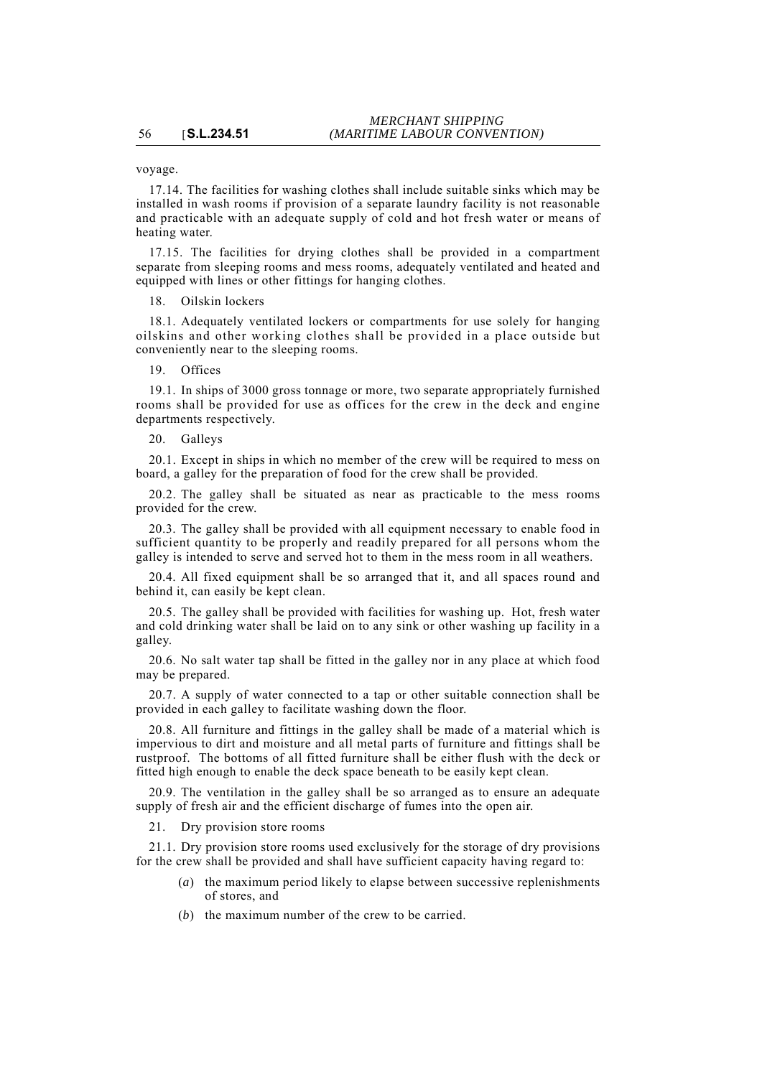voyage.

17.14. The facilities for washing clothes shall include suitable sinks which may be installed in wash rooms if provision of a separate laundry facility is not reasonable and practicable with an adequate supply of cold and hot fresh water or means of heating water.

17.15. The facilities for drying clothes shall be provided in a compartment separate from sleeping rooms and mess rooms, adequately ventilated and heated and equipped with lines or other fittings for hanging clothes.

18. Oilskin lockers

18.1. Adequately ventilated lockers or compartments for use solely for hanging oilskins and other working clothes shall be provided in a place outside but conveniently near to the sleeping rooms.

19. Offices

19.1. In ships of 3000 gross tonnage or more, two separate appropriately furnished rooms shall be provided for use as offices for the crew in the deck and engine departments respectively.

20. Galleys

20.1. Except in ships in which no member of the crew will be required to mess on board, a galley for the preparation of food for the crew shall be provided.

20.2. The galley shall be situated as near as practicable to the mess rooms provided for the crew.

20.3. The galley shall be provided with all equipment necessary to enable food in sufficient quantity to be properly and readily prepared for all persons whom the galley is intended to serve and served hot to them in the mess room in all weathers.

20.4. All fixed equipment shall be so arranged that it, and all spaces round and behind it, can easily be kept clean.

20.5. The galley shall be provided with facilities for washing up. Hot, fresh water and cold drinking water shall be laid on to any sink or other washing up facility in a galley.

20.6. No salt water tap shall be fitted in the galley nor in any place at which food may be prepared.

20.7. A supply of water connected to a tap or other suitable connection shall be provided in each galley to facilitate washing down the floor.

20.8. All furniture and fittings in the galley shall be made of a material which is impervious to dirt and moisture and all metal parts of furniture and fittings shall be rustproof. The bottoms of all fitted furniture shall be either flush with the deck or fitted high enough to enable the deck space beneath to be easily kept clean.

20.9. The ventilation in the galley shall be so arranged as to ensure an adequate supply of fresh air and the efficient discharge of fumes into the open air.

21. Dry provision store rooms

21.1. Dry provision store rooms used exclusively for the storage of dry provisions for the crew shall be provided and shall have sufficient capacity having regard to:

- (*a*) the maximum period likely to elapse between successive replenishments of stores, and
- (*b*) the maximum number of the crew to be carried.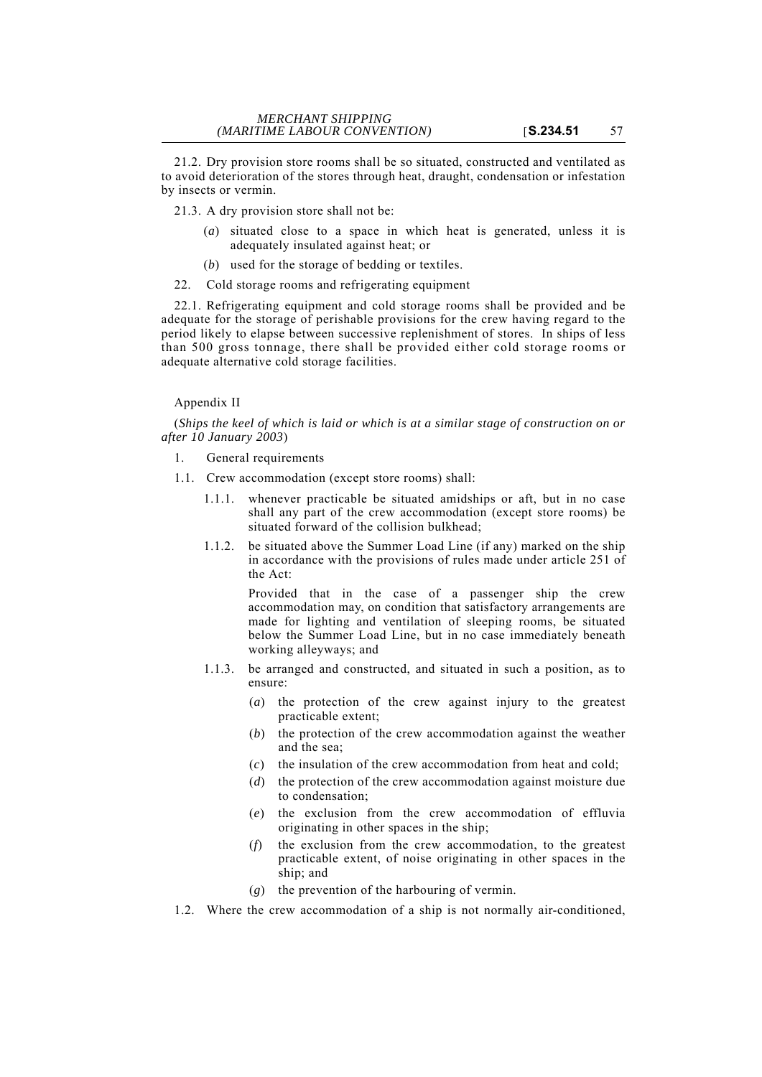21.2. Dry provision store rooms shall be so situated, constructed and ventilated as to avoid deterioration of the stores through heat, draught, condensation or infestation by insects or vermin.

21.3. A dry provision store shall not be:

- (*a*) situated close to a space in which heat is generated, unless it is adequately insulated against heat; or
- (*b*) used for the storage of bedding or textiles.
- 22. Cold storage rooms and refrigerating equipment

22.1. Refrigerating equipment and cold storage rooms shall be provided and be adequate for the storage of perishable provisions for the crew having regard to the period likely to elapse between successive replenishment of stores. In ships of less than 500 gross tonnage, there shall be provided either cold storage rooms or adequate alternative cold storage facilities.

## Appendix II

(*Ships the keel of which is laid or which is at a similar stage of construction on or after 10 January 2003*)

- 1. General requirements
- 1.1. Crew accommodation (except store rooms) shall:
	- 1.1.1. whenever practicable be situated amidships or aft, but in no case shall any part of the crew accommodation (except store rooms) be situated forward of the collision bulkhead;
	- 1.1.2. be situated above the Summer Load Line (if any) marked on the ship in accordance with the provisions of rules made under article 251 of the Act:

Provided that in the case of a passenger ship the crew accommodation may, on condition that satisfactory arrangements are made for lighting and ventilation of sleeping rooms, be situated below the Summer Load Line, but in no case immediately beneath working alleyways; and

- 1.1.3. be arranged and constructed, and situated in such a position, as to ensure:
	- (*a*) the protection of the crew against injury to the greatest practicable extent;
	- (*b*) the protection of the crew accommodation against the weather and the sea;
	- (*c*) the insulation of the crew accommodation from heat and cold;
	- (*d*) the protection of the crew accommodation against moisture due to condensation;
	- (*e*) the exclusion from the crew accommodation of effluvia originating in other spaces in the ship;
	- (*f*) the exclusion from the crew accommodation, to the greatest practicable extent, of noise originating in other spaces in the ship; and
	- (*g*) the prevention of the harbouring of vermin.
- 1.2. Where the crew accommodation of a ship is not normally air-conditioned,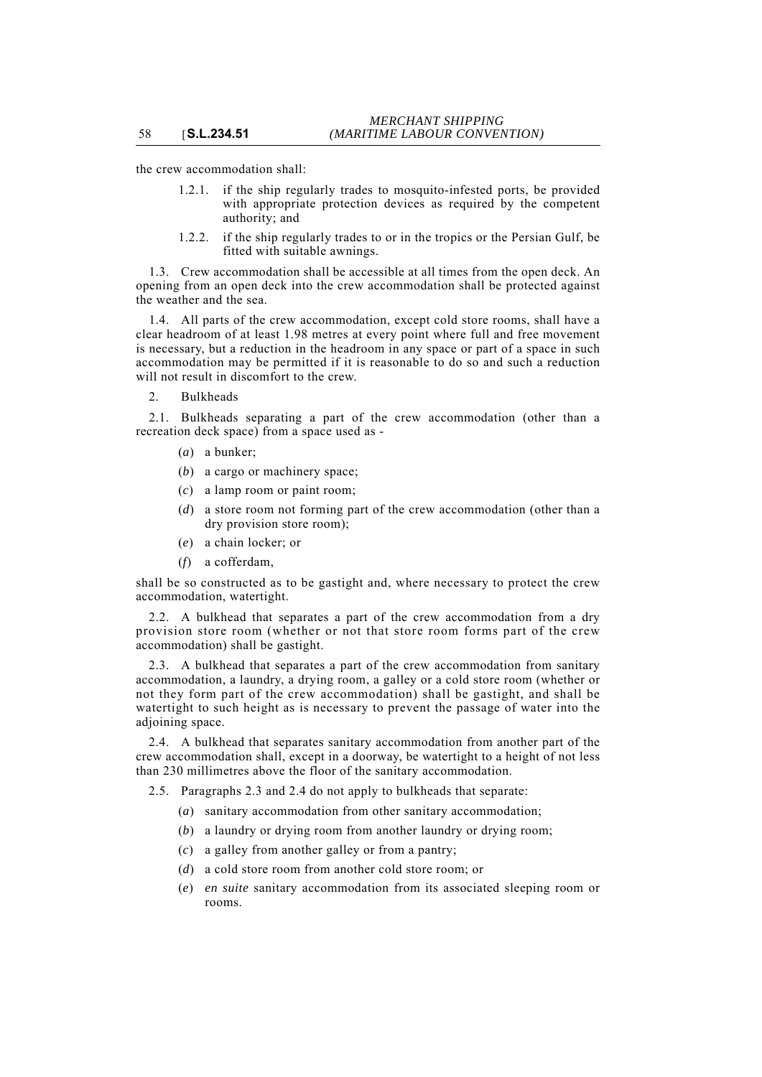the crew accommodation shall:

- 1.2.1. if the ship regularly trades to mosquito-infested ports, be provided with appropriate protection devices as required by the competent authority; and
- 1.2.2. if the ship regularly trades to or in the tropics or the Persian Gulf, be fitted with suitable awnings.

1.3. Crew accommodation shall be accessible at all times from the open deck. An opening from an open deck into the crew accommodation shall be protected against the weather and the sea.

1.4. All parts of the crew accommodation, except cold store rooms, shall have a clear headroom of at least 1.98 metres at every point where full and free movement is necessary, but a reduction in the headroom in any space or part of a space in such accommodation may be permitted if it is reasonable to do so and such a reduction will not result in discomfort to the crew.

2. Bulkheads

2.1. Bulkheads separating a part of the crew accommodation (other than a recreation deck space) from a space used as -

- (*a*) a bunker;
- (*b*) a cargo or machinery space;
- (*c*) a lamp room or paint room;
- (*d*) a store room not forming part of the crew accommodation (other than a dry provision store room);
- (*e*) a chain locker; or
- (*f*) a cofferdam,

shall be so constructed as to be gastight and, where necessary to protect the crew accommodation, watertight.

2.2. A bulkhead that separates a part of the crew accommodation from a dry provision store room (whether or not that store room forms part of the crew accommodation) shall be gastight.

2.3. A bulkhead that separates a part of the crew accommodation from sanitary accommodation, a laundry, a drying room, a galley or a cold store room (whether or not they form part of the crew accommodation) shall be gastight, and shall be watertight to such height as is necessary to prevent the passage of water into the adjoining space.

2.4. A bulkhead that separates sanitary accommodation from another part of the crew accommodation shall, except in a doorway, be watertight to a height of not less than 230 millimetres above the floor of the sanitary accommodation.

2.5. Paragraphs 2.3 and 2.4 do not apply to bulkheads that separate:

- (*a*) sanitary accommodation from other sanitary accommodation;
- (*b*) a laundry or drying room from another laundry or drying room;
- (*c*) a galley from another galley or from a pantry;
- (*d*) a cold store room from another cold store room; or
- (*e*) *en suite* sanitary accommodation from its associated sleeping room or rooms.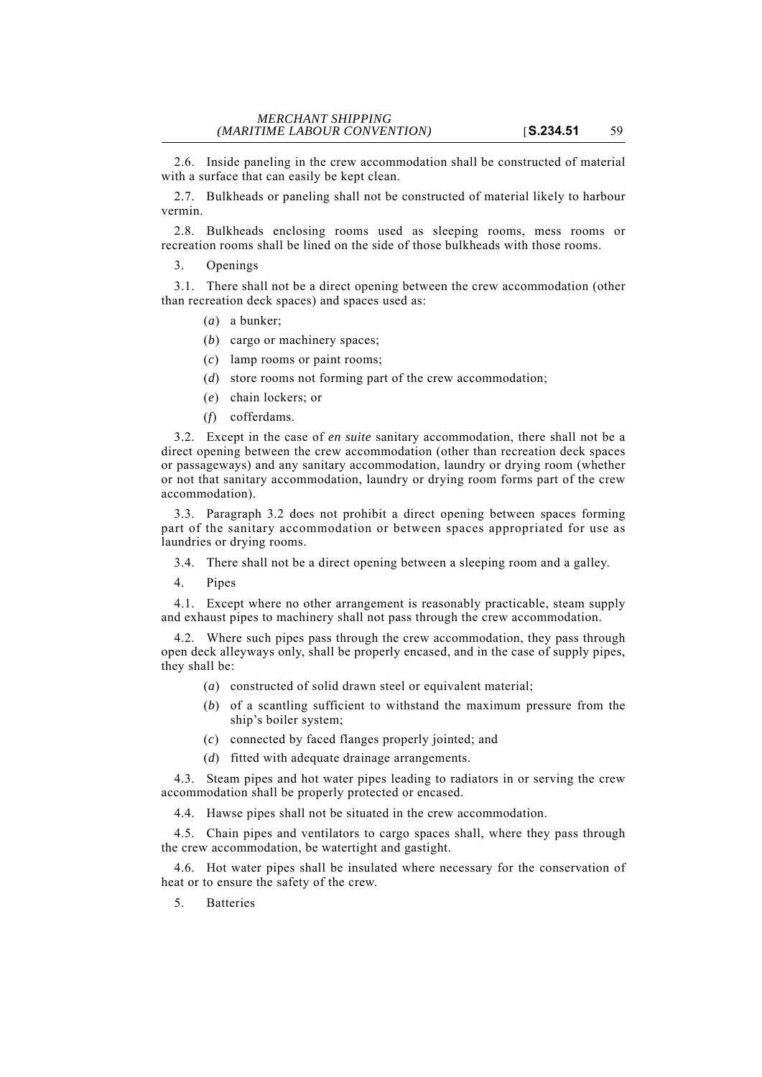2.6. Inside paneling in the crew accommodation shall be constructed of material with a surface that can easily be kept clean.

2.7. Bulkheads or paneling shall not be constructed of material likely to harbour vermin.

2.8. Bulkheads enclosing rooms used as sleeping rooms, mess rooms or recreation rooms shall be lined on the side of those bulkheads with those rooms.

3. Openings

3.1. There shall not be a direct opening between the crew accommodation (other than recreation deck spaces) and spaces used as:

- (*a*) a bunker;
- (*b*) cargo or machinery spaces;
- (*c*) lamp rooms or paint rooms;
- (*d*) store rooms not forming part of the crew accommodation;
- (*e*) chain lockers; or
- (*f*) cofferdams.

3.2. Except in the case of *en suite* sanitary accommodation, there shall not be a direct opening between the crew accommodation (other than recreation deck spaces or passageways) and any sanitary accommodation, laundry or drying room (whether or not that sanitary accommodation, laundry or drying room forms part of the crew accommodation).

3.3. Paragraph 3.2 does not prohibit a direct opening between spaces forming part of the sanitary accommodation or between spaces appropriated for use as laundries or drying rooms.

- 3.4. There shall not be a direct opening between a sleeping room and a galley.
- 4. Pipes

4.1. Except where no other arrangement is reasonably practicable, steam supply and exhaust pipes to machinery shall not pass through the crew accommodation.

4.2. Where such pipes pass through the crew accommodation, they pass through open deck alleyways only, shall be properly encased, and in the case of supply pipes, they shall be:

- (*a*) constructed of solid drawn steel or equivalent material;
- (*b*) of a scantling sufficient to withstand the maximum pressure from the ship's boiler system;
- (*c*) connected by faced flanges properly jointed; and
- (*d*) fitted with adequate drainage arrangements.

4.3. Steam pipes and hot water pipes leading to radiators in or serving the crew accommodation shall be properly protected or encased.

4.4. Hawse pipes shall not be situated in the crew accommodation.

4.5. Chain pipes and ventilators to cargo spaces shall, where they pass through the crew accommodation, be watertight and gastight.

4.6. Hot water pipes shall be insulated where necessary for the conservation of heat or to ensure the safety of the crew.

5. Batteries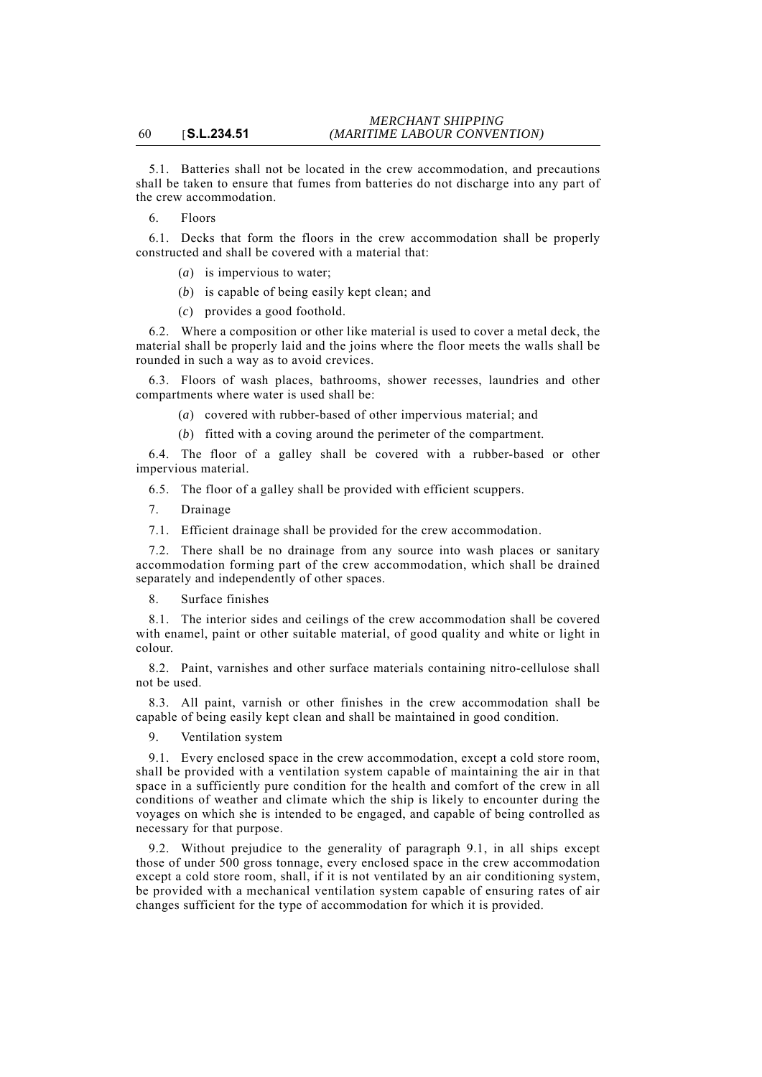5.1. Batteries shall not be located in the crew accommodation, and precautions shall be taken to ensure that fumes from batteries do not discharge into any part of the crew accommodation.

6. Floors

6.1. Decks that form the floors in the crew accommodation shall be properly constructed and shall be covered with a material that:

(*a*) is impervious to water;

- (*b*) is capable of being easily kept clean; and
- (*c*) provides a good foothold.

6.2. Where a composition or other like material is used to cover a metal deck, the material shall be properly laid and the joins where the floor meets the walls shall be rounded in such a way as to avoid crevices.

6.3. Floors of wash places, bathrooms, shower recesses, laundries and other compartments where water is used shall be:

(*a*) covered with rubber-based of other impervious material; and

(*b*) fitted with a coving around the perimeter of the compartment.

6.4. The floor of a galley shall be covered with a rubber-based or other impervious material.

6.5. The floor of a galley shall be provided with efficient scuppers.

7. Drainage

7.1. Efficient drainage shall be provided for the crew accommodation.

7.2. There shall be no drainage from any source into wash places or sanitary accommodation forming part of the crew accommodation, which shall be drained separately and independently of other spaces.

8. Surface finishes

8.1. The interior sides and ceilings of the crew accommodation shall be covered with enamel, paint or other suitable material, of good quality and white or light in colour.

8.2. Paint, varnishes and other surface materials containing nitro-cellulose shall not be used.

8.3. All paint, varnish or other finishes in the crew accommodation shall be capable of being easily kept clean and shall be maintained in good condition.

9. Ventilation system

9.1. Every enclosed space in the crew accommodation, except a cold store room, shall be provided with a ventilation system capable of maintaining the air in that space in a sufficiently pure condition for the health and comfort of the crew in all conditions of weather and climate which the ship is likely to encounter during the voyages on which she is intended to be engaged, and capable of being controlled as necessary for that purpose.

9.2. Without prejudice to the generality of paragraph 9.1, in all ships except those of under 500 gross tonnage, every enclosed space in the crew accommodation except a cold store room, shall, if it is not ventilated by an air conditioning system, be provided with a mechanical ventilation system capable of ensuring rates of air changes sufficient for the type of accommodation for which it is provided.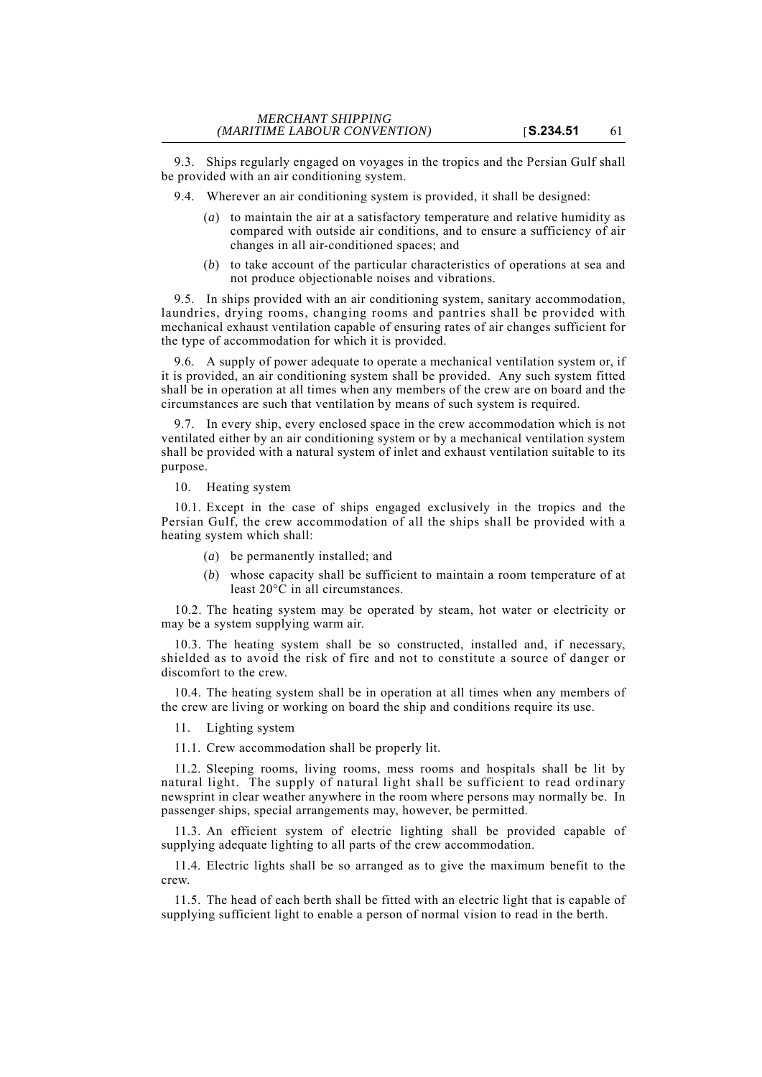9.3. Ships regularly engaged on voyages in the tropics and the Persian Gulf shall be provided with an air conditioning system.

9.4. Wherever an air conditioning system is provided, it shall be designed:

- (*a*) to maintain the air at a satisfactory temperature and relative humidity as compared with outside air conditions, and to ensure a sufficiency of air changes in all air-conditioned spaces; and
- (*b*) to take account of the particular characteristics of operations at sea and not produce objectionable noises and vibrations.

9.5. In ships provided with an air conditioning system, sanitary accommodation, laundries, drying rooms, changing rooms and pantries shall be provided with mechanical exhaust ventilation capable of ensuring rates of air changes sufficient for the type of accommodation for which it is provided.

9.6. A supply of power adequate to operate a mechanical ventilation system or, if it is provided, an air conditioning system shall be provided. Any such system fitted shall be in operation at all times when any members of the crew are on board and the circumstances are such that ventilation by means of such system is required.

9.7. In every ship, every enclosed space in the crew accommodation which is not ventilated either by an air conditioning system or by a mechanical ventilation system shall be provided with a natural system of inlet and exhaust ventilation suitable to its purpose.

10. Heating system

10.1. Except in the case of ships engaged exclusively in the tropics and the Persian Gulf, the crew accommodation of all the ships shall be provided with a heating system which shall:

- (*a*) be permanently installed; and
- (*b*) whose capacity shall be sufficient to maintain a room temperature of at least 20°C in all circumstances.

10.2. The heating system may be operated by steam, hot water or electricity or may be a system supplying warm air.

10.3. The heating system shall be so constructed, installed and, if necessary, shielded as to avoid the risk of fire and not to constitute a source of danger or discomfort to the crew.

10.4. The heating system shall be in operation at all times when any members of the crew are living or working on board the ship and conditions require its use.

11. Lighting system

11.1. Crew accommodation shall be properly lit.

11.2. Sleeping rooms, living rooms, mess rooms and hospitals shall be lit by natural light. The supply of natural light shall be sufficient to read ordinary newsprint in clear weather anywhere in the room where persons may normally be. In passenger ships, special arrangements may, however, be permitted.

11.3. An efficient system of electric lighting shall be provided capable of supplying adequate lighting to all parts of the crew accommodation.

11.4. Electric lights shall be so arranged as to give the maximum benefit to the crew.

11.5. The head of each berth shall be fitted with an electric light that is capable of supplying sufficient light to enable a person of normal vision to read in the berth.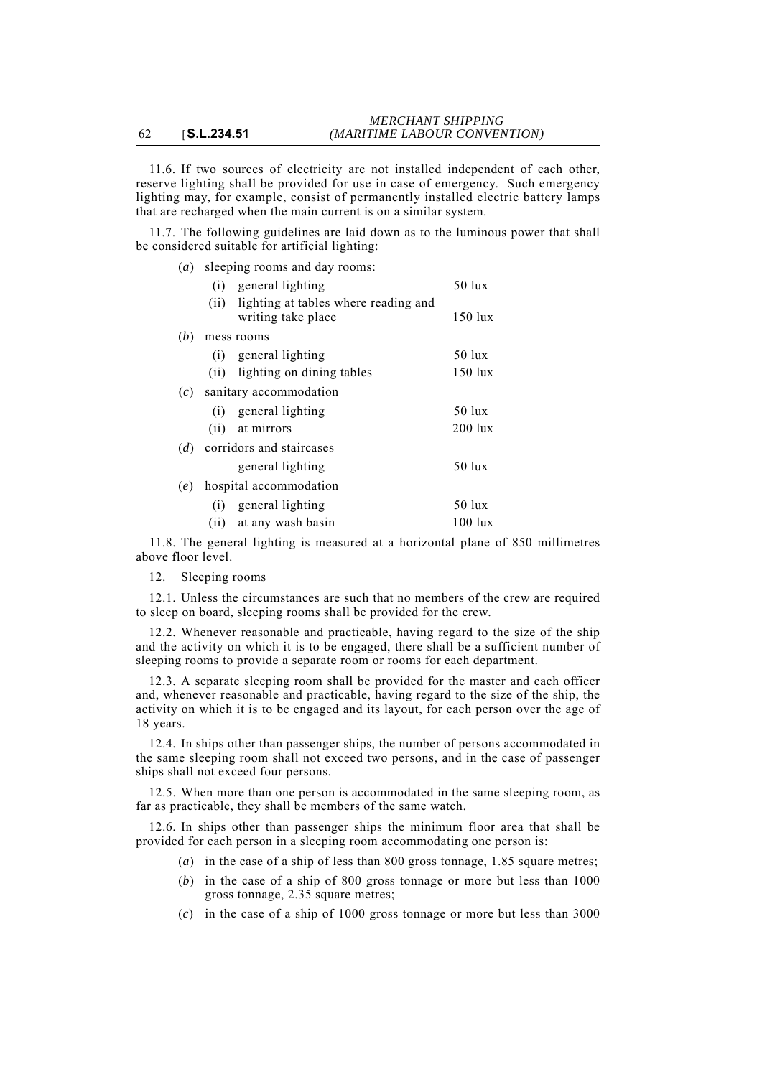11.6. If two sources of electricity are not installed independent of each other, reserve lighting shall be provided for use in case of emergency. Such emergency lighting may, for example, consist of permanently installed electric battery lamps that are recharged when the main current is on a similar system.

11.7. The following guidelines are laid down as to the luminous power that shall be considered suitable for artificial lighting:

| (a) | sleeping rooms and day rooms:                                   |                    |
|-----|-----------------------------------------------------------------|--------------------|
|     | (i) general lighting                                            | $50$ lux           |
|     | (ii) lighting at tables where reading and<br>writing take place | $150$ lux          |
| (b) | mess rooms                                                      |                    |
|     | (i) general lighting                                            | 50 lux             |
|     | (ii) lighting on dining tables                                  | $150$ lux          |
|     | $(c)$ sanitary accommodation                                    |                    |
|     | (i) general lighting                                            | $50 \; \text{lux}$ |
|     | (ii) at mirrors                                                 | 200 lux            |
|     | $(d)$ corridors and staircases                                  |                    |
|     | general lighting                                                | $50 \text{ lux}$   |
| (e) | hospital accommodation                                          |                    |
|     | (i) general lighting                                            | 50 lux             |
|     | (ii) at any wash basin                                          | $100$ lux          |

11.8. The general lighting is measured at a horizontal plane of 850 millimetres above floor level.

12. Sleeping rooms

12.1. Unless the circumstances are such that no members of the crew are required to sleep on board, sleeping rooms shall be provided for the crew.

12.2. Whenever reasonable and practicable, having regard to the size of the ship and the activity on which it is to be engaged, there shall be a sufficient number of sleeping rooms to provide a separate room or rooms for each department.

12.3. A separate sleeping room shall be provided for the master and each officer and, whenever reasonable and practicable, having regard to the size of the ship, the activity on which it is to be engaged and its layout, for each person over the age of 18 years.

12.4. In ships other than passenger ships, the number of persons accommodated in the same sleeping room shall not exceed two persons, and in the case of passenger ships shall not exceed four persons.

12.5. When more than one person is accommodated in the same sleeping room, as far as practicable, they shall be members of the same watch.

12.6. In ships other than passenger ships the minimum floor area that shall be provided for each person in a sleeping room accommodating one person is:

- (*a*) in the case of a ship of less than 800 gross tonnage, 1.85 square metres;
- (*b*) in the case of a ship of 800 gross tonnage or more but less than 1000 gross tonnage, 2.35 square metres;
- (*c*) in the case of a ship of 1000 gross tonnage or more but less than 3000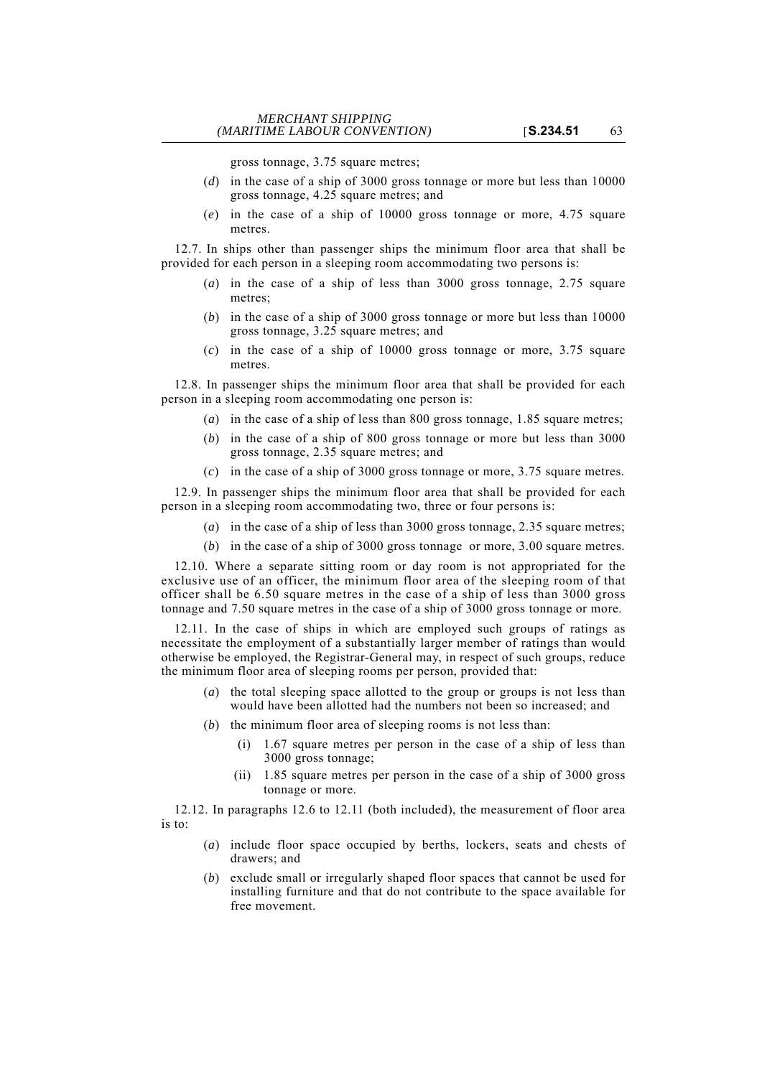gross tonnage, 3.75 square metres;

- (*d*) in the case of a ship of 3000 gross tonnage or more but less than 10000 gross tonnage, 4.25 square metres; and
- (*e*) in the case of a ship of 10000 gross tonnage or more, 4.75 square metres.

12.7. In ships other than passenger ships the minimum floor area that shall be provided for each person in a sleeping room accommodating two persons is:

- (*a*) in the case of a ship of less than 3000 gross tonnage, 2.75 square metres;
- (*b*) in the case of a ship of 3000 gross tonnage or more but less than 10000 gross tonnage, 3.25 square metres; and
- (*c*) in the case of a ship of 10000 gross tonnage or more, 3.75 square metres.

12.8. In passenger ships the minimum floor area that shall be provided for each person in a sleeping room accommodating one person is:

- (*a*) in the case of a ship of less than 800 gross tonnage, 1.85 square metres;
- (*b*) in the case of a ship of 800 gross tonnage or more but less than 3000 gross tonnage, 2.35 square metres; and
- (*c*) in the case of a ship of 3000 gross tonnage or more, 3.75 square metres.

12.9. In passenger ships the minimum floor area that shall be provided for each person in a sleeping room accommodating two, three or four persons is:

- (*a*) in the case of a ship of less than 3000 gross tonnage, 2.35 square metres;
- (*b*) in the case of a ship of 3000 gross tonnage or more, 3.00 square metres.

12.10. Where a separate sitting room or day room is not appropriated for the exclusive use of an officer, the minimum floor area of the sleeping room of that officer shall be 6.50 square metres in the case of a ship of less than 3000 gross tonnage and 7.50 square metres in the case of a ship of 3000 gross tonnage or more.

12.11. In the case of ships in which are employed such groups of ratings as necessitate the employment of a substantially larger member of ratings than would otherwise be employed, the Registrar-General may, in respect of such groups, reduce the minimum floor area of sleeping rooms per person, provided that:

- (*a*) the total sleeping space allotted to the group or groups is not less than would have been allotted had the numbers not been so increased; and
- (*b*) the minimum floor area of sleeping rooms is not less than:
	- (i) 1.67 square metres per person in the case of a ship of less than 3000 gross tonnage;
	- (ii) 1.85 square metres per person in the case of a ship of 3000 gross tonnage or more.

12.12. In paragraphs 12.6 to 12.11 (both included), the measurement of floor area is to:

- (*a*) include floor space occupied by berths, lockers, seats and chests of drawers; and
- (*b*) exclude small or irregularly shaped floor spaces that cannot be used for installing furniture and that do not contribute to the space available for free movement.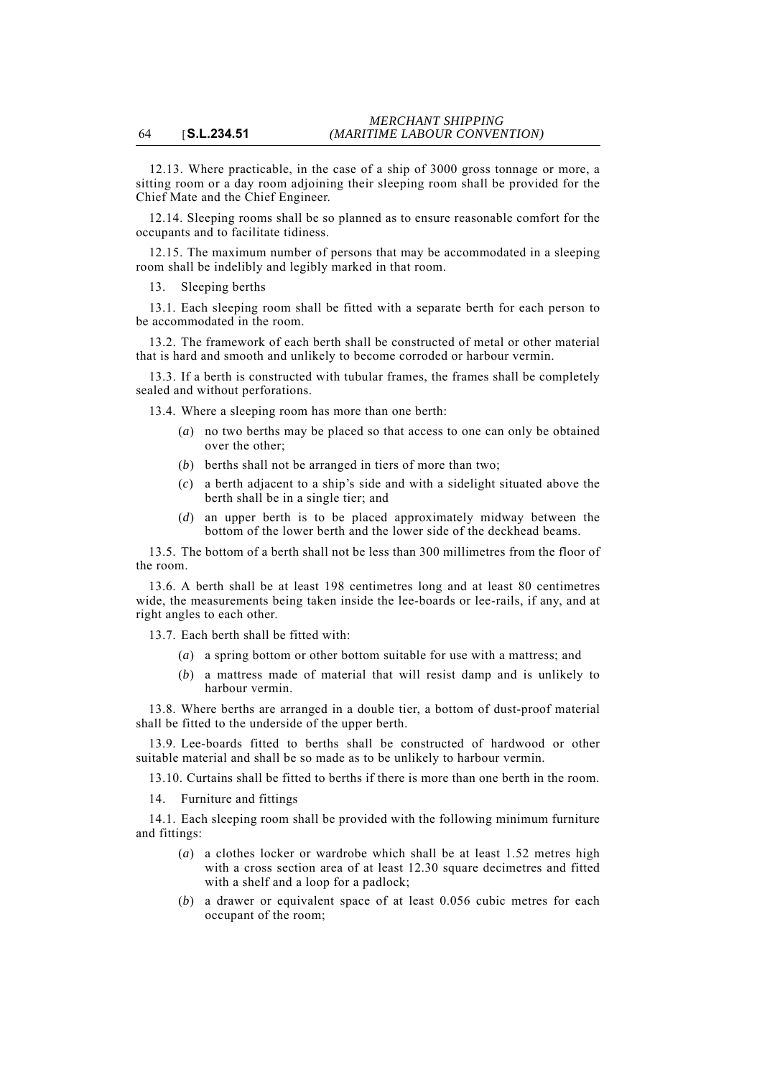12.13. Where practicable, in the case of a ship of 3000 gross tonnage or more, a sitting room or a day room adjoining their sleeping room shall be provided for the Chief Mate and the Chief Engineer.

12.14. Sleeping rooms shall be so planned as to ensure reasonable comfort for the occupants and to facilitate tidiness.

12.15. The maximum number of persons that may be accommodated in a sleeping room shall be indelibly and legibly marked in that room.

13. Sleeping berths

13.1. Each sleeping room shall be fitted with a separate berth for each person to be accommodated in the room.

13.2. The framework of each berth shall be constructed of metal or other material that is hard and smooth and unlikely to become corroded or harbour vermin.

13.3. If a berth is constructed with tubular frames, the frames shall be completely sealed and without perforations.

13.4. Where a sleeping room has more than one berth:

- (*a*) no two berths may be placed so that access to one can only be obtained over the other;
- (*b*) berths shall not be arranged in tiers of more than two;
- (*c*) a berth adjacent to a ship's side and with a sidelight situated above the berth shall be in a single tier; and
- (*d*) an upper berth is to be placed approximately midway between the bottom of the lower berth and the lower side of the deckhead beams.

13.5. The bottom of a berth shall not be less than 300 millimetres from the floor of the room.

13.6. A berth shall be at least 198 centimetres long and at least 80 centimetres wide, the measurements being taken inside the lee-boards or lee-rails, if any, and at right angles to each other.

13.7. Each berth shall be fitted with:

- (*a*) a spring bottom or other bottom suitable for use with a mattress; and
- (*b*) a mattress made of material that will resist damp and is unlikely to harbour vermin.

13.8. Where berths are arranged in a double tier, a bottom of dust-proof material shall be fitted to the underside of the upper berth.

13.9. Lee-boards fitted to berths shall be constructed of hardwood or other suitable material and shall be so made as to be unlikely to harbour vermin.

13.10. Curtains shall be fitted to berths if there is more than one berth in the room.

14. Furniture and fittings

14.1. Each sleeping room shall be provided with the following minimum furniture and fittings:

- (*a*) a clothes locker or wardrobe which shall be at least 1.52 metres high with a cross section area of at least 12.30 square decimetres and fitted with a shelf and a loop for a padlock;
- (*b*) a drawer or equivalent space of at least 0.056 cubic metres for each occupant of the room;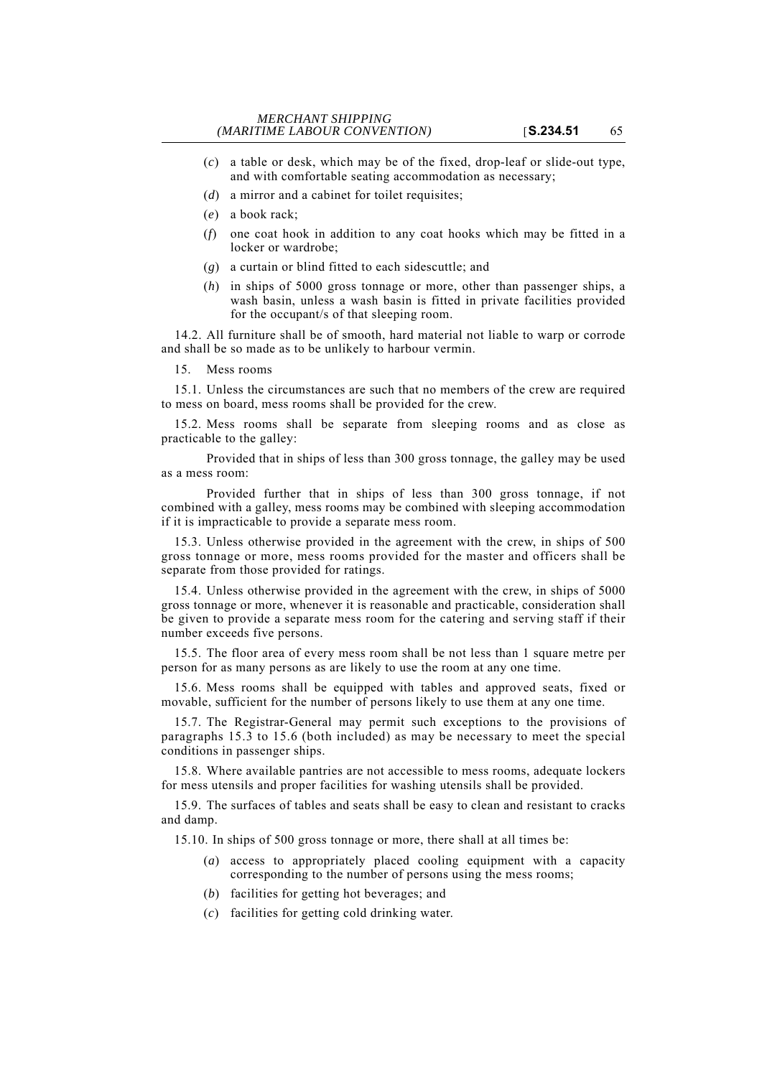- (*c*) a table or desk, which may be of the fixed, drop-leaf or slide-out type, and with comfortable seating accommodation as necessary;
- (*d*) a mirror and a cabinet for toilet requisites;
- (*e*) a book rack;
- (*f*) one coat hook in addition to any coat hooks which may be fitted in a locker or wardrobe;
- (*g*) a curtain or blind fitted to each sidescuttle; and
- (*h*) in ships of 5000 gross tonnage or more, other than passenger ships, a wash basin, unless a wash basin is fitted in private facilities provided for the occupant/s of that sleeping room.

14.2. All furniture shall be of smooth, hard material not liable to warp or corrode and shall be so made as to be unlikely to harbour vermin.

#### 15. Mess rooms

15.1. Unless the circumstances are such that no members of the crew are required to mess on board, mess rooms shall be provided for the crew.

15.2. Mess rooms shall be separate from sleeping rooms and as close as practicable to the galley:

Provided that in ships of less than 300 gross tonnage, the galley may be used as a mess room:

Provided further that in ships of less than 300 gross tonnage, if not combined with a galley, mess rooms may be combined with sleeping accommodation if it is impracticable to provide a separate mess room.

15.3. Unless otherwise provided in the agreement with the crew, in ships of 500 gross tonnage or more, mess rooms provided for the master and officers shall be separate from those provided for ratings.

15.4. Unless otherwise provided in the agreement with the crew, in ships of 5000 gross tonnage or more, whenever it is reasonable and practicable, consideration shall be given to provide a separate mess room for the catering and serving staff if their number exceeds five persons.

15.5. The floor area of every mess room shall be not less than 1 square metre per person for as many persons as are likely to use the room at any one time.

15.6. Mess rooms shall be equipped with tables and approved seats, fixed or movable, sufficient for the number of persons likely to use them at any one time.

15.7. The Registrar-General may permit such exceptions to the provisions of paragraphs 15.3 to 15.6 (both included) as may be necessary to meet the special conditions in passenger ships.

15.8. Where available pantries are not accessible to mess rooms, adequate lockers for mess utensils and proper facilities for washing utensils shall be provided.

15.9. The surfaces of tables and seats shall be easy to clean and resistant to cracks and damp.

15.10. In ships of 500 gross tonnage or more, there shall at all times be:

- (*a*) access to appropriately placed cooling equipment with a capacity corresponding to the number of persons using the mess rooms;
- (*b*) facilities for getting hot beverages; and
- (*c*) facilities for getting cold drinking water.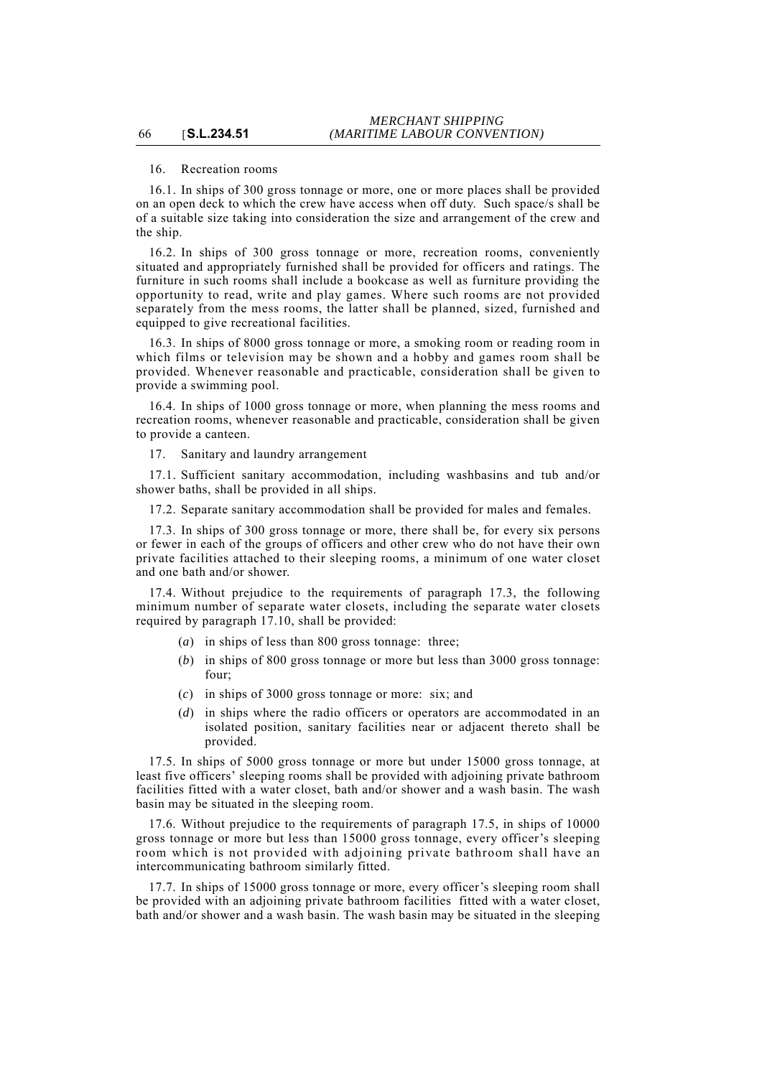# 16. Recreation rooms

66 [**S.L.234.51**

16.1. In ships of 300 gross tonnage or more, one or more places shall be provided on an open deck to which the crew have access when off duty. Such space/s shall be of a suitable size taking into consideration the size and arrangement of the crew and the ship.

16.2. In ships of 300 gross tonnage or more, recreation rooms, conveniently situated and appropriately furnished shall be provided for officers and ratings. The furniture in such rooms shall include a bookcase as well as furniture providing the opportunity to read, write and play games. Where such rooms are not provided separately from the mess rooms, the latter shall be planned, sized, furnished and equipped to give recreational facilities.

16.3. In ships of 8000 gross tonnage or more, a smoking room or reading room in which films or television may be shown and a hobby and games room shall be provided. Whenever reasonable and practicable, consideration shall be given to provide a swimming pool.

16.4. In ships of 1000 gross tonnage or more, when planning the mess rooms and recreation rooms, whenever reasonable and practicable, consideration shall be given to provide a canteen.

17. Sanitary and laundry arrangement

17.1. Sufficient sanitary accommodation, including washbasins and tub and/or shower baths, shall be provided in all ships.

17.2. Separate sanitary accommodation shall be provided for males and females.

17.3. In ships of 300 gross tonnage or more, there shall be, for every six persons or fewer in each of the groups of officers and other crew who do not have their own private facilities attached to their sleeping rooms, a minimum of one water closet and one bath and/or shower.

17.4. Without prejudice to the requirements of paragraph 17.3, the following minimum number of separate water closets, including the separate water closets required by paragraph 17.10, shall be provided:

- (*a*) in ships of less than 800 gross tonnage: three;
- (*b*) in ships of 800 gross tonnage or more but less than 3000 gross tonnage: four;
- (*c*) in ships of 3000 gross tonnage or more: six; and
- (*d*) in ships where the radio officers or operators are accommodated in an isolated position, sanitary facilities near or adjacent thereto shall be provided.

17.5. In ships of 5000 gross tonnage or more but under 15000 gross tonnage, at least five officers' sleeping rooms shall be provided with adjoining private bathroom facilities fitted with a water closet, bath and/or shower and a wash basin. The wash basin may be situated in the sleeping room.

17.6. Without prejudice to the requirements of paragraph 17.5, in ships of 10000 gross tonnage or more but less than 15000 gross tonnage, every officer's sleeping room which is not provided with adjoining private bathroom shall have an intercommunicating bathroom similarly fitted.

17.7. In ships of 15000 gross tonnage or more, every officer's sleeping room shall be provided with an adjoining private bathroom facilities fitted with a water closet, bath and/or shower and a wash basin. The wash basin may be situated in the sleeping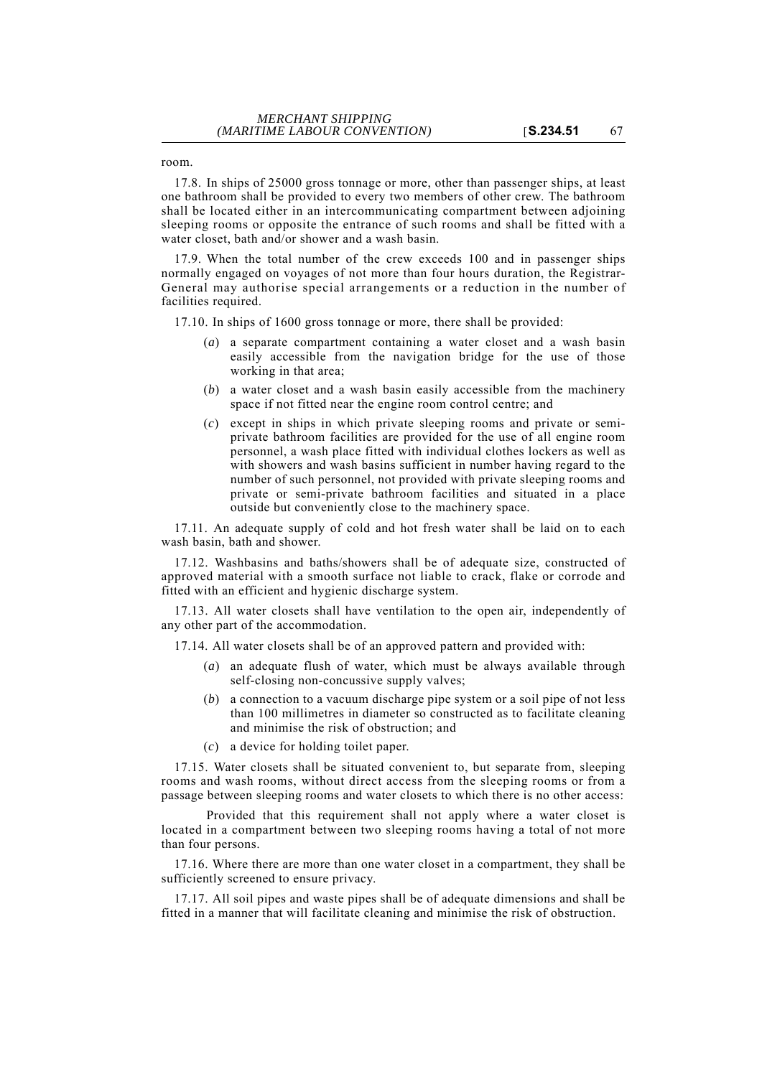room.

17.8. In ships of 25000 gross tonnage or more, other than passenger ships, at least one bathroom shall be provided to every two members of other crew. The bathroom shall be located either in an intercommunicating compartment between adjoining sleeping rooms or opposite the entrance of such rooms and shall be fitted with a water closet, bath and/or shower and a wash basin.

17.9. When the total number of the crew exceeds 100 and in passenger ships normally engaged on voyages of not more than four hours duration, the Registrar-General may authorise special arrangements or a reduction in the number of facilities required.

17.10. In ships of 1600 gross tonnage or more, there shall be provided:

- (*a*) a separate compartment containing a water closet and a wash basin easily accessible from the navigation bridge for the use of those working in that area;
- (*b*) a water closet and a wash basin easily accessible from the machinery space if not fitted near the engine room control centre; and
- (*c*) except in ships in which private sleeping rooms and private or semiprivate bathroom facilities are provided for the use of all engine room personnel, a wash place fitted with individual clothes lockers as well as with showers and wash basins sufficient in number having regard to the number of such personnel, not provided with private sleeping rooms and private or semi-private bathroom facilities and situated in a place outside but conveniently close to the machinery space.

17.11. An adequate supply of cold and hot fresh water shall be laid on to each wash basin, bath and shower.

17.12. Washbasins and baths/showers shall be of adequate size, constructed of approved material with a smooth surface not liable to crack, flake or corrode and fitted with an efficient and hygienic discharge system.

17.13. All water closets shall have ventilation to the open air, independently of any other part of the accommodation.

- 17.14. All water closets shall be of an approved pattern and provided with:
	- (*a*) an adequate flush of water, which must be always available through self-closing non-concussive supply valves;
	- (*b*) a connection to a vacuum discharge pipe system or a soil pipe of not less than 100 millimetres in diameter so constructed as to facilitate cleaning and minimise the risk of obstruction; and
	- (*c*) a device for holding toilet paper.

17.15. Water closets shall be situated convenient to, but separate from, sleeping rooms and wash rooms, without direct access from the sleeping rooms or from a passage between sleeping rooms and water closets to which there is no other access:

Provided that this requirement shall not apply where a water closet is located in a compartment between two sleeping rooms having a total of not more than four persons.

17.16. Where there are more than one water closet in a compartment, they shall be sufficiently screened to ensure privacy.

17.17. All soil pipes and waste pipes shall be of adequate dimensions and shall be fitted in a manner that will facilitate cleaning and minimise the risk of obstruction.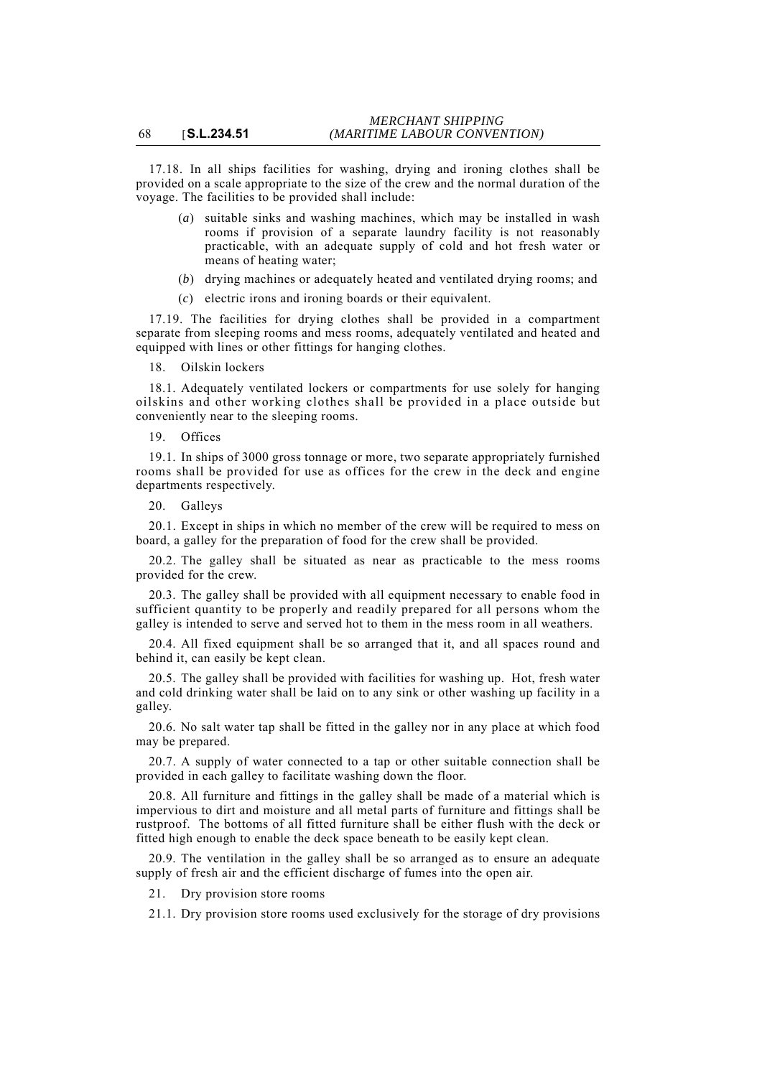17.18. In all ships facilities for washing, drying and ironing clothes shall be provided on a scale appropriate to the size of the crew and the normal duration of the voyage. The facilities to be provided shall include:

- (*a*) suitable sinks and washing machines, which may be installed in wash rooms if provision of a separate laundry facility is not reasonably practicable, with an adequate supply of cold and hot fresh water or means of heating water;
- (*b*) drying machines or adequately heated and ventilated drying rooms; and
- (*c*) electric irons and ironing boards or their equivalent.

17.19. The facilities for drying clothes shall be provided in a compartment separate from sleeping rooms and mess rooms, adequately ventilated and heated and equipped with lines or other fittings for hanging clothes.

18. Oilskin lockers

18.1. Adequately ventilated lockers or compartments for use solely for hanging oilskins and other working clothes shall be provided in a place outside but conveniently near to the sleeping rooms.

#### 19. Offices

19.1. In ships of 3000 gross tonnage or more, two separate appropriately furnished rooms shall be provided for use as offices for the crew in the deck and engine departments respectively.

20. Galleys

20.1. Except in ships in which no member of the crew will be required to mess on board, a galley for the preparation of food for the crew shall be provided.

20.2. The galley shall be situated as near as practicable to the mess rooms provided for the crew.

20.3. The galley shall be provided with all equipment necessary to enable food in sufficient quantity to be properly and readily prepared for all persons whom the galley is intended to serve and served hot to them in the mess room in all weathers.

20.4. All fixed equipment shall be so arranged that it, and all spaces round and behind it, can easily be kept clean.

20.5. The galley shall be provided with facilities for washing up. Hot, fresh water and cold drinking water shall be laid on to any sink or other washing up facility in a galley.

20.6. No salt water tap shall be fitted in the galley nor in any place at which food may be prepared.

20.7. A supply of water connected to a tap or other suitable connection shall be provided in each galley to facilitate washing down the floor.

20.8. All furniture and fittings in the galley shall be made of a material which is impervious to dirt and moisture and all metal parts of furniture and fittings shall be rustproof. The bottoms of all fitted furniture shall be either flush with the deck or fitted high enough to enable the deck space beneath to be easily kept clean.

20.9. The ventilation in the galley shall be so arranged as to ensure an adequate supply of fresh air and the efficient discharge of fumes into the open air.

21. Dry provision store rooms

21.1. Dry provision store rooms used exclusively for the storage of dry provisions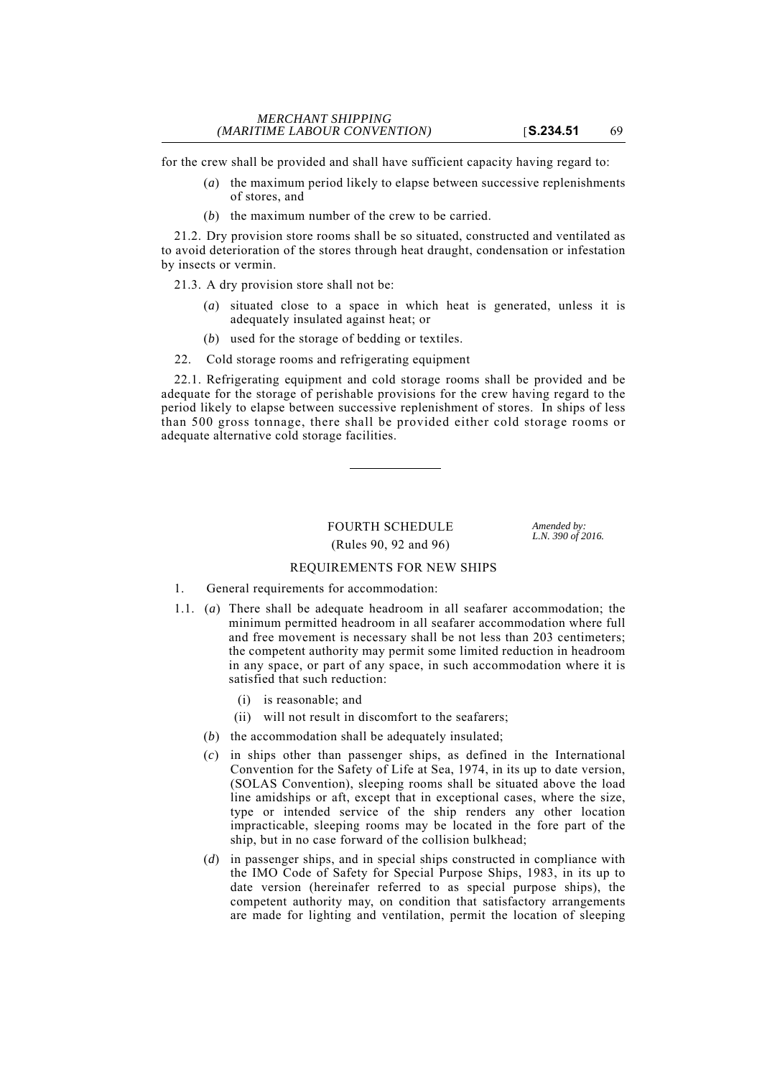for the crew shall be provided and shall have sufficient capacity having regard to:

- (*a*) the maximum period likely to elapse between successive replenishments of stores, and
- (*b*) the maximum number of the crew to be carried.

21.2. Dry provision store rooms shall be so situated, constructed and ventilated as to avoid deterioration of the stores through heat draught, condensation or infestation by insects or vermin.

21.3. A dry provision store shall not be:

- (*a*) situated close to a space in which heat is generated, unless it is adequately insulated against heat; or
- (*b*) used for the storage of bedding or textiles.
- 22. Cold storage rooms and refrigerating equipment

22.1. Refrigerating equipment and cold storage rooms shall be provided and be adequate for the storage of perishable provisions for the crew having regard to the period likely to elapse between successive replenishment of stores. In ships of less than 500 gross tonnage, there shall be provided either cold storage rooms or adequate alternative cold storage facilities.

# FOURTH SCHEDULE *Amended by:*<br> *L.N.* 390 of 2016.

*(Rules 90, 92 and 96)* 

# REQUIREMENTS FOR NEW SHIPS

- 1. General requirements for accommodation:
- 1.1. (*a*) There shall be adequate headroom in all seafarer accommodation; the minimum permitted headroom in all seafarer accommodation where full and free movement is necessary shall be not less than 203 centimeters; the competent authority may permit some limited reduction in headroom in any space, or part of any space, in such accommodation where it is satisfied that such reduction:
	- (i) is reasonable; and
	- (ii) will not result in discomfort to the seafarers;
	- (*b*) the accommodation shall be adequately insulated;
	- (*c*) in ships other than passenger ships, as defined in the International Convention for the Safety of Life at Sea, 1974, in its up to date version, (SOLAS Convention), sleeping rooms shall be situated above the load line amidships or aft, except that in exceptional cases, where the size, type or intended service of the ship renders any other location impracticable, sleeping rooms may be located in the fore part of the ship, but in no case forward of the collision bulkhead;
	- (*d*) in passenger ships, and in special ships constructed in compliance with the IMO Code of Safety for Special Purpose Ships, 1983, in its up to date version (hereinafer referred to as special purpose ships), the competent authority may, on condition that satisfactory arrangements are made for lighting and ventilation, permit the location of sleeping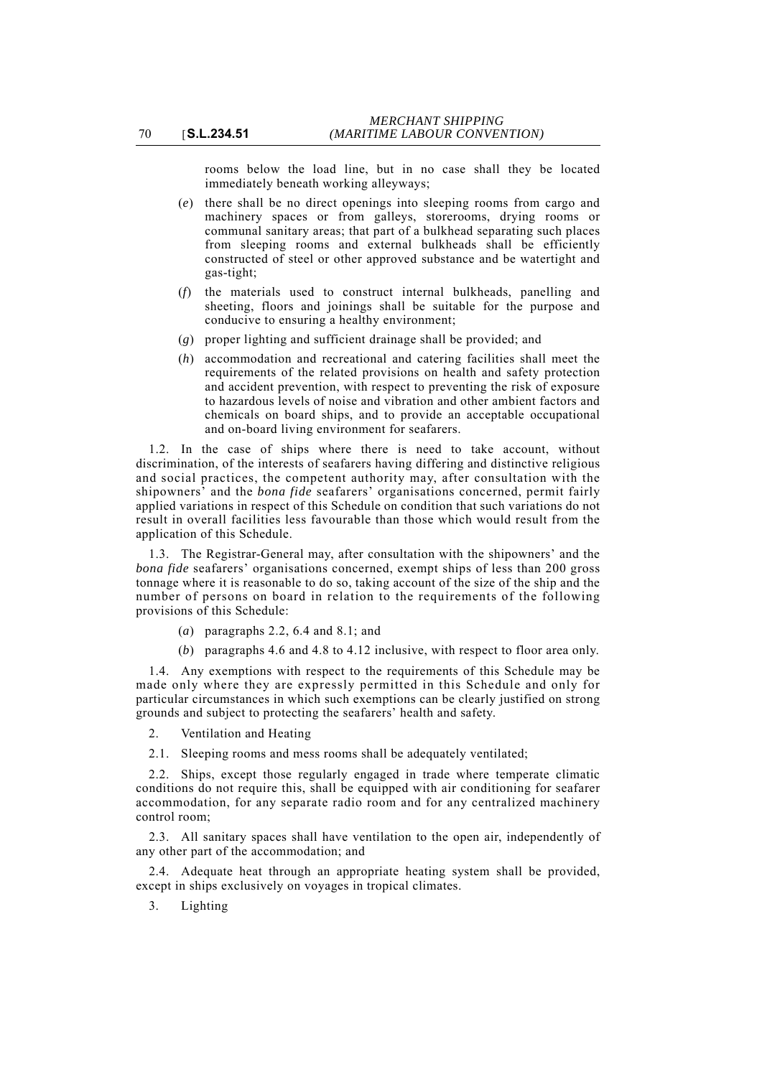rooms below the load line, but in no case shall they be located immediately beneath working alleyways;

(*e*) there shall be no direct openings into sleeping rooms from cargo and machinery spaces or from galleys, storerooms, drying rooms or communal sanitary areas; that part of a bulkhead separating such places from sleeping rooms and external bulkheads shall be efficiently constructed of steel or other approved substance and be watertight and gas-tight;

- (*f*) the materials used to construct internal bulkheads, panelling and sheeting, floors and joinings shall be suitable for the purpose and conducive to ensuring a healthy environment;
- (*g*) proper lighting and sufficient drainage shall be provided; and
- (*h*) accommodation and recreational and catering facilities shall meet the requirements of the related provisions on health and safety protection and accident prevention, with respect to preventing the risk of exposure to hazardous levels of noise and vibration and other ambient factors and chemicals on board ships, and to provide an acceptable occupational and on-board living environment for seafarers.

1.2. In the case of ships where there is need to take account, without discrimination, of the interests of seafarers having differing and distinctive religious and social practices, the competent authority may, after consultation with the shipowners' and the *bona fide* seafarers' organisations concerned, permit fairly applied variations in respect of this Schedule on condition that such variations do not result in overall facilities less favourable than those which would result from the application of this Schedule.

1.3. The Registrar-General may, after consultation with the shipowners' and the *bona fide* seafarers' organisations concerned, exempt ships of less than 200 gross tonnage where it is reasonable to do so, taking account of the size of the ship and the number of persons on board in relation to the requirements of the following provisions of this Schedule:

- (*a*) paragraphs 2.2, 6.4 and 8.1; and
- (*b*) paragraphs 4.6 and 4.8 to 4.12 inclusive, with respect to floor area only.

1.4. Any exemptions with respect to the requirements of this Schedule may be made only where they are expressly permitted in this Schedule and only for particular circumstances in which such exemptions can be clearly justified on strong grounds and subject to protecting the seafarers' health and safety.

- 2. Ventilation and Heating
- 2.1. Sleeping rooms and mess rooms shall be adequately ventilated:

2.2. Ships, except those regularly engaged in trade where temperate climatic conditions do not require this, shall be equipped with air conditioning for seafarer accommodation, for any separate radio room and for any centralized machinery control room;

2.3. All sanitary spaces shall have ventilation to the open air, independently of any other part of the accommodation; and

2.4. Adequate heat through an appropriate heating system shall be provided, except in ships exclusively on voyages in tropical climates.

3. Lighting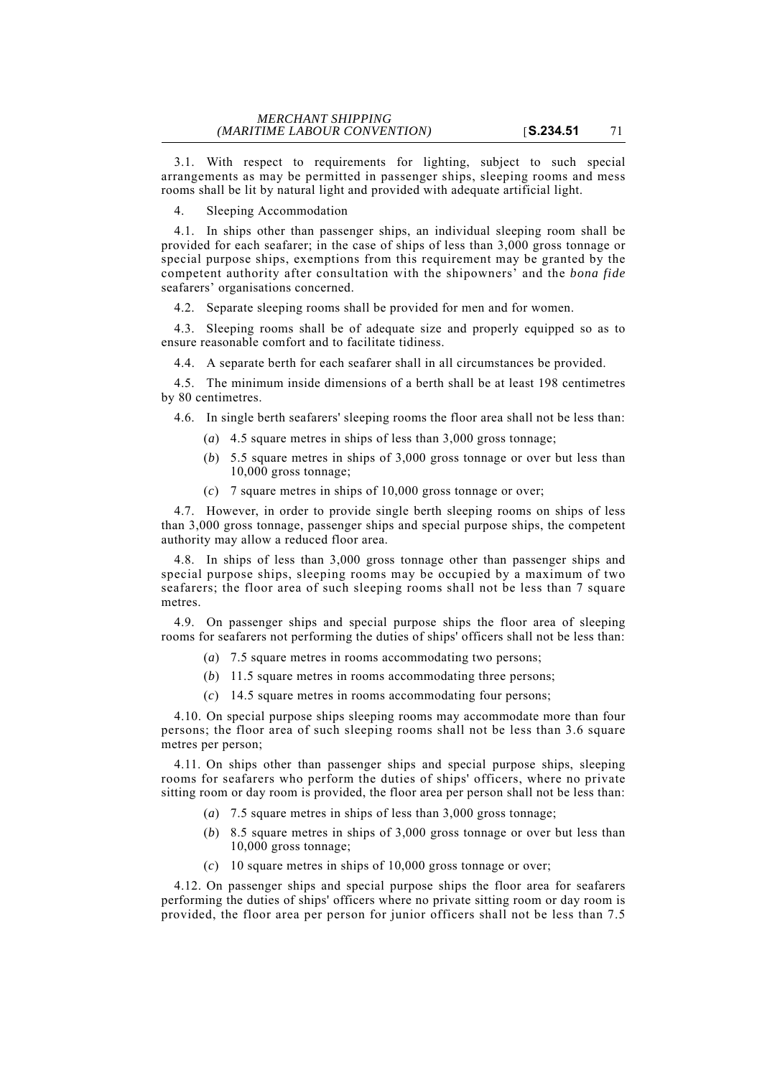3.1. With respect to requirements for lighting, subject to such special arrangements as may be permitted in passenger ships, sleeping rooms and mess rooms shall be lit by natural light and provided with adequate artificial light.

4. Sleeping Accommodation

4.1. In ships other than passenger ships, an individual sleeping room shall be provided for each seafarer; in the case of ships of less than 3,000 gross tonnage or special purpose ships, exemptions from this requirement may be granted by the competent authority after consultation with the shipowners' and the *bona fide* seafarers' organisations concerned.

4.2. Separate sleeping rooms shall be provided for men and for women.

4.3. Sleeping rooms shall be of adequate size and properly equipped so as to ensure reasonable comfort and to facilitate tidiness.

4.4. A separate berth for each seafarer shall in all circumstances be provided.

4.5. The minimum inside dimensions of a berth shall be at least 198 centimetres by 80 centimetres.

4.6. In single berth seafarers' sleeping rooms the floor area shall not be less than:

- (*a*) 4.5 square metres in ships of less than 3,000 gross tonnage;
- (*b*) 5.5 square metres in ships of 3,000 gross tonnage or over but less than 10,000 gross tonnage;
- (*c*) 7 square metres in ships of 10,000 gross tonnage or over;

4.7. However, in order to provide single berth sleeping rooms on ships of less than 3,000 gross tonnage, passenger ships and special purpose ships, the competent authority may allow a reduced floor area.

4.8. In ships of less than 3,000 gross tonnage other than passenger ships and special purpose ships, sleeping rooms may be occupied by a maximum of two seafarers; the floor area of such sleeping rooms shall not be less than 7 square metres.

4.9. On passenger ships and special purpose ships the floor area of sleeping rooms for seafarers not performing the duties of ships' officers shall not be less than:

- (*a*) 7.5 square metres in rooms accommodating two persons;
- (*b*) 11.5 square metres in rooms accommodating three persons;
- (*c*) 14.5 square metres in rooms accommodating four persons;

4.10. On special purpose ships sleeping rooms may accommodate more than four persons; the floor area of such sleeping rooms shall not be less than 3.6 square metres per person;

4.11. On ships other than passenger ships and special purpose ships, sleeping rooms for seafarers who perform the duties of ships' officers, where no private sitting room or day room is provided, the floor area per person shall not be less than:

- (*a*) 7.5 square metres in ships of less than 3,000 gross tonnage;
- (*b*) 8.5 square metres in ships of 3,000 gross tonnage or over but less than 10,000 gross tonnage;
- (*c*) 10 square metres in ships of 10,000 gross tonnage or over;

4.12. On passenger ships and special purpose ships the floor area for seafarers performing the duties of ships' officers where no private sitting room or day room is provided, the floor area per person for junior officers shall not be less than 7.5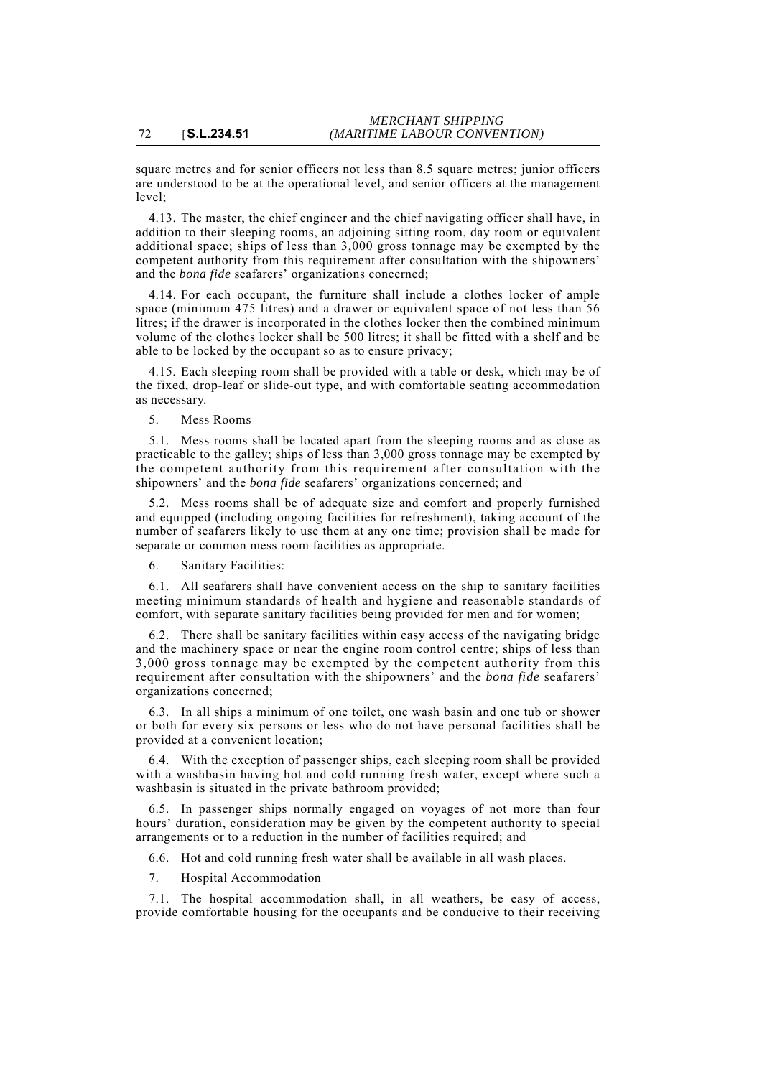square metres and for senior officers not less than 8.5 square metres; junior officers are understood to be at the operational level, and senior officers at the management  $level:$ 

4.13. The master, the chief engineer and the chief navigating officer shall have, in addition to their sleeping rooms, an adjoining sitting room, day room or equivalent additional space; ships of less than 3,000 gross tonnage may be exempted by the competent authority from this requirement after consultation with the shipowners' and the *bona fide* seafarers' organizations concerned;

4.14. For each occupant, the furniture shall include a clothes locker of ample space (minimum 475 litres) and a drawer or equivalent space of not less than 56 litres; if the drawer is incorporated in the clothes locker then the combined minimum volume of the clothes locker shall be 500 litres; it shall be fitted with a shelf and be able to be locked by the occupant so as to ensure privacy;

4.15. Each sleeping room shall be provided with a table or desk, which may be of the fixed, drop-leaf or slide-out type, and with comfortable seating accommodation as necessary.

5. Mess Rooms

5.1. Mess rooms shall be located apart from the sleeping rooms and as close as practicable to the galley; ships of less than 3,000 gross tonnage may be exempted by the competent authority from this requirement after consultation with the shipowners' and the *bona fide* seafarers' organizations concerned; and

5.2. Mess rooms shall be of adequate size and comfort and properly furnished and equipped (including ongoing facilities for refreshment), taking account of the number of seafarers likely to use them at any one time; provision shall be made for separate or common mess room facilities as appropriate.

6. Sanitary Facilities:

6.1. All seafarers shall have convenient access on the ship to sanitary facilities meeting minimum standards of health and hygiene and reasonable standards of comfort, with separate sanitary facilities being provided for men and for women;

6.2. There shall be sanitary facilities within easy access of the navigating bridge and the machinery space or near the engine room control centre; ships of less than 3,000 gross tonnage may be exempted by the competent authority from this requirement after consultation with the shipowners' and the *bona fide* seafarers' organizations concerned;

6.3. In all ships a minimum of one toilet, one wash basin and one tub or shower or both for every six persons or less who do not have personal facilities shall be provided at a convenient location;

6.4. With the exception of passenger ships, each sleeping room shall be provided with a washbasin having hot and cold running fresh water, except where such a washbasin is situated in the private bathroom provided;

6.5. In passenger ships normally engaged on voyages of not more than four hours' duration, consideration may be given by the competent authority to special arrangements or to a reduction in the number of facilities required; and

6.6. Hot and cold running fresh water shall be available in all wash places.

7. Hospital Accommodation

7.1. The hospital accommodation shall, in all weathers, be easy of access, provide comfortable housing for the occupants and be conducive to their receiving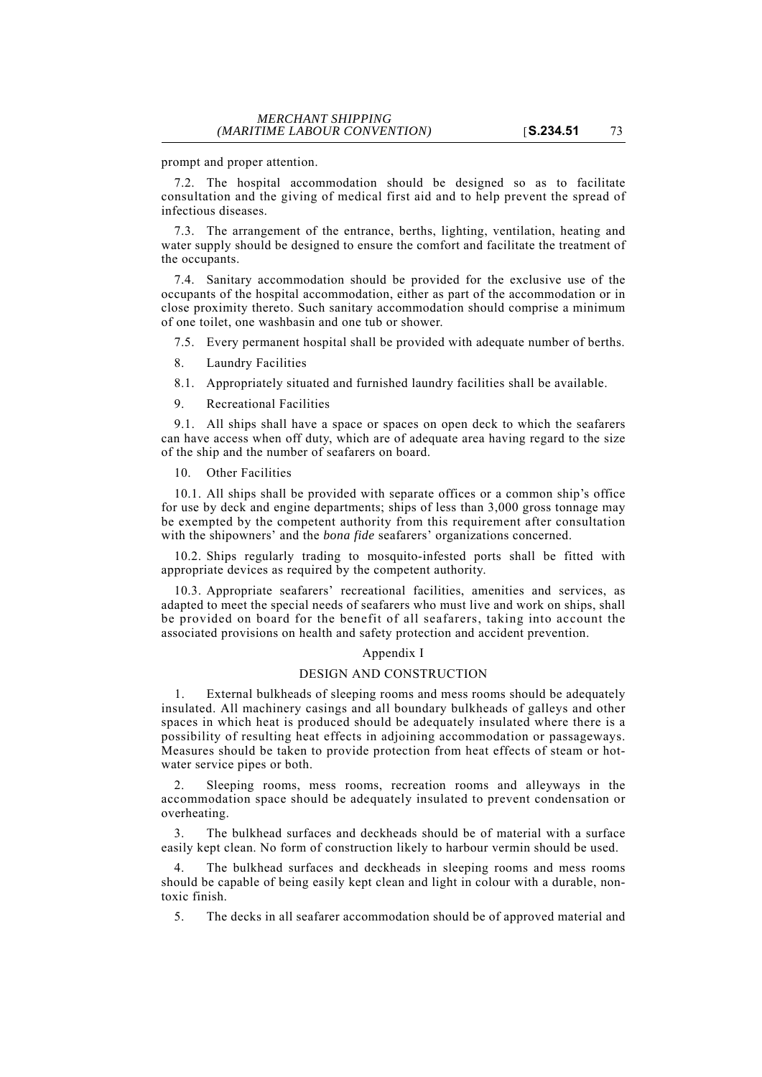prompt and proper attention.

7.2. The hospital accommodation should be designed so as to facilitate consultation and the giving of medical first aid and to help prevent the spread of infectious diseases.

7.3. The arrangement of the entrance, berths, lighting, ventilation, heating and water supply should be designed to ensure the comfort and facilitate the treatment of the occupants.

7.4. Sanitary accommodation should be provided for the exclusive use of the occupants of the hospital accommodation, either as part of the accommodation or in close proximity thereto. Such sanitary accommodation should comprise a minimum of one toilet, one washbasin and one tub or shower.

7.5. Every permanent hospital shall be provided with adequate number of berths.

8. Laundry Facilities

8.1. Appropriately situated and furnished laundry facilities shall be available.

9. Recreational Facilities

9.1. All ships shall have a space or spaces on open deck to which the seafarers can have access when off duty, which are of adequate area having regard to the size of the ship and the number of seafarers on board.

10. Other Facilities

10.1. All ships shall be provided with separate offices or a common ship's office for use by deck and engine departments; ships of less than 3,000 gross tonnage may be exempted by the competent authority from this requirement after consultation with the shipowners' and the *bona fide* seafarers' organizations concerned.

10.2. Ships regularly trading to mosquito-infested ports shall be fitted with appropriate devices as required by the competent authority.

10.3. Appropriate seafarers' recreational facilities, amenities and services, as adapted to meet the special needs of seafarers who must live and work on ships, shall be provided on board for the benefit of all seafarers, taking into account the associated provisions on health and safety protection and accident prevention.

#### Appendix I

#### DESIGN AND CONSTRUCTION

1. External bulkheads of sleeping rooms and mess rooms should be adequately insulated. All machinery casings and all boundary bulkheads of galleys and other spaces in which heat is produced should be adequately insulated where there is a possibility of resulting heat effects in adjoining accommodation or passageways. Measures should be taken to provide protection from heat effects of steam or hotwater service pipes or both.

2. Sleeping rooms, mess rooms, recreation rooms and alleyways in the accommodation space should be adequately insulated to prevent condensation or overheating.

3. The bulkhead surfaces and deckheads should be of material with a surface easily kept clean. No form of construction likely to harbour vermin should be used.

The bulkhead surfaces and deckheads in sleeping rooms and mess rooms should be capable of being easily kept clean and light in colour with a durable, nontoxic finish.

5. The decks in all seafarer accommodation should be of approved material and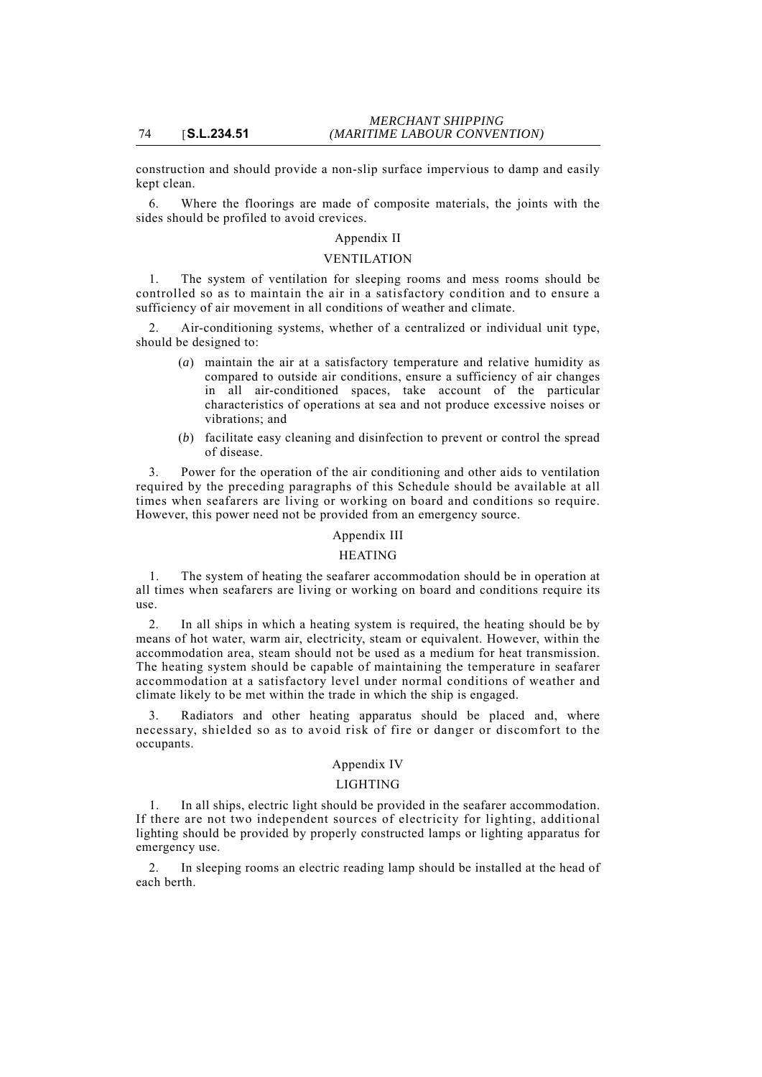construction and should provide a non-slip surface impervious to damp and easily kept clean.

6. Where the floorings are made of composite materials, the joints with the sides should be profiled to avoid crevices.

# Appendix II

# VENTILATION

1. The system of ventilation for sleeping rooms and mess rooms should be controlled so as to maintain the air in a satisfactory condition and to ensure a sufficiency of air movement in all conditions of weather and climate.

2. Air-conditioning systems, whether of a centralized or individual unit type, should be designed to:

- (*a*) maintain the air at a satisfactory temperature and relative humidity as compared to outside air conditions, ensure a sufficiency of air changes in all air-conditioned spaces, take account of the particular characteristics of operations at sea and not produce excessive noises or vibrations; and
- (*b*) facilitate easy cleaning and disinfection to prevent or control the spread of disease.

3. Power for the operation of the air conditioning and other aids to ventilation required by the preceding paragraphs of this Schedule should be available at all times when seafarers are living or working on board and conditions so require. However, this power need not be provided from an emergency source.

#### Appendix III

#### HEATING

1. The system of heating the seafarer accommodation should be in operation at all times when seafarers are living or working on board and conditions require its use.

2. In all ships in which a heating system is required, the heating should be by means of hot water, warm air, electricity, steam or equivalent. However, within the accommodation area, steam should not be used as a medium for heat transmission. The heating system should be capable of maintaining the temperature in seafarer accommodation at a satisfactory level under normal conditions of weather and climate likely to be met within the trade in which the ship is engaged.

Radiators and other heating apparatus should be placed and, where necessary, shielded so as to avoid risk of fire or danger or discomfort to the occupants.

## Appendix IV

#### LIGHTING

1. In all ships, electric light should be provided in the seafarer accommodation. If there are not two independent sources of electricity for lighting, additional lighting should be provided by properly constructed lamps or lighting apparatus for emergency use.

2. In sleeping rooms an electric reading lamp should be installed at the head of each berth.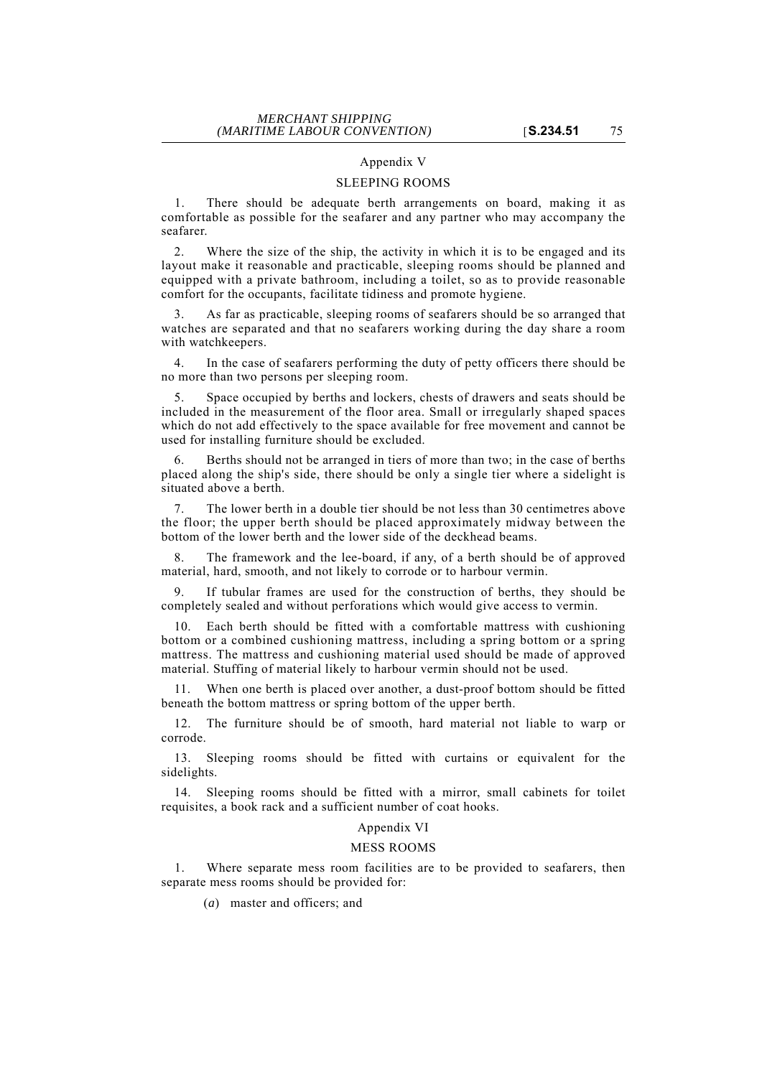## Appendix V

#### SLEEPING ROOMS

1. There should be adequate berth arrangements on board, making it as comfortable as possible for the seafarer and any partner who may accompany the seafarer.

2. Where the size of the ship, the activity in which it is to be engaged and its layout make it reasonable and practicable, sleeping rooms should be planned and equipped with a private bathroom, including a toilet, so as to provide reasonable comfort for the occupants, facilitate tidiness and promote hygiene.

As far as practicable, sleeping rooms of seafarers should be so arranged that watches are separated and that no seafarers working during the day share a room with watchkeepers.

4. In the case of seafarers performing the duty of petty officers there should be no more than two persons per sleeping room.

5. Space occupied by berths and lockers, chests of drawers and seats should be included in the measurement of the floor area. Small or irregularly shaped spaces which do not add effectively to the space available for free movement and cannot be used for installing furniture should be excluded.

Berths should not be arranged in tiers of more than two; in the case of berths placed along the ship's side, there should be only a single tier where a sidelight is situated above a berth.

The lower berth in a double tier should be not less than 30 centimetres above the floor; the upper berth should be placed approximately midway between the bottom of the lower berth and the lower side of the deckhead beams.

8. The framework and the lee-board, if any, of a berth should be of approved material, hard, smooth, and not likely to corrode or to harbour vermin.

9. If tubular frames are used for the construction of berths, they should be completely sealed and without perforations which would give access to vermin.

10. Each berth should be fitted with a comfortable mattress with cushioning bottom or a combined cushioning mattress, including a spring bottom or a spring mattress. The mattress and cushioning material used should be made of approved material. Stuffing of material likely to harbour vermin should not be used.

When one berth is placed over another, a dust-proof bottom should be fitted beneath the bottom mattress or spring bottom of the upper berth.

12. The furniture should be of smooth, hard material not liable to warp or corrode.

13. Sleeping rooms should be fitted with curtains or equivalent for the sidelights.

14. Sleeping rooms should be fitted with a mirror, small cabinets for toilet requisites, a book rack and a sufficient number of coat hooks.

## Appendix VI

#### MESS ROOMS

1. Where separate mess room facilities are to be provided to seafarers, then separate mess rooms should be provided for:

(*a*) master and officers; and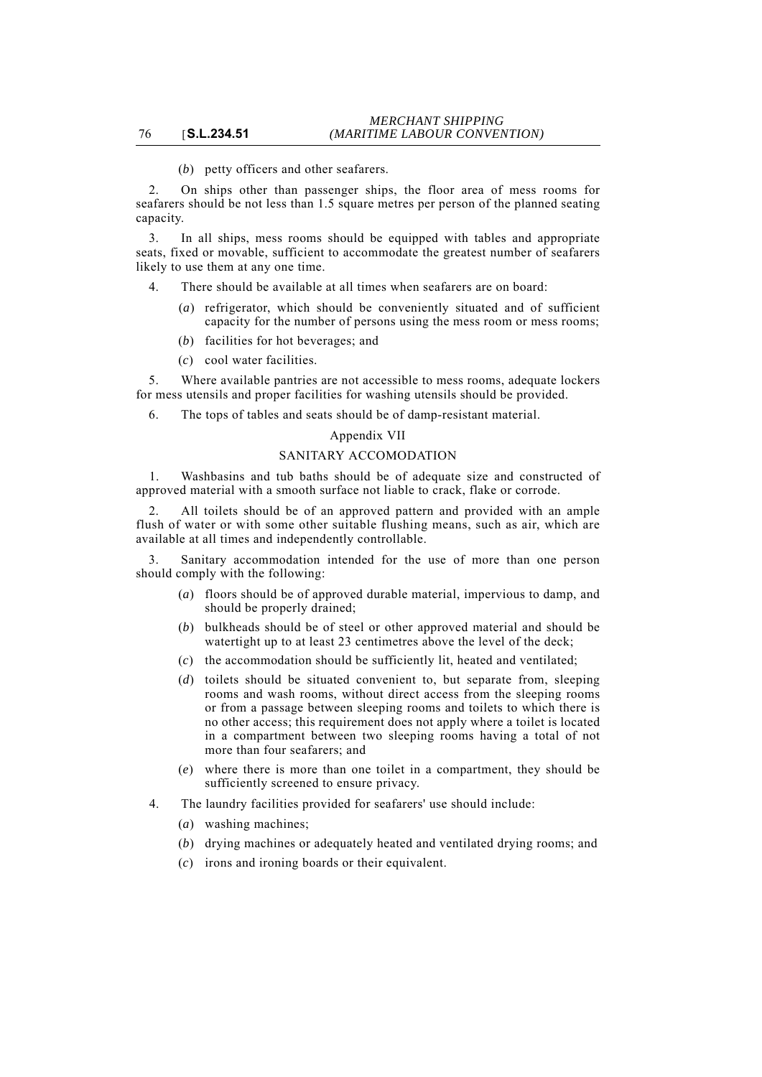(*b*) petty officers and other seafarers.

2. On ships other than passenger ships, the floor area of mess rooms for seafarers should be not less than 1.5 square metres per person of the planned seating capacity.

3. In all ships, mess rooms should be equipped with tables and appropriate seats, fixed or movable, sufficient to accommodate the greatest number of seafarers likely to use them at any one time.

- 4. There should be available at all times when seafarers are on board:
	- (*a*) refrigerator, which should be conveniently situated and of sufficient capacity for the number of persons using the mess room or mess rooms;
	- (*b*) facilities for hot beverages; and
	- (*c*) cool water facilities.

5. Where available pantries are not accessible to mess rooms, adequate lockers for mess utensils and proper facilities for washing utensils should be provided.

6. The tops of tables and seats should be of damp-resistant material.

#### Appendix VII

## SANITARY ACCOMODATION

1. Washbasins and tub baths should be of adequate size and constructed of approved material with a smooth surface not liable to crack, flake or corrode.

2. All toilets should be of an approved pattern and provided with an ample flush of water or with some other suitable flushing means, such as air, which are available at all times and independently controllable.

Sanitary accommodation intended for the use of more than one person should comply with the following:

- (*a*) floors should be of approved durable material, impervious to damp, and should be properly drained;
- (*b*) bulkheads should be of steel or other approved material and should be watertight up to at least 23 centimetres above the level of the deck;
- (*c*) the accommodation should be sufficiently lit, heated and ventilated;
- (*d*) toilets should be situated convenient to, but separate from, sleeping rooms and wash rooms, without direct access from the sleeping rooms or from a passage between sleeping rooms and toilets to which there is no other access; this requirement does not apply where a toilet is located in a compartment between two sleeping rooms having a total of not more than four seafarers; and
- (*e*) where there is more than one toilet in a compartment, they should be sufficiently screened to ensure privacy.
- 4. The laundry facilities provided for seafarers' use should include:
	- (*a*) washing machines;
	- (*b*) drying machines or adequately heated and ventilated drying rooms; and
	- (*c*) irons and ironing boards or their equivalent.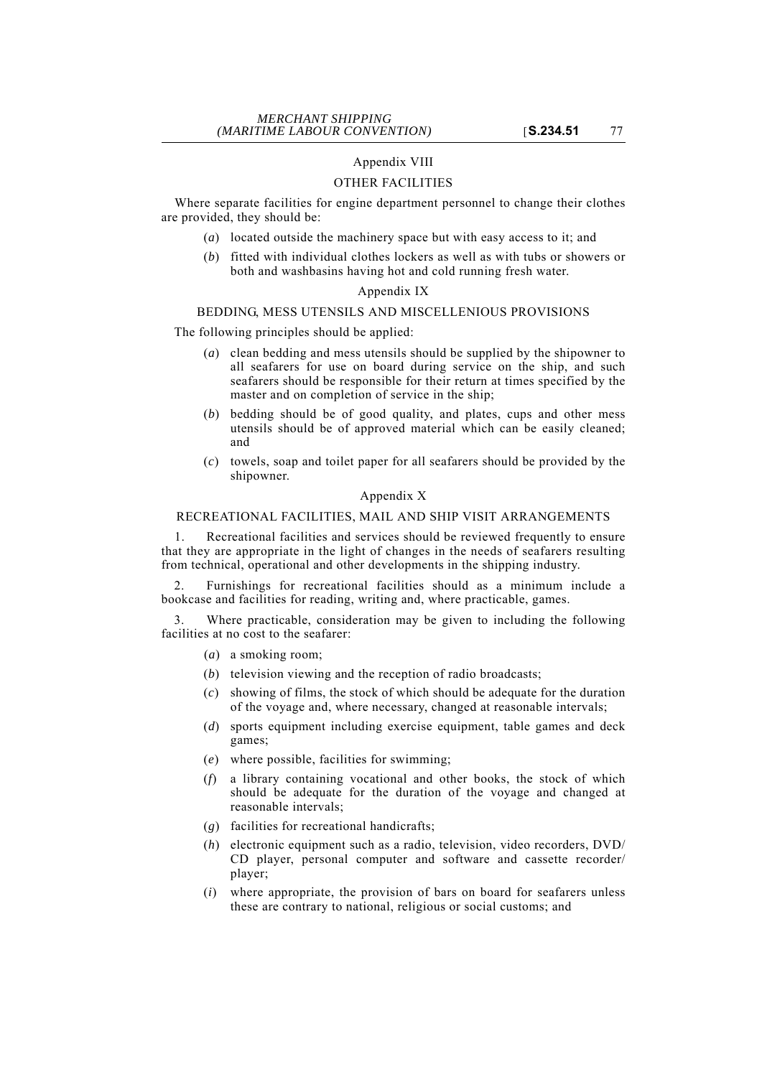## Appendix VIII

#### OTHER FACILITIES

Where separate facilities for engine department personnel to change their clothes are provided, they should be:

- (*a*) located outside the machinery space but with easy access to it; and
- (*b*) fitted with individual clothes lockers as well as with tubs or showers or both and washbasins having hot and cold running fresh water.

#### Appendix IX

#### BEDDING, MESS UTENSILS AND MISCELLENIOUS PROVISIONS

The following principles should be applied:

- (*a*) clean bedding and mess utensils should be supplied by the shipowner to all seafarers for use on board during service on the ship, and such seafarers should be responsible for their return at times specified by the master and on completion of service in the ship;
- (*b*) bedding should be of good quality, and plates, cups and other mess utensils should be of approved material which can be easily cleaned; and
- (*c*) towels, soap and toilet paper for all seafarers should be provided by the shipowner.

# Appendix X

## RECREATIONAL FACILITIES, MAIL AND SHIP VISIT ARRANGEMENTS

1. Recreational facilities and services should be reviewed frequently to ensure that they are appropriate in the light of changes in the needs of seafarers resulting from technical, operational and other developments in the shipping industry.

2. Furnishings for recreational facilities should as a minimum include a bookcase and facilities for reading, writing and, where practicable, games.

3. Where practicable, consideration may be given to including the following facilities at no cost to the seafarer:

- (*a*) a smoking room;
- (*b*) television viewing and the reception of radio broadcasts;
- (*c*) showing of films, the stock of which should be adequate for the duration of the voyage and, where necessary, changed at reasonable intervals;
- (*d*) sports equipment including exercise equipment, table games and deck games;
- (*e*) where possible, facilities for swimming;
- (*f*) a library containing vocational and other books, the stock of which should be adequate for the duration of the voyage and changed at reasonable intervals;
- (*g*) facilities for recreational handicrafts;
- (*h*) electronic equipment such as a radio, television, video recorders, DVD/ CD player, personal computer and software and cassette recorder/ player;
- (*i*) where appropriate, the provision of bars on board for seafarers unless these are contrary to national, religious or social customs; and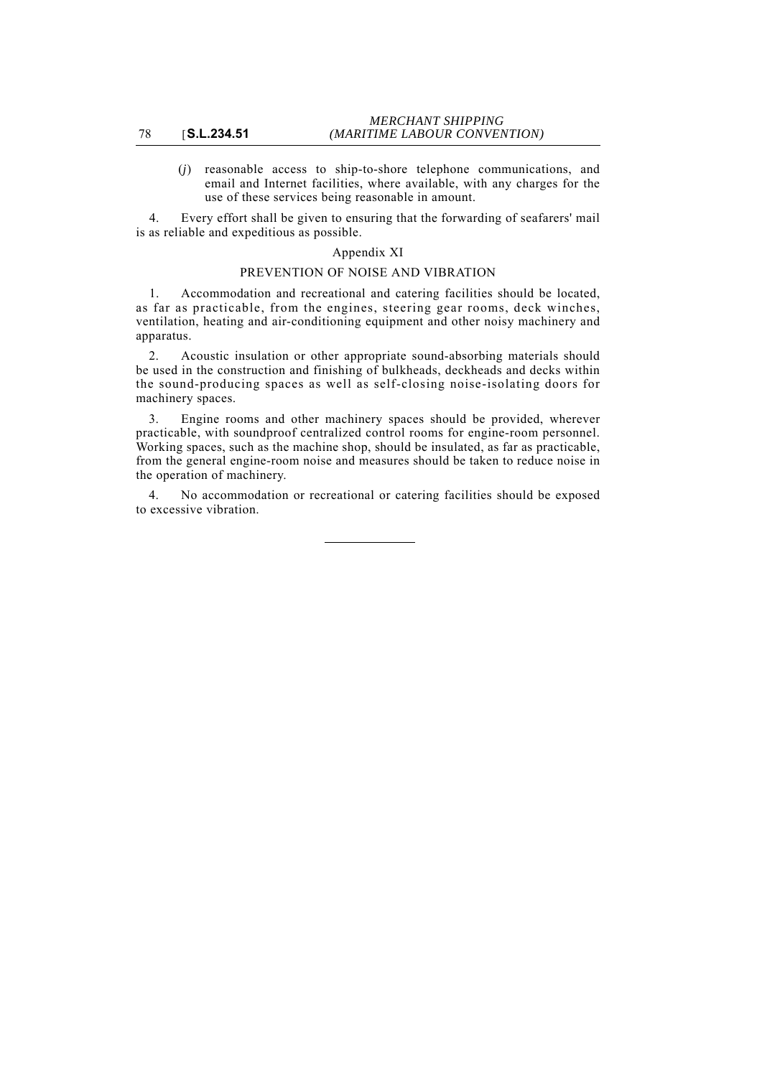(*j*) reasonable access to ship-to-shore telephone communications, and email and Internet facilities, where available, with any charges for the use of these services being reasonable in amount.

4. Every effort shall be given to ensuring that the forwarding of seafarers' mail is as reliable and expeditious as possible.

## Appendix XI

## PREVENTION OF NOISE AND VIBRATION

1. Accommodation and recreational and catering facilities should be located, as far as practicable, from the engines, steering gear rooms, deck winches, ventilation, heating and air-conditioning equipment and other noisy machinery and apparatus.

2. Acoustic insulation or other appropriate sound-absorbing materials should be used in the construction and finishing of bulkheads, deckheads and decks within the sound-producing spaces as well as self-closing noise-isolating doors for machinery spaces.

3. Engine rooms and other machinery spaces should be provided, wherever practicable, with soundproof centralized control rooms for engine-room personnel. Working spaces, such as the machine shop, should be insulated, as far as practicable, from the general engine-room noise and measures should be taken to reduce noise in the operation of machinery.

4. No accommodation or recreational or catering facilities should be exposed to excessive vibration.

#### 78 [**S.L.234.51**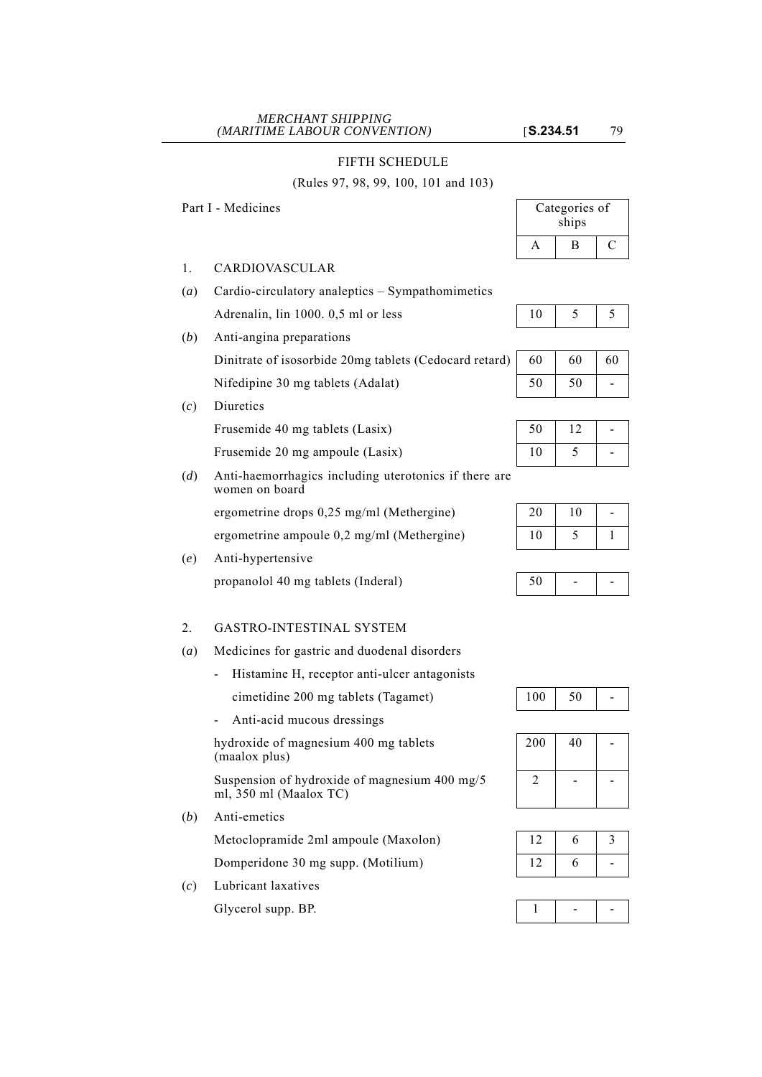## FIFTH SCHEDULE

#### (Rules 97, 98, 99, 100, 101 and 103)

Part I - Medicines

- 1. CARDIOVASCULAR
- (*a*) Cardio-circulatory analeptics Sympathomimetics Adrenalin, lin 1000. 0,5 ml or less
- (*b*) Anti-angina preparations

Dinitrate of isosorbide 20mg tablets (Cedocard retard) Nifedipine 30 mg tablets (Adalat)

(*c*) Diuretics

Frusemide 40 mg tablets (Lasix)

Frusemide 20 mg ampoule (Lasix)

(*d*) Anti-haemorrhagics including uterotonics if there are women on board

ergometrine drops  $0.25$  mg/ml (Methergine)

ergometrine ampoule 0,2 mg/ml (Methergine)

(*e*) Anti-hypertensive propanolol 40 mg tablets (Inderal)

# 2. GASTRO-INTESTINAL SYSTEM

- (*a*) Medicines for gastric and duodenal disorders
	- Histamine H, receptor anti-ulcer antagonists

cimetidine 200 mg tablets (Tagamet)  $100 \mid 50 \mid -100$ 

- Anti-acid mucous dressings

hydroxide of magnesium 400 mg tablets (maalox plus)

Suspension of hydroxide of magnesium 400 mg/5 ml, 350 ml (Maalox TC)

(*b*) Anti-emetics

Metoclopramide 2ml ampoule (Maxolon) Domperidone 30 mg supp. (Motilium)

(*c*) Lubricant laxatives

Glycerol supp. BP. 1 - -

| Categories of<br>ships |   |  |
|------------------------|---|--|
|                        | в |  |

| 60 | 60 | 60 |
|----|----|----|
| 50 | 50 |    |

| 50 | 12 |   |
|----|----|---|
| 10 | ∋  | ⋍ |

| 20 | 10 | - |
|----|----|---|
| 10 | C  |   |

|--|



| 200 | 40 |  |
|-----|----|--|
|     |    |  |

| 12 | 6 |  |
|----|---|--|
| 12 | 6 |  |

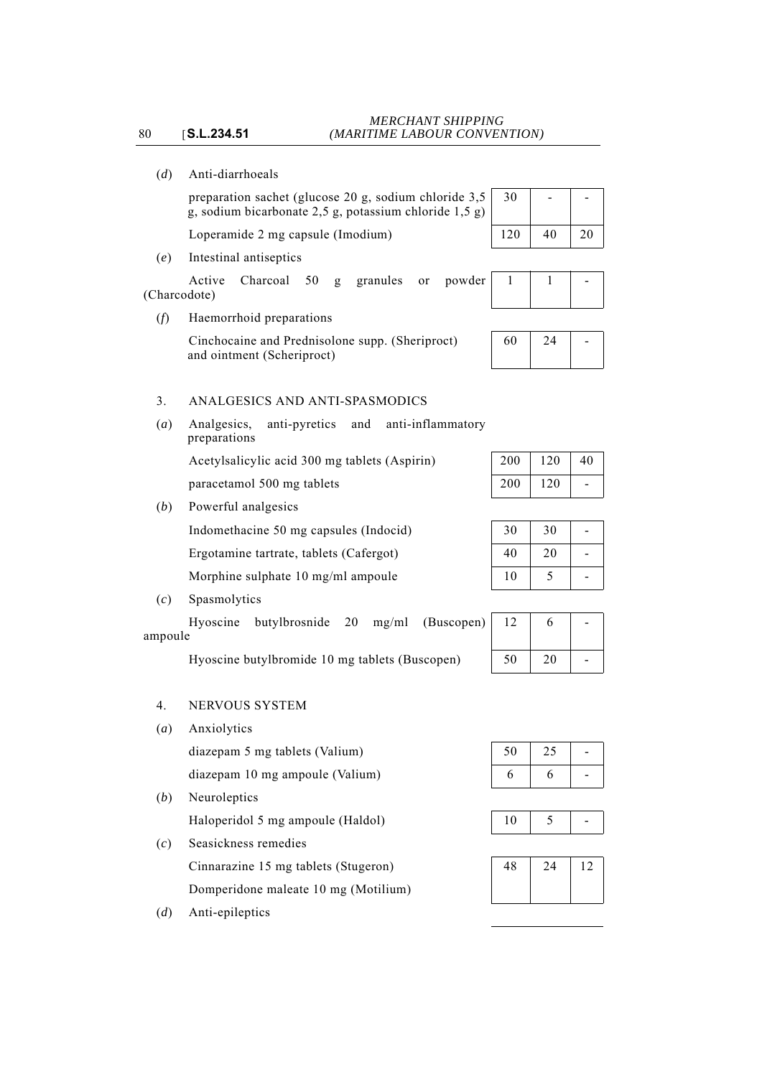- 80 [**S.L.234.51**
	- (*d*) Anti-diarrhoeals

preparation sachet (glucose 20 g, sodium chloride 3,5 g, sodium bicarbonate 2,5 g, potassium chloride 1,5 g)

Loperamide 2 mg capsule (Imodium)

(*e*) Intestinal antiseptics

Active Charcoal 50 g granules or powder (Charcodote)

(*f*) Haemorrhoid preparations

Cinchocaine and Prednisolone supp. (Sheriproct) and ointment (Scheriproct)

# 3. ANALGESICS AND ANTI-SPASMODICS

(*a*) Analgesics, anti-pyretics and anti-inflammatory preparations Acetylsalicylic acid 300 mg tablets (Aspirin) paracetamol 500 mg tablets

(*b*) Powerful analgesics

Indomethacine 50 mg capsules (Indocid)

Ergotamine tartrate, tablets (Cafergot)

Morphine sulphate 10 mg/ml ampoule

(*c*) Spasmolytics

Hyoscine butylbrosnide 20 mg/ml (Buscopen) ampoule

Hyoscine butylbromide 10 mg tablets (Buscopen)

# 4. NERVOUS SYSTEM

- (*a*) Anxiolytics
	- diazepam 5 mg tablets (Valium)

diazepam 10 mg ampoule (Valium)

(*b*) Neuroleptics

Haloperidol 5 mg ampoule (Haldol)

(*c*) Seasickness remedies Cinnarazine 15 mg tablets (Stugeron) Domperidone maleate 10 mg (Motilium)

(*d*) Anti-epileptics

| 30  |    |    |
|-----|----|----|
| 120 | 40 | 20 |





| 200 | 120 | 40 |
|-----|-----|----|
| 200 | 120 |    |

| 30 | 30 |  |
|----|----|--|
| 40 | 20 |  |
| 10 | 5  |  |

| 12 | 6  |  |
|----|----|--|
| 50 | 20 |  |

| 50 | 25 |  |
|----|----|--|
| 6  | h  |  |

|--|--|--|

| 48 | 24 |  |
|----|----|--|
|    |    |  |
|    |    |  |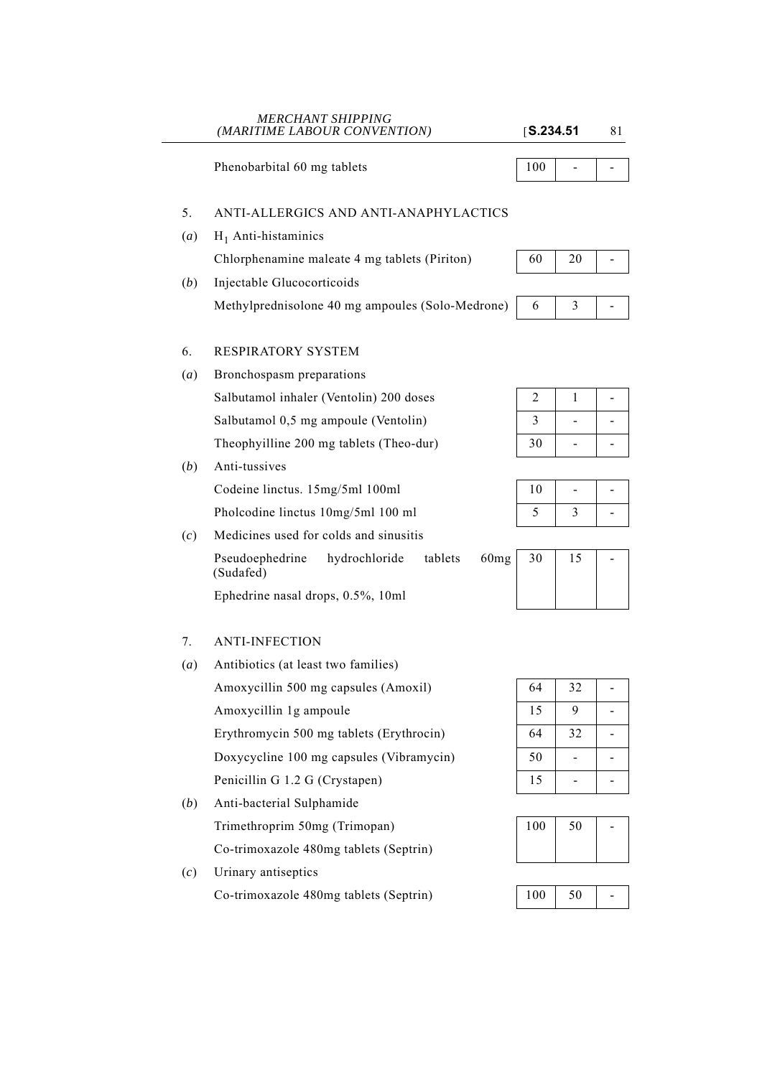|                  | (MARITIME LABOUR CONVENTION)                                                 | S.234.51 |                              | 81 |
|------------------|------------------------------------------------------------------------------|----------|------------------------------|----|
|                  | Phenobarbital 60 mg tablets                                                  | 100      |                              |    |
| 5.               | ANTI-ALLERGICS AND ANTI-ANAPHYLACTICS                                        |          |                              |    |
| (a)              | $H_1$ Anti-histaminics                                                       |          |                              |    |
|                  | Chlorphenamine maleate 4 mg tablets (Piriton)                                | 60       | 20                           |    |
| ( <i>b</i> )     | Injectable Glucocorticoids                                                   |          |                              |    |
|                  | Methylprednisolone 40 mg ampoules (Solo-Medrone)                             | 6        | 3                            |    |
| 6.               | RESPIRATORY SYSTEM                                                           |          |                              |    |
| (a)              | Bronchospasm preparations                                                    |          |                              |    |
|                  | Salbutamol inhaler (Ventolin) 200 doses                                      | 2        | $\mathbf{1}$                 |    |
|                  | Salbutamol 0,5 mg ampoule (Ventolin)                                         | 3        | $\qquad \qquad \blacksquare$ |    |
|                  | Theophyilline 200 mg tablets (Theo-dur)                                      | 30       | $\overline{\phantom{0}}$     |    |
| (b)              | Anti-tussives                                                                |          |                              |    |
|                  | Codeine linctus. 15mg/5ml 100ml                                              | 10       | $\qquad \qquad \blacksquare$ |    |
|                  | Pholcodine linctus 10mg/5ml 100 ml                                           | 5        | 3                            |    |
| (c)              | Medicines used for colds and sinusitis                                       |          |                              |    |
|                  | 60 <sub>mg</sub><br>Pseudoephedrine<br>hydrochloride<br>tablets<br>(Sudafed) | 30       | 15                           |    |
|                  | Ephedrine nasal drops, 0.5%, 10ml                                            |          |                              |    |
| 7.               | <b>ANTI-INFECTION</b>                                                        |          |                              |    |
| $\left(a\right)$ | Antibiotics (at least two families)                                          |          |                              |    |
|                  | Amoxycillin 500 mg capsules (Amoxil)                                         | 64       | 32                           |    |
|                  | Amoxycillin 1g ampoule                                                       | 15       | 9                            |    |
|                  | Erythromycin 500 mg tablets (Erythrocin)                                     | 64       | 32                           |    |
|                  | Doxycycline 100 mg capsules (Vibramycin)                                     | 50       | $\blacksquare$               |    |
|                  | Penicillin G 1.2 G (Crystapen)                                               | 15       | -                            |    |
| ( <i>b</i> )     | Anti-bacterial Sulphamide                                                    |          |                              |    |
|                  | Trimethroprim 50mg (Trimopan)                                                | 100      | 50                           |    |
|                  | Co-trimoxazole 480mg tablets (Septrin)                                       |          |                              |    |
| (c)              | Urinary antiseptics                                                          |          |                              |    |
|                  | Co-trimoxazole 480mg tablets (Septrin)                                       | 100      | 50                           |    |
|                  |                                                                              |          |                              |    |

*MERCHANT SHIPPING*

 $\sim$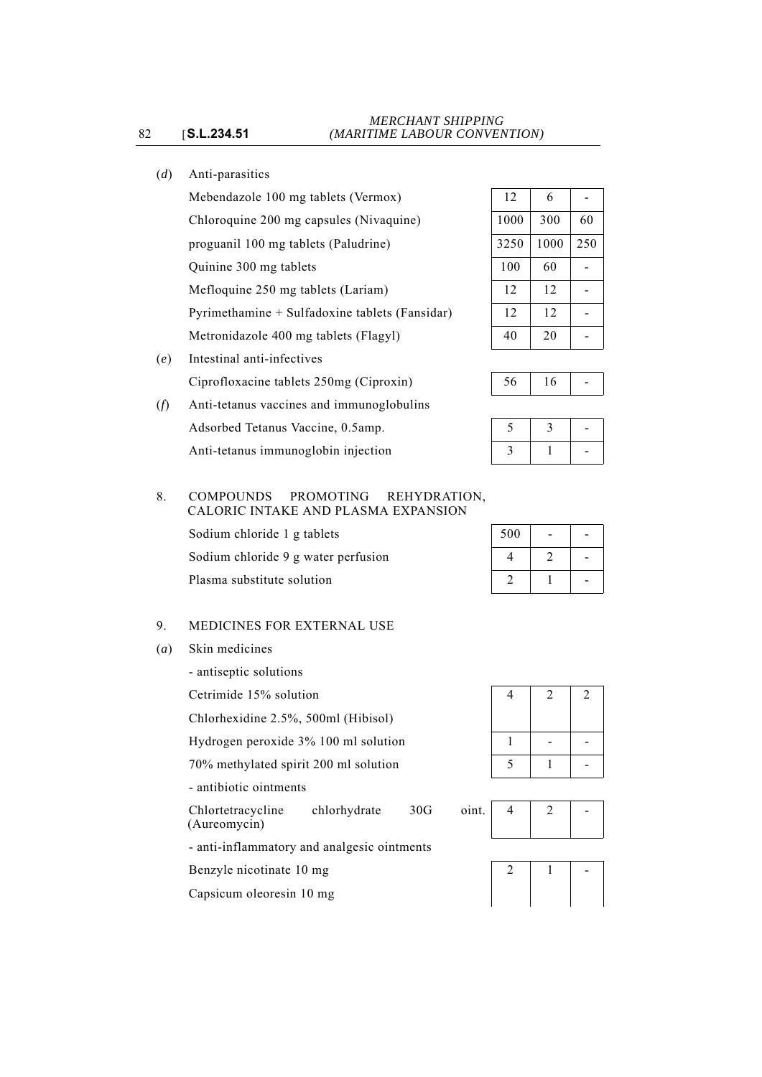# (*d*) Anti-parasitics

Mebendazole 100 mg tablets (Vermox) Chloroquine 200 mg capsules (Nivaquine) proguanil 100 mg tablets (Paludrine) Quinine 300 mg tablets Mefloquine 250 mg tablets (Lariam) Pyrimethamine + Sulfadoxine tablets (Fansidar) Metronidazole 400 mg tablets (Flagyl)

(*e*) Intestinal anti-infectives Ciprofloxacine tablets 250mg (Ciproxin)



# 8. COMPOUNDS PROMOTING REHYDRATION, CALORIC INTAKE AND PLASMA EXPANSION

Sodium chloride 1 g tablets

Sodium chloride 9 g water perfusion Plasma substitute solution

# 9. MEDICINES FOR EXTERNAL USE

(*a*) Skin medicines

- antiseptic solutions

Cetrimide 15% solution

Chlorhexidine 2.5%, 500ml (Hibisol)

Hydrogen peroxide  $3\%$  100 ml solution

70% methylated spirit 200 ml solution

- antibiotic ointments

Chlortetracycline chlorhydrate 30G o (Aureomycin)

- anti-inflammatory and analgesic ointments

Benzyle nicotinate 10 mg

Capsicum oleoresin 10 mg

| 12   | 6    |     |
|------|------|-----|
| 1000 | 300  | 60  |
| 3250 | 1000 | 250 |
| 100  | 60   |     |
| 12   | 12   |     |
| 12   | 12   |     |
| 40   | 20   |     |

|--|

|  | - |
|--|---|

| 500 |   |  |
|-----|---|--|
| 4   | 2 |  |
| 2   |   |  |

| 4 | $\overline{c}$ | $\sqrt{2}$ |
|---|----------------|------------|
|   |                |            |
| 5 |                |            |

| )int. |  |  |
|-------|--|--|
|       |  |  |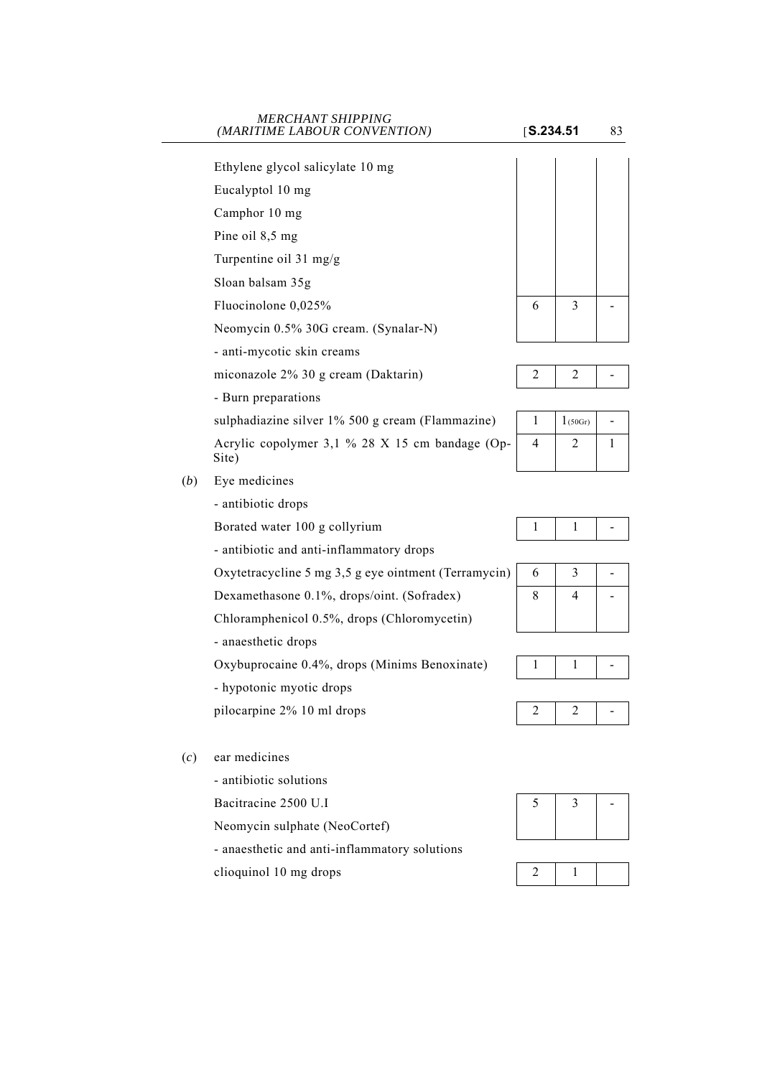| <b>MERCHANT SHIPPING</b><br>(MARITIME LABOUR CONVENTION) |                                                                                                                                                                                                                                                                                                                                                                                                          |                             | 83                                 |
|----------------------------------------------------------|----------------------------------------------------------------------------------------------------------------------------------------------------------------------------------------------------------------------------------------------------------------------------------------------------------------------------------------------------------------------------------------------------------|-----------------------------|------------------------------------|
|                                                          |                                                                                                                                                                                                                                                                                                                                                                                                          |                             |                                    |
|                                                          |                                                                                                                                                                                                                                                                                                                                                                                                          |                             |                                    |
|                                                          |                                                                                                                                                                                                                                                                                                                                                                                                          |                             |                                    |
|                                                          |                                                                                                                                                                                                                                                                                                                                                                                                          |                             |                                    |
|                                                          |                                                                                                                                                                                                                                                                                                                                                                                                          |                             |                                    |
|                                                          |                                                                                                                                                                                                                                                                                                                                                                                                          |                             |                                    |
|                                                          |                                                                                                                                                                                                                                                                                                                                                                                                          |                             |                                    |
|                                                          |                                                                                                                                                                                                                                                                                                                                                                                                          |                             |                                    |
|                                                          |                                                                                                                                                                                                                                                                                                                                                                                                          |                             |                                    |
|                                                          |                                                                                                                                                                                                                                                                                                                                                                                                          |                             |                                    |
|                                                          |                                                                                                                                                                                                                                                                                                                                                                                                          |                             |                                    |
|                                                          |                                                                                                                                                                                                                                                                                                                                                                                                          |                             |                                    |
|                                                          |                                                                                                                                                                                                                                                                                                                                                                                                          |                             |                                    |
| Site)                                                    |                                                                                                                                                                                                                                                                                                                                                                                                          |                             | $\mathbf{1}$                       |
| Eye medicines                                            |                                                                                                                                                                                                                                                                                                                                                                                                          |                             |                                    |
| - antibiotic drops                                       |                                                                                                                                                                                                                                                                                                                                                                                                          |                             |                                    |
| Borated water 100 g collyrium                            | 1                                                                                                                                                                                                                                                                                                                                                                                                        | 1                           |                                    |
| - antibiotic and anti-inflammatory drops                 |                                                                                                                                                                                                                                                                                                                                                                                                          |                             |                                    |
| Oxytetracycline 5 mg 3,5 g eye ointment (Terramycin)     | 6                                                                                                                                                                                                                                                                                                                                                                                                        | 3                           |                                    |
| Dexamethasone 0.1%, drops/oint. (Sofradex)               | 8                                                                                                                                                                                                                                                                                                                                                                                                        | 4                           |                                    |
| Chloramphenicol 0.5%, drops (Chloromycetin)              |                                                                                                                                                                                                                                                                                                                                                                                                          |                             |                                    |
| - anaesthetic drops                                      |                                                                                                                                                                                                                                                                                                                                                                                                          |                             |                                    |
| Oxybuprocaine 0.4%, drops (Minims Benoxinate)            | 1                                                                                                                                                                                                                                                                                                                                                                                                        | 1                           |                                    |
| - hypotonic myotic drops                                 |                                                                                                                                                                                                                                                                                                                                                                                                          |                             |                                    |
| pilocarpine 2% 10 ml drops                               | 2                                                                                                                                                                                                                                                                                                                                                                                                        | 2                           |                                    |
| ear medicines                                            |                                                                                                                                                                                                                                                                                                                                                                                                          |                             |                                    |
| - antibiotic solutions                                   |                                                                                                                                                                                                                                                                                                                                                                                                          |                             |                                    |
| Bacitracine 2500 U.I                                     | 5                                                                                                                                                                                                                                                                                                                                                                                                        | 3                           |                                    |
|                                                          | Ethylene glycol salicylate 10 mg<br>Eucalyptol 10 mg<br>Camphor 10 mg<br>Pine oil 8,5 mg<br>Turpentine oil 31 mg/g<br>Sloan balsam 35g<br>Fluocinolone 0,025%<br>Neomycin 0.5% 30G cream. (Synalar-N)<br>- anti-mycotic skin creams<br>miconazole 2% 30 g cream (Daktarin)<br>- Burn preparations<br>sulphadiazine silver 1% 500 g cream (Flammazine)<br>Acrylic copolymer 3,1 % 28 X 15 cm bandage (Op- | 6<br>2<br>$\mathbf{1}$<br>4 | S.234.51<br>3<br>2<br>1(50Gr)<br>2 |

Neomycin sulphate (NeoCortef)

- anaesthetic and anti-inflammatory solutions







# clioquinol 10 mg drops  $\begin{array}{|c|c|c|c|c|c|c|c|c|} \hline 2 & 1 & \hline \end{array}$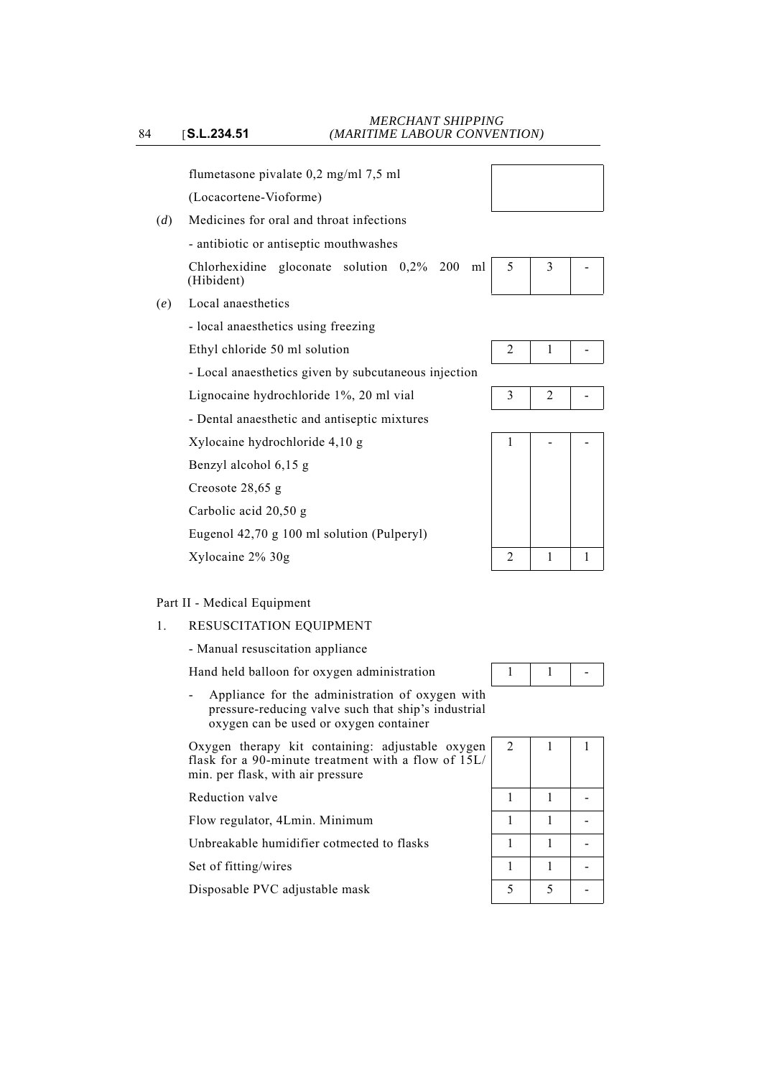flumetasone pivalate 0,2 mg/ml 7,5 ml

(Locacortene-Vioforme)

(*d*) Medicines for oral and throat infections

- antibiotic or antiseptic mouthwashes

Chlorhexidine gloconate solution 0,2% 200 ml (Hibident)

- (*e*) Local anaesthetics
	- local anaesthetics using freezing

Ethyl chloride 50 ml solution  $\begin{array}{|c|c|c|c|c|c|c|c|c|} \hline 2 & 1 & -1 & -1 \ \hline \end{array}$ 

- Local anaesthetics given by subcutaneous injection
- Lignocaine hydrochloride 1%, 20 ml vial  $\begin{array}{|c|c|c|c|c|c|c|c|c|} \hline 3 & 2 & -1 \ \hline \end{array}$
- Dental anaesthetic and antiseptic mixtures

 $Xy$ locaine hydrochloride 4,10 g  $1 \mid - \mid - \mid - \mid$ 

Benzyl alcohol 6,15 g

Creosote 28,65 g

Carbolic acid 20,50 g

Eugenol 42,70 g 100 ml solution (Pulperyl)

# Part II - Medical Equipment

1. RESUSCITATION EQUIPMENT

- Manual resuscitation appliance

Hand held balloon for oxygen administration  $1 \mid 1 \mid -1$ 

- Appliance for the administration of oxygen with pressure-reducing valve such that ship's industrial oxygen can be used or oxygen container

Oxygen therapy kit containing: adjustable oxygen flask for a 90-minute treatment with a flow of 15L/ min. per flask, with air pressure

Reduction valve

Flow regulator, 4Lmin. Minimum

Unbreakable humidifier cotmected to flasks

Set of fitting/wires

Disposable PVC adjustable mask













| l<br>l | $\mathbf{2}$ | 1 | 1 |
|--------|--------------|---|---|
|        | 1            | 1 |   |
|        | $\mathbf{1}$ | 1 |   |
|        | $\mathbf 1$  | 1 |   |
|        | 1            | 1 |   |
|        | 5            | 5 |   |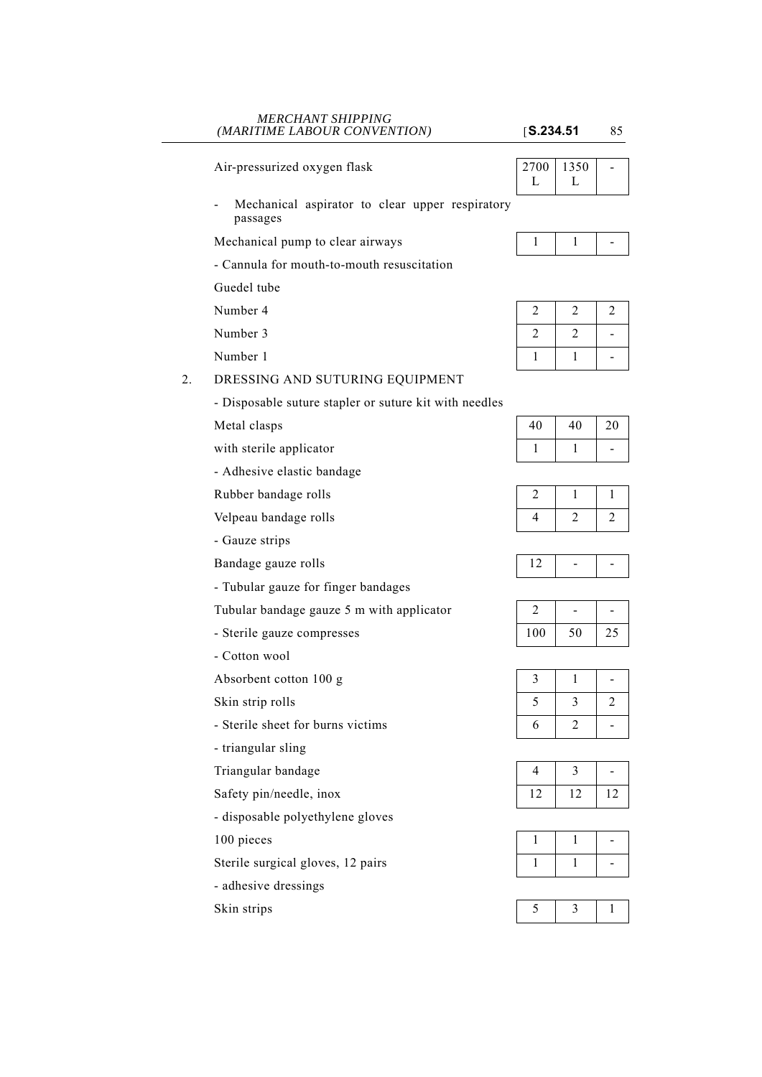## *MERCHANT SHIPPING (MARITIME LABOUR CONVENTION)* [**S.234.51** 85

Air-pressurized oxygen flask

Mechanical aspirator to clear upper respiratory passages

Mechanical pump to clear airways

- Cannula for mouth-to-mouth resuscitation

Guedel tube

Number 4

Number 3

Number 1

# 2. DRESSING AND SUTURING EQUIPMENT

- Disposable suture stapler or suture kit with needles

Metal clasps

- with sterile applicator
- Adhesive elastic bandage
- Rubber bandage rolls

Velpeau bandage rolls

- Gauze strips

Bandage gauze rolls

- Tubular gauze for finger bandages

Tubular bandage gauze  $5$  m with applicator

- Sterile gauze compresses
- Cotton wool

Absorbent cotton  $100 g$ 

Skin strip rolls

- Sterile sheet for burns victims
- triangular sling

Triangular bandage

- Safety pin/needle, inox
- disposable polyethylene gloves

 $100$  pieces

Sterile surgical gloves, 12 pairs

- adhesive dressings

Skin strips

| 2700 | 1350 |  |
|------|------|--|
|      |      |  |
|      |      |  |

| 2 | 2 | $\overline{2}$ |
|---|---|----------------|
| 2 | 2 |                |
|   |   |                |

| 40 | 40 | 20 |
|----|----|----|
|    |    |    |

| 4 |  |
|---|--|

|--|

| 100 | 50 | 25 |
|-----|----|----|

| 5 | 3 | 2 |
|---|---|---|
| 6 | 2 |   |

| 4  |    | -  |
|----|----|----|
| 12 | 12 | 12 |

|--|--|--|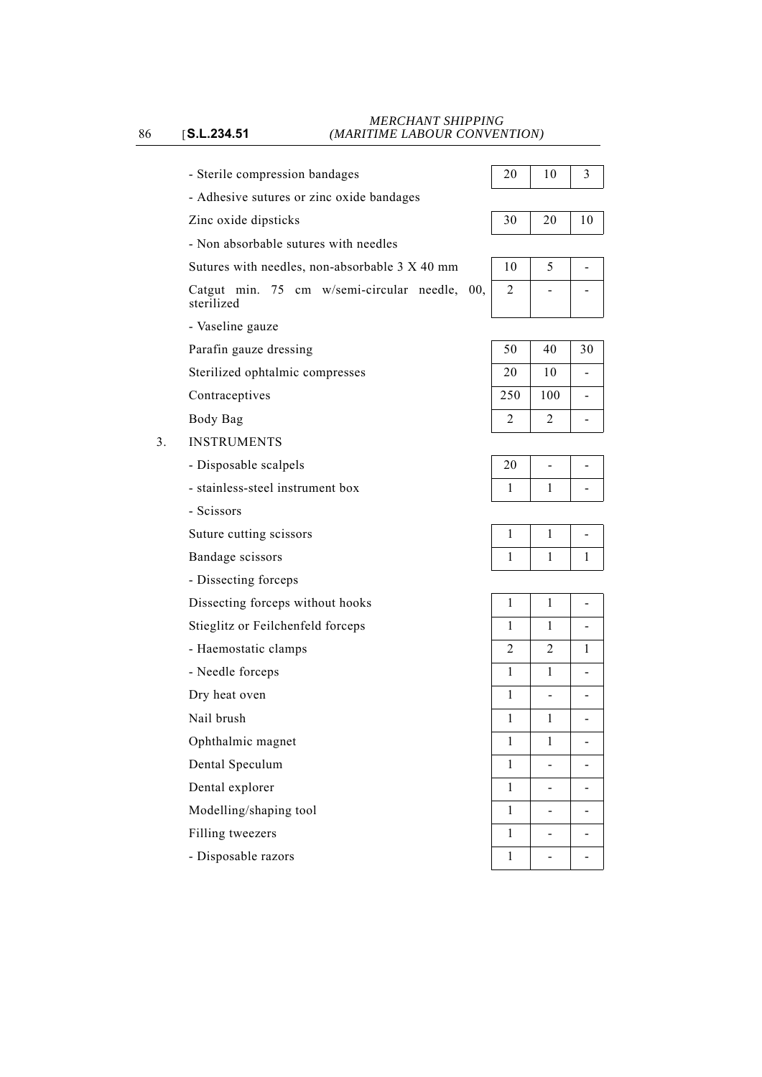- Sterile compression bandages
- Adhesive sutures or zinc oxide bandages
- Zinc oxide dipsticks 30 20 10
- Non absorbable sutures with needles

# Sutures with needles, non-absorbable  $3 X 40$  mm

Catgut min. 75 cm w/semi-circular needle, 00, sterilized

- Vaseline gauze

Parafin gauze dressing

Sterilized ophtalmic compresses

Contraceptives

Body Bag

- 3. INSTRUMENTS
	- Disposable scalpels
	- stainless-steel instrument box
	- Scissors

Suture cutting scissors

Bandage scissors

- Dissecting forceps

Dissecting forceps without hooks

Stieglitz or Feilchenfeld forceps

- Haemostatic clamps

- Needle forceps
- Dry heat oven

Nail brush

Ophthalmic magnet

Dental Speculum

Dental explorer

Modelling/shaping tool

Filling tweezers

- Disposable razors

| 20 | 10 |  |
|----|----|--|
|    |    |  |
|    |    |  |

| 10 |  |
|----|--|
|    |  |
|    |  |

| 50             | 40  | 30 |
|----------------|-----|----|
| 20             | 10  |    |
| 250            | 100 |    |
| $\mathfrak{D}$ | 2   |    |

| 20 |   |
|----|---|
|    | - |

|  | ═ |
|--|---|
|  |   |

| 1              | 1              |              |
|----------------|----------------|--------------|
| $\mathbf 1$    | $\mathbf 1$    |              |
| $\overline{c}$ | $\overline{c}$ | $\mathbf{1}$ |
| $\mathbf 1$    | $\,1$          |              |
| $\mathbf 1$    |                |              |
| $\mathbf 1$    | $\mathbf{1}$   |              |
| $\mathbf 1$    | $\mathbf{1}$   |              |
| $\mathbf 1$    |                |              |
| $\,1$          |                |              |
| $\,1$          |                |              |
| $\mathbf{1}$   |                |              |
| 1              |                |              |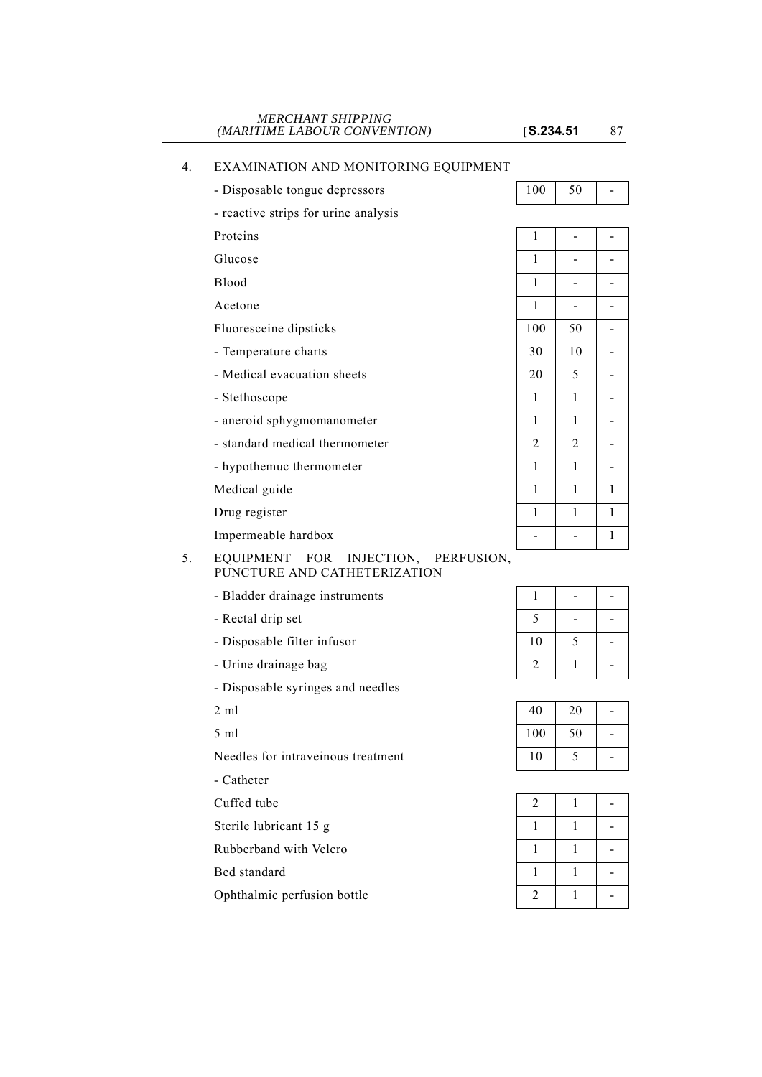$\boxed{100}$  50 -

# 4. EXAMINATION AND MONITORING EQUIPMENT

| - Disposable tongue depressors       |  |  |
|--------------------------------------|--|--|
| - reactive strips for urine analysis |  |  |

| roteins |  |
|---------|--|
|         |  |

Glucose

# 5. EQUIPMENT FOR INJECTION, PERFUSION, PUNCTURE AND CATHETERIZATION

- Bladder drainage instruments
- Rectal drip set
- Disposable filter infusor
- Urine drainage bag

- Disposable syringes and needles

- Catheter

Cuffed tube

Sterile lubricant 15 g

Rubberband with Velcro

Bed standard

Ophthalmic perfusion bottle

| 1              |                |   |
|----------------|----------------|---|
| 1              |                |   |
| 1              |                |   |
| 1              |                |   |
| 100            | 50             |   |
| 30             | 10             |   |
| 20             | 5              |   |
| 1              | 1              |   |
| 1              | 1              |   |
| $\overline{2}$ | $\overline{2}$ |   |
| 1              | 1              |   |
| $\mathbf{1}$   | $\mathbf{1}$   | 1 |
| 1              | 1              | 1 |
|                |                | 1 |
|                |                |   |

| 5  |   |  |
|----|---|--|
| 10 | 5 |  |
| 2  |   |  |

| 2 ml                               |     | ንበ |  |
|------------------------------------|-----|----|--|
| 5 ml                               | 100 | 50 |  |
| Needles for intraveinous treatment |     |    |  |

| $\overline{c}$ |  |
|----------------|--|
| 1              |  |
| 1              |  |
| 1              |  |
| $\overline{2}$ |  |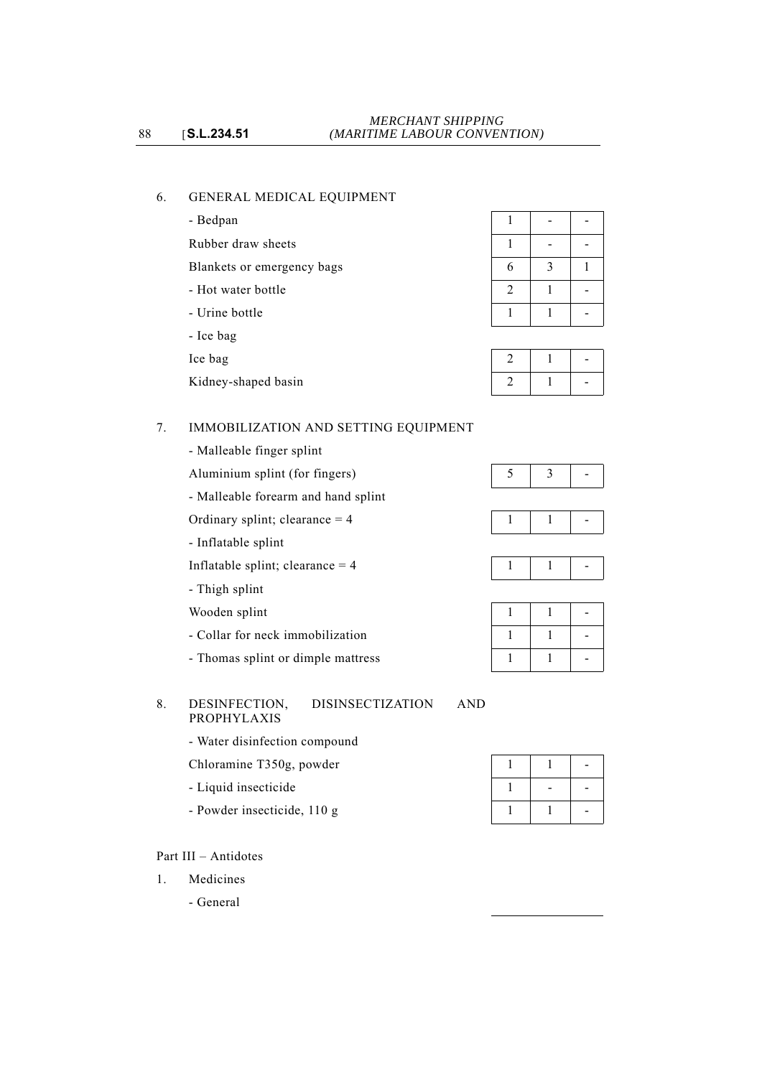# 6. GENERAL MEDICAL EQUIPMENT

- Bedpan

Rubber draw sheets

Blankets or emergency bags

- Hot water bottle
- Urine bottle
- Ice bag
- 

# 7. IMMOBILIZATION AND SETTING EQUIPMENT

- Malleable finger splint
- Aluminium splint (for fingers)

- Malleable forearm and hand splint

- Ordinary splint; clearance  $= 4 1 1 1 1 1 1 1$
- Inflatable splint

Inflatable splint; clearance  $= 4$ 

- Thigh splint
- Wooden splint
- Collar for neck immobilization
- Thomas splint or dimple mattress

## 8. DESINFECTION, DISINSECTIZATION AND PROPHYLAXIS

- Water disinfection compound
- Chloramine T350g, powder
- Liquid insecticide
- Powder insecticide, 110 g

# Part III – Antidotes

- 1. Medicines
	- General

| 6          | 3 |  |
|------------|---|--|
| $\sqrt{2}$ |   |  |
|            |   |  |

| Ice bag             |  |  |
|---------------------|--|--|
| Kidney-shaped basin |  |  |

|--|--|--|

|--|

|--|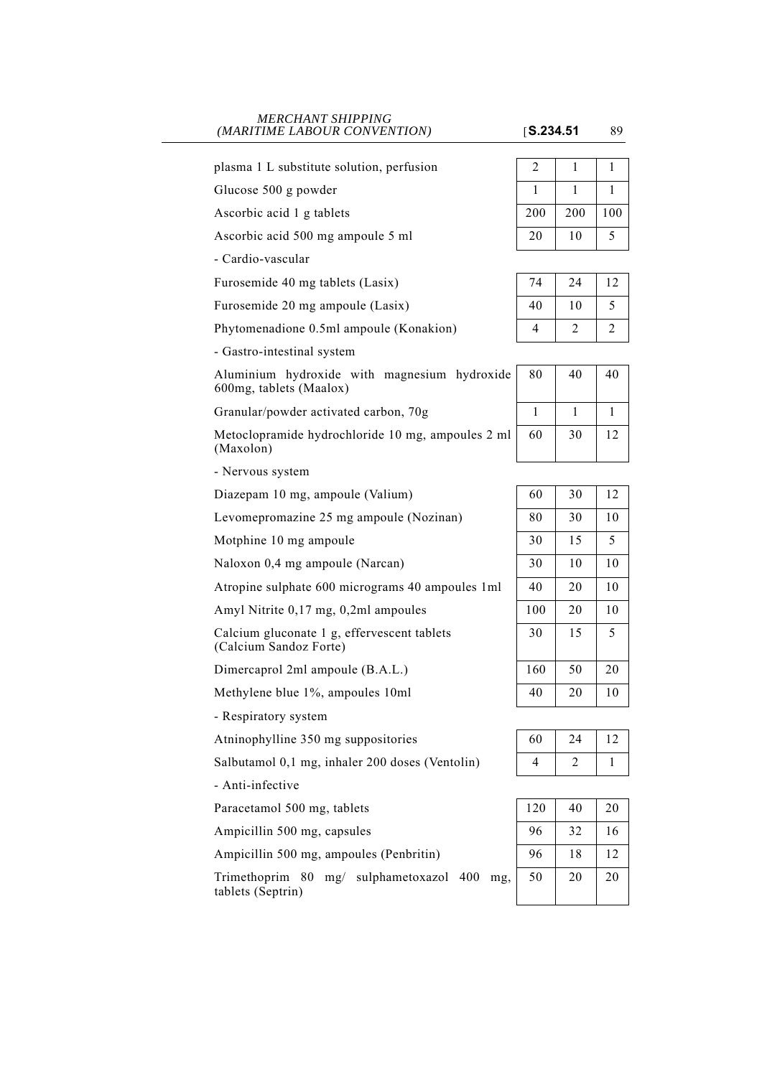#### *MERCHANT SHIPPING (MARITIME LABOUR CONVENTION)* [**S.234.51** 89

| plasma 1 L substitute solution, perfusion                               | 2              | $\mathbf{1}$ | $\mathbf{1}$ |
|-------------------------------------------------------------------------|----------------|--------------|--------------|
| Glucose 500 g powder                                                    | 1              | $\mathbf{1}$ | $\mathbf{1}$ |
| Ascorbic acid 1 g tablets                                               | 200            | 200          | 100          |
| Ascorbic acid 500 mg ampoule 5 ml                                       | 20             | 10           | 5            |
| - Cardio-vascular                                                       |                |              |              |
| Furosemide 40 mg tablets (Lasix)                                        | 74             | 24           | 12           |
| Furosemide 20 mg ampoule (Lasix)                                        | 40             | 10           | 5            |
| Phytomenadione 0.5ml ampoule (Konakion)                                 | 4              | 2            | 2            |
| - Gastro-intestinal system                                              |                |              |              |
| Aluminium hydroxide with magnesium hydroxide<br>600mg, tablets (Maalox) | 80             | 40           | 40           |
| Granular/powder activated carbon, 70g                                   | 1              | $\mathbf{1}$ | $\mathbf{1}$ |
| Metoclopramide hydrochloride 10 mg, ampoules 2 ml<br>(Maxolon)          | 60             | 30           | 12           |
| - Nervous system                                                        |                |              |              |
| Diazepam 10 mg, ampoule (Valium)                                        | 60             | 30           | 12           |
| Levomepromazine 25 mg ampoule (Nozinan)                                 | 80             | 30           | 10           |
| Motphine 10 mg ampoule                                                  | 30             | 15           | 5            |
| Naloxon 0,4 mg ampoule (Narcan)                                         | 30             | 10           | 10           |
| Atropine sulphate 600 micrograms 40 ampoules 1ml                        | 40             | 20           | 10           |
| Amyl Nitrite 0,17 mg, 0,2ml ampoules                                    | 100            | 20           | 10           |
| Calcium gluconate 1 g, effervescent tablets<br>(Calcium Sandoz Forte)   | 30             | 15           | 5            |
| Dimercaprol 2ml ampoule (B.A.L.)                                        | 160            | 50           | 20           |
| Methylene blue 1%, ampoules 10ml                                        | 40             | 20           | 10           |
| - Respiratory system                                                    |                |              |              |
| Atninophylline 350 mg suppositories                                     | 60             | 24           | 12           |
| Salbutamol 0,1 mg, inhaler 200 doses (Ventolin)                         | $\overline{4}$ | 2            | 1            |
| - Anti-infective                                                        |                |              |              |
| Paracetamol 500 mg, tablets                                             | 120            | 40           | $20\,$       |
| Ampicillin 500 mg, capsules                                             | 96             | 32           | 16           |
| Ampicillin 500 mg, ampoules (Penbritin)                                 | 96             | 18           | 12           |
| Trimethoprim 80 mg/ sulphametoxazol<br>400<br>mg,                       | 50             | 20           | 20           |

tablets (Septrin)

| 74 | 24 | 12 |
|----|----|----|
| 40 | 10 | 5  |
| 4  | 2  | 2  |

| 80 | 40 | 40 |
|----|----|----|
|    |    |    |
| 60 | 30 | 12 |
|    |    |    |

| 60  | 30 | 12 |
|-----|----|----|
| 80  | 30 | 10 |
| 30  | 15 | 5  |
| 30  | 10 | 10 |
| 40  | 20 | 10 |
| 100 | 20 | 10 |
| 30  | 15 | 5  |
| 160 | 50 | 20 |
| 40  | 20 | 10 |

| 60 | 24 | $\mathsf{L}$ |
|----|----|--------------|
| 4  |    |              |

| 120 | 40 | 20 |
|-----|----|----|
| 96  | 32 | 16 |
| 96  | 18 | 12 |
| 50  | 20 | 20 |
|     |    |    |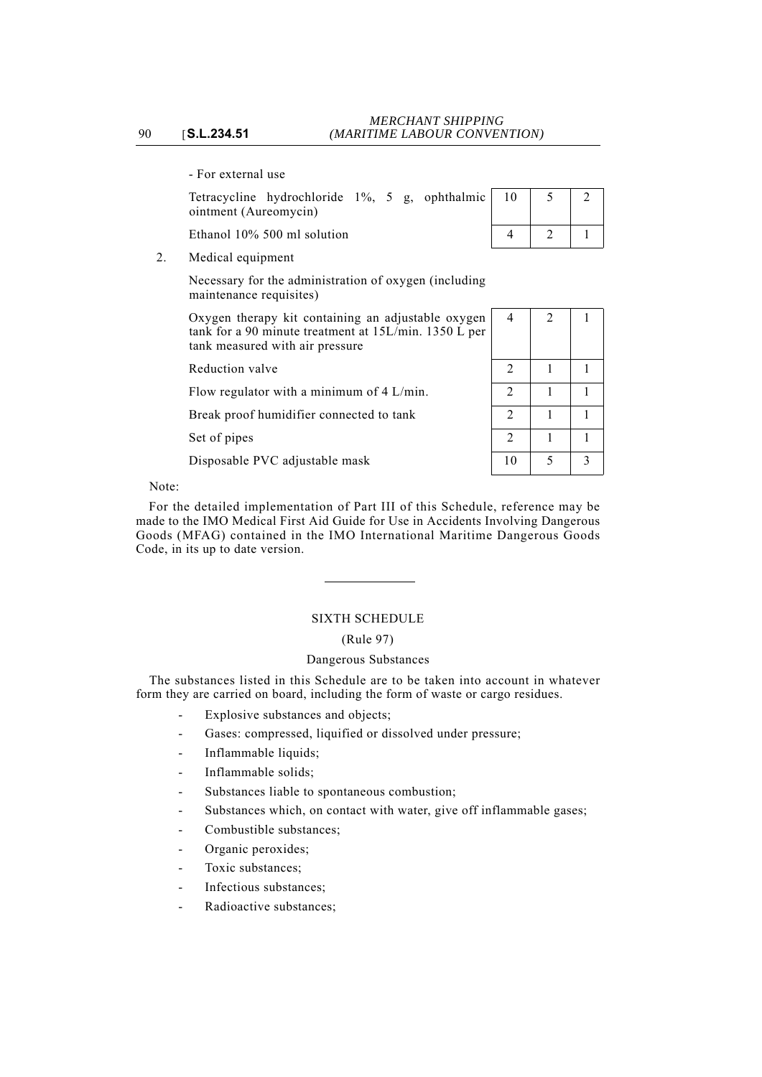- For external use

|                       | Tetracycline hydrochloride 1%, 5 g, ophthalmic 10 |  |  |  |  |  |  |
|-----------------------|---------------------------------------------------|--|--|--|--|--|--|
| ointment (Aureomycin) |                                                   |  |  |  |  |  |  |

Ethanol  $10\%$  500 ml solution

| 10 |   |  |
|----|---|--|
| 4  | 2 |  |

2. Medical equipment

Necessary for the administration of oxygen (including maintenance requisites)

Oxygen therapy kit containing an adjustable oxygen tank for a 90 minute treatment at 15L/min. 1350 L per tank measured with air pressure

Reduction valve

Flow regulator with a minimum of  $4$  L/min.

Break proof humidifier connected to tank

Set of pipes

Disposable PVC adjustable mask

| l<br>İ | $\overline{4}$ | $\overline{c}$ | $\mathbf{1}$ |
|--------|----------------|----------------|--------------|
|        | $\sqrt{2}$     | $\mathbf{1}$   | 1            |
|        | $\sqrt{2}$     | 1              | 1            |
|        | $\overline{c}$ | 1              | 1            |
|        | $\overline{2}$ | 1              | 1            |
|        | 10             | 5              | 3            |

Note:

For the detailed implementation of Part III of this Schedule, reference may be made to the IMO Medical First Aid Guide for Use in Accidents Involving Dangerous Goods (MFAG) contained in the IMO International Maritime Dangerous Goods Code, in its up to date version.

# SIXTH SCHEDULE

# (Rule 97)

# Dangerous Substances

The substances listed in this Schedule are to be taken into account in whatever form they are carried on board, including the form of waste or cargo residues.

- Explosive substances and objects;
- Gases: compressed, liquified or dissolved under pressure;
- Inflammable liquids;
- Inflammable solids:
- Substances liable to spontaneous combustion;
- Substances which, on contact with water, give off inflammable gases;
- Combustible substances;
- Organic peroxides;
- Toxic substances;
- Infectious substances;
- Radioactive substances;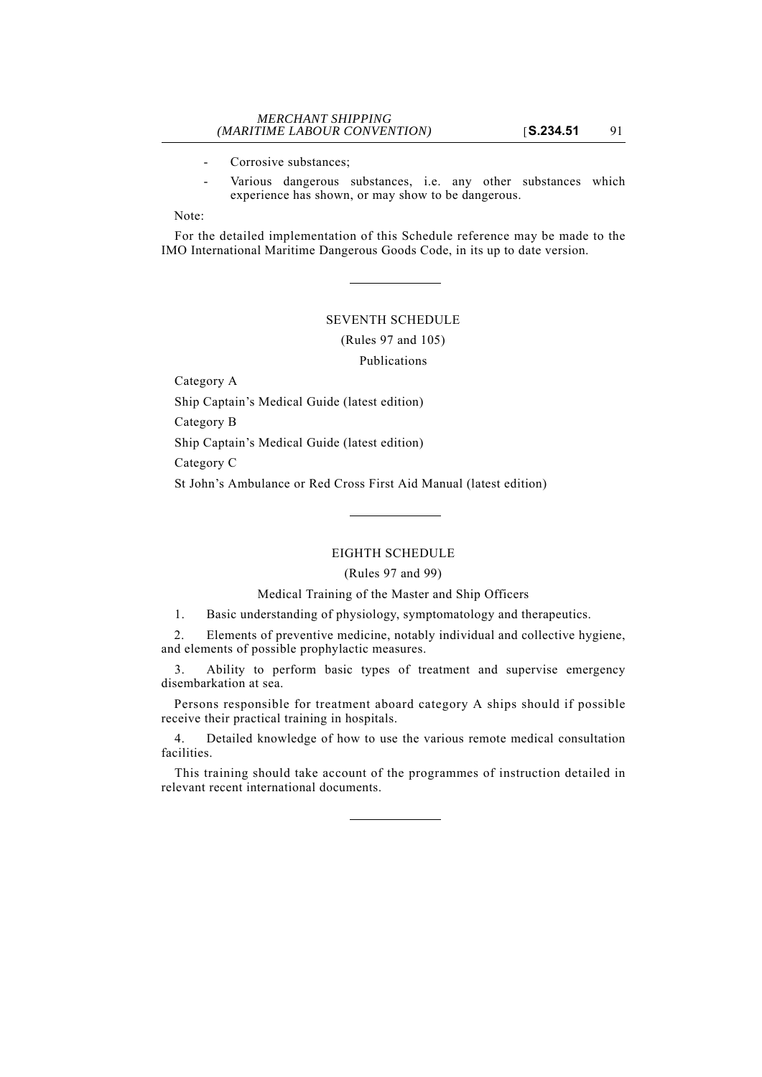- Corrosive substances;
- Various dangerous substances, i.e. any other substances which experience has shown, or may show to be dangerous.

Note:

For the detailed implementation of this Schedule reference may be made to the IMO International Maritime Dangerous Goods Code, in its up to date version.

#### SEVENTH SCHEDULE

(Rules 97 and 105)

Publications

Category A

Ship Captain's Medical Guide (latest edition)

Category B

Ship Captain's Medical Guide (latest edition)

Category C

St John's Ambulance or Red Cross First Aid Manual (latest edition)

## EIGHTH SCHEDULE

# (Rules 97 and 99)

# Medical Training of the Master and Ship Officers

1. Basic understanding of physiology, symptomatology and therapeutics.

2. Elements of preventive medicine, notably individual and collective hygiene, and elements of possible prophylactic measures.

3. Ability to perform basic types of treatment and supervise emergency disembarkation at sea.

Persons responsible for treatment aboard category A ships should if possible receive their practical training in hospitals.

4. Detailed knowledge of how to use the various remote medical consultation facilities.

This training should take account of the programmes of instruction detailed in relevant recent international documents.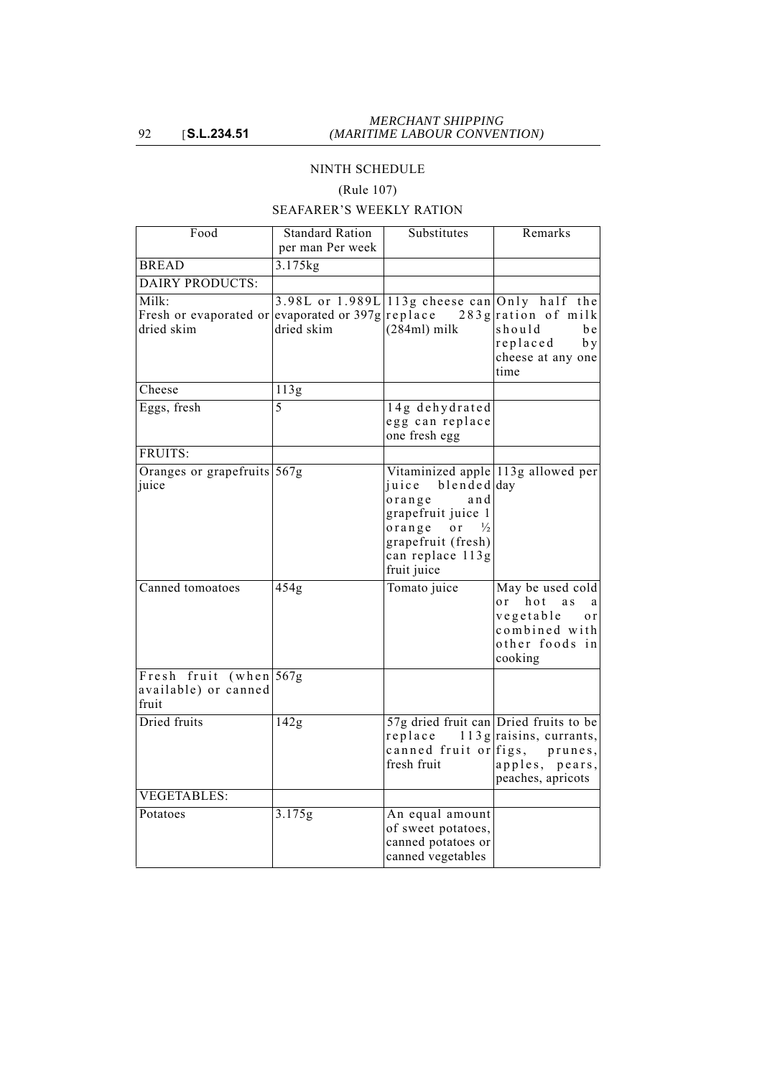# NINTH SCHEDULE

# (Rule 107)

# SEAFARER'S WEEKLY RATION

| Food                                                     | <b>Standard Ration</b><br>per man Per week | Substitutes                                                                                                                                                                                        | Remarks                                                                                                            |
|----------------------------------------------------------|--------------------------------------------|----------------------------------------------------------------------------------------------------------------------------------------------------------------------------------------------------|--------------------------------------------------------------------------------------------------------------------|
| <b>BREAD</b>                                             | $3.175$ kg                                 |                                                                                                                                                                                                    |                                                                                                                    |
| <b>DAIRY PRODUCTS:</b>                                   |                                            |                                                                                                                                                                                                    |                                                                                                                    |
| Milk:<br>Fresh or evaporated or<br>dried skim            | evaporated or $397g$ replace<br>dried skim | 3.98L or 1.989L 113g cheese can Only half the<br>$(284ml)$ milk                                                                                                                                    | $283$ g ration of milk<br>should<br>b e<br>replaced<br>by<br>cheese at any one<br>time                             |
| Cheese                                                   | $\overline{113g}$                          |                                                                                                                                                                                                    |                                                                                                                    |
| Eggs, fresh                                              | 5                                          | 14g dehydrated<br>egg can replace<br>one fresh egg                                                                                                                                                 |                                                                                                                    |
| FRUITS:                                                  |                                            |                                                                                                                                                                                                    |                                                                                                                    |
| Oranges or grapefruits 567g<br>juice                     |                                            | Vitaminized apple 113g allowed per<br>blended day<br>juice<br>$or$ ange<br>and<br>grapefruit juice 1<br>$or$ ange<br>o r<br>$\frac{1}{2}$<br>grapefruit (fresh)<br>can replace 113g<br>fruit juice |                                                                                                                    |
| Canned tomoatoes                                         | 454g                                       | Tomato juice                                                                                                                                                                                       | May be used cold<br>hot<br>$\sigma$ r<br>a s<br>a<br>vegetable<br>or<br>combined with<br>other foods in<br>cooking |
| Fresh fruit (when 567g)<br>available) or canned<br>fruit |                                            |                                                                                                                                                                                                    |                                                                                                                    |
| Dried fruits                                             | $\overline{142g}$                          | 57g dried fruit can Dried fruits to be<br>replace<br>canned fruit or figs,<br>fresh fruit                                                                                                          | $113$ g raisins, currants,<br>prunes,<br>apples, pears,<br>peaches, apricots                                       |
| <b>VEGETABLES:</b>                                       |                                            |                                                                                                                                                                                                    |                                                                                                                    |
| Potatoes                                                 | 3.175g                                     | An equal amount<br>of sweet potatoes,<br>canned potatoes or<br>canned vegetables                                                                                                                   |                                                                                                                    |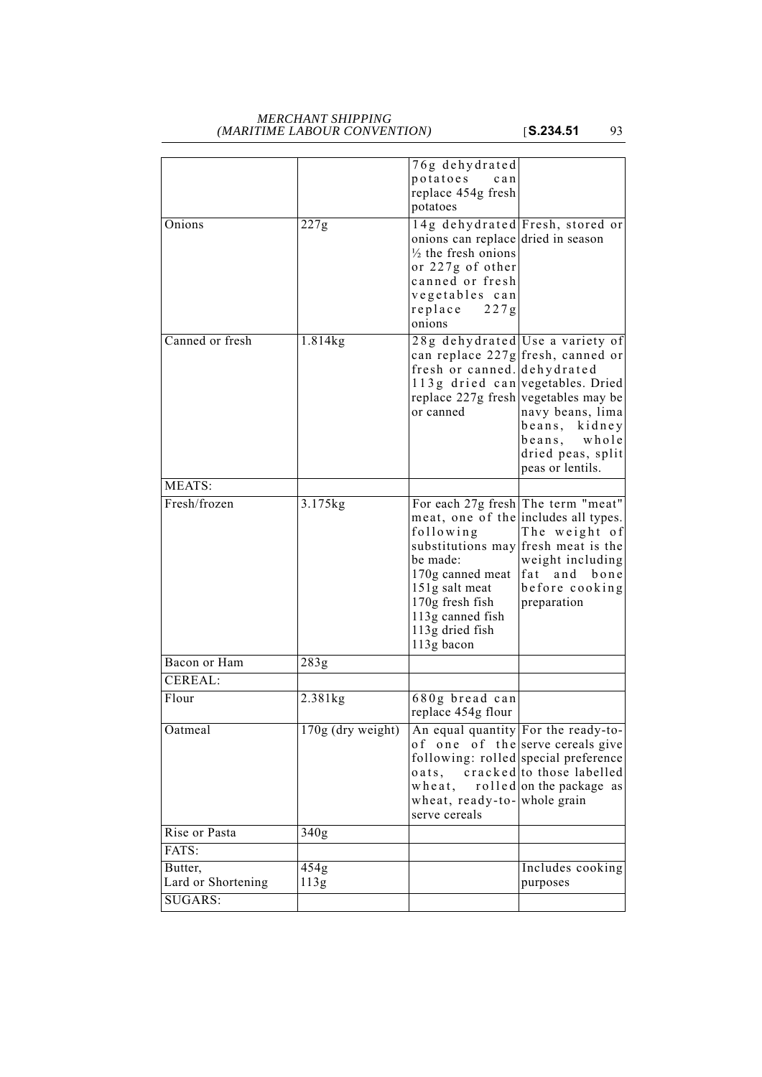#### *MERCHANT SHIPPING (MARITIME LABOUR CONVENTION)* [**S.234.51** 93

|                    |                     | 76g dehydrated<br>potatoes<br>can                                                                                                                                                                                                                        |                                                                                            |
|--------------------|---------------------|----------------------------------------------------------------------------------------------------------------------------------------------------------------------------------------------------------------------------------------------------------|--------------------------------------------------------------------------------------------|
|                    |                     | replace 454g fresh                                                                                                                                                                                                                                       |                                                                                            |
|                    |                     | potatoes                                                                                                                                                                                                                                                 |                                                                                            |
| Onions             | 227g                | 14g dehydrated Fresh, stored or<br>onions can replace dried in season<br>$\frac{1}{2}$ the fresh onions<br>or 227g of other<br>canned or fresh<br>vegetables can<br>replace<br>227g<br>onions                                                            |                                                                                            |
| Canned or fresh    | 1.814kg             | 28g dehydrated Use a variety of<br>can replace 227g fresh, canned or<br>fresh or canned. dehydrated<br>113g dried can vegetables. Dried<br>replace 227g fresh vegetables may be<br>or canned                                                             | navy beans, lima<br>beans, kidney<br>beans, whole<br>dried peas, split<br>peas or lentils. |
| MEATS:             |                     |                                                                                                                                                                                                                                                          |                                                                                            |
| Fresh/frozen       | 3.175kg             | For each 27g fresh The term "meat"<br>meat, one of the includes all types.<br>following<br>substitutions may fresh meat is the<br>be made:<br>170g canned meat<br>151g salt meat<br>170g fresh fish<br>113g canned fish<br>113g dried fish<br>113g bacon | The weight of<br>weight including<br>fat and bone<br>before cooking<br>preparation         |
| Bacon or Ham       | 283g                |                                                                                                                                                                                                                                                          |                                                                                            |
| CEREAL:            |                     |                                                                                                                                                                                                                                                          |                                                                                            |
| Flour              | $2.381$ kg          | 680g bread can<br>replace 454g flour                                                                                                                                                                                                                     |                                                                                            |
| Oatmeal            | $170g$ (dry weight) | An equal quantity For the ready-to-<br>of one of the serve cereals give<br>following: rolled special preference<br>oats, cracked to those labelled<br>wheat,<br>wheat, ready-to- whole grain<br>serve cereals                                            | rolled on the package as                                                                   |
| Rise or Pasta      | 340g                |                                                                                                                                                                                                                                                          |                                                                                            |
| FATS:              |                     |                                                                                                                                                                                                                                                          |                                                                                            |
| Butter,            | 454g                |                                                                                                                                                                                                                                                          | Includes cooking                                                                           |
| Lard or Shortening | 113g                |                                                                                                                                                                                                                                                          | purposes                                                                                   |
| SUGARS:            |                     |                                                                                                                                                                                                                                                          |                                                                                            |